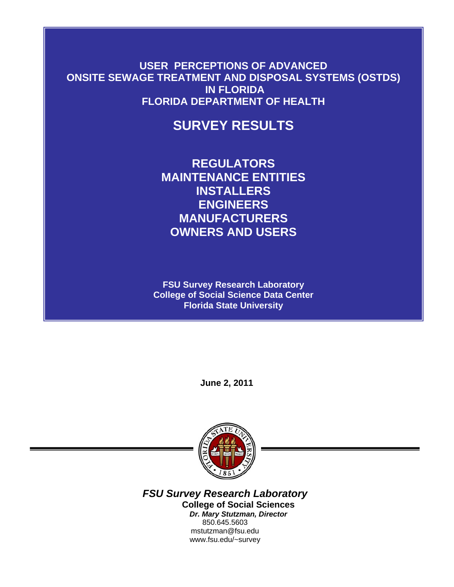**USER PERCEPTIONS OF ADVANCED ONSITE SEWAGE TREATMENT AND DISPOSAL SYSTEMS (OSTDS) IN FLORIDA FLORIDA DEPARTMENT OF HEALTH** 

# **SURVEY RESULTS**

**REGULATORS MAINTENANCE ENTITIES INSTALLERS ENGINEERS MANUFACTURERS OWNERS AND USERS** 

**FSU Survey Research Laboratory College of Social Science Data Center Florida State University** 

**June 2, 2011** 



*FSU Survey Research Laboratory*  **College of Social Sciences**  *Dr. Mary Stutzman, Director*  850.645.5603 mstutzman@fsu.edu www.fsu.edu/~survey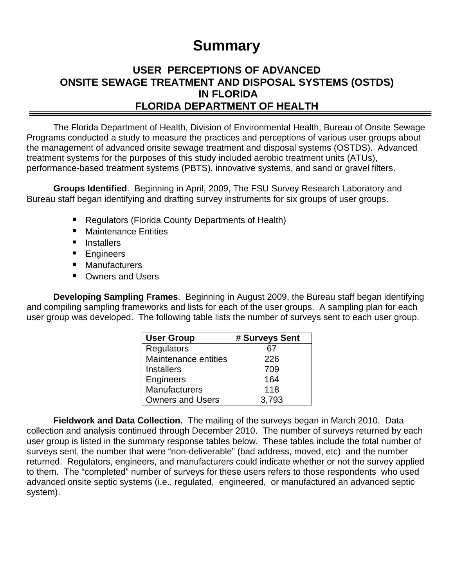# **Summary**

# **USER PERCEPTIONS OF ADVANCED ONSITE SEWAGE TREATMENT AND DISPOSAL SYSTEMS (OSTDS) IN FLORIDA FLORIDA DEPARTMENT OF HEALTH**

The Florida Department of Health, Division of Environmental Health, Bureau of Onsite Sewage Programs conducted a study to measure the practices and perceptions of various user groups about the management of advanced onsite sewage treatment and disposal systems (OSTDS). Advanced treatment systems for the purposes of this study included aerobic treatment units (ATUs), performance-based treatment systems (PBTS), innovative systems, and sand or gravel filters.

**Groups Identified**. Beginning in April, 2009, The FSU Survey Research Laboratory and Bureau staff began identifying and drafting survey instruments for six groups of user groups.

- Regulators (Florida County Departments of Health)
- Maintenance Entities
- **Installers**
- **Engineers**
- **Manufacturers**
- Owners and Users

**Developing Sampling Frames**. Beginning in August 2009, the Bureau staff began identifying and compiling sampling frameworks and lists for each of the user groups. A sampling plan for each user group was developed. The following table lists the number of surveys sent to each user group.

| <b>User Group</b>       | # Surveys Sent |
|-------------------------|----------------|
| <b>Regulators</b>       | 67             |
| Maintenance entities    | 226            |
| <b>Installers</b>       | 709            |
| Engineers               | 164            |
| <b>Manufacturers</b>    | 118            |
| <b>Owners and Users</b> | 3,793          |

**Fieldwork and Data Collection.** The mailing of the surveys began in March 2010. Data collection and analysis continued through December 2010. The number of surveys returned by each user group is listed in the summary response tables below. These tables include the total number of surveys sent, the number that were "non-deliverable" (bad address, moved, etc) and the number returned. Regulators, engineers, and manufacturers could indicate whether or not the survey applied to them. The "completed" number of surveys for these users refers to those respondents who used advanced onsite septic systems (i.e., regulated, engineered, or manufactured an advanced septic system).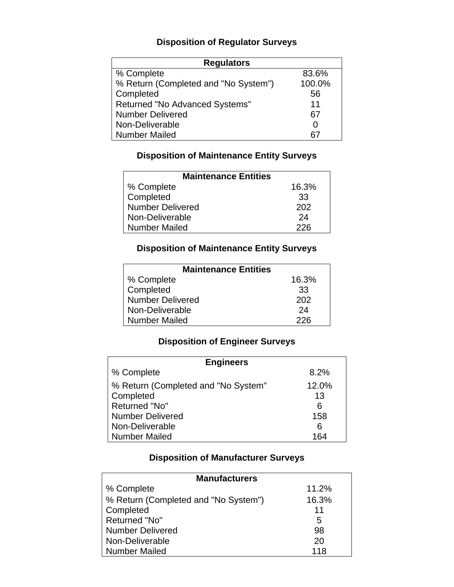# **Disposition of Regulator Surveys**

| <b>Regulators</b>                    |        |  |  |
|--------------------------------------|--------|--|--|
| % Complete                           | 83.6%  |  |  |
| % Return (Completed and "No System") | 100.0% |  |  |
| Completed                            | 56     |  |  |
| Returned "No Advanced Systems"       | 11     |  |  |
| <b>Number Delivered</b>              | 67     |  |  |
| Non-Deliverable                      | O      |  |  |
| <b>Number Mailed</b>                 |        |  |  |

### **Disposition of Maintenance Entity Surveys**

| <b>Maintenance Entities</b> |       |  |
|-----------------------------|-------|--|
| % Complete                  | 16.3% |  |
| Completed                   | 33    |  |
| <b>Number Delivered</b>     | 202   |  |
| Non-Deliverable             | 24    |  |
| <b>Number Mailed</b>        | 226   |  |

### **Disposition of Maintenance Entity Surveys**

| <b>Maintenance Entities</b> |       |  |
|-----------------------------|-------|--|
| % Complete                  | 16.3% |  |
| Completed                   | 33    |  |
| <b>Number Delivered</b>     | 202   |  |
| Non-Deliverable             | 24    |  |
| <b>Number Mailed</b>        | 226   |  |

# **Disposition of Engineer Surveys**

| <b>Engineers</b>                    |       |
|-------------------------------------|-------|
| % Complete                          | 8.2%  |
| % Return (Completed and "No System" | 12.0% |
| Completed                           | 13    |
| Returned "No"                       | 6     |
| <b>Number Delivered</b>             | 158   |
| Non-Deliverable                     | 6     |
| <b>Number Mailed</b>                | 164   |

### **Disposition of Manufacturer Surveys**

| <b>Manufacturers</b>                 |       |  |  |
|--------------------------------------|-------|--|--|
| % Complete                           | 11.2% |  |  |
| % Return (Completed and "No System") | 16.3% |  |  |
| Completed                            | 11    |  |  |
| Returned "No"                        | 5     |  |  |
| <b>Number Delivered</b>              | 98    |  |  |
| Non-Deliverable                      | 20    |  |  |
| <b>Number Mailed</b>                 | 118   |  |  |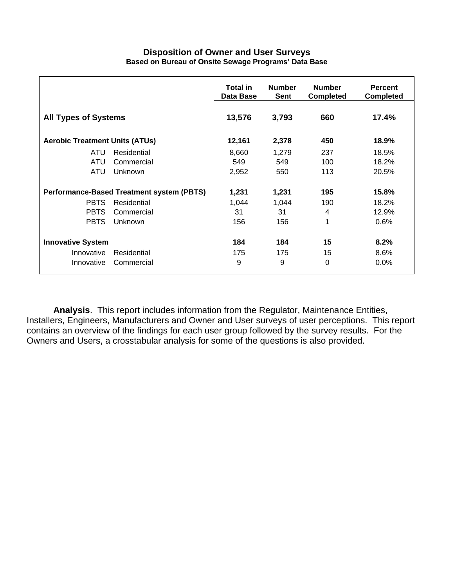#### **Disposition of Owner and User Surveys Based on Bureau of Onsite Sewage Programs' Data Base**

|                                                  |             | <b>Total in</b><br>Data Base | <b>Number</b><br><b>Sent</b> | <b>Number</b><br><b>Completed</b> | <b>Percent</b><br><b>Completed</b> |
|--------------------------------------------------|-------------|------------------------------|------------------------------|-----------------------------------|------------------------------------|
| <b>All Types of Systems</b>                      |             | 13,576                       | 3,793                        | 660                               | 17.4%                              |
| <b>Aerobic Treatment Units (ATUs)</b>            |             | 12,161                       | 2,378                        | 450                               | 18.9%                              |
| ATU                                              | Residential | 8,660                        | 1,279                        | 237                               | 18.5%                              |
| ATU                                              | Commercial  | 549                          | 549                          | 100                               | 18.2%                              |
| ATU                                              | Unknown     | 2,952                        | 550                          | 113                               | 20.5%                              |
| <b>Performance-Based Treatment system (PBTS)</b> |             | 1,231                        | 1,231                        | 195                               | 15.8%                              |
| <b>PBTS</b>                                      | Residential | 1,044                        | 1,044                        | 190                               | 18.2%                              |
| <b>PBTS</b>                                      | Commercial  | 31                           | 31                           | 4                                 | 12.9%                              |
| <b>PBTS</b>                                      | Unknown     | 156                          | 156                          | 1                                 | 0.6%                               |
| <b>Innovative System</b>                         |             | 184                          | 184                          | 15                                | 8.2%                               |
| Innovative                                       | Residential | 175                          | 175                          | 15                                | $8.6\%$                            |
| Innovative                                       | Commercial  | 9                            | 9                            | $\Omega$                          | $0.0\%$                            |

**Analysis**. This report includes information from the Regulator, Maintenance Entities, Installers, Engineers, Manufacturers and Owner and User surveys of user perceptions. This report contains an overview of the findings for each user group followed by the survey results. For the Owners and Users, a crosstabular analysis for some of the questions is also provided.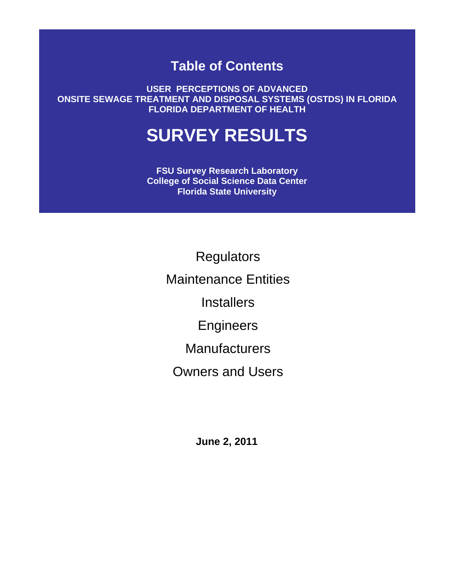# **Table of Contents**

**USER PERCEPTIONS OF ADVANCED ONSITE SEWAGE TREATMENT AND DISPOSAL SYSTEMS (OSTDS) IN FLORIDA FLORIDA DEPARTMENT OF HEALTH** 

# **SURVEY RESULTS**

**FSU Survey Research Laboratory College of Social Science Data Center Florida State University** 

> **Regulators**  Maintenance Entities **Installers**  Engineers **Manufacturers**

Owners and Users

**June 2, 2011**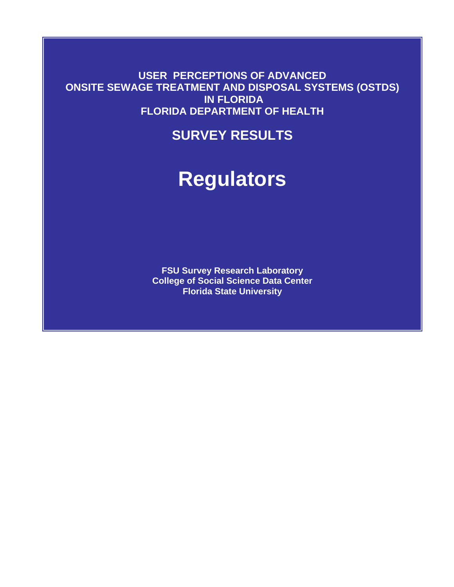**USER PERCEPTIONS OF ADVANCED ONSITE SEWAGE TREATMENT AND DISPOSAL SYSTEMS (OSTDS) IN FLORIDA FLORIDA DEPARTMENT OF HEALTH** 

# **SURVEY RESULTS**

# **Regulators**

**FSU Survey Research Laboratory College of Social Science Data Center Florida State University**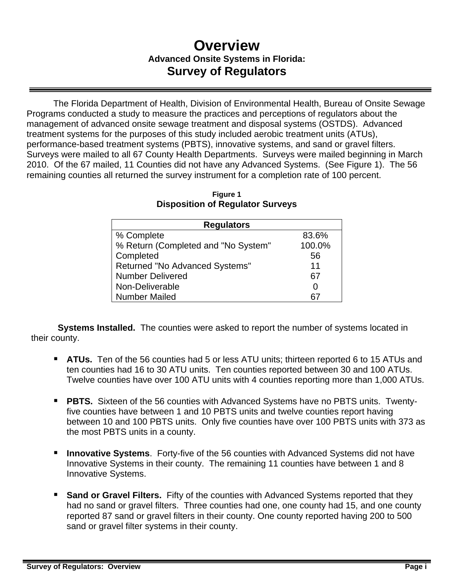# **Overview Advanced Onsite Systems in Florida: Survey of Regulators**

The Florida Department of Health, Division of Environmental Health, Bureau of Onsite Sewage Programs conducted a study to measure the practices and perceptions of regulators about the management of advanced onsite sewage treatment and disposal systems (OSTDS). Advanced treatment systems for the purposes of this study included aerobic treatment units (ATUs), performance-based treatment systems (PBTS), innovative systems, and sand or gravel filters. Surveys were mailed to all 67 County Health Departments. Surveys were mailed beginning in March 2010. Of the 67 mailed, 11 Counties did not have any Advanced Systems. (See Figure 1). The 56 remaining counties all returned the survey instrument for a completion rate of 100 percent.

| <b>Regulators</b>                     |        |  |  |
|---------------------------------------|--------|--|--|
| % Complete                            | 83.6%  |  |  |
| % Return (Completed and "No System"   | 100.0% |  |  |
| Completed                             | 56     |  |  |
| <b>Returned "No Advanced Systems"</b> | 11     |  |  |
| <b>Number Delivered</b>               | 67     |  |  |
| Non-Deliverable                       | O      |  |  |
| <b>Number Mailed</b>                  |        |  |  |

| <b>Figure 1</b>                         |
|-----------------------------------------|
| <b>Disposition of Regulator Surveys</b> |

**Systems Installed.** The counties were asked to report the number of systems located in their county.

- **ATUs.** Ten of the 56 counties had 5 or less ATU units; thirteen reported 6 to 15 ATUs and ten counties had 16 to 30 ATU units. Ten counties reported between 30 and 100 ATUs. Twelve counties have over 100 ATU units with 4 counties reporting more than 1,000 ATUs.
- **PBTS.** Sixteen of the 56 counties with Advanced Systems have no PBTS units. Twentyfive counties have between 1 and 10 PBTS units and twelve counties report having between 10 and 100 PBTS units. Only five counties have over 100 PBTS units with 373 as the most PBTS units in a county.
- **Innovative Systems**. Forty-five of the 56 counties with Advanced Systems did not have Innovative Systems in their county. The remaining 11 counties have between 1 and 8 Innovative Systems.
- **Sand or Gravel Filters.** Fifty of the counties with Advanced Systems reported that they had no sand or gravel filters. Three counties had one, one county had 15, and one county reported 87 sand or gravel filters in their county. One county reported having 200 to 500 sand or gravel filter systems in their county.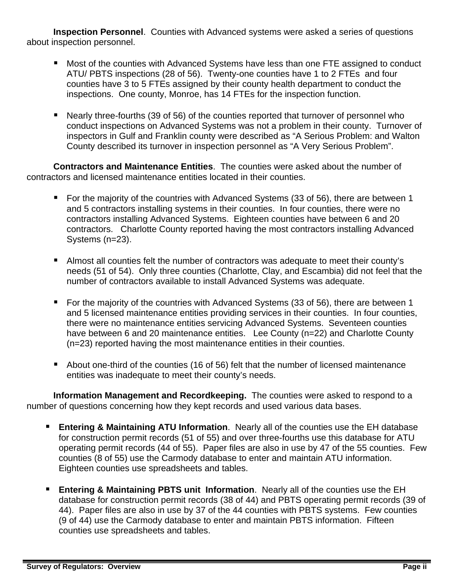**Inspection Personnel**. Counties with Advanced systems were asked a series of questions about inspection personnel.

- Most of the counties with Advanced Systems have less than one FTE assigned to conduct ATU/ PBTS inspections (28 of 56). Twenty-one counties have 1 to 2 FTEs and four counties have 3 to 5 FTEs assigned by their county health department to conduct the inspections. One county, Monroe, has 14 FTEs for the inspection function.
- Nearly three-fourths (39 of 56) of the counties reported that turnover of personnel who conduct inspections on Advanced Systems was not a problem in their county. Turnover of inspectors in Gulf and Franklin county were described as "A Serious Problem: and Walton County described its turnover in inspection personnel as "A Very Serious Problem".

**Contractors and Maintenance Entities**. The counties were asked about the number of contractors and licensed maintenance entities located in their counties.

- **For the majority of the countries with Advanced Systems (33 of 56), there are between 1** and 5 contractors installing systems in their counties. In four counties, there were no contractors installing Advanced Systems. Eighteen counties have between 6 and 20 contractors. Charlotte County reported having the most contractors installing Advanced Systems (n=23).
- Almost all counties felt the number of contractors was adequate to meet their county's needs (51 of 54). Only three counties (Charlotte, Clay, and Escambia) did not feel that the number of contractors available to install Advanced Systems was adequate.
- For the majority of the countries with Advanced Systems (33 of 56), there are between 1 and 5 licensed maintenance entities providing services in their counties. In four counties, there were no maintenance entities servicing Advanced Systems. Seventeen counties have between 6 and 20 maintenance entities. Lee County (n=22) and Charlotte County (n=23) reported having the most maintenance entities in their counties.
- About one-third of the counties (16 of 56) felt that the number of licensed maintenance entities was inadequate to meet their county's needs.

**Information Management and Recordkeeping.** The counties were asked to respond to a number of questions concerning how they kept records and used various data bases.

- **Entering & Maintaining ATU Information.** Nearly all of the counties use the EH database for construction permit records (51 of 55) and over three-fourths use this database for ATU operating permit records (44 of 55). Paper files are also in use by 47 of the 55 counties. Few counties (8 of 55) use the Carmody database to enter and maintain ATU information. Eighteen counties use spreadsheets and tables.
- **Entering & Maintaining PBTS unit Information**. Nearly all of the counties use the EH database for construction permit records (38 of 44) and PBTS operating permit records (39 of 44). Paper files are also in use by 37 of the 44 counties with PBTS systems. Few counties (9 of 44) use the Carmody database to enter and maintain PBTS information. Fifteen counties use spreadsheets and tables.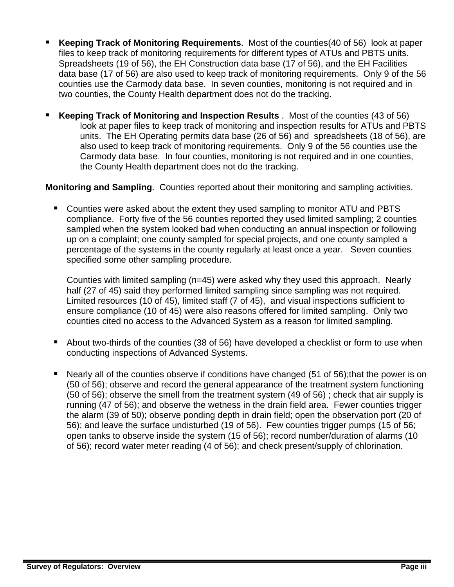- **Keeping Track of Monitoring Requirements**. Most of the counties(40 of 56) look at paper files to keep track of monitoring requirements for different types of ATUs and PBTS units. Spreadsheets (19 of 56), the EH Construction data base (17 of 56), and the EH Facilities data base (17 of 56) are also used to keep track of monitoring requirements. Only 9 of the 56 counties use the Carmody data base. In seven counties, monitoring is not required and in two counties, the County Health department does not do the tracking.
- **Keeping Track of Monitoring and Inspection Results** . Most of the counties (43 of 56) look at paper files to keep track of monitoring and inspection results for ATUs and PBTS units. The EH Operating permits data base (26 of 56) and spreadsheets (18 of 56), are also used to keep track of monitoring requirements. Only 9 of the 56 counties use the Carmody data base. In four counties, monitoring is not required and in one counties, the County Health department does not do the tracking.

### **Monitoring and Sampling**. Counties reported about their monitoring and sampling activities.

 Counties were asked about the extent they used sampling to monitor ATU and PBTS compliance. Forty five of the 56 counties reported they used limited sampling; 2 counties sampled when the system looked bad when conducting an annual inspection or following up on a complaint; one county sampled for special projects, and one county sampled a percentage of the systems in the county regularly at least once a year. Seven counties specified some other sampling procedure.

Counties with limited sampling (n=45) were asked why they used this approach. Nearly half (27 of 45) said they performed limited sampling since sampling was not required. Limited resources (10 of 45), limited staff (7 of 45), and visual inspections sufficient to ensure compliance (10 of 45) were also reasons offered for limited sampling. Only two counties cited no access to the Advanced System as a reason for limited sampling.

- About two-thirds of the counties (38 of 56) have developed a checklist or form to use when conducting inspections of Advanced Systems.
- Nearly all of the counties observe if conditions have changed (51 of 56);that the power is on (50 of 56); observe and record the general appearance of the treatment system functioning (50 of 56); observe the smell from the treatment system (49 of 56) ; check that air supply is running (47 of 56); and observe the wetness in the drain field area. Fewer counties trigger the alarm (39 of 50); observe ponding depth in drain field; open the observation port (20 of 56); and leave the surface undisturbed (19 of 56). Few counties trigger pumps (15 of 56; open tanks to observe inside the system (15 of 56); record number/duration of alarms (10 of 56); record water meter reading (4 of 56); and check present/supply of chlorination.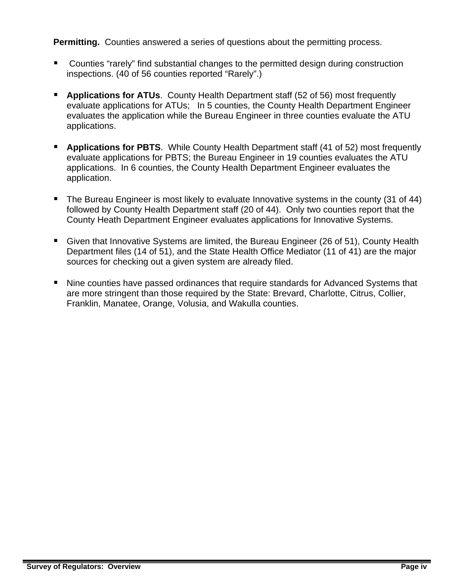**Permitting.** Counties answered a series of questions about the permitting process.

- Counties "rarely" find substantial changes to the permitted design during construction inspections. (40 of 56 counties reported "Rarely".)
- **Applications for ATUs**. County Health Department staff (52 of 56) most frequently evaluate applications for ATUs; In 5 counties, the County Health Department Engineer evaluates the application while the Bureau Engineer in three counties evaluate the ATU applications.
- **Applications for PBTS**. While County Health Department staff (41 of 52) most frequently evaluate applications for PBTS; the Bureau Engineer in 19 counties evaluates the ATU applications. In 6 counties, the County Health Department Engineer evaluates the application.
- The Bureau Engineer is most likely to evaluate Innovative systems in the county (31 of 44) followed by County Health Department staff (20 of 44). Only two counties report that the County Heath Department Engineer evaluates applications for Innovative Systems.
- Given that Innovative Systems are limited, the Bureau Engineer (26 of 51), County Health Department files (14 of 51), and the State Health Office Mediator (11 of 41) are the major sources for checking out a given system are already filed.
- Nine counties have passed ordinances that require standards for Advanced Systems that are more stringent than those required by the State: Brevard, Charlotte, Citrus, Collier, Franklin, Manatee, Orange, Volusia, and Wakulla counties.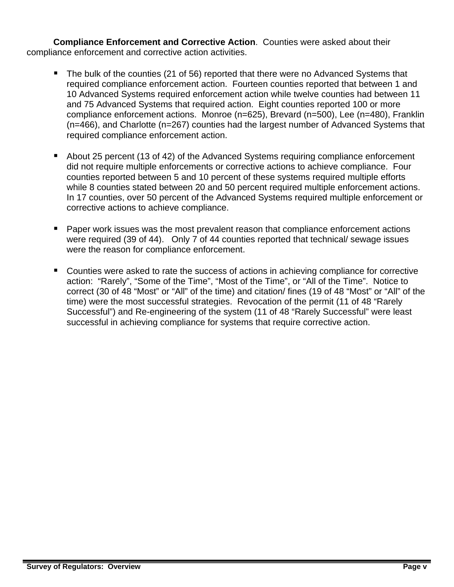**Compliance Enforcement and Corrective Action**. Counties were asked about their compliance enforcement and corrective action activities.

- The bulk of the counties (21 of 56) reported that there were no Advanced Systems that required compliance enforcement action. Fourteen counties reported that between 1 and 10 Advanced Systems required enforcement action while twelve counties had between 11 and 75 Advanced Systems that required action. Eight counties reported 100 or more compliance enforcement actions. Monroe (n=625), Brevard (n=500), Lee (n=480), Franklin (n=466), and Charlotte (n=267) counties had the largest number of Advanced Systems that required compliance enforcement action.
- About 25 percent (13 of 42) of the Advanced Systems requiring compliance enforcement did not require multiple enforcements or corrective actions to achieve compliance. Four counties reported between 5 and 10 percent of these systems required multiple efforts while 8 counties stated between 20 and 50 percent required multiple enforcement actions. In 17 counties, over 50 percent of the Advanced Systems required multiple enforcement or corrective actions to achieve compliance.
- Paper work issues was the most prevalent reason that compliance enforcement actions were required (39 of 44). Only 7 of 44 counties reported that technical/ sewage issues were the reason for compliance enforcement.
- Counties were asked to rate the success of actions in achieving compliance for corrective action: "Rarely", "Some of the Time", "Most of the Time", or "All of the Time". Notice to correct (30 of 48 "Most" or "All" of the time) and citation/ fines (19 of 48 "Most" or "All" of the time) were the most successful strategies. Revocation of the permit (11 of 48 "Rarely Successful") and Re-engineering of the system (11 of 48 "Rarely Successful" were least successful in achieving compliance for systems that require corrective action.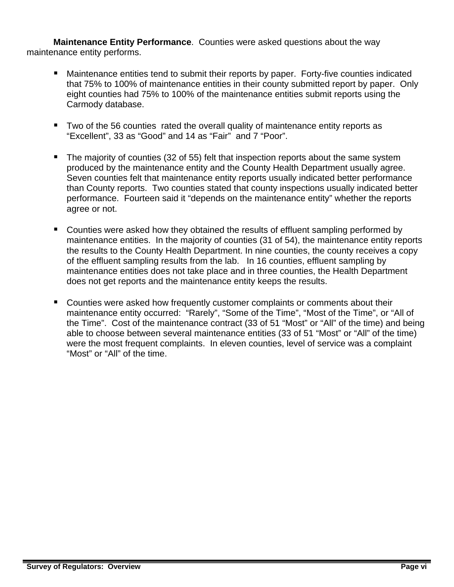**Maintenance Entity Performance**. Counties were asked questions about the way maintenance entity performs.

- Maintenance entities tend to submit their reports by paper. Forty-five counties indicated that 75% to 100% of maintenance entities in their county submitted report by paper. Only eight counties had 75% to 100% of the maintenance entities submit reports using the Carmody database.
- Two of the 56 counties rated the overall quality of maintenance entity reports as "Excellent", 33 as "Good" and 14 as "Fair" and 7 "Poor".
- The majority of counties (32 of 55) felt that inspection reports about the same system produced by the maintenance entity and the County Health Department usually agree. Seven counties felt that maintenance entity reports usually indicated better performance than County reports. Two counties stated that county inspections usually indicated better performance. Fourteen said it "depends on the maintenance entity" whether the reports agree or not.
- Counties were asked how they obtained the results of effluent sampling performed by maintenance entities. In the majority of counties (31 of 54), the maintenance entity reports the results to the County Health Department. In nine counties, the county receives a copy of the effluent sampling results from the lab. In 16 counties, effluent sampling by maintenance entities does not take place and in three counties, the Health Department does not get reports and the maintenance entity keeps the results.
- Counties were asked how frequently customer complaints or comments about their maintenance entity occurred: "Rarely", "Some of the Time", "Most of the Time", or "All of the Time". Cost of the maintenance contract (33 of 51 "Most" or "All" of the time) and being able to choose between several maintenance entities (33 of 51 "Most" or "All" of the time) were the most frequent complaints. In eleven counties, level of service was a complaint "Most" or "All" of the time.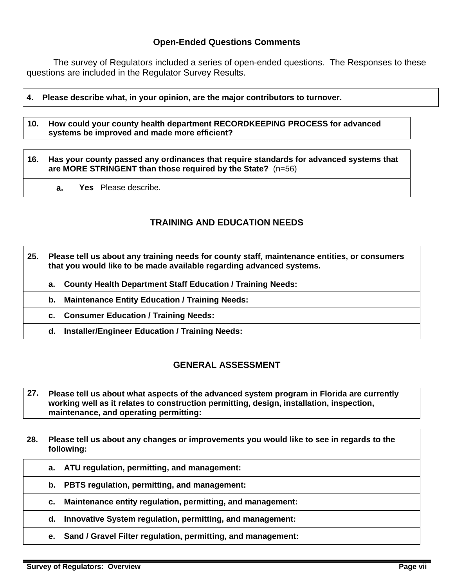### **Open-Ended Questions Comments**

 The survey of Regulators included a series of open-ended questions. The Responses to these questions are included in the Regulator Survey Results.

#### **4. Please describe what, in your opinion, are the major contributors to turnover.**

**10. How could your county health department RECORDKEEPING PROCESS for advanced systems be improved and made more efficient?** 

#### **16. Has your county passed any ordinances that require standards for advanced systems that are MORE STRINGENT than those required by the State?** (n=56)

**a. Yes** Please describe.

### **TRAINING AND EDUCATION NEEDS**

#### **25. Please tell us about any training needs for county staff, maintenance entities, or consumers that you would like to be made available regarding advanced systems.**

- **a. County Health Department Staff Education / Training Needs:**
- **b. Maintenance Entity Education / Training Needs:**
- **c. Consumer Education / Training Needs:** 
	- **d. Installer/Engineer Education / Training Needs:**

### **GENERAL ASSESSMENT**

- **27. Please tell us about what aspects of the advanced system program in Florida are currently working well as it relates to construction permitting, design, installation, inspection, maintenance, and operating permitting:**
- **28. Please tell us about any changes or improvements you would like to see in regards to the following:** 
	- **a. ATU regulation, permitting, and management:**
	- **b. PBTS regulation, permitting, and management:**
	- **c. Maintenance entity regulation, permitting, and management:**
	- **d. Innovative System regulation, permitting, and management:**
	- **e. Sand / Gravel Filter regulation, permitting, and management:**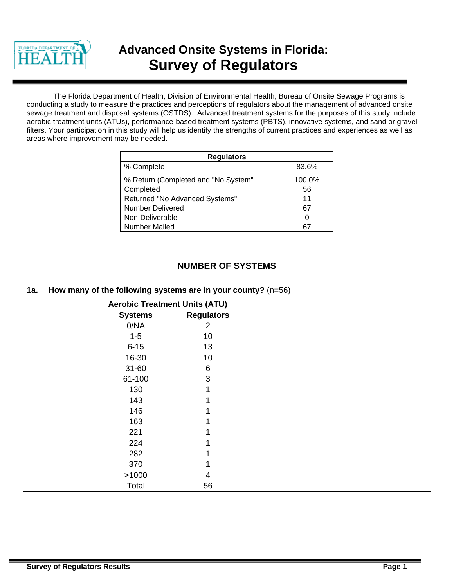

# **Advanced Onsite Systems in Florida: Survey of Regulators**

The Florida Department of Health, Division of Environmental Health, Bureau of Onsite Sewage Programs is conducting a study to measure the practices and perceptions of regulators about the management of advanced onsite sewage treatment and disposal systems (OSTDS). Advanced treatment systems for the purposes of this study include aerobic treatment units (ATUs), performance-based treatment systems (PBTS), innovative systems, and sand or gravel filters. Your participation in this study will help us identify the strengths of current practices and experiences as well as areas where improvement may be needed.

| <b>Regulators</b>                   |        |  |  |
|-------------------------------------|--------|--|--|
| % Complete                          | 83.6%  |  |  |
| % Return (Completed and "No System" | 100.0% |  |  |
| Completed                           | 56     |  |  |
| Returned "No Advanced Systems"      | 11     |  |  |
| <b>Number Delivered</b>             | 67     |  |  |
| Non-Deliverable                     | O      |  |  |
| <b>Number Mailed</b>                |        |  |  |

# **NUMBER OF SYSTEMS**

| 1a. | How many of the following systems are in your county? $(n=56)$ |                   |  |
|-----|----------------------------------------------------------------|-------------------|--|
|     | <b>Aerobic Treatment Units (ATU)</b>                           |                   |  |
|     | <b>Systems</b>                                                 | <b>Regulators</b> |  |
|     | 0/NA                                                           | 2                 |  |
|     | $1 - 5$                                                        | 10                |  |
|     | $6 - 15$                                                       | 13                |  |
|     | 16-30                                                          | 10                |  |
|     | $31 - 60$                                                      | 6                 |  |
|     | 61-100                                                         | 3                 |  |
|     | 130                                                            |                   |  |
|     | 143                                                            |                   |  |
|     | 146                                                            |                   |  |
|     | 163                                                            |                   |  |
|     | 221                                                            |                   |  |
|     | 224                                                            |                   |  |
|     | 282                                                            |                   |  |
|     | 370                                                            |                   |  |
|     | >1000                                                          |                   |  |
|     | Total                                                          | 56                |  |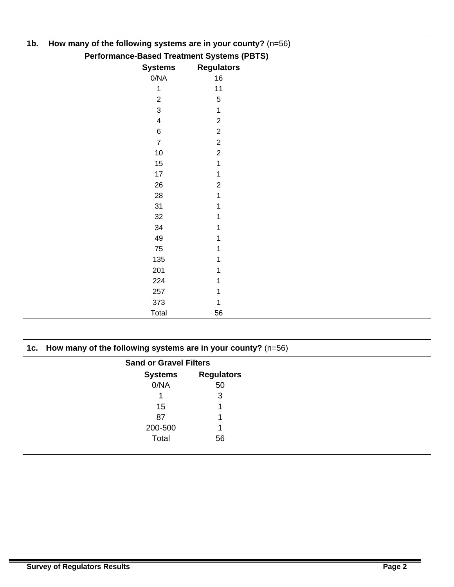| $1b$ . | How many of the following systems are in your county? (n=56) |                   |  |  |
|--------|--------------------------------------------------------------|-------------------|--|--|
|        | <b>Performance-Based Treatment Systems (PBTS)</b>            |                   |  |  |
|        | <b>Systems</b>                                               | <b>Regulators</b> |  |  |
|        | 0/NA                                                         | 16                |  |  |
|        |                                                              | 11                |  |  |
|        | 2                                                            | 5                 |  |  |
|        | 3                                                            |                   |  |  |
|        | 4                                                            | 2                 |  |  |
|        | 6                                                            | $\overline{2}$    |  |  |
|        | 7                                                            | 2                 |  |  |
|        | 10                                                           | 2                 |  |  |
|        | 15                                                           |                   |  |  |
|        | 17                                                           |                   |  |  |
|        | 26                                                           | 2                 |  |  |
|        | 28                                                           |                   |  |  |
|        | 31                                                           |                   |  |  |
|        | 32                                                           |                   |  |  |
|        | 34                                                           |                   |  |  |
|        | 49                                                           |                   |  |  |
|        | 75                                                           |                   |  |  |
|        | 135                                                          |                   |  |  |
|        | 201                                                          |                   |  |  |
|        | 224                                                          |                   |  |  |
|        | 257                                                          |                   |  |  |
|        | 373                                                          |                   |  |  |
|        | Total                                                        | 56                |  |  |

| 1c. How many of the following systems are in your county? $(n=56)$ |                   |  |
|--------------------------------------------------------------------|-------------------|--|
| <b>Sand or Gravel Filters</b>                                      |                   |  |
| <b>Systems</b>                                                     | <b>Regulators</b> |  |
| 0/NA                                                               | 50                |  |
|                                                                    | 3                 |  |
| 15                                                                 |                   |  |
| 87                                                                 |                   |  |
| 200-500                                                            |                   |  |
| Total                                                              | 56                |  |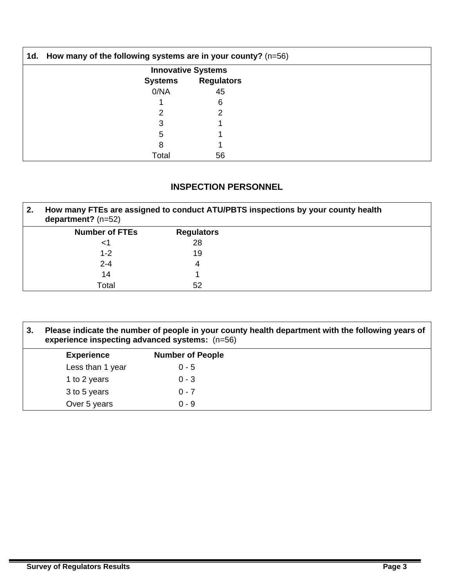| 1d. How many of the following systems are in your county? $(n=56)$ |                           |  |
|--------------------------------------------------------------------|---------------------------|--|
|                                                                    | <b>Innovative Systems</b> |  |
| <b>Systems</b>                                                     | <b>Regulators</b>         |  |
| 0/NA                                                               | 45                        |  |
|                                                                    | 6                         |  |
|                                                                    |                           |  |
|                                                                    |                           |  |
| 5                                                                  |                           |  |
| 8                                                                  |                           |  |
| Total                                                              | 56                        |  |

### **INSPECTION PERSONNEL**

| 2. | How many FTEs are assigned to conduct ATU/PBTS inspections by your county health<br>department? $(n=52)$ |                   |  |  |  |  |  |
|----|----------------------------------------------------------------------------------------------------------|-------------------|--|--|--|--|--|
|    | <b>Number of FTEs</b>                                                                                    | <b>Regulators</b> |  |  |  |  |  |
|    | <1                                                                                                       | 28                |  |  |  |  |  |
|    | $1 - 2$                                                                                                  | 19                |  |  |  |  |  |
|    | $2 - 4$                                                                                                  |                   |  |  |  |  |  |
|    | 14                                                                                                       |                   |  |  |  |  |  |
|    | Total                                                                                                    | 52                |  |  |  |  |  |

| 3. | Please indicate the number of people in your county health department with the following years of<br>experience inspecting advanced systems: (n=56) |         |  |  |  |  |
|----|-----------------------------------------------------------------------------------------------------------------------------------------------------|---------|--|--|--|--|
|    | <b>Experience</b>                                                                                                                                   |         |  |  |  |  |
|    | Less than 1 year                                                                                                                                    | $0 - 5$ |  |  |  |  |
|    | 1 to 2 years                                                                                                                                        | $0 - 3$ |  |  |  |  |
|    | 3 to 5 years                                                                                                                                        | $0 - 7$ |  |  |  |  |
|    | Over 5 years                                                                                                                                        | $0 - 9$ |  |  |  |  |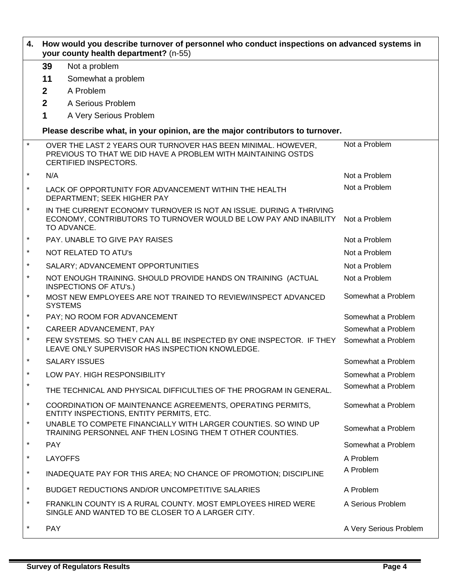| 4.       | How would you describe turnover of personnel who conduct inspections on advanced systems in<br>your county health department? (n-55) |                                                                                                                                                         |                        |  |  |  |  |  |  |
|----------|--------------------------------------------------------------------------------------------------------------------------------------|---------------------------------------------------------------------------------------------------------------------------------------------------------|------------------------|--|--|--|--|--|--|
|          | 39                                                                                                                                   | Not a problem                                                                                                                                           |                        |  |  |  |  |  |  |
|          | 11                                                                                                                                   | Somewhat a problem                                                                                                                                      |                        |  |  |  |  |  |  |
|          | $\overline{2}$                                                                                                                       | A Problem                                                                                                                                               |                        |  |  |  |  |  |  |
|          | $\overline{2}$                                                                                                                       | A Serious Problem                                                                                                                                       |                        |  |  |  |  |  |  |
|          | 1                                                                                                                                    | A Very Serious Problem                                                                                                                                  |                        |  |  |  |  |  |  |
|          | Please describe what, in your opinion, are the major contributors to turnover.                                                       |                                                                                                                                                         |                        |  |  |  |  |  |  |
| $\star$  |                                                                                                                                      | OVER THE LAST 2 YEARS OUR TURNOVER HAS BEEN MINIMAL. HOWEVER,<br>PREVIOUS TO THAT WE DID HAVE A PROBLEM WITH MAINTAINING OSTDS<br>CERTIFIED INSPECTORS. | Not a Problem          |  |  |  |  |  |  |
| *        | N/A                                                                                                                                  |                                                                                                                                                         | Not a Problem          |  |  |  |  |  |  |
| $\ast$   |                                                                                                                                      | LACK OF OPPORTUNITY FOR ADVANCEMENT WITHIN THE HEALTH<br>DEPARTMENT; SEEK HIGHER PAY                                                                    | Not a Problem          |  |  |  |  |  |  |
| $^\star$ |                                                                                                                                      | IN THE CURRENT ECONOMY TURNOVER IS NOT AN ISSUE. DURING A THRIVING<br>ECONOMY, CONTRIBUTORS TO TURNOVER WOULD BE LOW PAY AND INABILITY<br>TO ADVANCE.   | Not a Problem          |  |  |  |  |  |  |
| $\ast$   |                                                                                                                                      | PAY. UNABLE TO GIVE PAY RAISES                                                                                                                          | Not a Problem          |  |  |  |  |  |  |
| $\star$  |                                                                                                                                      | <b>NOT RELATED TO ATU's</b>                                                                                                                             | Not a Problem          |  |  |  |  |  |  |
| $^\star$ |                                                                                                                                      | SALARY; ADVANCEMENT OPPORTUNITIES                                                                                                                       | Not a Problem          |  |  |  |  |  |  |
| $^\star$ |                                                                                                                                      | NOT ENOUGH TRAINING. SHOULD PROVIDE HANDS ON TRAINING (ACTUAL<br><b>INSPECTIONS OF ATU's.)</b>                                                          | Not a Problem          |  |  |  |  |  |  |
| $^\star$ |                                                                                                                                      | MOST NEW EMPLOYEES ARE NOT TRAINED TO REVIEW/INSPECT ADVANCED<br><b>SYSTEMS</b>                                                                         | Somewhat a Problem     |  |  |  |  |  |  |
| $\ast$   |                                                                                                                                      | PAY; NO ROOM FOR ADVANCEMENT                                                                                                                            | Somewhat a Problem     |  |  |  |  |  |  |
| $\star$  |                                                                                                                                      | CAREER ADVANCEMENT, PAY                                                                                                                                 | Somewhat a Problem     |  |  |  |  |  |  |
| $\star$  |                                                                                                                                      | FEW SYSTEMS. SO THEY CAN ALL BE INSPECTED BY ONE INSPECTOR. IF THEY<br>LEAVE ONLY SUPERVISOR HAS INSPECTION KNOWLEDGE.                                  | Somewhat a Problem     |  |  |  |  |  |  |
|          |                                                                                                                                      | <b>SALARY ISSUES</b>                                                                                                                                    | Somewhat a Problem     |  |  |  |  |  |  |
| $\star$  |                                                                                                                                      | LOW PAY. HIGH RESPONSIBILITY                                                                                                                            | Somewhat a Problem     |  |  |  |  |  |  |
| $\star$  |                                                                                                                                      | THE TECHNICAL AND PHYSICAL DIFFICULTIES OF THE PROGRAM IN GENERAL.                                                                                      | Somewhat a Problem     |  |  |  |  |  |  |
| $\star$  |                                                                                                                                      | COORDINATION OF MAINTENANCE AGREEMENTS, OPERATING PERMITS,<br>ENTITY INSPECTIONS, ENTITY PERMITS, ETC.                                                  | Somewhat a Problem     |  |  |  |  |  |  |
| $\star$  |                                                                                                                                      | UNABLE TO COMPETE FINANCIALLY WITH LARGER COUNTIES. SO WIND UP<br>TRAINING PERSONNEL ANF THEN LOSING THEM T OTHER COUNTIES.                             | Somewhat a Problem     |  |  |  |  |  |  |
| $\star$  | <b>PAY</b>                                                                                                                           |                                                                                                                                                         | Somewhat a Problem     |  |  |  |  |  |  |
| $\star$  | <b>LAYOFFS</b>                                                                                                                       |                                                                                                                                                         | A Problem              |  |  |  |  |  |  |
| $\star$  |                                                                                                                                      | INADEQUATE PAY FOR THIS AREA; NO CHANCE OF PROMOTION; DISCIPLINE                                                                                        | A Problem              |  |  |  |  |  |  |
| $\star$  |                                                                                                                                      | BUDGET REDUCTIONS AND/OR UNCOMPETITIVE SALARIES                                                                                                         | A Problem              |  |  |  |  |  |  |
| $\star$  |                                                                                                                                      | FRANKLIN COUNTY IS A RURAL COUNTY. MOST EMPLOYEES HIRED WERE<br>SINGLE AND WANTED TO BE CLOSER TO A LARGER CITY.                                        | A Serious Problem      |  |  |  |  |  |  |
| *        | <b>PAY</b>                                                                                                                           |                                                                                                                                                         | A Very Serious Problem |  |  |  |  |  |  |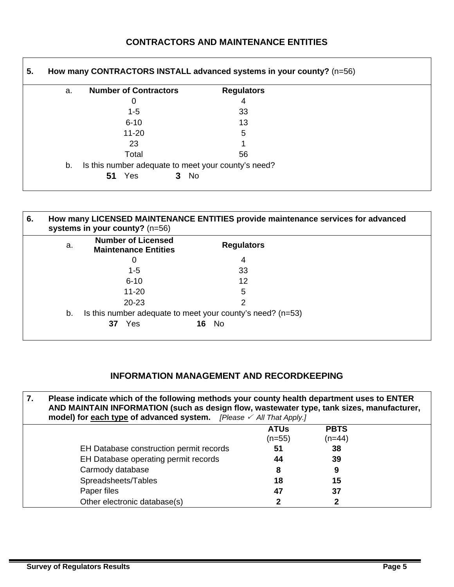# **CONTRACTORS AND MAINTENANCE ENTITIES**

| <b>Number of Contractors</b>                        | <b>Regulators</b> |  |
|-----------------------------------------------------|-------------------|--|
| 0                                                   | 4                 |  |
| $1 - 5$                                             | 33                |  |
| $6 - 10$                                            | 13                |  |
| $11 - 20$                                           | 5                 |  |
| 23                                                  |                   |  |
| Total                                               | 56                |  |
| Is this number adequate to meet your county's need? |                   |  |
| <b>No</b><br>Yes<br>51<br>3                         |                   |  |

| 6. |    | systems in your county? $(n=56)$                         | How many LICENSED MAINTENANCE ENTITIES provide maintenance services for advanced |  |
|----|----|----------------------------------------------------------|----------------------------------------------------------------------------------|--|
|    | a. | <b>Number of Licensed</b><br><b>Maintenance Entities</b> | <b>Regulators</b>                                                                |  |
|    |    | 0                                                        | 4                                                                                |  |
|    |    | 1-5                                                      | 33                                                                               |  |
|    |    | $6 - 10$                                                 | 12                                                                               |  |
|    |    | $11 - 20$                                                | 5                                                                                |  |
|    |    | $20 - 23$                                                | 2                                                                                |  |
|    | b. |                                                          | Is this number adequate to meet your county's need? $(n=53)$                     |  |
|    |    | Yes<br>37                                                | No.<br>16                                                                        |  |

# **INFORMATION MANAGEMENT AND RECORDKEEPING**

| 7. | Please indicate which of the following methods your county health department uses to ENTER<br>AND MAINTAIN INFORMATION (such as design flow, wastewater type, tank sizes, manufacturer,<br>model) for each type of advanced system. [Please / All That Apply.] |             |             |  |  |  |  |  |
|----|----------------------------------------------------------------------------------------------------------------------------------------------------------------------------------------------------------------------------------------------------------------|-------------|-------------|--|--|--|--|--|
|    |                                                                                                                                                                                                                                                                | <b>ATUs</b> | <b>PBTS</b> |  |  |  |  |  |
|    |                                                                                                                                                                                                                                                                | $(n=55)$    | $(n=44)$    |  |  |  |  |  |
|    | EH Database construction permit records                                                                                                                                                                                                                        | 51          | 38          |  |  |  |  |  |
|    | EH Database operating permit records                                                                                                                                                                                                                           | 44          | 39          |  |  |  |  |  |
|    | Carmody database                                                                                                                                                                                                                                               | 8           |             |  |  |  |  |  |
|    | Spreadsheets/Tables                                                                                                                                                                                                                                            | 18          | 15          |  |  |  |  |  |
|    | Paper files                                                                                                                                                                                                                                                    | 47          | 37          |  |  |  |  |  |
|    | Other electronic database(s)                                                                                                                                                                                                                                   |             |             |  |  |  |  |  |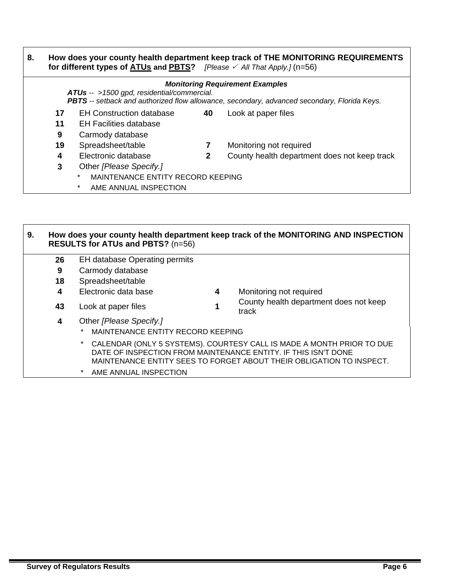| 8. | How does your county health department keep track of THE MONITORING REQUIREMENTS<br>for different types of $ATUs$ and $PBTS$ ? [Please $\swarrow$ All That Apply.] (n=56)           |                                              |              |                                              |  |  |  |  |  |
|----|-------------------------------------------------------------------------------------------------------------------------------------------------------------------------------------|----------------------------------------------|--------------|----------------------------------------------|--|--|--|--|--|
|    | <b>Monitoring Requirement Examples</b><br>ATUs -- >1500 gpd, residential/commercial.<br>PBTS -- setback and authorized flow allowance, secondary, advanced secondary, Florida Keys. |                                              |              |                                              |  |  |  |  |  |
|    | 17                                                                                                                                                                                  | <b>EH Construction database</b>              | 40           | Look at paper files                          |  |  |  |  |  |
|    | 11                                                                                                                                                                                  | EH Facilities database                       |              |                                              |  |  |  |  |  |
|    | 9                                                                                                                                                                                   | Carmody database                             |              |                                              |  |  |  |  |  |
|    | 19                                                                                                                                                                                  | Spreadsheet/table                            | 7            | Monitoring not required                      |  |  |  |  |  |
|    | 4                                                                                                                                                                                   | Electronic database                          | $\mathbf{2}$ | County health department does not keep track |  |  |  |  |  |
|    | 3<br>Other [Please Specify.]                                                                                                                                                        |                                              |              |                                              |  |  |  |  |  |
|    |                                                                                                                                                                                     | MAINTENANCE ENTITY RECORD KEEPING<br>$\star$ |              |                                              |  |  |  |  |  |
|    |                                                                                                                                                                                     | $\ast$<br>AME ANNUAL INSPECTION              |              |                                              |  |  |  |  |  |

### **9. How does your county health department keep track of the MONITORING AND INSPECTION RESULTS for ATUs and PBTS?** (n=56) **26** EH database Operating permits **9** Carmody database **18** Spreadsheet/table **4** Electronic data base **4** Monitoring not required **<sup>43</sup>**Look at paper files **1** County health department does not keep track **4** Other *[Please Specify.]*  MAINTENANCE ENTITY RECORD KEEPING \* CALENDAR (ONLY 5 SYSTEMS). COURTESY CALL IS MADE A MONTH PRIOR TO DUE DATE OF INSPECTION FROM MAINTENANCE ENTITY. IF THIS ISN'T DONE MAINTENANCE ENTITY SEES TO FORGET ABOUT THEIR OBLIGATION TO INSPECT. \* AME ANNUAL INSPECTION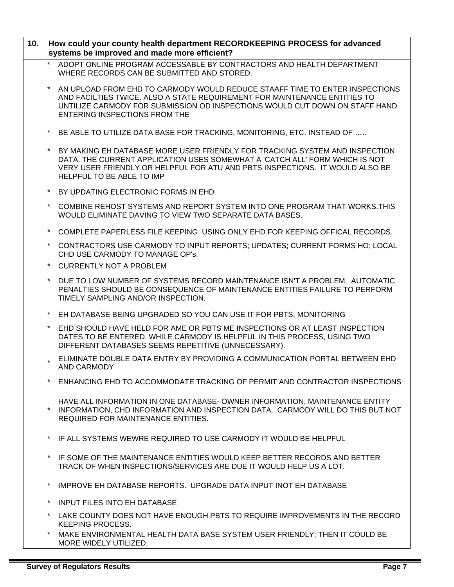| 10. | How could your county health department RECORDKEEPING PROCESS for advanced<br>systems be improved and made more efficient?                                                                                                                                                      |
|-----|---------------------------------------------------------------------------------------------------------------------------------------------------------------------------------------------------------------------------------------------------------------------------------|
|     | ADOPT ONLINE PROGRAM ACCESSABLE BY CONTRACTORS AND HEALTH DEPARTMENT<br>WHERE RECORDS CAN BE SUBMITTED AND STORED.                                                                                                                                                              |
|     | AN UPLOAD FROM EHD TO CARMODY WOULD REDUCE STAAFF TIME TO ENTER INSPECTIONS<br>AND FACILTIES TWICE. ALSO A STATE REQUIREMENT FOR MAINTENANCE ENTITIES TO<br>UNTILIZE CARMODY FOR SUBMISSION OD INSPECTIONS WOULD CUT DOWN ON STAFF HAND<br><b>ENTERING INSPECTIONS FROM THE</b> |
|     | BE ABLE TO UTILIZE DATA BASE FOR TRACKING, MONITORING, ETC. INSTEAD OF                                                                                                                                                                                                          |
|     | BY MAKING EH DATABASE MORE USER FRIENDLY FOR TRACKING SYSTEM AND INSPECTION<br>DATA. THE CURRENT APPLICATION USES SOMEWHAT A 'CATCH ALL' FORM WHICH IS NOT<br>VERY USER FRIENDLY OR HELPFUL FOR ATU AND PBTS INSPECTIONS. IT WOULD ALSO BE<br>HELPFUL TO BE ABLE TO IMP         |
|     | BY UPDATING ELECTRONIC FORMS IN EHD                                                                                                                                                                                                                                             |
|     | COMBINE REHOST SYSTEMS AND REPORT SYSTEM INTO ONE PROGRAM THAT WORKS. THIS<br>WOULD ELIMINATE DAVING TO VIEW TWO SEPARATE DATA BASES.                                                                                                                                           |
|     | COMPLETE PAPERLESS FILE KEEPING. USING ONLY EHD FOR KEEPING OFFICAL RECORDS.                                                                                                                                                                                                    |
|     | CONTRACTORS USE CARMODY TO INPUT REPORTS; UPDATES; CURRENT FORMS HO; LOCAL<br>CHD USE CARMODY TO MANAGE OP's.                                                                                                                                                                   |
|     | <b>CURRENTLY NOT A PROBLEM</b>                                                                                                                                                                                                                                                  |
|     | DUE TO LOW NUMBER OF SYSTEMS RECORD MAINTENANCE ISN'T A PROBLEM, AUTOMATIC<br>PENALTIES SHOULD BE CONSEQUENCE OF MAINTENANCE ENTITIES FAILURE TO PERFORM<br>TIMELY SAMPLING AND/OR INSPECTION.                                                                                  |
|     | EH DATABASE BEING UPGRADED SO YOU CAN USE IT FOR PBTS, MONITORING                                                                                                                                                                                                               |
|     | EHD SHOULD HAVE HELD FOR AME OR PBTS ME INSPECTIONS OR AT LEAST INSPECTION<br>DATES TO BE ENTERED. WHILE CARMODY IS HELPFUL IN THIS PROCESS, USING TWO<br>DIFFERENT DATABASES SEEMS REPETITIVE (UNNECESSARY).                                                                   |
|     | ELIMINATE DOUBLE DATA ENTRY BY PROVIDING A COMMUNICATION PORTAL BETWEEN EHD<br>AND CARMODY                                                                                                                                                                                      |
|     | ENHANCING EHD TO ACCOMMODATE TRACKING OF PERMIT AND CONTRACTOR INSPECTIONS                                                                                                                                                                                                      |
|     | HAVE ALL INFORMATION IN ONE DATABASE- OWNER INFORMATION, MAINTENANCE ENTITY<br>INFORMATION, CHD INFORMATION AND INSPECTION DATA. CARMODY WILL DO THIS BUT NOT<br><b>REQUIRED FOR MAINTENANCE ENTITIES.</b>                                                                      |
|     | IF ALL SYSTEMS WEWRE REQUIRED TO USE CARMODY IT WOULD BE HELPFUL                                                                                                                                                                                                                |
|     | IF SOME OF THE MAINTENANCE ENTITIES WOULD KEEP BETTER RECORDS AND BETTER<br>TRACK OF WHEN INSPECTIONS/SERVICES ARE DUE IT WOULD HELP US A LOT.                                                                                                                                  |
|     | IMPROVE EH DATABASE REPORTS. UPGRADE DATA INPUT INOT EH DATABASE                                                                                                                                                                                                                |
|     | <b>INPUT FILES INTO EH DATABASE</b>                                                                                                                                                                                                                                             |
|     | LAKE COUNTY DOES NOT HAVE ENOUGH PBTS TO REQUIRE IMPROVEMENTS IN THE RECORD<br><b>KEEPING PROCESS.</b>                                                                                                                                                                          |
|     | MAKE ENVIRONMENTAL HEALTH DATA BASE SYSTEM USER FRIENDLY; THEN IT COULD BE                                                                                                                                                                                                      |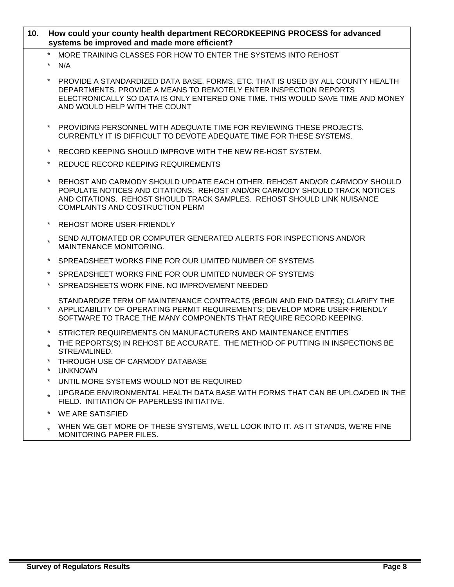### **10. How could your county health department RECORDKEEPING PROCESS for advanced systems be improved and made more efficient?**

- MORE TRAINING CLASSES FOR HOW TO ENTER THE SYSTEMS INTO REHOST
- \* N/A
- PROVIDE A STANDARDIZED DATA BASE, FORMS, ETC. THAT IS USED BY ALL COUNTY HEALTH DEPARTMENTS. PROVIDE A MEANS TO REMOTELY ENTER INSPECTION REPORTS ELECTRONICALLY SO DATA IS ONLY ENTERED ONE TIME. THIS WOULD SAVE TIME AND MONEY AND WOULD HELP WITH THE COUNT
- \* PROVIDING PERSONNEL WITH ADEQUATE TIME FOR REVIEWING THESE PROJECTS. CURRENTLY IT IS DIFFICULT TO DEVOTE ADEQUATE TIME FOR THESE SYSTEMS.
- RECORD KEEPING SHOULD IMPROVE WITH THE NEW RE-HOST SYSTEM.
- REDUCE RECORD KEEPING REQUIREMENTS
- REHOST AND CARMODY SHOULD UPDATE EACH OTHER. REHOST AND/OR CARMODY SHOULD POPULATE NOTICES AND CITATIONS. REHOST AND/OR CARMODY SHOULD TRACK NOTICES AND CITATIONS. REHOST SHOULD TRACK SAMPLES. REHOST SHOULD LINK NUISANCE COMPLAINTS AND COSTRUCTION PERM
- REHOST MORE USER-FRIENDLY
- SEND AUTOMATED OR COMPUTER GENERATED ALERTS FOR INSPECTIONS AND/OR MAINTENANCE MONITORING.
- SPREADSHEET WORKS FINE FOR OUR LIMITED NUMBER OF SYSTEMS
- SPREADSHEET WORKS FINE FOR OUR LIMITED NUMBER OF SYSTEMS
- SPREADSHEETS WORK FINE. NO IMPROVEMENT NEEDED
- \* STANDARDIZE TERM OF MAINTENANCE CONTRACTS (BEGIN AND END DATES); CLARIFY THE APPLICABILITY OF OPERATING PERMIT REQUIREMENTS; DEVELOP MORE USER-FRIENDLY SOFTWARE TO TRACE THE MANY COMPONENTS THAT REQUIRE RECORD KEEPING.
	- STRICTER REQUIREMENTS ON MANUFACTURERS AND MAINTENANCE ENTITIES
	- THE REPORTS(S) IN REHOST BE ACCURATE. THE METHOD OF PUTTING IN INSPECTIONS BE STREAMLINED.
	- THROUGH USE OF CARMODY DATABASE
	- **UNKNOWN**
	- UNTIL MORE SYSTEMS WOULD NOT BE REQUIRED
	- UPGRADE ENVIRONMENTAL HEALTH DATA BASE WITH FORMS THAT CAN BE UPLOADED IN THE FIELD. INITIATION OF PAPERLESS INITIATIVE.
	- WE ARE SATISFIED
	- WHEN WE GET MORE OF THESE SYSTEMS, WE'LL LOOK INTO IT. AS IT STANDS, WE'RE FINE MONITORING PAPER FILES.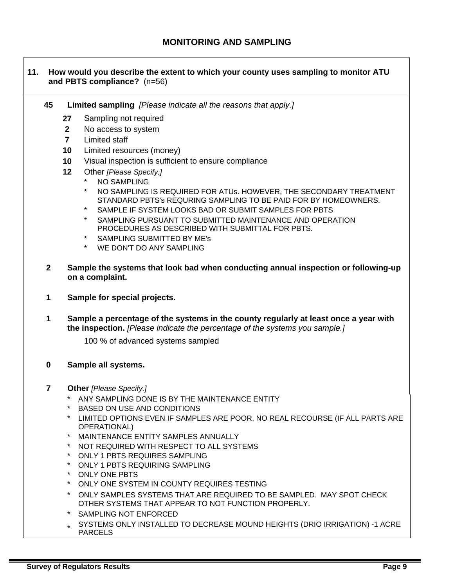### **11. How would you describe the extent to which your county uses sampling to monitor ATU and PBTS compliance?** (n=56)

- **45 Limited sampling** *[Please indicate all the reasons that apply.]*
	- **27** Sampling not required
	- **2** No access to system
	- **7** Limited staff
	- **10** Limited resources (money)
	- **10** Visual inspection is sufficient to ensure compliance
	- **12** Other *[Please Specify.]* 
		- NO SAMPLING
		- NO SAMPLING IS REQUIRED FOR ATUs. HOWEVER, THE SECONDARY TREATMENT STANDARD PBTS's REQURING SAMPLING TO BE PAID FOR BY HOMEOWNERS.
		- SAMPLE IF SYSTEM LOOKS BAD OR SUBMIT SAMPLES FOR PBTS
		- SAMPLING PURSUANT TO SUBMITTED MAINTENANCE AND OPERATION PROCEDURES AS DESCRIBED WITH SUBMITTAL FOR PBTS.
		- SAMPLING SUBMITTED BY ME's
		- WE DON'T DO ANY SAMPLING
- **2 Sample the systems that look bad when conducting annual inspection or following-up on a complaint.**
- **1 Sample for special projects.**
- **1 Sample a percentage of the systems in the county regularly at least once a year with the inspection.** *[Please indicate the percentage of the systems you sample.]*

100 % of advanced systems sampled

#### **0 Sample all systems.**

- **7 Other** *[Please Specify.]* 
	- ANY SAMPLING DONE IS BY THE MAINTENANCE ENTITY
	- **BASED ON USE AND CONDITIONS**
	- \* LIMITED OPTIONS EVEN IF SAMPLES ARE POOR, NO REAL RECOURSE (IF ALL PARTS ARE OPERATIONAL)
	- MAINTENANCE ENTITY SAMPLES ANNUALLY
	- NOT REQUIRED WITH RESPECT TO ALL SYSTEMS
	- ONLY 1 PBTS REQUIRES SAMPLING
	- ONLY 1 PBTS REQUIRING SAMPLING
	- ONLY ONE PBTS
	- \* ONLY ONE SYSTEM IN COUNTY REQUIRES TESTING
	- ONLY SAMPLES SYSTEMS THAT ARE REQUIRED TO BE SAMPLED. MAY SPOT CHECK OTHER SYSTEMS THAT APPEAR TO NOT FUNCTION PROPERLY.
	- SAMPLING NOT ENFORCED
	- SYSTEMS ONLY INSTALLED TO DECREASE MOUND HEIGHTS (DRIO IRRIGATION) -1 ACRE PARCELS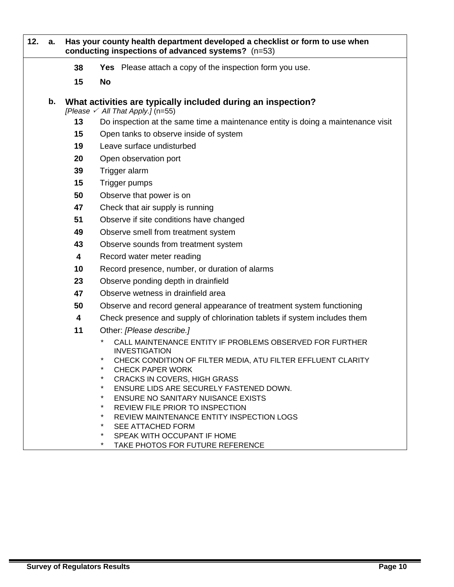| 12. | a.                          | Has your county health department developed a checklist or form to use when<br>conducting inspections of advanced systems? (n=53) |                                                                                                                                                                                 |  |  |  |  |
|-----|-----------------------------|-----------------------------------------------------------------------------------------------------------------------------------|---------------------------------------------------------------------------------------------------------------------------------------------------------------------------------|--|--|--|--|
|     |                             | 38                                                                                                                                | Yes Please attach a copy of the inspection form you use.                                                                                                                        |  |  |  |  |
|     |                             | 15                                                                                                                                | <b>No</b>                                                                                                                                                                       |  |  |  |  |
|     | b.                          |                                                                                                                                   | What activities are typically included during an inspection?<br>[Please $\checkmark$ All That Apply.] (n=55)                                                                    |  |  |  |  |
|     |                             | 13                                                                                                                                | Do inspection at the same time a maintenance entity is doing a maintenance visit                                                                                                |  |  |  |  |
|     |                             | 15                                                                                                                                | Open tanks to observe inside of system                                                                                                                                          |  |  |  |  |
|     |                             | 19                                                                                                                                | Leave surface undisturbed                                                                                                                                                       |  |  |  |  |
|     | 20<br>Open observation port |                                                                                                                                   |                                                                                                                                                                                 |  |  |  |  |
|     |                             | 39                                                                                                                                | Trigger alarm                                                                                                                                                                   |  |  |  |  |
|     |                             | 15                                                                                                                                | Trigger pumps                                                                                                                                                                   |  |  |  |  |
|     |                             | 50                                                                                                                                | Observe that power is on                                                                                                                                                        |  |  |  |  |
|     |                             | 47                                                                                                                                | Check that air supply is running                                                                                                                                                |  |  |  |  |
|     |                             | 51                                                                                                                                | Observe if site conditions have changed                                                                                                                                         |  |  |  |  |
|     |                             | 49                                                                                                                                | Observe smell from treatment system                                                                                                                                             |  |  |  |  |
|     |                             | 43                                                                                                                                | Observe sounds from treatment system                                                                                                                                            |  |  |  |  |
|     |                             | 4                                                                                                                                 | Record water meter reading                                                                                                                                                      |  |  |  |  |
|     |                             | 10                                                                                                                                | Record presence, number, or duration of alarms                                                                                                                                  |  |  |  |  |
|     |                             | 23                                                                                                                                | Observe ponding depth in drainfield                                                                                                                                             |  |  |  |  |
|     |                             | 47                                                                                                                                | Observe wetness in drainfield area                                                                                                                                              |  |  |  |  |
|     |                             | 50                                                                                                                                | Observe and record general appearance of treatment system functioning                                                                                                           |  |  |  |  |
|     |                             | 4                                                                                                                                 | Check presence and supply of chlorination tablets if system includes them                                                                                                       |  |  |  |  |
|     |                             | 11                                                                                                                                | Other: [Please describe.]                                                                                                                                                       |  |  |  |  |
|     |                             |                                                                                                                                   | CALL MAINTENANCE ENTITY IF PROBLEMS OBSERVED FOR FURTHER<br><b>INVESTIGATION</b><br>CHECK CONDITION OF FILTER MEDIA, ATU FILTER EFFLUENT CLARITY<br>$\star$<br>CHECK PAPER WORK |  |  |  |  |
|     |                             |                                                                                                                                   | <b>CRACKS IN COVERS, HIGH GRASS</b>                                                                                                                                             |  |  |  |  |
|     |                             |                                                                                                                                   | $^\star$<br>ENSURE LIDS ARE SECURELY FASTENED DOWN.                                                                                                                             |  |  |  |  |
|     |                             |                                                                                                                                   | <b>ENSURE NO SANITARY NUISANCE EXISTS</b><br>*<br>REVIEW FILE PRIOR TO INSPECTION                                                                                               |  |  |  |  |
|     |                             |                                                                                                                                   | REVIEW MAINTENANCE ENTITY INSPECTION LOGS                                                                                                                                       |  |  |  |  |
|     |                             |                                                                                                                                   | *<br><b>SEE ATTACHED FORM</b>                                                                                                                                                   |  |  |  |  |
|     |                             |                                                                                                                                   | SPEAK WITH OCCUPANT IF HOME                                                                                                                                                     |  |  |  |  |
|     |                             |                                                                                                                                   | TAKE PHOTOS FOR FUTURE REFERENCE                                                                                                                                                |  |  |  |  |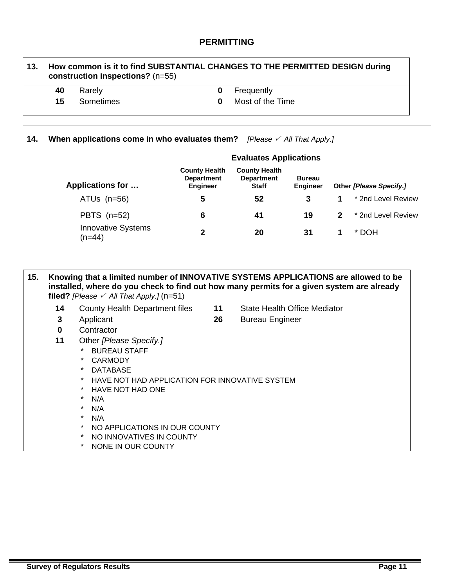### **PERMITTING**

# **13. How common is it to find SUBSTANTIAL CHANGES TO THE PERMITTED DESIGN during construction inspections?** (n=55) **40** Rarely **0** Frequently

 $\Gamma$ 

- 
- **15** Sometimes **0** Most of the Time

| 14. | When applications come in who evaluates them? [Please $\angle$ All That Apply.] |                                                              |                                                           |                                  |  |                         |  |  |
|-----|---------------------------------------------------------------------------------|--------------------------------------------------------------|-----------------------------------------------------------|----------------------------------|--|-------------------------|--|--|
|     | <b>Evaluates Applications</b>                                                   |                                                              |                                                           |                                  |  |                         |  |  |
|     | <b>Applications for </b>                                                        | <b>County Health</b><br><b>Department</b><br><b>Engineer</b> | <b>County Health</b><br><b>Department</b><br><b>Staff</b> | <b>Bureau</b><br><b>Engineer</b> |  | Other [Please Specify.] |  |  |
|     | ATUs $(n=56)$                                                                   | 5                                                            | 52                                                        | 3                                |  | * 2nd Level Review      |  |  |
|     | PBTS $(n=52)$                                                                   | 6                                                            | 41                                                        | 19                               |  | * 2nd Level Review      |  |  |
|     | <b>Innovative Systems</b><br>(n=44)                                             | $\mathbf 2$                                                  | 20                                                        | 31                               |  | * DOH                   |  |  |

| 15. |              | filed? [Please $\checkmark$ All That Apply.] (n=51)                                                                                                                                                                                                                                                                                      |    | Knowing that a limited number of INNOVATIVE SYSTEMS APPLICATIONS are allowed to be<br>installed, where do you check to find out how many permits for a given system are already |
|-----|--------------|------------------------------------------------------------------------------------------------------------------------------------------------------------------------------------------------------------------------------------------------------------------------------------------------------------------------------------------|----|---------------------------------------------------------------------------------------------------------------------------------------------------------------------------------|
|     | 14           | County Health Department files                                                                                                                                                                                                                                                                                                           | 11 | <b>State Health Office Mediator</b>                                                                                                                                             |
|     | 3            | Applicant                                                                                                                                                                                                                                                                                                                                | 26 | <b>Bureau Engineer</b>                                                                                                                                                          |
|     | $\mathbf{0}$ | Contractor                                                                                                                                                                                                                                                                                                                               |    |                                                                                                                                                                                 |
|     | 11           | Other [Please Specify.]<br>BUREAU STAFF<br>$\star$<br>CARMODY<br>$\star$<br><b>DATABASE</b><br>HAVE NOT HAD APPLICATION FOR INNOVATIVE SYSTEM<br>$\ast$<br>HAVE NOT HAD ONE<br>$\star$<br>N/A<br>$\star$<br>N/A<br>$\star$<br>N/A<br>$\ast$<br>NO APPLICATIONS IN OUR COUNTY<br>$\ast$<br>NO INNOVATIVES IN COUNTY<br>NONE IN OUR COUNTY |    |                                                                                                                                                                                 |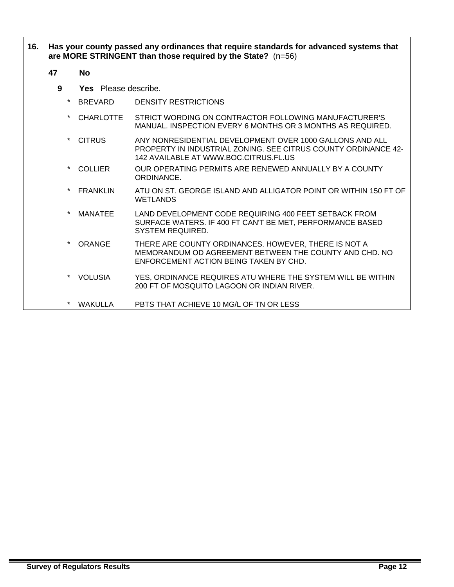### **16. Has your county passed any ordinances that require standards for advanced systems that are MORE STRINGENT than those required by the State?** (n=56)

#### **47 No**

- **9 Yes** Please describe.
	- \* BREVARD DENSITY RESTRICTIONS
	- CHARLOTTE STRICT WORDING ON CONTRACTOR FOLLOWING MANUFACTURER'S MANUAL. INSPECTION EVERY 6 MONTHS OR 3 MONTHS AS REQUIRED.
	- CITRUS ANY NONRESIDENTIAL DEVELOPMENT OVER 1000 GALLONS AND ALL PROPERTY IN INDUSTRIAL ZONING. SEE CITRUS COUNTY ORDINANCE 42- 142 AVAILABLE AT WWW.BOC.CITRUS.FL.US
	- COLLIER OUR OPERATING PERMITS ARE RENEWED ANNUALLY BY A COUNTY ORDINANCE.
	- FRANKLIN ATU ON ST. GEORGE ISLAND AND ALLIGATOR POINT OR WITHIN 150 FT OF WETLANDS
	- \* MANATEE LAND DEVELOPMENT CODE REQUIRING 400 FEET SETBACK FROM SURFACE WATERS. IF 400 FT CAN'T BE MET, PERFORMANCE BASED SYSTEM REQUIRED.
	- ORANGE THERE ARE COUNTY ORDINANCES. HOWEVER, THERE IS NOT A MEMORANDUM OD AGREEMENT BETWEEN THE COUNTY AND CHD. NO ENFORCEMENT ACTION BEING TAKEN BY CHD.
	- VOLUSIA YES, ORDINANCE REQUIRES ATU WHERE THE SYSTEM WILL BE WITHIN 200 FT OF MOSQUITO LAGOON OR INDIAN RIVER.
	- \* WAKULLA PBTS THAT ACHIEVE 10 MG/L OF TN OR LESS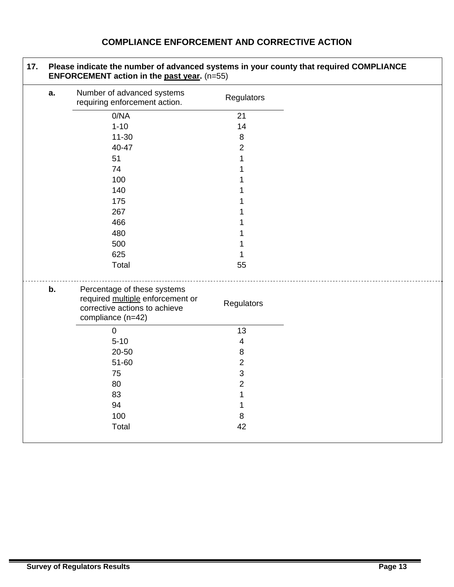# **COMPLIANCE ENFORCEMENT AND CORRECTIVE ACTION**

|    | Please indicate the number of advanced systems in your county that required COMPLIANCE<br>ENFORCEMENT action in the past year. (n=55) |                         |  |
|----|---------------------------------------------------------------------------------------------------------------------------------------|-------------------------|--|
| a. | Number of advanced systems<br>requiring enforcement action.                                                                           | Regulators              |  |
|    | 0/NA                                                                                                                                  | 21                      |  |
|    | $1 - 10$                                                                                                                              | 14                      |  |
|    | $11 - 30$                                                                                                                             | 8                       |  |
|    | 40-47                                                                                                                                 | $\overline{c}$          |  |
|    | 51                                                                                                                                    | 1                       |  |
|    | 74                                                                                                                                    |                         |  |
|    | 100                                                                                                                                   |                         |  |
|    | 140                                                                                                                                   |                         |  |
|    | 175                                                                                                                                   |                         |  |
|    | 267                                                                                                                                   |                         |  |
|    | 466                                                                                                                                   |                         |  |
|    | 480                                                                                                                                   |                         |  |
|    | 500                                                                                                                                   |                         |  |
|    | 625                                                                                                                                   |                         |  |
|    | Total                                                                                                                                 | 55                      |  |
| b. | Percentage of these systems<br>required multiple enforcement or<br>corrective actions to achieve<br>compliance (n=42)                 | Regulators              |  |
|    | $\boldsymbol{0}$                                                                                                                      | 13                      |  |
|    | $5 - 10$                                                                                                                              | $\overline{\mathbf{4}}$ |  |
|    | 20-50                                                                                                                                 | 8                       |  |
|    | 51-60                                                                                                                                 | $\overline{c}$          |  |
|    | 75                                                                                                                                    | 3                       |  |
|    | 80                                                                                                                                    | $\overline{c}$          |  |
|    | 83                                                                                                                                    | 1                       |  |
|    | 94                                                                                                                                    | 1                       |  |
|    | 100                                                                                                                                   | 8                       |  |
|    | Total                                                                                                                                 | 42                      |  |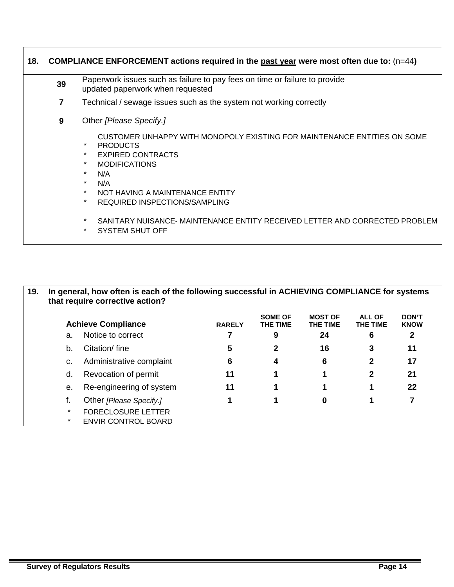| 39 | Paperwork issues such as failure to pay fees on time or failure to provide<br>updated paperwork when requested                                                                                                                                                                                                 |
|----|----------------------------------------------------------------------------------------------------------------------------------------------------------------------------------------------------------------------------------------------------------------------------------------------------------------|
| 7  | Technical / sewage issues such as the system not working correctly                                                                                                                                                                                                                                             |
| 9  | Other [Please Specify.]                                                                                                                                                                                                                                                                                        |
|    | CUSTOMER UNHAPPY WITH MONOPOLY EXISTING FOR MAINTENANCE ENTITIES ON SOME<br>$\star$<br><b>PRODUCTS</b><br><b>EXPIRED CONTRACTS</b><br>$\star$<br>$\star$<br><b>MODIFICATIONS</b><br>$\star$<br>N/A<br>$\star$<br>N/A<br>$\star$<br>NOT HAVING A MAINTENANCE ENTITY<br>$\star$<br>REQUIRED INSPECTIONS/SAMPLING |
|    | $\ast$<br>SANITARY NUISANCE- MAINTENANCE ENTITY RECEIVED LETTER AND CORRECTED PROBLEM<br>SYSTEM SHUT OFF                                                                                                                                                                                                       |

| 19. | In general, how often is each of the following successful in ACHIEVING COMPLIANCE for systems<br>that require corrective action? |                            |               |                                   |                            |                           |                             |  |
|-----|----------------------------------------------------------------------------------------------------------------------------------|----------------------------|---------------|-----------------------------------|----------------------------|---------------------------|-----------------------------|--|
|     |                                                                                                                                  | <b>Achieve Compliance</b>  | <b>RARELY</b> | <b>SOME OF</b><br><b>THE TIME</b> | <b>MOST OF</b><br>THE TIME | <b>ALL OF</b><br>THE TIME | <b>DON'T</b><br><b>KNOW</b> |  |
|     | a.                                                                                                                               | Notice to correct          |               | 9                                 | 24                         | 6                         | 2                           |  |
|     | b.                                                                                                                               | Citation/fine              | 5             | 2                                 | 16                         | 3                         | 11                          |  |
|     | c.                                                                                                                               | Administrative complaint   | 6             | 4                                 | 6                          | 2                         | 17                          |  |
|     | d.                                                                                                                               | Revocation of permit       | 11            |                                   |                            | 2                         | 21                          |  |
|     | е.                                                                                                                               | Re-engineering of system   | 11            |                                   |                            |                           | 22                          |  |
|     |                                                                                                                                  | Other [Please Specify.]    |               |                                   | 0                          |                           |                             |  |
|     | $\star$                                                                                                                          | <b>FORECLOSURE LETTER</b>  |               |                                   |                            |                           |                             |  |
|     | $\star$                                                                                                                          | <b>ENVIR CONTROL BOARD</b> |               |                                   |                            |                           |                             |  |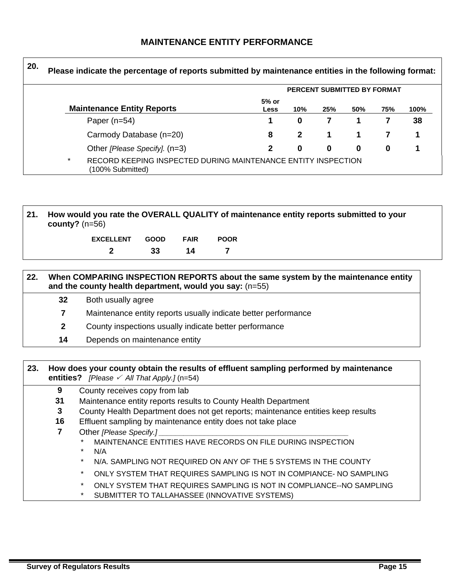### **MAINTENANCE ENTITY PERFORMANCE**

| 20. | Please indicate the percentage of reports submitted by maintenance entities in the following format: |                                                                                   |                 |              |                             |     |     |      |
|-----|------------------------------------------------------------------------------------------------------|-----------------------------------------------------------------------------------|-----------------|--------------|-----------------------------|-----|-----|------|
|     |                                                                                                      |                                                                                   |                 |              | PERCENT SUBMITTED BY FORMAT |     |     |      |
|     |                                                                                                      | <b>Maintenance Entity Reports</b>                                                 | $5%$ or<br>Less | 10%          | 25%                         | 50% | 75% | 100% |
|     |                                                                                                      | Paper $(n=54)$                                                                    |                 | 0            |                             |     |     | 38   |
|     |                                                                                                      | Carmody Database (n=20)                                                           | 8               | $\mathbf{2}$ |                             |     |     |      |
|     |                                                                                                      | Other [Please Specify]. (n=3)                                                     | 2               | 0            | $\bf{0}$                    | 0   | 0   |      |
|     | $\star$                                                                                              | RECORD KEEPING INSPECTED DURING MAINTENANCE ENTITY INSPECTION<br>(100% Submitted) |                 |              |                             |     |     |      |

**21. How would you rate the OVERALL QUALITY of maintenance entity reports submitted to your county?** (n=56)

| EXCELLENT GOOD FAIR |    |    | <b>POOR</b> |
|---------------------|----|----|-------------|
|                     | 33 | 14 |             |

| 22. | When COMPARING INSPECTION REPORTS about the same system by the maintenance entity<br>and the county health department, would you say: $(n=55)$ |  |  |  |  |
|-----|------------------------------------------------------------------------------------------------------------------------------------------------|--|--|--|--|
|     | 32<br>Both usually agree                                                                                                                       |  |  |  |  |
|     | Maintenance entity reports usually indicate better performance                                                                                 |  |  |  |  |
|     | County inspections usually indicate better performance                                                                                         |  |  |  |  |
|     | Depends on maintenance entity<br>14                                                                                                            |  |  |  |  |

**23. How does your county obtain the results of effluent sampling performed by maintenance entities?** *[Please*  $\checkmark$  *All That Apply.]* (n=54) **9** County receives copy from lab **31** Maintenance entity reports results to County Health Department

- **3** County Health Department does not get reports; maintenance entities keep results
- **16** Effluent sampling by maintenance entity does not take place
- **7** Other *[Please Specify.]* 
	- MAINTENANCE ENTITIES HAVE RECORDS ON FILE DURING INSPECTION
	- $N/A$
	- N/A. SAMPLING NOT REQUIRED ON ANY OF THE 5 SYSTEMS IN THE COUNTY
	- \* ONLY SYSTEM THAT REQUIRES SAMPLING IS NOT IN COMPIANCE- NO SAMPLING
	- \* ONLY SYSTEM THAT REQUIRES SAMPLING IS NOT IN COMPLIANCE--NO SAMPLING
	- \* SUBMITTER TO TALLAHASSEE (INNOVATIVE SYSTEMS)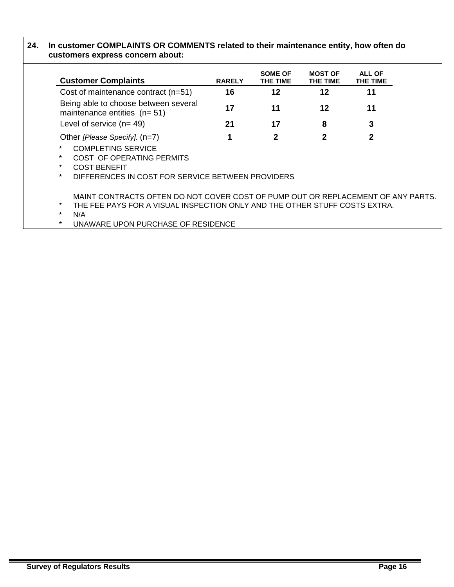### **24. In customer COMPLAINTS OR COMMENTS related to their maintenance entity, how often do customers express concern about:**

| <b>Customer Complaints</b>                                                                                                                                                       | <b>RARELY</b> | <b>SOME OF</b><br>THE TIME | <b>MOST OF</b><br>THE TIME | ALL OF<br>THE TIME |  |
|----------------------------------------------------------------------------------------------------------------------------------------------------------------------------------|---------------|----------------------------|----------------------------|--------------------|--|
| Cost of maintenance contract (n=51)                                                                                                                                              | 16            | 12                         | 12                         | 11                 |  |
| Being able to choose between several<br>maintenance entities $(n=51)$                                                                                                            | 17            | 11                         | 12                         | 11                 |  |
| Level of service $(n=49)$                                                                                                                                                        | 21            | 17                         | 8                          | 3                  |  |
| Other [Please Specify]. (n=7)                                                                                                                                                    | 1             | 2                          | 2                          | 2                  |  |
| $\star$<br><b>COMPLETING SERVICE</b><br>$\ast$<br>COST OF OPERATING PERMITS<br>$\ast$<br><b>COST BENEFIT</b><br>$\star$<br>DIFFERENCES IN COST FOR SERVICE BETWEEN PROVIDERS     |               |                            |                            |                    |  |
| MAINT CONTRACTS OFTEN DO NOT COVER COST OF PUMP OUT OR REPLACEMENT OF ANY PARTS.<br>$\star$<br>THE FEE PAYS FOR A VISUAL INSPECTION ONLY AND THE OTHER STUFF COSTS EXTRA.<br>N/A |               |                            |                            |                    |  |

\* UNAWARE UPON PURCHASE OF RESIDENCE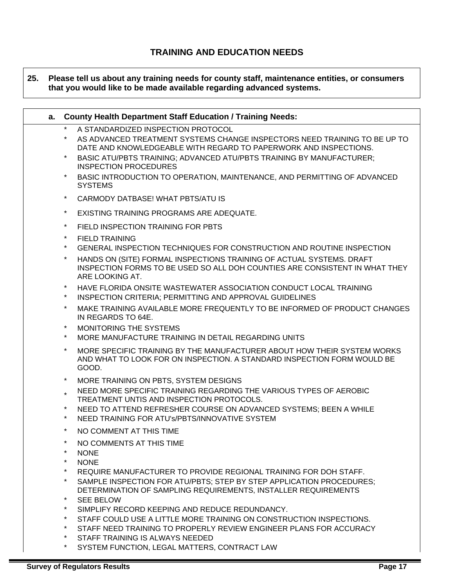### **TRAINING AND EDUCATION NEEDS**

### **25. Please tell us about any training needs for county staff, maintenance entities, or consumers that you would like to be made available regarding advanced systems.**

| $^\star$<br>A STANDARDIZED INSPECTION PROTOCOL<br>AS ADVANCED TREATMENT SYSTEMS CHANGE INSPECTORS NEED TRAINING TO BE UP TO<br>DATE AND KNOWLEDGEABLE WITH REGARD TO PAPERWORK AND INSPECTIONS.<br>*<br>BASIC ATU/PBTS TRAINING; ADVANCED ATU/PBTS TRAINING BY MANUFACTURER;<br><b>INSPECTION PROCEDURES</b><br>$\star$<br>BASIC INTRODUCTION TO OPERATION, MAINTENANCE, AND PERMITTING OF ADVANCED<br><b>SYSTEMS</b><br>*<br>CARMODY DATBASE! WHAT PBTS/ATU IS<br>*<br>EXISTING TRAINING PROGRAMS ARE ADEQUATE.<br>*<br>FIELD INSPECTION TRAINING FOR PBTS<br>*<br><b>FIELD TRAINING</b><br>*<br>GENERAL INSPECTION TECHNIQUES FOR CONSTRUCTION AND ROUTINE INSPECTION<br>HANDS ON (SITE) FORMAL INSPECTIONS TRAINING OF ACTUAL SYSTEMS. DRAFT<br>*<br>INSPECTION FORMS TO BE USED SO ALL DOH COUNTIES ARE CONSISTENT IN WHAT THEY<br>ARE LOOKING AT.<br>*<br>HAVE FLORIDA ONSITE WASTEWATER ASSOCIATION CONDUCT LOCAL TRAINING<br>INSPECTION CRITERIA; PERMITTING AND APPROVAL GUIDELINES<br>*<br>*<br>MAKE TRAINING AVAILABLE MORE FREQUENTLY TO BE INFORMED OF PRODUCT CHANGES<br>IN REGARDS TO 64E.<br>$^\star$<br>MONITORING THE SYSTEMS<br>$^\star$<br>MORE MANUFACTURE TRAINING IN DETAIL REGARDING UNITS<br>*<br>MORE SPECIFIC TRAINING BY THE MANUFACTURER ABOUT HOW THEIR SYSTEM WORKS<br>AND WHAT TO LOOK FOR ON INSPECTION. A STANDARD INSPECTION FORM WOULD BE<br>GOOD.<br>MORE TRAINING ON PBTS, SYSTEM DESIGNS<br>$\star$<br>NEED MORE SPECIFIC TRAINING REGARDING THE VARIOUS TYPES OF AEROBIC<br>TREATMENT UNTIS AND INSPECTION PROTOCOLS.<br>*<br>NEED TO ATTEND REFRESHER COURSE ON ADVANCED SYSTEMS; BEEN A WHILE<br>NEED TRAINING FOR ATU'S/PBTS/INNOVATIVE SYSTEM<br>*<br>*<br>NO COMMENT AT THIS TIME<br>$\star$<br>NO COMMENTS AT THIS TIME<br>$^\star$<br><b>NONE</b><br>*<br><b>NONE</b><br>*<br>REQUIRE MANUFACTURER TO PROVIDE REGIONAL TRAINING FOR DOH STAFF.<br>*<br>SAMPLE INSPECTION FOR ATU/PBTS: STEP BY STEP APPLICATION PROCEDURES:<br>DETERMINATION OF SAMPLING REQUIREMENTS, INSTALLER REQUIREMENTS<br>$\star$<br><b>SEE BELOW</b><br>*<br>SIMPLIFY RECORD KEEPING AND REDUCE REDUNDANCY.<br>*<br>STAFF COULD USE A LITTLE MORE TRAINING ON CONSTRUCTION INSPECTIONS.<br>*<br>STAFF NEED TRAINING TO PROPERLY REVIEW ENGINEER PLANS FOR ACCURACY | a. | <b>County Health Department Staff Education / Training Needs:</b> |
|------------------------------------------------------------------------------------------------------------------------------------------------------------------------------------------------------------------------------------------------------------------------------------------------------------------------------------------------------------------------------------------------------------------------------------------------------------------------------------------------------------------------------------------------------------------------------------------------------------------------------------------------------------------------------------------------------------------------------------------------------------------------------------------------------------------------------------------------------------------------------------------------------------------------------------------------------------------------------------------------------------------------------------------------------------------------------------------------------------------------------------------------------------------------------------------------------------------------------------------------------------------------------------------------------------------------------------------------------------------------------------------------------------------------------------------------------------------------------------------------------------------------------------------------------------------------------------------------------------------------------------------------------------------------------------------------------------------------------------------------------------------------------------------------------------------------------------------------------------------------------------------------------------------------------------------------------------------------------------------------------------------------------------------------------------------------------------------------------------------------------------------------------------------------------------------------------------------------------------------------------------------------------------------|----|-------------------------------------------------------------------|
|                                                                                                                                                                                                                                                                                                                                                                                                                                                                                                                                                                                                                                                                                                                                                                                                                                                                                                                                                                                                                                                                                                                                                                                                                                                                                                                                                                                                                                                                                                                                                                                                                                                                                                                                                                                                                                                                                                                                                                                                                                                                                                                                                                                                                                                                                          |    |                                                                   |
|                                                                                                                                                                                                                                                                                                                                                                                                                                                                                                                                                                                                                                                                                                                                                                                                                                                                                                                                                                                                                                                                                                                                                                                                                                                                                                                                                                                                                                                                                                                                                                                                                                                                                                                                                                                                                                                                                                                                                                                                                                                                                                                                                                                                                                                                                          |    |                                                                   |
|                                                                                                                                                                                                                                                                                                                                                                                                                                                                                                                                                                                                                                                                                                                                                                                                                                                                                                                                                                                                                                                                                                                                                                                                                                                                                                                                                                                                                                                                                                                                                                                                                                                                                                                                                                                                                                                                                                                                                                                                                                                                                                                                                                                                                                                                                          |    |                                                                   |
|                                                                                                                                                                                                                                                                                                                                                                                                                                                                                                                                                                                                                                                                                                                                                                                                                                                                                                                                                                                                                                                                                                                                                                                                                                                                                                                                                                                                                                                                                                                                                                                                                                                                                                                                                                                                                                                                                                                                                                                                                                                                                                                                                                                                                                                                                          |    |                                                                   |
|                                                                                                                                                                                                                                                                                                                                                                                                                                                                                                                                                                                                                                                                                                                                                                                                                                                                                                                                                                                                                                                                                                                                                                                                                                                                                                                                                                                                                                                                                                                                                                                                                                                                                                                                                                                                                                                                                                                                                                                                                                                                                                                                                                                                                                                                                          |    |                                                                   |
|                                                                                                                                                                                                                                                                                                                                                                                                                                                                                                                                                                                                                                                                                                                                                                                                                                                                                                                                                                                                                                                                                                                                                                                                                                                                                                                                                                                                                                                                                                                                                                                                                                                                                                                                                                                                                                                                                                                                                                                                                                                                                                                                                                                                                                                                                          |    |                                                                   |
|                                                                                                                                                                                                                                                                                                                                                                                                                                                                                                                                                                                                                                                                                                                                                                                                                                                                                                                                                                                                                                                                                                                                                                                                                                                                                                                                                                                                                                                                                                                                                                                                                                                                                                                                                                                                                                                                                                                                                                                                                                                                                                                                                                                                                                                                                          |    |                                                                   |
|                                                                                                                                                                                                                                                                                                                                                                                                                                                                                                                                                                                                                                                                                                                                                                                                                                                                                                                                                                                                                                                                                                                                                                                                                                                                                                                                                                                                                                                                                                                                                                                                                                                                                                                                                                                                                                                                                                                                                                                                                                                                                                                                                                                                                                                                                          |    |                                                                   |
|                                                                                                                                                                                                                                                                                                                                                                                                                                                                                                                                                                                                                                                                                                                                                                                                                                                                                                                                                                                                                                                                                                                                                                                                                                                                                                                                                                                                                                                                                                                                                                                                                                                                                                                                                                                                                                                                                                                                                                                                                                                                                                                                                                                                                                                                                          |    |                                                                   |
|                                                                                                                                                                                                                                                                                                                                                                                                                                                                                                                                                                                                                                                                                                                                                                                                                                                                                                                                                                                                                                                                                                                                                                                                                                                                                                                                                                                                                                                                                                                                                                                                                                                                                                                                                                                                                                                                                                                                                                                                                                                                                                                                                                                                                                                                                          |    |                                                                   |

\* SYSTEM FUNCTION, LEGAL MATTERS, CONTRACT LAW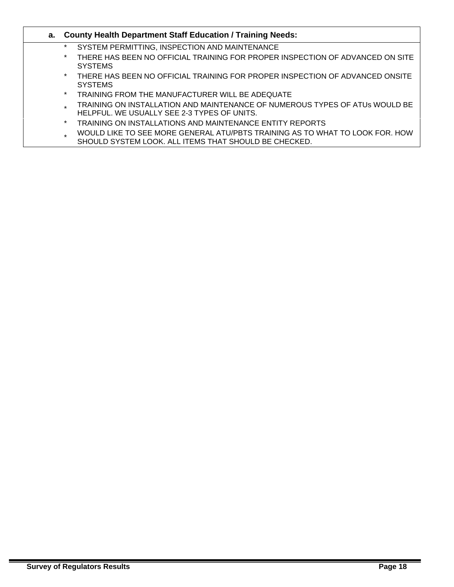### **a. County Health Department Staff Education / Training Needs:**

- \* SYSTEM PERMITTING, INSPECTION AND MAINTENANCE
- \* THERE HAS BEEN NO OFFICIAL TRAINING FOR PROPER INSPECTION OF ADVANCED ON SITE SYSTEMS
- \* THERE HAS BEEN NO OFFICIAL TRAINING FOR PROPER INSPECTION OF ADVANCED ONSITE **SYSTEMS**
- TRAINING FROM THE MANUFACTURER WILL BE ADEQUATE
- TRAINING ON INSTALLATION AND MAINTENANCE OF NUMEROUS TYPES OF ATUs WOULD BE HELPFUL. WE USUALLY SEE 2-3 TYPES OF UNITS.
- TRAINING ON INSTALLATIONS AND MAINTENANCE ENTITY REPORTS
- WOULD LIKE TO SEE MORE GENERAL ATU/PBTS TRAINING AS TO WHAT TO LOOK FOR. HOW SHOULD SYSTEM LOOK. ALL ITEMS THAT SHOULD BE CHECKED.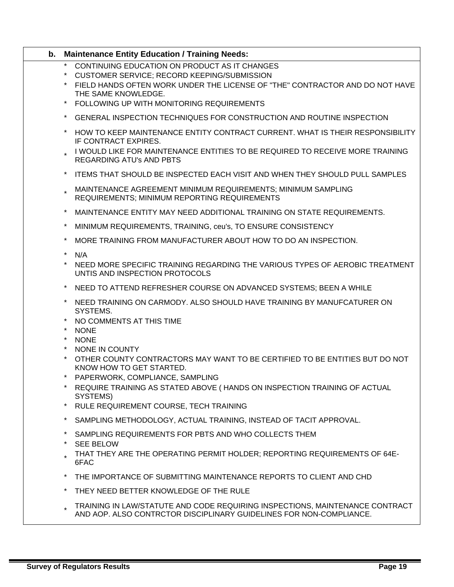| b. | <b>Maintenance Entity Education / Training Needs:</b>                                                                                                          |
|----|----------------------------------------------------------------------------------------------------------------------------------------------------------------|
|    | $\star$<br>CONTINUING EDUCATION ON PRODUCT AS IT CHANGES                                                                                                       |
|    | CUSTOMER SERVICE; RECORD KEEPING/SUBMISSION                                                                                                                    |
|    | FIELD HANDS OFTEN WORK UNDER THE LICENSE OF "THE" CONTRACTOR AND DO NOT HAVE<br>$\star$<br>THE SAME KNOWLEDGE.                                                 |
|    | FOLLOWING UP WITH MONITORING REQUIREMENTS<br>$\star$                                                                                                           |
|    |                                                                                                                                                                |
|    | GENERAL INSPECTION TECHNIQUES FOR CONSTRUCTION AND ROUTINE INSPECTION<br>$\star$                                                                               |
|    | $\ast$<br>HOW TO KEEP MAINTENANCE ENTITY CONTRACT CURRENT. WHAT IS THEIR RESPONSIBILITY<br>IF CONTRACT EXPIRES.                                                |
|    | I WOULD LIKE FOR MAINTENANCE ENTITIES TO BE REQUIRED TO RECEIVE MORE TRAINING<br><b>REGARDING ATU's AND PBTS</b>                                               |
|    | $\ast$<br>ITEMS THAT SHOULD BE INSPECTED EACH VISIT AND WHEN THEY SHOULD PULL SAMPLES                                                                          |
|    | MAINTENANCE AGREEMENT MINIMUM REQUIREMENTS; MINIMUM SAMPLING<br>REQUIREMENTS; MINIMUM REPORTING REQUIREMENTS                                                   |
|    | $\ast$<br>MAINTENANCE ENTITY MAY NEED ADDITIONAL TRAINING ON STATE REQUIREMENTS.                                                                               |
|    | $\ast$<br>MINIMUM REQUIREMENTS, TRAINING, ceu's, TO ENSURE CONSISTENCY                                                                                         |
|    | $\ast$<br>MORE TRAINING FROM MANUFACTURER ABOUT HOW TO DO AN INSPECTION.                                                                                       |
|    | $\star$<br>N/A                                                                                                                                                 |
|    | NEED MORE SPECIFIC TRAINING REGARDING THE VARIOUS TYPES OF AEROBIC TREATMENT<br>$^\star$<br>UNTIS AND INSPECTION PROTOCOLS                                     |
|    | $\ast$<br>NEED TO ATTEND REFRESHER COURSE ON ADVANCED SYSTEMS; BEEN A WHILE                                                                                    |
|    | $\star$<br>NEED TRAINING ON CARMODY. ALSO SHOULD HAVE TRAINING BY MANUFCATURER ON<br>SYSTEMS.                                                                  |
|    | $^\star$<br>NO COMMENTS AT THIS TIME                                                                                                                           |
|    | $\star$<br><b>NONE</b>                                                                                                                                         |
|    | $\star$<br><b>NONE</b>                                                                                                                                         |
|    | $\star$<br>NONE IN COUNTY                                                                                                                                      |
|    | $^\star$<br>OTHER COUNTY CONTRACTORS MAY WANT TO BE CERTIFIED TO BE ENTITIES BUT DO NOT                                                                        |
|    | KNOW HOW TO GET STARTED.<br>* PAPERWORK, COMPLIANCE, SAMPLING                                                                                                  |
|    | $\star$<br>REQUIRE TRAINING AS STATED ABOVE (HANDS ON INSPECTION TRAINING OF ACTUAL                                                                            |
|    | SYSTEMS)<br>$\star$<br>RULE REQUIREMENT COURSE, TECH TRAINING                                                                                                  |
|    | * SAMPLING METHODOLOGY, ACTUAL TRAINING, INSTEAD OF TACIT APPROVAL.                                                                                            |
|    | SAMPLING REQUIREMENTS FOR PBTS AND WHO COLLECTS THEM<br>$\ast$                                                                                                 |
|    | * SEE BELOW                                                                                                                                                    |
|    | THAT THEY ARE THE OPERATING PERMIT HOLDER; REPORTING REQUIREMENTS OF 64E-<br>6FAC                                                                              |
|    | THE IMPORTANCE OF SUBMITTING MAINTENANCE REPORTS TO CLIENT AND CHD<br>$\star$                                                                                  |
|    | $\ast$<br>THEY NEED BETTER KNOWLEDGE OF THE RULE                                                                                                               |
|    | TRAINING IN LAW/STATUTE AND CODE REQUIRING INSPECTIONS, MAINTENANCE CONTRACT<br>$\star$<br>AND AOP. ALSO CONTRCTOR DISCIPLINARY GUIDELINES FOR NON-COMPLIANCE. |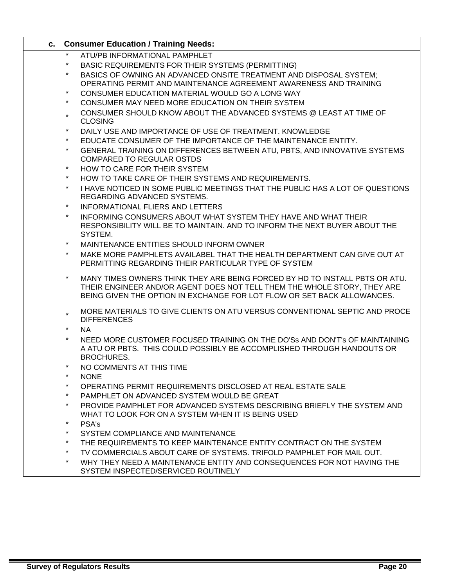| ATU/PB INFORMATIONAL PAMPHLET<br>$\star$<br>BASIC REQUIREMENTS FOR THEIR SYSTEMS (PERMITTING)<br>$^\star$                                                                                                                          |  |
|------------------------------------------------------------------------------------------------------------------------------------------------------------------------------------------------------------------------------------|--|
|                                                                                                                                                                                                                                    |  |
|                                                                                                                                                                                                                                    |  |
| BASICS OF OWNING AN ADVANCED ONSITE TREATMENT AND DISPOSAL SYSTEM;<br>OPERATING PERMIT AND MAINTENANCE AGREEMENT AWARENESS AND TRAINING                                                                                            |  |
| $\ast$<br>CONSUMER EDUCATION MATERIAL WOULD GO A LONG WAY                                                                                                                                                                          |  |
| $\star$<br>CONSUMER MAY NEED MORE EDUCATION ON THEIR SYSTEM                                                                                                                                                                        |  |
| CONSUMER SHOULD KNOW ABOUT THE ADVANCED SYSTEMS @ LEAST AT TIME OF<br>$\star$<br><b>CLOSING</b>                                                                                                                                    |  |
| $\star$<br>DAILY USE AND IMPORTANCE OF USE OF TREATMENT. KNOWLEDGE                                                                                                                                                                 |  |
| $\star$<br>EDUCATE CONSUMER OF THE IMPORTANCE OF THE MAINTENANCE ENTITY.                                                                                                                                                           |  |
| $\star$<br>GENERAL TRAINING ON DIFFERENCES BETWEEN ATU, PBTS, AND INNOVATIVE SYSTEMS<br><b>COMPARED TO REGULAR OSTDS</b>                                                                                                           |  |
| $\star$<br>HOW TO CARE FOR THEIR SYSTEM                                                                                                                                                                                            |  |
| $\star$<br>HOW TO TAKE CARE OF THEIR SYSTEMS AND REQUIREMENTS.                                                                                                                                                                     |  |
| $\star$<br>I HAVE NOTICED IN SOME PUBLIC MEETINGS THAT THE PUBLIC HAS A LOT OF QUESTIONS<br>REGARDING ADVANCED SYSTEMS.                                                                                                            |  |
| $\star$<br><b>INFORMATIONAL FLIERS AND LETTERS</b>                                                                                                                                                                                 |  |
| $\star$<br>INFORMING CONSUMERS ABOUT WHAT SYSTEM THEY HAVE AND WHAT THEIR<br>RESPONSIBILITY WILL BE TO MAINTAIN. AND TO INFORM THE NEXT BUYER ABOUT THE<br>SYSTEM.                                                                 |  |
| MAINTENANCE ENTITIES SHOULD INFORM OWNER                                                                                                                                                                                           |  |
| $\star$<br>MAKE MORE PAMPHLETS AVAILABEL THAT THE HEALTH DEPARTMENT CAN GIVE OUT AT<br>PERMITTING REGARDING THEIR PARTICULAR TYPE OF SYSTEM                                                                                        |  |
| MANY TIMES OWNERS THINK THEY ARE BEING FORCED BY HD TO INSTALL PBTS OR ATU.<br>THEIR ENGINEER AND/OR AGENT DOES NOT TELL THEM THE WHOLE STORY, THEY ARE<br>BEING GIVEN THE OPTION IN EXCHANGE FOR LOT FLOW OR SET BACK ALLOWANCES. |  |
| MORE MATERIALS TO GIVE CLIENTS ON ATU VERSUS CONVENTIONAL SEPTIC AND PROCE<br><b>DIFFERENCES</b>                                                                                                                                   |  |
| $\star$<br><b>NA</b>                                                                                                                                                                                                               |  |
| $\star$<br>NEED MORE CUSTOMER FOCUSED TRAINING ON THE DO'Ss AND DON'T's OF MAINTAINING<br>A ATU OR PBTS. THIS COULD POSSIBLY BE ACCOMPLISHED THROUGH HANDOUTS OR<br><b>BROCHURES.</b>                                              |  |
| NO COMMENTS AT THIS TIME                                                                                                                                                                                                           |  |
| $\star$<br><b>NONE</b>                                                                                                                                                                                                             |  |
| OPERATING PERMIT REQUIREMENTS DISCLOSED AT REAL ESTATE SALE                                                                                                                                                                        |  |
| PAMPHLET ON ADVANCED SYSTEM WOULD BE GREAT                                                                                                                                                                                         |  |
| $\star$<br>PROVIDE PAMPHLET FOR ADVANCED SYSTEMS DESCRIBING BRIEFLY THE SYSTEM AND<br>WHAT TO LOOK FOR ON A SYSTEM WHEN IT IS BEING USED                                                                                           |  |
| $\star$<br>PSA's                                                                                                                                                                                                                   |  |
| $^\star$<br>SYSTEM COMPLIANCE AND MAINTENANCE                                                                                                                                                                                      |  |
| $\star$<br>THE REQUIREMENTS TO KEEP MAINTENANCE ENTITY CONTRACT ON THE SYSTEM                                                                                                                                                      |  |
| $\star$<br>TV COMMERCIALS ABOUT CARE OF SYSTEMS. TRIFOLD PAMPHLET FOR MAIL OUT.                                                                                                                                                    |  |
| $^\star$<br>WHY THEY NEED A MAINTENANCE ENTITY AND CONSEQUENCES FOR NOT HAVING THE<br>SYSTEM INSPECTED/SERVICED ROUTINELY                                                                                                          |  |

Ī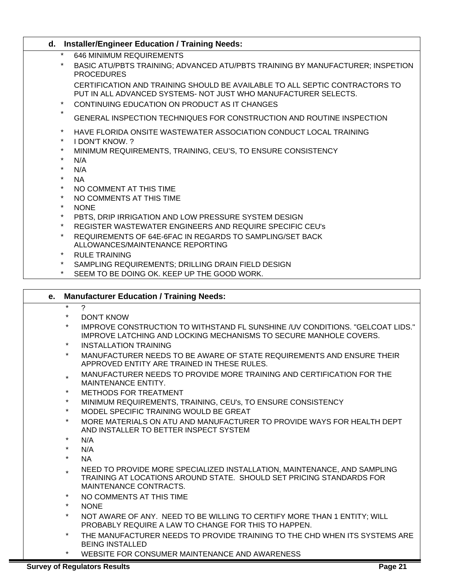| d.                 | <b>Installer/Engineer Education / Training Needs:</b>                                                                                                                                           |
|--------------------|-------------------------------------------------------------------------------------------------------------------------------------------------------------------------------------------------|
| $\star$            | <b>646 MINIMUM REQUIREMENTS</b>                                                                                                                                                                 |
| $\star$            | BASIC ATU/PBTS TRAINING; ADVANCED ATU/PBTS TRAINING BY MANUFACTURER; INSPETION<br><b>PROCEDURES</b>                                                                                             |
| $\star$            | CERTIFICATION AND TRAINING SHOULD BE AVAILABLE TO ALL SEPTIC CONTRACTORS TO<br>PUT IN ALL ADVANCED SYSTEMS- NOT JUST WHO MANUFACTURER SELECTS.<br>CONTINUING EDUCATION ON PRODUCT AS IT CHANGES |
| $\star$            | GENERAL INSPECTION TECHNIQUES FOR CONSTRUCTION AND ROUTINE INSPECTION                                                                                                                           |
| $\star$<br>$\star$ | HAVE FLORIDA ONSITE WASTEWATER ASSOCIATION CONDUCT LOCAL TRAINING<br>I DON'T KNOW. ?                                                                                                            |
| $\star$            | MINIMUM REQUIREMENTS, TRAINING, CEU'S, TO ENSURE CONSISTENCY                                                                                                                                    |
| $\star$            | N/A                                                                                                                                                                                             |
| $\star$            | N/A                                                                                                                                                                                             |
| $\star$            | <b>NA</b>                                                                                                                                                                                       |
| $\star$            | NO COMMENT AT THIS TIME                                                                                                                                                                         |
| $\star$            | NO COMMENTS AT THIS TIME                                                                                                                                                                        |
| $\star$            | <b>NONE</b>                                                                                                                                                                                     |
| $\star$            | PBTS, DRIP IRRIGATION AND LOW PRESSURE SYSTEM DESIGN                                                                                                                                            |
| $\star$            | REGISTER WASTEWATER ENGINEERS AND REQUIRE SPECIFIC CEU's                                                                                                                                        |
| $\star$            | REQUIREMENTS OF 64E-6FAC IN REGARDS TO SAMPLING/SET BACK                                                                                                                                        |
|                    | ALLOWANCES/MAINTENANCE REPORTING                                                                                                                                                                |
| $\star$            | <b>RULE TRAINING</b>                                                                                                                                                                            |
| $\star$            | SAMPLING REQUIREMENTS; DRILLING DRAIN FIELD DESIGN                                                                                                                                              |
|                    | SEEM TO BE DOING OK. KEEP UP THE GOOD WORK.                                                                                                                                                     |
|                    |                                                                                                                                                                                                 |
| е.                 | <b>Manufacturer Education / Training Needs:</b>                                                                                                                                                 |
| $\star$            | $\boldsymbol{\gamma}$                                                                                                                                                                           |
| $\ast$             | <b>DON'T KNOW</b>                                                                                                                                                                               |
| $\star$            | IMPROVE CONSTRUCTION TO WITHSTAND FL SUNSHINE /UV CONDITIONS. "GELCOAT LIDS."<br><b>IMPROVE LATCHING AND LOCKING MECHANISMS TO SECURE MANHOLE COVERS.</b>                                       |
| $\star$            | <b>INSTALLATION TRAINING</b>                                                                                                                                                                    |
| $\star$            | MANUFACTURER NEEDS TO BE AWARE OF STATE REQUIREMENTS AND ENSURE THEIR                                                                                                                           |
|                    | APPROVED ENTITY ARE TRAINED IN THESE RULES.                                                                                                                                                     |
|                    | MANULEACTURER NEERO TO RROURE MORE TRAINING, AND CERTIFICATION FOR TUE.                                                                                                                         |

- MANUFACTURER NEEDS TO PROVIDE MORE TRAINING AND CERTIFICATION FOR THE MAINTENANCE ENTITY.
- METHODS FOR TREATMENT
- MINIMUM REQUIREMENTS, TRAINING, CEU's, TO ENSURE CONSISTENCY
- MODEL SPECIFIC TRAINING WOULD BE GREAT
- MORE MATERIALS ON ATU AND MANUFACTURER TO PROVIDE WAYS FOR HEALTH DEPT AND INSTALLER TO BETTER INSPECT SYSTEM
- $N/A$
- $N/A$
- \* NA
- NEED TO PROVIDE MORE SPECIALIZED INSTALLATION, MAINTENANCE, AND SAMPLING TRAINING AT LOCATIONS AROUND STATE. SHOULD SET PRICING STANDARDS FOR MAINTENANCE CONTRACTS.
- NO COMMENTS AT THIS TIME
- \* NONE
- NOT AWARE OF ANY. NEED TO BE WILLING TO CERTIFY MORE THAN 1 ENTITY; WILL PROBABLY REQUIRE A LAW TO CHANGE FOR THIS TO HAPPEN.
- THE MANUFACTURER NEEDS TO PROVIDE TRAINING TO THE CHD WHEN ITS SYSTEMS ARE BEING INSTALLED
- WEBSITE FOR CONSUMER MAINTENANCE AND AWARENESS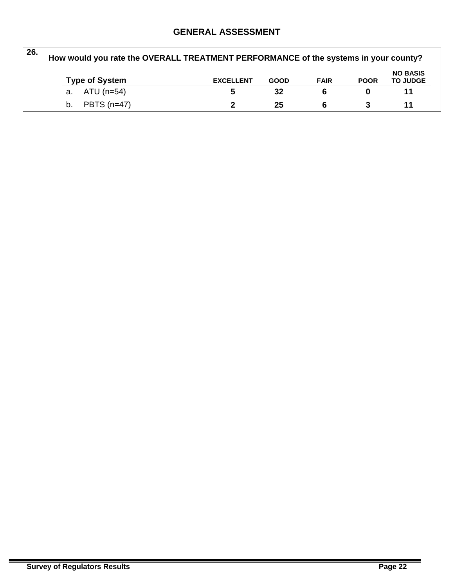# **GENERAL ASSESSMENT**

| 26.<br>How would you rate the OVERALL TREATMENT PERFORMANCE of the systems in your county? |  |                       |                  |             |             |             |                                    |
|--------------------------------------------------------------------------------------------|--|-----------------------|------------------|-------------|-------------|-------------|------------------------------------|
|                                                                                            |  | <b>Type of System</b> | <b>EXCELLENT</b> | <b>GOOD</b> | <b>FAIR</b> | <b>POOR</b> | <b>NO BASIS</b><br><b>TO JUDGE</b> |
|                                                                                            |  | a. $ATU(n=54)$        | 5                | 32          | 6           |             | 11                                 |
|                                                                                            |  | b. PBTS $(n=47)$      |                  | 25          | ี           |             | 11                                 |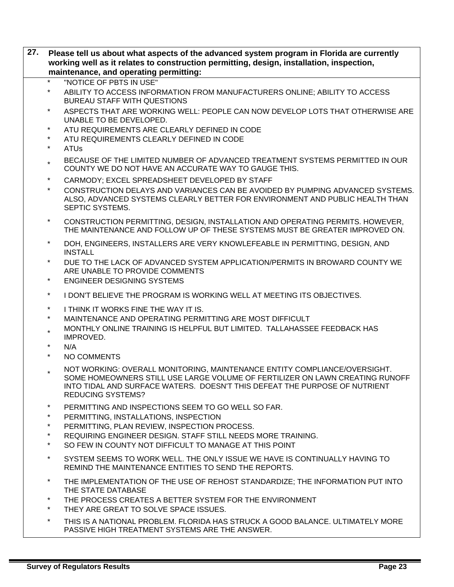| 27. | Please tell us about what aspects of the advanced system program in Florida are currently<br>working well as it relates to construction permitting, design, installation, inspection,<br>maintenance, and operating permitting: |                                                                                                                                                                                                                                                                     |  |  |
|-----|---------------------------------------------------------------------------------------------------------------------------------------------------------------------------------------------------------------------------------|---------------------------------------------------------------------------------------------------------------------------------------------------------------------------------------------------------------------------------------------------------------------|--|--|
|     | $\star$                                                                                                                                                                                                                         | "NOTICE OF PBTS IN USE"                                                                                                                                                                                                                                             |  |  |
|     | $\star$                                                                                                                                                                                                                         | ABILITY TO ACCESS INFORMATION FROM MANUFACTURERS ONLINE; ABILITY TO ACCESS<br><b>BUREAU STAFF WITH QUESTIONS</b>                                                                                                                                                    |  |  |
|     | $\star$                                                                                                                                                                                                                         | ASPECTS THAT ARE WORKING WELL: PEOPLE CAN NOW DEVELOP LOTS THAT OTHERWISE ARE<br>UNABLE TO BE DEVELOPED.                                                                                                                                                            |  |  |
|     | $\star$                                                                                                                                                                                                                         | ATU REQUIREMENTS ARE CLEARLY DEFINED IN CODE                                                                                                                                                                                                                        |  |  |
|     | $^\star$                                                                                                                                                                                                                        | ATU REQUIREMENTS CLEARLY DEFINED IN CODE                                                                                                                                                                                                                            |  |  |
|     | $^\star$                                                                                                                                                                                                                        | <b>ATUs</b>                                                                                                                                                                                                                                                         |  |  |
|     | $\star$                                                                                                                                                                                                                         | BECAUSE OF THE LIMITED NUMBER OF ADVANCED TREATMENT SYSTEMS PERMITTED IN OUR<br>COUNTY WE DO NOT HAVE AN ACCURATE WAY TO GAUGE THIS.                                                                                                                                |  |  |
|     | $\star$                                                                                                                                                                                                                         | CARMODY; EXCEL SPREADSHEET DEVELOPED BY STAFF                                                                                                                                                                                                                       |  |  |
|     | $\star$                                                                                                                                                                                                                         | CONSTRUCTION DELAYS AND VARIANCES CAN BE AVOIDED BY PUMPING ADVANCED SYSTEMS.<br>ALSO, ADVANCED SYSTEMS CLEARLY BETTER FOR ENVIRONMENT AND PUBLIC HEALTH THAN<br>SEPTIC SYSTEMS.                                                                                    |  |  |
|     | $\star$                                                                                                                                                                                                                         | CONSTRUCTION PERMITTING, DESIGN, INSTALLATION AND OPERATING PERMITS. HOWEVER,<br>THE MAINTENANCE AND FOLLOW UP OF THESE SYSTEMS MUST BE GREATER IMPROVED ON.                                                                                                        |  |  |
|     | $\star$                                                                                                                                                                                                                         | DOH, ENGINEERS, INSTALLERS ARE VERY KNOWLEFEABLE IN PERMITTING, DESIGN, AND<br><b>INSTALL</b>                                                                                                                                                                       |  |  |
|     | $\star$                                                                                                                                                                                                                         | DUE TO THE LACK OF ADVANCED SYSTEM APPLICATION/PERMITS IN BROWARD COUNTY WE                                                                                                                                                                                         |  |  |
|     |                                                                                                                                                                                                                                 | ARE UNABLE TO PROVIDE COMMENTS                                                                                                                                                                                                                                      |  |  |
|     | $\star$                                                                                                                                                                                                                         | <b>ENGINEER DESIGNING SYSTEMS</b>                                                                                                                                                                                                                                   |  |  |
|     | $\star$                                                                                                                                                                                                                         | I DON'T BELIEVE THE PROGRAM IS WORKING WELL AT MEETING ITS OBJECTIVES.                                                                                                                                                                                              |  |  |
|     | $\star$                                                                                                                                                                                                                         | I THINK IT WORKS FINE THE WAY IT IS.                                                                                                                                                                                                                                |  |  |
|     | $\star$                                                                                                                                                                                                                         | MAINTENANCE AND OPERATING PERMITTING ARE MOST DIFFICULT                                                                                                                                                                                                             |  |  |
|     | $\star$                                                                                                                                                                                                                         | MONTHLY ONLINE TRAINING IS HELPFUL BUT LIMITED. TALLAHASSEE FEEDBACK HAS                                                                                                                                                                                            |  |  |
|     | $\star$                                                                                                                                                                                                                         | IMPROVED.                                                                                                                                                                                                                                                           |  |  |
|     | $\star$                                                                                                                                                                                                                         | N/A<br>NO COMMENTS                                                                                                                                                                                                                                                  |  |  |
|     |                                                                                                                                                                                                                                 |                                                                                                                                                                                                                                                                     |  |  |
|     | $\star$                                                                                                                                                                                                                         | NOT WORKING: OVERALL MONITORING, MAINTENANCE ENTITY COMPLIANCE/OVERSIGHT.<br>SOME HOMEOWNERS STILL USE LARGE VOLUME OF FERTILIZER ON LAWN CREATING RUNOFF<br>INTO TIDAL AND SURFACE WATERS. DOESN'T THIS DEFEAT THE PURPOSE OF NUTRIENT<br><b>REDUCING SYSTEMS?</b> |  |  |
|     | $\ast$                                                                                                                                                                                                                          | PERMITTING AND INSPECTIONS SEEM TO GO WELL SO FAR.                                                                                                                                                                                                                  |  |  |
|     | $\star$                                                                                                                                                                                                                         | PERMITTING, INSTALLATIONS, INSPECTION                                                                                                                                                                                                                               |  |  |
|     | $\star$                                                                                                                                                                                                                         | PERMITTING, PLAN REVIEW, INSPECTION PROCESS.                                                                                                                                                                                                                        |  |  |
|     | $\star$                                                                                                                                                                                                                         | REQUIRING ENGINEER DESIGN. STAFF STILL NEEDS MORE TRAINING.                                                                                                                                                                                                         |  |  |
|     | $\star$                                                                                                                                                                                                                         | SO FEW IN COUNTY NOT DIFFICULT TO MANAGE AT THIS POINT                                                                                                                                                                                                              |  |  |
|     | $^\star$                                                                                                                                                                                                                        | SYSTEM SEEMS TO WORK WELL. THE ONLY ISSUE WE HAVE IS CONTINUALLY HAVING TO<br>REMIND THE MAINTENANCE ENTITIES TO SEND THE REPORTS.                                                                                                                                  |  |  |
|     | $^\star$                                                                                                                                                                                                                        | THE IMPLEMENTATION OF THE USE OF REHOST STANDARDIZE; THE INFORMATION PUT INTO<br>THE STATE DATABASE                                                                                                                                                                 |  |  |
|     | $\star$                                                                                                                                                                                                                         | THE PROCESS CREATES A BETTER SYSTEM FOR THE ENVIRONMENT                                                                                                                                                                                                             |  |  |
|     | $\star$                                                                                                                                                                                                                         | THEY ARE GREAT TO SOLVE SPACE ISSUES.                                                                                                                                                                                                                               |  |  |
|     | $\star$                                                                                                                                                                                                                         | THIS IS A NATIONAL PROBLEM. FLORIDA HAS STRUCK A GOOD BALANCE. ULTIMATELY MORE<br>PASSIVE HIGH TREATMENT SYSTEMS ARE THE ANSWER.                                                                                                                                    |  |  |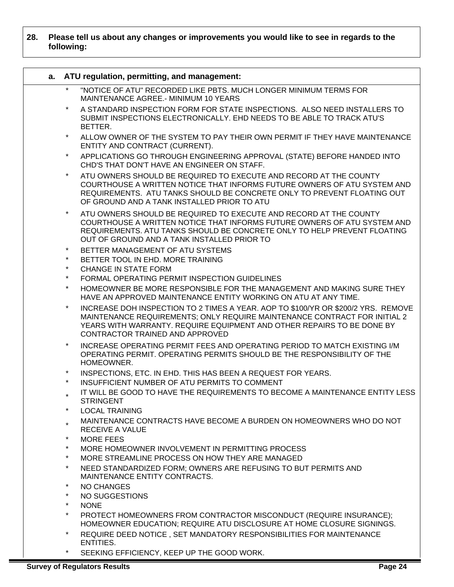#### **28. Please tell us about any changes or improvements you would like to see in regards to the following:**

| a. |                    | ATU regulation, permitting, and management:                                                                                                                                                                                                                                 |
|----|--------------------|-----------------------------------------------------------------------------------------------------------------------------------------------------------------------------------------------------------------------------------------------------------------------------|
|    |                    | "NOTICE OF ATU" RECORDED LIKE PBTS. MUCH LONGER MINIMUM TERMS FOR<br>MAINTENANCE AGREE.- MINIMUM 10 YEARS                                                                                                                                                                   |
|    | $\star$            | A STANDARD INSPECTION FORM FOR STATE INSPECTIONS. ALSO NEED INSTALLERS TO<br>SUBMIT INSPECTIONS ELECTRONICALLY. EHD NEEDS TO BE ABLE TO TRACK ATU'S<br>BETTER.                                                                                                              |
|    | $\star$            | ALLOW OWNER OF THE SYSTEM TO PAY THEIR OWN PERMIT IF THEY HAVE MAINTENANCE<br>ENTITY AND CONTRACT (CURRENT).                                                                                                                                                                |
|    | $\star$            | APPLICATIONS GO THROUGH ENGINEERING APPROVAL (STATE) BEFORE HANDED INTO<br>CHD'S THAT DON'T HAVE AN ENGINEER ON STAFF.                                                                                                                                                      |
|    | $\star$            | ATU OWNERS SHOULD BE REQUIRED TO EXECUTE AND RECORD AT THE COUNTY<br>COURTHOUSE A WRITTEN NOTICE THAT INFORMS FUTURE OWNERS OF ATU SYSTEM AND<br>REQUIREMENTS. ATU TANKS SHOULD BE CONCRETE ONLY TO PREVENT FLOATING OUT<br>OF GROUND AND A TANK INSTALLED PRIOR TO ATU     |
|    | $\star$            | ATU OWNERS SHOULD BE REQUIRED TO EXECUTE AND RECORD AT THE COUNTY<br>COURTHOUSE A WRITTEN NOTICE THAT INFORMS FUTURE OWNERS OF ATU SYSTEM AND<br>REQUIREMENTS. ATU TANKS SHOULD BE CONCRETE ONLY TO HELP PREVENT FLOATING<br>OUT OF GROUND AND A TANK INSTALLED PRIOR TO    |
|    | $\star$            | BETTER MANAGEMENT OF ATU SYSTEMS                                                                                                                                                                                                                                            |
|    | $\star$            | BETTER TOOL IN EHD. MORE TRAINING                                                                                                                                                                                                                                           |
|    | $\star$<br>$\star$ | <b>CHANGE IN STATE FORM</b>                                                                                                                                                                                                                                                 |
|    | $\star$            | FORMAL OPERATING PERMIT INSPECTION GUIDELINES                                                                                                                                                                                                                               |
|    |                    | HOMEOWNER BE MORE RESPONSIBLE FOR THE MANAGEMENT AND MAKING SURE THEY<br>HAVE AN APPROVED MAINTENANCE ENTITY WORKING ON ATU AT ANY TIME.                                                                                                                                    |
|    | $\star$            | INCREASE DOH INSPECTION TO 2 TIMES A YEAR. AOP TO \$100/YR OR \$200/2 YRS. REMOVE<br>MAINTENANCE REQUIREMENTS; ONLY REQUIRE MAINTENANCE CONTRACT FOR INITIAL 2<br>YEARS WITH WARRANTY. REQUIRE EQUIPMENT AND OTHER REPAIRS TO BE DONE BY<br>CONTRACTOR TRAINED AND APPROVED |
|    | $\star$            | INCREASE OPERATING PERMIT FEES AND OPERATING PERIOD TO MATCH EXISTING I/M<br>OPERATING PERMIT. OPERATING PERMITS SHOULD BE THE RESPONSIBILITY OF THE<br>HOMEOWNER.                                                                                                          |
|    | $\star$            | INSPECTIONS, ETC. IN EHD. THIS HAS BEEN A REQUEST FOR YEARS.                                                                                                                                                                                                                |
|    | $\star$            | INSUFFICIENT NUMBER OF ATU PERMITS TO COMMENT                                                                                                                                                                                                                               |
|    |                    | IT WILL BE GOOD TO HAVE THE REQUIREMENTS TO BECOME A MAINTENANCE ENTITY LESS<br><b>STRINGENT</b>                                                                                                                                                                            |
|    | $\star$            | <b>LOCAL TRAINING</b>                                                                                                                                                                                                                                                       |
|    | $\star$            | MAINTENANCE CONTRACTS HAVE BECOME A BURDEN ON HOMEOWNERS WHO DO NOT<br>RECEIVE A VALUE                                                                                                                                                                                      |
|    | $\ast$             | <b>MORE FEES</b>                                                                                                                                                                                                                                                            |
|    | $\star$            | MORE HOMEOWNER INVOLVEMENT IN PERMITTING PROCESS                                                                                                                                                                                                                            |
|    | $\star$            | MORE STREAMLINE PROCESS ON HOW THEY ARE MANAGED                                                                                                                                                                                                                             |
|    | $\star$            | NEED STANDARDIZED FORM; OWNERS ARE REFUSING TO BUT PERMITS AND<br>MAINTENANCE ENTITY CONTRACTS.                                                                                                                                                                             |
|    | $\star$            | <b>NO CHANGES</b>                                                                                                                                                                                                                                                           |
|    | $\star$            | NO SUGGESTIONS                                                                                                                                                                                                                                                              |
|    | $\star$            | <b>NONE</b>                                                                                                                                                                                                                                                                 |
|    | $\star$            | PROTECT HOMEOWNERS FROM CONTRACTOR MISCONDUCT (REQUIRE INSURANCE);<br>HOMEOWNER EDUCATION; REQUIRE ATU DISCLOSURE AT HOME CLOSURE SIGNINGS.                                                                                                                                 |
|    | $\ast$             | REQUIRE DEED NOTICE, SET MANDATORY RESPONSIBILITIES FOR MAINTENANCE<br>ENTITIES.                                                                                                                                                                                            |

**Survey of Regulators Results** Page 24

\* SEEKING EFFICIENCY, KEEP UP THE GOOD WORK.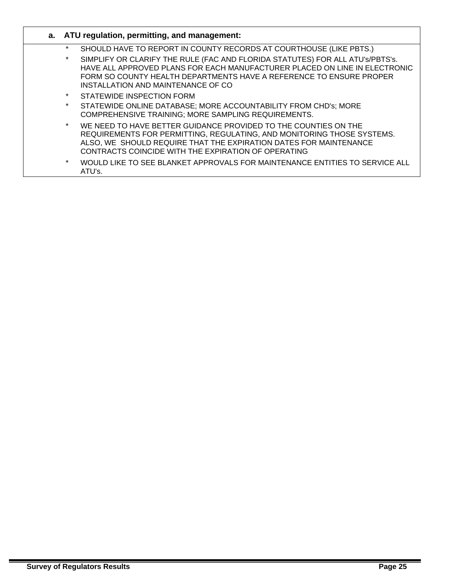|          | a. ATU regulation, permitting, and management:                                                                                                                                                                                                                           |
|----------|--------------------------------------------------------------------------------------------------------------------------------------------------------------------------------------------------------------------------------------------------------------------------|
| $\star$  | SHOULD HAVE TO REPORT IN COUNTY RECORDS AT COURTHOUSE (LIKE PBTS.)                                                                                                                                                                                                       |
| $^\star$ | SIMPLIFY OR CLARIFY THE RULE (FAC AND FLORIDA STATUTES) FOR ALL ATU's/PBTS's.<br>HAVE ALL APPROVED PLANS FOR EACH MANUFACTURER PLACED ON LINE IN ELECTRONIC<br>FORM SO COUNTY HEALTH DEPARTMENTS HAVE A REFERENCE TO ENSURE PROPER<br>INSTALLATION AND MAINTENANCE OF CO |
| $\star$  | STATEWIDE INSPECTION FORM                                                                                                                                                                                                                                                |
| $\star$  | STATEWIDE ONLINE DATABASE; MORE ACCOUNTABILITY FROM CHD's; MORE<br>COMPREHENSIVE TRAINING; MORE SAMPLING REQUIREMENTS.                                                                                                                                                   |
| $\star$  | WE NEED TO HAVE BETTER GUIDANCE PROVIDED TO THE COUNTIES ON THE<br>REQUIREMENTS FOR PERMITTING, REGULATING, AND MONITORING THOSE SYSTEMS.<br>ALSO, WE SHOULD REQUIRE THAT THE EXPIRATION DATES FOR MAINTENANCE<br>CONTRACTS COINCIDE WITH THE EXPIRATION OF OPERATING    |
| $\star$  | WOULD LIKE TO SEE BLANKET APPROVALS FOR MAINTENANCE ENTITIES TO SERVICE ALL<br>ATU's.                                                                                                                                                                                    |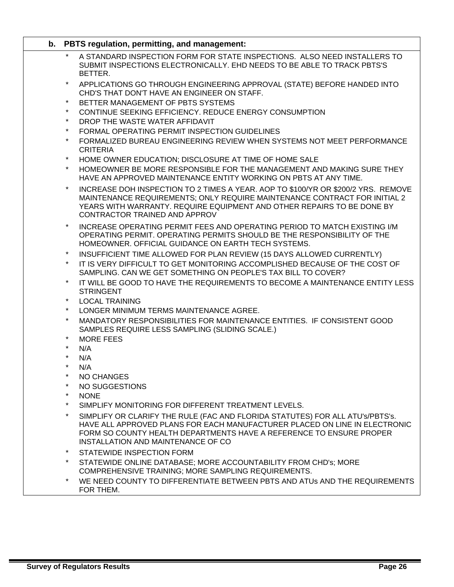| b. PBTS regulation, permitting, and management:                                                                                                                                                                                                                                      |
|--------------------------------------------------------------------------------------------------------------------------------------------------------------------------------------------------------------------------------------------------------------------------------------|
| A STANDARD INSPECTION FORM FOR STATE INSPECTIONS. ALSO NEED INSTALLERS TO<br>SUBMIT INSPECTIONS ELECTRONICALLY. EHD NEEDS TO BE ABLE TO TRACK PBTS'S<br>BETTER.                                                                                                                      |
| $\star$<br>APPLICATIONS GO THROUGH ENGINEERING APPROVAL (STATE) BEFORE HANDED INTO<br>CHD'S THAT DON'T HAVE AN ENGINEER ON STAFF.                                                                                                                                                    |
| BETTER MANAGEMENT OF PBTS SYSTEMS<br>$\star$                                                                                                                                                                                                                                         |
| $\star$<br>CONTINUE SEEKING EFFICIENCY. REDUCE ENERGY CONSUMPTION                                                                                                                                                                                                                    |
| $\star$<br>DROP THE WASTE WATER AFFIDAVIT                                                                                                                                                                                                                                            |
| $\star$<br>FORMAL OPERATING PERMIT INSPECTION GUIDELINES                                                                                                                                                                                                                             |
| $\star$<br>FORMALIZED BUREAU ENGINEERING REVIEW WHEN SYSTEMS NOT MEET PERFORMANCE<br><b>CRITERIA</b>                                                                                                                                                                                 |
| $\star$<br>HOME OWNER EDUCATION; DISCLOSURE AT TIME OF HOME SALE                                                                                                                                                                                                                     |
| $\star$<br>HOMEOWNER BE MORE RESPONSIBLE FOR THE MANAGEMENT AND MAKING SURE THEY<br>HAVE AN APPROVED MAINTENANCE ENTITY WORKING ON PBTS AT ANY TIME.                                                                                                                                 |
| $\star$<br>INCREASE DOH INSPECTION TO 2 TIMES A YEAR. AOP TO \$100/YR OR \$200/2 YRS. REMOVE<br>MAINTENANCE REQUIREMENTS; ONLY REQUIRE MAINTENANCE CONTRACT FOR INITIAL 2<br>YEARS WITH WARRANTY, REQUIRE EQUIPMENT AND OTHER REPAIRS TO BE DONE BY<br>CONTRACTOR TRAINED AND APPROV |
| $\star$<br>INCREASE OPERATING PERMIT FEES AND OPERATING PERIOD TO MATCH EXISTING I/M<br>OPERATING PERMIT. OPERATING PERMITS SHOULD BE THE RESPONSIBILITY OF THE<br>HOMEOWNER. OFFICIAL GUIDANCE ON EARTH TECH SYSTEMS.                                                               |
| INSUFFICIENT TIME ALLOWED FOR PLAN REVIEW (15 DAYS ALLOWED CURRENTLY)<br>$\star$                                                                                                                                                                                                     |
| $\star$<br>IT IS VERY DIFFICULT TO GET MONITORING ACCOMPLISHED BECAUSE OF THE COST OF<br>SAMPLING. CAN WE GET SOMETHING ON PEOPLE'S TAX BILL TO COVER?                                                                                                                               |
| $\star$<br>IT WILL BE GOOD TO HAVE THE REQUIREMENTS TO BECOME A MAINTENANCE ENTITY LESS<br><b>STRINGENT</b>                                                                                                                                                                          |
| $\star$<br><b>LOCAL TRAINING</b>                                                                                                                                                                                                                                                     |
| $\star$<br>LONGER MINIMUM TERMS MAINTENANCE AGREE.                                                                                                                                                                                                                                   |
| $\star$<br>MANDATORY RESPONSIBILITIES FOR MAINTENANCE ENTITIES. IF CONSISTENT GOOD<br>SAMPLES REQUIRE LESS SAMPLING (SLIDING SCALE.)                                                                                                                                                 |
| $\star$<br><b>MORE FEES</b>                                                                                                                                                                                                                                                          |
| $\star$<br>N/A                                                                                                                                                                                                                                                                       |
| $\star$<br>N/A                                                                                                                                                                                                                                                                       |
| *<br>N/A                                                                                                                                                                                                                                                                             |
| $\star$<br><b>NO CHANGES</b>                                                                                                                                                                                                                                                         |
| NO SUGGESTIONS                                                                                                                                                                                                                                                                       |
| $\star$<br><b>NONE</b>                                                                                                                                                                                                                                                               |
| $^\star$<br>SIMPLIFY MONITORING FOR DIFFERENT TREATMENT LEVELS.                                                                                                                                                                                                                      |
| $\star$<br>SIMPLIFY OR CLARIFY THE RULE (FAC AND FLORIDA STATUTES) FOR ALL ATU's/PBTS's.                                                                                                                                                                                             |
| HAVE ALL APPROVED PLANS FOR EACH MANUFACTURER PLACED ON LINE IN ELECTRONIC<br>FORM SO COUNTY HEALTH DEPARTMENTS HAVE A REFERENCE TO ENSURE PROPER<br>INSTALLATION AND MAINTENANCE OF CO                                                                                              |
| $^\star$<br>STATEWIDE INSPECTION FORM                                                                                                                                                                                                                                                |
| $\star$<br>STATEWIDE ONLINE DATABASE; MORE ACCOUNTABILITY FROM CHD's; MORE<br>COMPREHENSIVE TRAINING; MORE SAMPLING REQUIREMENTS.                                                                                                                                                    |
| WE NEED COUNTY TO DIFFERENTIATE BETWEEN PBTS AND ATUS AND THE REQUIREMENTS<br>$\ast$<br>FOR THEM.                                                                                                                                                                                    |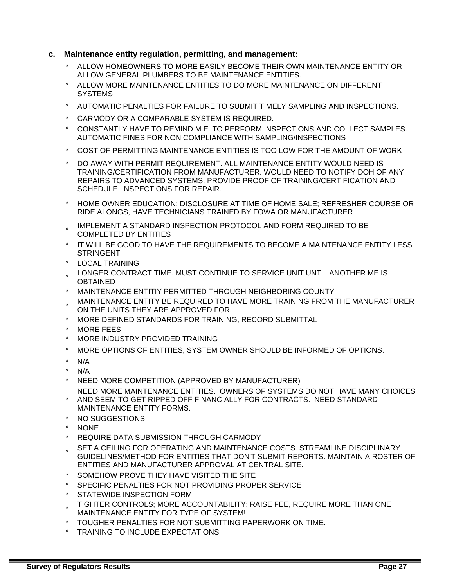| C. |                     | Maintenance entity regulation, permitting, and management:                                                                                                                                                                                                         |
|----|---------------------|--------------------------------------------------------------------------------------------------------------------------------------------------------------------------------------------------------------------------------------------------------------------|
|    | $\star$             | ALLOW HOMEOWNERS TO MORE EASILY BECOME THEIR OWN MAINTENANCE ENTITY OR<br>ALLOW GENERAL PLUMBERS TO BE MAINTENANCE ENTITIES.                                                                                                                                       |
|    | $\star$             | ALLOW MORE MAINTENANCE ENTITIES TO DO MORE MAINTENANCE ON DIFFERENT<br><b>SYSTEMS</b>                                                                                                                                                                              |
|    | $^\star$            | AUTOMATIC PENALTIES FOR FAILURE TO SUBMIT TIMELY SAMPLING AND INSPECTIONS.                                                                                                                                                                                         |
|    | $\ast$              | CARMODY OR A COMPARABLE SYSTEM IS REQUIRED.                                                                                                                                                                                                                        |
|    | $\star$             | CONSTANTLY HAVE TO REMIND M.E. TO PERFORM INSPECTIONS AND COLLECT SAMPLES.<br>AUTOMATIC FINES FOR NON COMPLIANCE WITH SAMPLING/INSPECTIONS                                                                                                                         |
|    | $^\star$            | COST OF PERMITTING MAINTENANCE ENTITIES IS TOO LOW FOR THE AMOUNT OF WORK                                                                                                                                                                                          |
|    | $\star$             | DO AWAY WITH PERMIT REQUIREMENT. ALL MAINTENANCE ENTITY WOULD NEED IS<br>TRAINING/CERTIFICATION FROM MANUFACTURER. WOULD NEED TO NOTIFY DOH OF ANY<br>REPAIRS TO ADVANCED SYSTEMS, PROVIDE PROOF OF TRAINING/CERTIFICATION AND<br>SCHEDULE INSPECTIONS FOR REPAIR. |
|    | $\ast$              | HOME OWNER EDUCATION; DISCLOSURE AT TIME OF HOME SALE; REFRESHER COURSE OR<br>RIDE ALONGS; HAVE TECHNICIANS TRAINED BY FOWA OR MANUFACTURER                                                                                                                        |
|    |                     | IMPLEMENT A STANDARD INSPECTION PROTOCOL AND FORM REQUIRED TO BE<br><b>COMPLETED BY ENTITIES</b>                                                                                                                                                                   |
|    | $\ast$              | IT WILL BE GOOD TO HAVE THE REQUIREMENTS TO BECOME A MAINTENANCE ENTITY LESS<br><b>STRINGENT</b>                                                                                                                                                                   |
|    | $\star$             | <b>LOCAL TRAINING</b>                                                                                                                                                                                                                                              |
|    |                     | LONGER CONTRACT TIME. MUST CONTINUE TO SERVICE UNIT UNTIL ANOTHER ME IS<br><b>OBTAINED</b>                                                                                                                                                                         |
|    | $\star$             | MAINTENANCE ENTITIY PERMITTED THROUGH NEIGHBORING COUNTY                                                                                                                                                                                                           |
|    |                     | MAINTENANCE ENTITY BE REQUIRED TO HAVE MORE TRAINING FROM THE MANUFACTURER<br>ON THE UNITS THEY ARE APPROVED FOR.                                                                                                                                                  |
|    | $^\star$            | MORE DEFINED STANDARDS FOR TRAINING, RECORD SUBMITTAL                                                                                                                                                                                                              |
|    | $\star$<br>$\star$  | <b>MORE FEES</b><br>MORE INDUSTRY PROVIDED TRAINING                                                                                                                                                                                                                |
|    | $^\star$            |                                                                                                                                                                                                                                                                    |
|    | $\star$             | MORE OPTIONS OF ENTITIES; SYSTEM OWNER SHOULD BE INFORMED OF OPTIONS.                                                                                                                                                                                              |
|    | $\star$             | N/A<br>N/A                                                                                                                                                                                                                                                         |
|    |                     | * NEED MORE COMPETITION (APPROVED BY MANUFACTURER)                                                                                                                                                                                                                 |
|    | $\ast$              | NEED MORE MAINTENANCE ENTITIES. OWNERS OF SYSTEMS DO NOT HAVE MANY CHOICES<br>AND SEEM TO GET RIPPED OFF FINANCIALLY FOR CONTRACTS. NEED STANDARD<br>MAINTENANCE ENTITY FORMS.                                                                                     |
|    | $^\star$            | NO SUGGESTIONS                                                                                                                                                                                                                                                     |
|    | $\star$<br>$\star$  | <b>NONE</b>                                                                                                                                                                                                                                                        |
|    |                     | REQUIRE DATA SUBMISSION THROUGH CARMODY                                                                                                                                                                                                                            |
|    |                     | SET A CEILING FOR OPERATING AND MAINTENANCE COSTS. STREAMLINE DISCIPLINARY<br>GUIDELINES/METHOD FOR ENTITIES THAT DON'T SUBMIT REPORTS. MAINTAIN A ROSTER OF<br>ENTITIES AND MANUFACTURER APPROVAL AT CENTRAL SITE.                                                |
|    | $^\star$            | SOMEHOW PROVE THEY HAVE VISITED THE SITE                                                                                                                                                                                                                           |
|    | $\star$             | SPECIFIC PENALTIES FOR NOT PROVIDING PROPER SERVICE                                                                                                                                                                                                                |
|    | $\star$             | STATEWIDE INSPECTION FORM                                                                                                                                                                                                                                          |
|    | $\star$             | TIGHTER CONTROLS; MORE ACCOUNTABILITY; RAISE FEE, REQUIRE MORE THAN ONE<br>MAINTENANCE ENTITY FOR TYPE OF SYSTEM!                                                                                                                                                  |
|    | $^\star$<br>$\star$ | TOUGHER PENALTIES FOR NOT SUBMITTING PAPERWORK ON TIME.<br>TRAINING TO INCLUDE EXPECTATIONS                                                                                                                                                                        |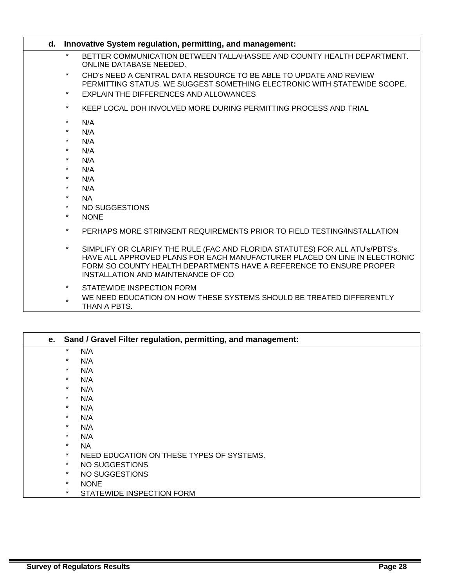|         | d. Innovative System regulation, permitting, and management:                                                                                                                                                                                                             |
|---------|--------------------------------------------------------------------------------------------------------------------------------------------------------------------------------------------------------------------------------------------------------------------------|
| $\star$ | BETTER COMMUNICATION BETWEEN TALLAHASSEE AND COUNTY HEALTH DEPARTMENT.<br><b>ONLINE DATABASE NEEDED.</b>                                                                                                                                                                 |
| $\star$ | CHD's NEED A CENTRAL DATA RESOURCE TO BE ABLE TO UPDATE AND REVIEW<br>PERMITTING STATUS. WE SUGGEST SOMETHING ELECTRONIC WITH STATEWIDE SCOPE.                                                                                                                           |
| $\star$ | EXPLAIN THE DIFFERENCES AND ALLOWANCES                                                                                                                                                                                                                                   |
| $\star$ | KEEP LOCAL DOH INVOLVED MORE DURING PERMITTING PROCESS AND TRIAL                                                                                                                                                                                                         |
| $\star$ | N/A                                                                                                                                                                                                                                                                      |
| $\star$ | N/A                                                                                                                                                                                                                                                                      |
| $\star$ | N/A                                                                                                                                                                                                                                                                      |
| $\star$ | N/A                                                                                                                                                                                                                                                                      |
| $\star$ | N/A                                                                                                                                                                                                                                                                      |
| $\star$ | N/A                                                                                                                                                                                                                                                                      |
| $\star$ | N/A                                                                                                                                                                                                                                                                      |
| $\star$ | N/A                                                                                                                                                                                                                                                                      |
| $\star$ | <b>NA</b>                                                                                                                                                                                                                                                                |
| $\star$ | NO SUGGESTIONS                                                                                                                                                                                                                                                           |
| $\star$ | <b>NONE</b>                                                                                                                                                                                                                                                              |
| $\star$ | PERHAPS MORE STRINGENT REQUIREMENTS PRIOR TO FIELD TESTING/INSTALLATION                                                                                                                                                                                                  |
| $\star$ | SIMPLIFY OR CLARIFY THE RULE (FAC AND FLORIDA STATUTES) FOR ALL ATU's/PBTS's.<br>HAVE ALL APPROVED PLANS FOR EACH MANUFACTURER PLACED ON LINE IN ELECTRONIC<br>FORM SO COUNTY HEALTH DEPARTMENTS HAVE A REFERENCE TO ENSURE PROPER<br>INSTALLATION AND MAINTENANCE OF CO |
| $\star$ | STATEWIDE INSPECTION FORM                                                                                                                                                                                                                                                |

\* WE NEED EDUCATION ON HOW THESE SYSTEMS SHOULD BE TREATED DIFFERENTLY THAN A PBTS.

|         | e. Sand / Gravel Filter regulation, permitting, and management: |
|---------|-----------------------------------------------------------------|
| $\star$ | N/A                                                             |
| $\star$ | N/A                                                             |
| $\star$ | N/A                                                             |
| $\star$ | N/A                                                             |
| $\star$ | N/A                                                             |
| $\star$ | N/A                                                             |
| $\star$ | N/A                                                             |
| $\star$ | N/A                                                             |
| $\star$ | N/A                                                             |
| $\star$ | N/A                                                             |
| $\star$ | <b>NA</b>                                                       |
| $\star$ | NEED EDUCATION ON THESE TYPES OF SYSTEMS.                       |
| $\star$ | NO SUGGESTIONS                                                  |
| $\star$ | NO SUGGESTIONS                                                  |
| $\star$ | <b>NONE</b>                                                     |
| $\star$ | STATEWIDE INSPECTION FORM                                       |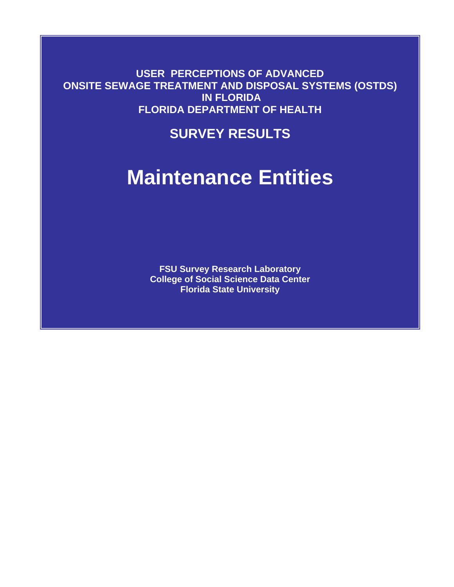**USER PERCEPTIONS OF ADVANCED ONSITE SEWAGE TREATMENT AND DISPOSAL SYSTEMS (OSTDS) IN FLORIDA FLORIDA DEPARTMENT OF HEALTH** 

# **SURVEY RESULTS**

# **Maintenance Entities**

**FSU Survey Research Laboratory College of Social Science Data Center Florida State University**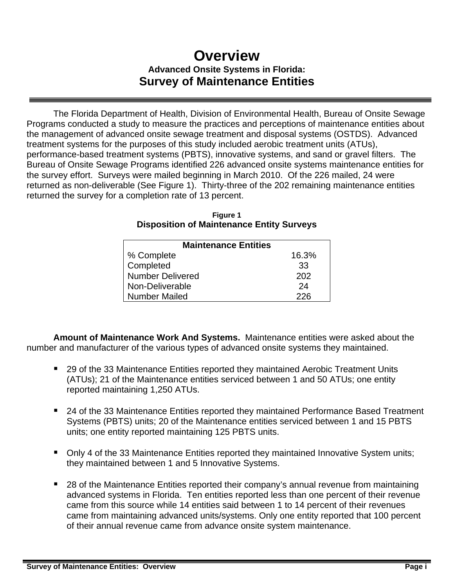# **Overview Advanced Onsite Systems in Florida: Survey of Maintenance Entities**

 The Florida Department of Health, Division of Environmental Health, Bureau of Onsite Sewage Programs conducted a study to measure the practices and perceptions of maintenance entities about the management of advanced onsite sewage treatment and disposal systems (OSTDS). Advanced treatment systems for the purposes of this study included aerobic treatment units (ATUs), performance-based treatment systems (PBTS), innovative systems, and sand or gravel filters. The Bureau of Onsite Sewage Programs identified 226 advanced onsite systems maintenance entities for the survey effort. Surveys were mailed beginning in March 2010. Of the 226 mailed, 24 were returned as non-deliverable (See Figure 1). Thirty-three of the 202 remaining maintenance entities returned the survey for a completion rate of 13 percent.

| <b>Maintenance Entities</b> |       |  |  |  |
|-----------------------------|-------|--|--|--|
| % Complete                  | 16.3% |  |  |  |
| Completed                   | 33    |  |  |  |
| <b>Number Delivered</b>     | 202   |  |  |  |
| Non-Deliverable             | 24    |  |  |  |
| <b>Number Mailed</b>        | 226   |  |  |  |

**Figure 1 Disposition of Maintenance Entity Surveys** 

**Amount of Maintenance Work And Systems.** Maintenance entities were asked about the number and manufacturer of the various types of advanced onsite systems they maintained.

- 29 of the 33 Maintenance Entities reported they maintained Aerobic Treatment Units (ATUs); 21 of the Maintenance entities serviced between 1 and 50 ATUs; one entity reported maintaining 1,250 ATUs.
- 24 of the 33 Maintenance Entities reported they maintained Performance Based Treatment Systems (PBTS) units; 20 of the Maintenance entities serviced between 1 and 15 PBTS units; one entity reported maintaining 125 PBTS units.
- Only 4 of the 33 Maintenance Entities reported they maintained Innovative System units; they maintained between 1 and 5 Innovative Systems.
- 28 of the Maintenance Entities reported their company's annual revenue from maintaining advanced systems in Florida. Ten entities reported less than one percent of their revenue came from this source while 14 entities said between 1 to 14 percent of their revenues came from maintaining advanced units/systems. Only one entity reported that 100 percent of their annual revenue came from advance onsite system maintenance.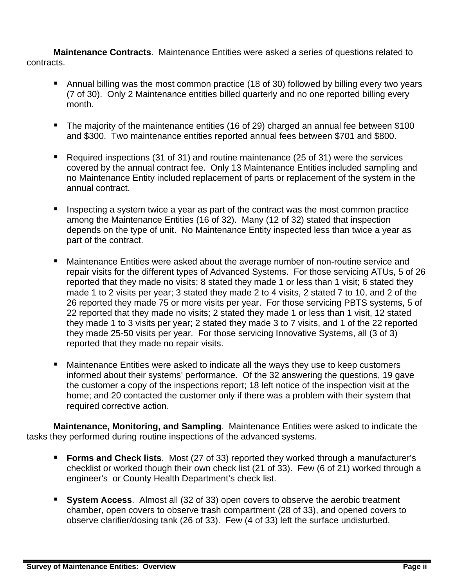**Maintenance Contracts**. Maintenance Entities were asked a series of questions related to contracts.

- Annual billing was the most common practice (18 of 30) followed by billing every two years (7 of 30). Only 2 Maintenance entities billed quarterly and no one reported billing every month.
- The majority of the maintenance entities (16 of 29) charged an annual fee between \$100 and \$300. Two maintenance entities reported annual fees between \$701 and \$800.
- Required inspections (31 of 31) and routine maintenance (25 of 31) were the services covered by the annual contract fee. Only 13 Maintenance Entities included sampling and no Maintenance Entity included replacement of parts or replacement of the system in the annual contract.
- Inspecting a system twice a year as part of the contract was the most common practice among the Maintenance Entities (16 of 32). Many (12 of 32) stated that inspection depends on the type of unit. No Maintenance Entity inspected less than twice a year as part of the contract.
- Maintenance Entities were asked about the average number of non-routine service and repair visits for the different types of Advanced Systems. For those servicing ATUs, 5 of 26 reported that they made no visits; 8 stated they made 1 or less than 1 visit; 6 stated they made 1 to 2 visits per year; 3 stated they made 2 to 4 visits, 2 stated 7 to 10, and 2 of the 26 reported they made 75 or more visits per year. For those servicing PBTS systems, 5 of 22 reported that they made no visits; 2 stated they made 1 or less than 1 visit, 12 stated they made 1 to 3 visits per year; 2 stated they made 3 to 7 visits, and 1 of the 22 reported they made 25-50 visits per year. For those servicing Innovative Systems, all (3 of 3) reported that they made no repair visits.
- Maintenance Entities were asked to indicate all the ways they use to keep customers informed about their systems' performance. Of the 32 answering the questions, 19 gave the customer a copy of the inspections report; 18 left notice of the inspection visit at the home; and 20 contacted the customer only if there was a problem with their system that required corrective action.

**Maintenance, Monitoring, and Sampling**. Maintenance Entities were asked to indicate the tasks they performed during routine inspections of the advanced systems.

- **Forms and Check lists**. Most (27 of 33) reported they worked through a manufacturer's checklist or worked though their own check list (21 of 33). Few (6 of 21) worked through a engineer's or County Health Department's check list.
- **System Access**. Almost all (32 of 33) open covers to observe the aerobic treatment chamber, open covers to observe trash compartment (28 of 33), and opened covers to observe clarifier/dosing tank (26 of 33). Few (4 of 33) left the surface undisturbed.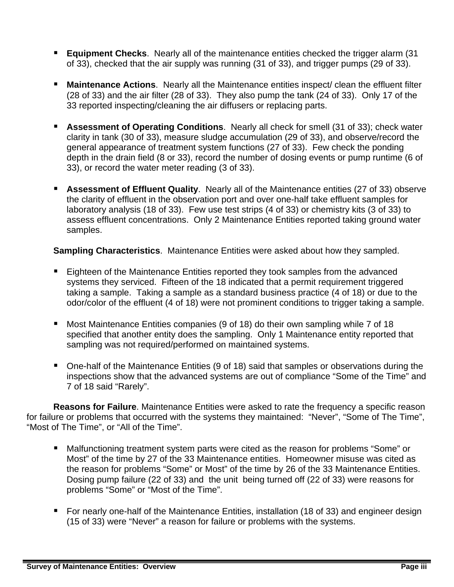- **Equipment Checks**. Nearly all of the maintenance entities checked the trigger alarm (31 of 33), checked that the air supply was running (31 of 33), and trigger pumps (29 of 33).
- **Maintenance Actions.** Nearly all the Maintenance entities inspect/ clean the effluent filter (28 of 33) and the air filter (28 of 33). They also pump the tank (24 of 33). Only 17 of the 33 reported inspecting/cleaning the air diffusers or replacing parts.
- **Assessment of Operating Conditions**. Nearly all check for smell (31 of 33); check water clarity in tank (30 of 33), measure sludge accumulation (29 of 33), and observe/record the general appearance of treatment system functions (27 of 33). Few check the ponding depth in the drain field (8 or 33), record the number of dosing events or pump runtime (6 of 33), or record the water meter reading (3 of 33).
- **Assessment of Effluent Quality**. Nearly all of the Maintenance entities (27 of 33) observe the clarity of effluent in the observation port and over one-half take effluent samples for laboratory analysis (18 of 33). Few use test strips (4 of 33) or chemistry kits (3 of 33) to assess effluent concentrations. Only 2 Maintenance Entities reported taking ground water samples.

**Sampling Characteristics**. Maintenance Entities were asked about how they sampled.

- Eighteen of the Maintenance Entities reported they took samples from the advanced systems they serviced. Fifteen of the 18 indicated that a permit requirement triggered taking a sample. Taking a sample as a standard business practice (4 of 18) or due to the odor/color of the effluent (4 of 18) were not prominent conditions to trigger taking a sample.
- Most Maintenance Entities companies (9 of 18) do their own sampling while 7 of 18 specified that another entity does the sampling. Only 1 Maintenance entity reported that sampling was not required/performed on maintained systems.
- One-half of the Maintenance Entities (9 of 18) said that samples or observations during the inspections show that the advanced systems are out of compliance "Some of the Time" and 7 of 18 said "Rarely".

**Reasons for Failure**. Maintenance Entities were asked to rate the frequency a specific reason for failure or problems that occurred with the systems they maintained: "Never", "Some of The Time", "Most of The Time", or "All of the Time".

- Malfunctioning treatment system parts were cited as the reason for problems "Some" or Most" of the time by 27 of the 33 Maintenance entities. Homeowner misuse was cited as the reason for problems "Some" or Most" of the time by 26 of the 33 Maintenance Entities. Dosing pump failure (22 of 33) and the unit being turned off (22 of 33) were reasons for problems "Some" or "Most of the Time".
- For nearly one-half of the Maintenance Entities, installation (18 of 33) and engineer design (15 of 33) were "Never" a reason for failure or problems with the systems.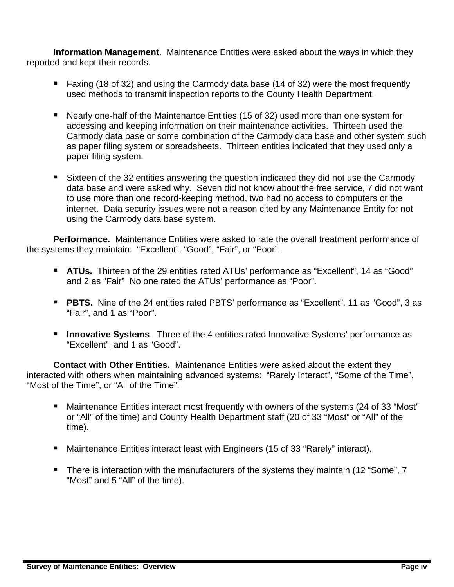**Information Management**. Maintenance Entities were asked about the ways in which they reported and kept their records.

- Faxing (18 of 32) and using the Carmody data base (14 of 32) were the most frequently used methods to transmit inspection reports to the County Health Department.
- Nearly one-half of the Maintenance Entities (15 of 32) used more than one system for accessing and keeping information on their maintenance activities. Thirteen used the Carmody data base or some combination of the Carmody data base and other system such as paper filing system or spreadsheets. Thirteen entities indicated that they used only a paper filing system.
- Sixteen of the 32 entities answering the question indicated they did not use the Carmody data base and were asked why. Seven did not know about the free service, 7 did not want to use more than one record-keeping method, two had no access to computers or the internet. Data security issues were not a reason cited by any Maintenance Entity for not using the Carmody data base system.

**Performance.** Maintenance Entities were asked to rate the overall treatment performance of the systems they maintain: "Excellent", "Good", "Fair", or "Poor".

- **ATUs.** Thirteen of the 29 entities rated ATUs' performance as "Excellent", 14 as "Good" and 2 as "Fair" No one rated the ATUs' performance as "Poor".
- **PBTS.** Nine of the 24 entities rated PBTS' performance as "Excellent", 11 as "Good", 3 as "Fair", and 1 as "Poor".
- **Innovative Systems**. Three of the 4 entities rated Innovative Systems' performance as "Excellent", and 1 as "Good".

**Contact with Other Entities.** Maintenance Entities were asked about the extent they interacted with others when maintaining advanced systems: "Rarely Interact", "Some of the Time", "Most of the Time", or "All of the Time".

- Maintenance Entities interact most frequently with owners of the systems (24 of 33 "Most" or "All" of the time) and County Health Department staff (20 of 33 "Most" or "All" of the time).
- Maintenance Entities interact least with Engineers (15 of 33 "Rarely" interact).
- **There is interaction with the manufacturers of the systems they maintain (12 "Some", 7** "Most" and 5 "All" of the time).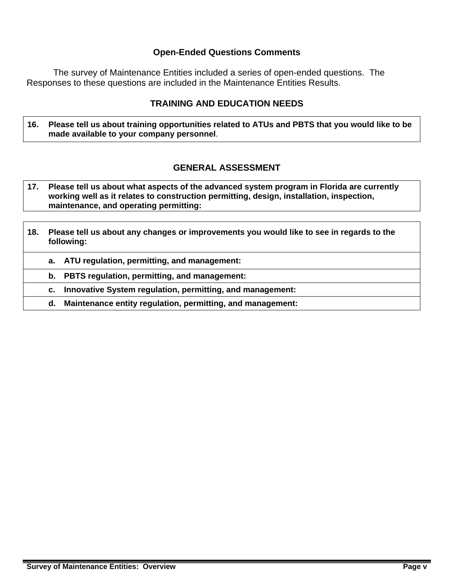#### **Open-Ended Questions Comments**

 The survey of Maintenance Entities included a series of open-ended questions. The Responses to these questions are included in the Maintenance Entities Results.

## **TRAINING AND EDUCATION NEEDS**

**16. Please tell us about training opportunities related to ATUs and PBTS that you would like to be made available to your company personnel**.

## **GENERAL ASSESSMENT**

- **17. Please tell us about what aspects of the advanced system program in Florida are currently working well as it relates to construction permitting, design, installation, inspection, maintenance, and operating permitting:**
- **18. Please tell us about any changes or improvements you would like to see in regards to the following:** 
	- **a. ATU regulation, permitting, and management:**

 **b. PBTS regulation, permitting, and management:** 

 **c. Innovative System regulation, permitting, and management:** 

 **d. Maintenance entity regulation, permitting, and management:**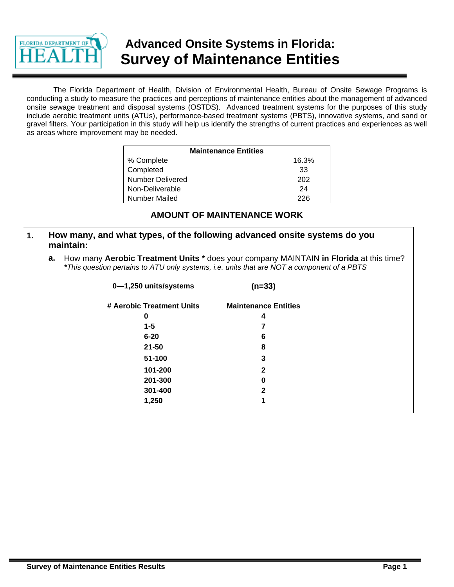

# **Advanced Onsite Systems in Florida: Survey of Maintenance Entities**

The Florida Department of Health, Division of Environmental Health, Bureau of Onsite Sewage Programs is conducting a study to measure the practices and perceptions of maintenance entities about the management of advanced onsite sewage treatment and disposal systems (OSTDS). Advanced treatment systems for the purposes of this study include aerobic treatment units (ATUs), performance-based treatment systems (PBTS), innovative systems, and sand or gravel filters. Your participation in this study will help us identify the strengths of current practices and experiences as well as areas where improvement may be needed.

| <b>Maintenance Entities</b> |       |
|-----------------------------|-------|
| % Complete                  | 16.3% |
| Completed                   | 33    |
| <b>Number Delivered</b>     | 202   |
| Non-Deliverable             | 24    |
| Number Mailed               | 226   |

## **AMOUNT OF MAINTENANCE WORK**

|  | How many, and what types, of the following advanced onsite systems do you<br>maintain:    |
|--|-------------------------------------------------------------------------------------------|
|  | a. How many Aerobic Treatment Units * does your company MAINTAIN in Florida at this time? |

| a. How many <b>Aerobic Treatment Units</b> " does your company MAINTAIN <b>in Florida</b> at this time |
|--------------------------------------------------------------------------------------------------------|
| *This question pertains to ATU only systems, i.e. units that are NOT a component of a PBTS             |

| 0-1,250 units/systems     | $(n=33)$                    |  |
|---------------------------|-----------------------------|--|
| # Aerobic Treatment Units | <b>Maintenance Entities</b> |  |
| 0                         | 4                           |  |
| $1 - 5$                   |                             |  |
| $6 - 20$                  | 6                           |  |
| $21 - 50$                 | 8                           |  |
| 51-100                    | 3                           |  |
| 101-200                   | $\mathbf{2}$                |  |
| 201-300                   | 0                           |  |
| 301-400                   | $\mathbf{2}$                |  |
| 1,250                     | 1                           |  |
|                           |                             |  |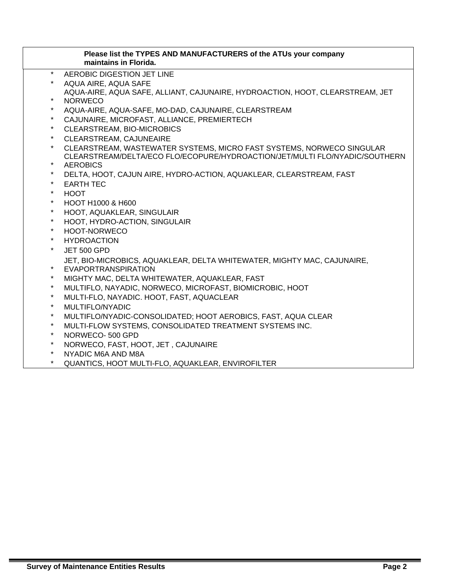| Please list the TYPES AND MANUFACTURERS of the ATUs your company<br>maintains in Florida. |
|-------------------------------------------------------------------------------------------|
| $\star$<br>AEROBIC DIGESTION JET LINE                                                     |
| $\star$<br>AQUA AIRE, AQUA SAFE                                                           |
| AQUA-AIRE, AQUA SAFE, ALLIANT, CAJUNAIRE, HYDROACTION, HOOT, CLEARSTREAM, JET             |
| $\star$<br><b>NORWECO</b>                                                                 |
| AQUA-AIRE, AQUA-SAFE, MO-DAD, CAJUNAIRE, CLEARSTREAM                                      |
| $\star$<br>CAJUNAIRE, MICROFAST, ALLIANCE, PREMIERTECH                                    |
| $\star$<br>CLEARSTREAM, BIO-MICROBICS                                                     |
| $\star$<br>CLEARSTREAM, CAJUNEAIRE                                                        |
| $\star$<br>CLEARSTREAM, WASTEWATER SYSTEMS, MICRO FAST SYSTEMS, NORWECO SINGULAR          |
| CLEARSTREAM/DELTA/ECO FLO/ECOPURE/HYDROACTION/JET/MULTI FLO/NYADIC/SOUTHERN               |
| $\star$<br><b>AEROBICS</b>                                                                |
| $\star$<br>DELTA, HOOT, CAJUN AIRE, HYDRO-ACTION, AQUAKLEAR, CLEARSTREAM, FAST            |
| $\star$<br><b>EARTH TEC</b>                                                               |
| $\star$<br><b>HOOT</b>                                                                    |
| $\star$<br>HOOT H1000 & H600                                                              |
| $\star$<br>HOOT, AQUAKLEAR, SINGULAIR                                                     |
| $\star$<br>HOOT, HYDRO-ACTION, SINGULAIR                                                  |
| $\star$<br>HOOT-NORWECO                                                                   |
| $\star$<br><b>HYDROACTION</b>                                                             |
| $\star$<br><b>JET 500 GPD</b>                                                             |
| JET, BIO-MICROBICS, AQUAKLEAR, DELTA WHITEWATER, MIGHTY MAC, CAJUNAIRE,                   |
| $\star$<br>EVAPORTRANSPIRATION                                                            |
| $\star$<br>MIGHTY MAC, DELTA WHITEWATER, AQUAKLEAR, FAST                                  |
| $\star$<br>MULTIFLO, NAYADIC, NORWECO, MICROFAST, BIOMICROBIC, HOOT                       |
| $\star$<br>MULTI-FLO, NAYADIC. HOOT, FAST, AQUACLEAR                                      |
| $\star$<br>MULTIFLO/NYADIC                                                                |
| $\star$<br>MULTIFLO/NYADIC-CONSOLIDATED; HOOT AEROBICS, FAST, AQUA CLEAR                  |
| $\star$<br>MULTI-FLOW SYSTEMS, CONSOLIDATED TREATMENT SYSTEMS INC.                        |
| $\star$<br>NORWECO-500 GPD                                                                |
| $\star$<br>NORWECO, FAST, HOOT, JET, CAJUNAIRE                                            |
| $\star$<br>NYADIC M6A AND M8A<br>$\star$                                                  |
| QUANTICS, HOOT MULTI-FLO, AQUAKLEAR, ENVIROFILTER                                         |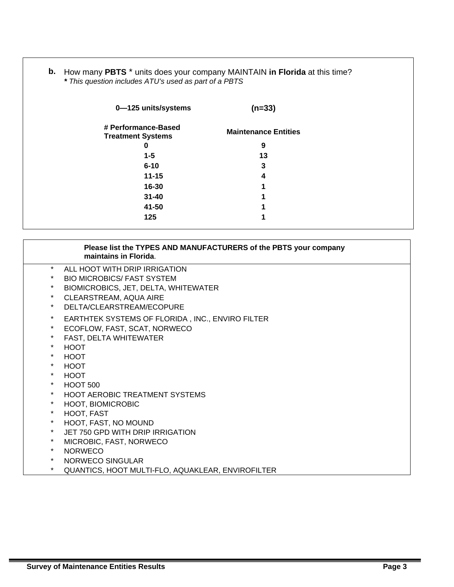**b.** How many **PBTS** \* units does your company MAINTAIN **in Florida** at this time? *\* This question includes ATU's used as part of a PBTS*

| 0-125 units/systems                             | $(n=33)$                    |
|-------------------------------------------------|-----------------------------|
| # Performance-Based<br><b>Treatment Systems</b> | <b>Maintenance Entities</b> |
| 0                                               | 9                           |
| $1 - 5$                                         | 13                          |
| $6 - 10$                                        | 3                           |
| $11 - 15$                                       | 4                           |
| 16-30                                           | 1                           |
| $31 - 40$                                       | 4                           |
| 41-50                                           | 1                           |
| 125                                             | ٠                           |

|          | Please list the TYPES AND MANUFACTURERS of the PBTS your company<br>maintains in Florida. |
|----------|-------------------------------------------------------------------------------------------|
| $\star$  | ALL HOOT WITH DRIP IRRIGATION                                                             |
| $\star$  | <b>BIO MICROBICS/ FAST SYSTEM</b>                                                         |
| $\star$  | BIOMICROBICS, JET, DELTA, WHITEWATER                                                      |
| $\star$  | CLEARSTREAM, AQUA AIRE                                                                    |
| $\star$  | DELTA/CLEARSTREAM/ECOPURE                                                                 |
| $\ast$   | EARTHTEK SYSTEMS OF FLORIDA, INC., ENVIRO FILTER                                          |
| $\star$  | ECOFLOW, FAST, SCAT, NORWECO                                                              |
| $^\star$ | FAST, DELTA WHITEWATER                                                                    |
| $\star$  | <b>HOOT</b>                                                                               |
| $\star$  | <b>HOOT</b>                                                                               |
| $\star$  | <b>HOOT</b>                                                                               |
| $\star$  | <b>HOOT</b>                                                                               |
| $\star$  | <b>HOOT 500</b>                                                                           |
| $\star$  | <b>HOOT AEROBIC TREATMENT SYSTEMS</b>                                                     |
| $\star$  | HOOT, BIOMICROBIC                                                                         |
| $\star$  | HOOT, FAST                                                                                |
| $\star$  | HOOT, FAST, NO MOUND                                                                      |
| $\star$  | JET 750 GPD WITH DRIP IRRIGATION                                                          |
| $\star$  | MICROBIC, FAST, NORWECO                                                                   |
| $\star$  | <b>NORWECO</b>                                                                            |
| $\star$  | NORWECO SINGULAR                                                                          |
| *        | QUANTICS, HOOT MULTI-FLO, AQUAKLEAR, ENVIROFILTER                                         |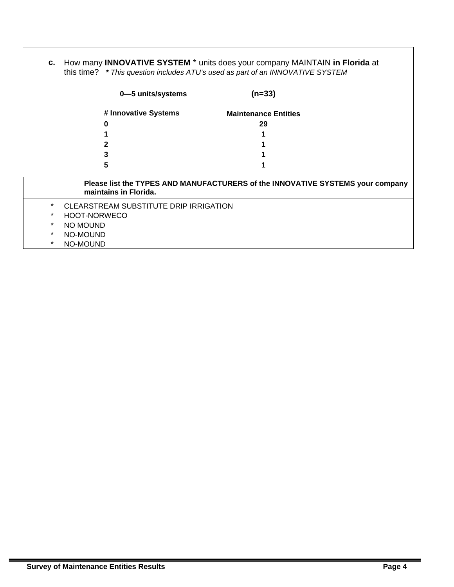| C.      | How many <b>INNOVATIVE SYSTEM</b> * units does your company MAINTAIN in Florida at<br>this time? * This question includes ATU's used as part of an INNOVATIVE SYSTEM |                                                                                |  |  |
|---------|----------------------------------------------------------------------------------------------------------------------------------------------------------------------|--------------------------------------------------------------------------------|--|--|
|         | 0-5 units/systems                                                                                                                                                    | $(n=33)$                                                                       |  |  |
|         | # Innovative Systems                                                                                                                                                 | <b>Maintenance Entities</b>                                                    |  |  |
|         | O                                                                                                                                                                    | 29                                                                             |  |  |
|         |                                                                                                                                                                      |                                                                                |  |  |
|         |                                                                                                                                                                      |                                                                                |  |  |
|         | 3                                                                                                                                                                    |                                                                                |  |  |
|         | 5                                                                                                                                                                    |                                                                                |  |  |
|         | maintains in Florida.                                                                                                                                                | Please list the TYPES AND MANUFACTURERS of the INNOVATIVE SYSTEMS your company |  |  |
| $\ast$  | CLEARSTREAM SUBSTITUTE DRIP IRRIGATION                                                                                                                               |                                                                                |  |  |
| $\ast$  | HOOT-NORWECO                                                                                                                                                         |                                                                                |  |  |
| $\ast$  | NO MOUND                                                                                                                                                             |                                                                                |  |  |
| $\ast$  | NO-MOUND                                                                                                                                                             |                                                                                |  |  |
| $\star$ | NO-MOUND                                                                                                                                                             |                                                                                |  |  |

I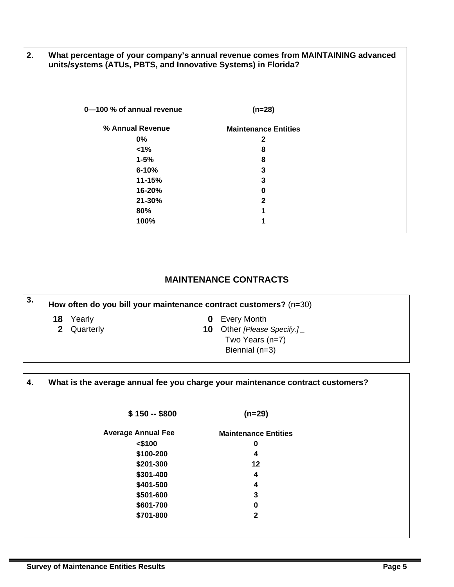| 2. | What percentage of your company's annual revenue comes from MAINTAINING advanced<br>units/systems (ATUs, PBTS, and Innovative Systems) in Florida? |                             |  |  |
|----|----------------------------------------------------------------------------------------------------------------------------------------------------|-----------------------------|--|--|
|    | 0-100 % of annual revenue                                                                                                                          | $(n=28)$                    |  |  |
|    | % Annual Revenue                                                                                                                                   | <b>Maintenance Entities</b> |  |  |
|    | $0\%$                                                                                                                                              | 2                           |  |  |
|    | $1\%$                                                                                                                                              | 8                           |  |  |
|    | $1 - 5%$                                                                                                                                           | 8                           |  |  |
|    | $6 - 10%$                                                                                                                                          | 3                           |  |  |
|    | 11-15%                                                                                                                                             | 3                           |  |  |
|    | 16-20%                                                                                                                                             | 0                           |  |  |
|    | 21-30%                                                                                                                                             | $\mathbf{2}$                |  |  |
|    | 80%                                                                                                                                                |                             |  |  |
|    | 100%                                                                                                                                               |                             |  |  |

# **MAINTENANCE CONTRACTS**

| 3.                                                                                      | How often do you bill your maintenance contract customers? $(n=30)$ |        |   |                    |  |
|-----------------------------------------------------------------------------------------|---------------------------------------------------------------------|--------|---|--------------------|--|
|                                                                                         | 18                                                                  | Yearly | 0 | <b>Every Month</b> |  |
| 2 Quarterly<br><b>10</b> Other [Please Specify.]<br>Two Years $(n=7)$<br>Biennial (n=3) |                                                                     |        |   |                    |  |

| 4. | What is the average annual fee you charge your maintenance contract customers? |                             |  |
|----|--------------------------------------------------------------------------------|-----------------------------|--|
|    | $$150 - $800$                                                                  | $(n=29)$                    |  |
|    | <b>Average Annual Fee</b>                                                      | <b>Maintenance Entities</b> |  |
|    | $<$ \$100                                                                      | 0                           |  |
|    | \$100-200                                                                      | 4                           |  |
|    | \$201-300                                                                      | 12                          |  |
|    | \$301-400                                                                      | 4                           |  |
|    | \$401-500                                                                      | 4                           |  |
|    | \$501-600                                                                      | 3                           |  |
|    | \$601-700                                                                      | 0                           |  |
|    | \$701-800                                                                      | $\mathbf{2}$                |  |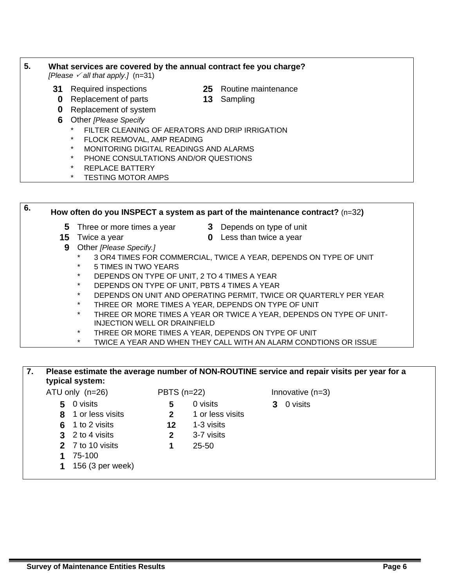#### **5. What services are covered by the annual contract fee you charge?**   $[Please \angle all that apply.]$   $(n=31)$

- **31** Required inspections **25** Routine maintenance
- **0** Replacement of parts **13** Sampling
- **0** Replacement of system
- **6** Other *[Please Specify*
	- FILTER CLEANING OF AERATORS AND DRIP IRRIGATION
	- FLOCK REMOVAL, AMP READING
	- MONITORING DIGITAL READINGS AND ALARMS
	- PHONE CONSULTATIONS AND/OR QUESTIONS
	- REPLACE BATTERY
	- TESTING MOTOR AMPS

**6. How often do you INSPECT a system as part of the maintenance contract?** (n=32**) 5** Three or more times a year **3** Depends on type of unit **15** Twice a year **0** Less than twice a year **9** Other *[Please Specify.]*  3 OR4 TIMES FOR COMMERCIAL, TWICE A YEAR, DEPENDS ON TYPE OF UNIT 5 TIMES IN TWO YEARS DEPENDS ON TYPE OF UNIT, 2 TO 4 TIMES A YEAR DEPENDS ON TYPE OF UNIT, PBTS 4 TIMES A YEAR DEPENDS ON UNIT AND OPERATING PERMIT, TWICE OR QUARTERLY PER YEAR THREE OR MORE TIMES A YEAR, DEPENDS ON TYPE OF UNIT THREE OR MORE TIMES A YEAR OR TWICE A YEAR, DEPENDS ON TYPE OF UNIT-INJECTION WELL OR DRAINFIELD THREE OR MORE TIMES A YEAR, DEPENDS ON TYPE OF UNIT TWICE A YEAR AND WHEN THEY CALL WITH AN ALARM CONDTIONS OR ISSUE

#### **7. Please estimate the average number of NON-ROUTINE service and repair visits per year for a typical system:**

- ATU only  $(n=26)$  PBTS  $(n=22)$  Innovative  $(n=3)$ 
	- **5** 0 visits **5** 0 visits **3** 0 visits
	- **8** 1 or less visits **2** 1 or less visits
	- **6** 1 to 2 visits **12** 1-3 visits
	- **3** 2 to 4 visits **2** 3-7 visits
	-
	-
	- **1** 75-100
	- **1** 156 (3 per week)
- 
- 

- 
- 
- 
- -
- 
- **2** 7 to 10 visits **1** 25-50
- -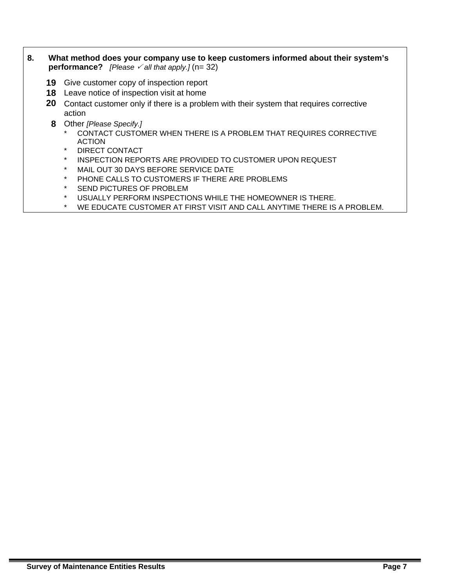- **8. What method does your company use to keep customers informed about their system's performance?** *[Please*  $\checkmark$  *all that apply.]* (n= 32)
	- **19** Give customer copy of inspection report
	- **18** Leave notice of inspection visit at home
	- **20** Contact customer only if there is a problem with their system that requires corrective action
	- **8** Other *[Please Specify.]* 
		- CONTACT CUSTOMER WHEN THERE IS A PROBLEM THAT REQUIRES CORRECTIVE ACTION
		- DIRECT CONTACT
		- INSPECTION REPORTS ARE PROVIDED TO CUSTOMER UPON REQUEST
		- MAIL OUT 30 DAYS BEFORE SERVICE DATE
		- PHONE CALLS TO CUSTOMERS IF THERE ARE PROBLEMS
		- SEND PICTURES OF PROBLEM
		- \* USUALLY PERFORM INSPECTIONS WHILE THE HOMEOWNER IS THERE.
		- WE EDUCATE CUSTOMER AT FIRST VISIT AND CALL ANYTIME THERE IS A PROBLEM.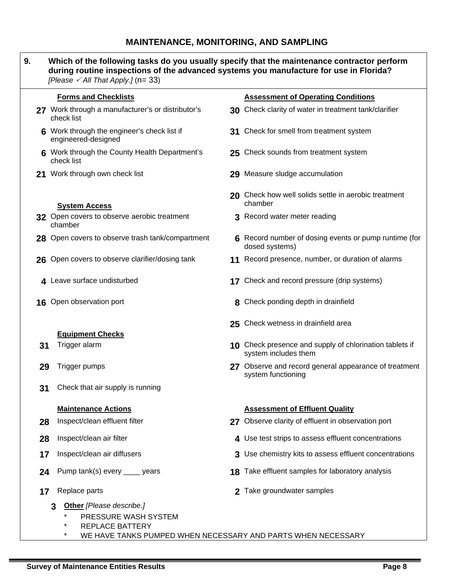# **MAINTENANCE, MONITORING, AND SAMPLING**

| 9. | Which of the following tasks do you usually specify that the maintenance contractor perform<br>during routine inspections of the advanced systems you manufacture for use in Florida?<br>[Please $\sqrt{Al}$ That Apply.] (n= 33) |                                                                                 |
|----|-----------------------------------------------------------------------------------------------------------------------------------------------------------------------------------------------------------------------------------|---------------------------------------------------------------------------------|
|    | <b>Forms and Checklists</b>                                                                                                                                                                                                       | <b>Assessment of Operating Conditions</b>                                       |
|    | 27 Work through a manufacturer's or distributor's<br>check list                                                                                                                                                                   | 30 Check clarity of water in treatment tank/clarifier                           |
|    | 6 Work through the engineer's check list if<br>engineered-designed                                                                                                                                                                | 31 Check for smell from treatment system                                        |
|    | 6 Work through the County Health Department's<br>check list                                                                                                                                                                       | 25 Check sounds from treatment system                                           |
|    | 21 Work through own check list                                                                                                                                                                                                    | 29 Measure sludge accumulation                                                  |
|    | <b>System Access</b>                                                                                                                                                                                                              | 20 Check how well solids settle in aerobic treatment<br>chamber                 |
|    | 32 Open covers to observe aerobic treatment<br>chamber                                                                                                                                                                            | 3 Record water meter reading                                                    |
|    | 28 Open covers to observe trash tank/compartment                                                                                                                                                                                  | 6 Record number of dosing events or pump runtime (for<br>dosed systems)         |
|    | 26 Open covers to observe clarifier/dosing tank                                                                                                                                                                                   | 11 Record presence, number, or duration of alarms                               |
|    | 4 Leave surface undisturbed                                                                                                                                                                                                       | 17 Check and record pressure (drip systems)                                     |
|    | 16 Open observation port                                                                                                                                                                                                          | 8 Check ponding depth in drainfield                                             |
|    | <b>Equipment Checks</b>                                                                                                                                                                                                           | 25 Check wetness in drainfield area                                             |
| 31 | Trigger alarm                                                                                                                                                                                                                     | 10 Check presence and supply of chlorination tablets if<br>system includes them |
| 29 | Trigger pumps                                                                                                                                                                                                                     | 27 Observe and record general appearance of treatment<br>system functioning     |
| 31 | Check that air supply is running                                                                                                                                                                                                  |                                                                                 |
|    | <b>Maintenance Actions</b>                                                                                                                                                                                                        | <b>Assessment of Effluent Quality</b>                                           |
| 28 | Inspect/clean effluent filter                                                                                                                                                                                                     | 27 Observe clarity of effluent in observation port                              |
| 28 | Inspect/clean air filter                                                                                                                                                                                                          | 4 Use test strips to assess effluent concentrations                             |
| 17 | Inspect/clean air diffusers                                                                                                                                                                                                       | 3 Use chemistry kits to assess effluent concentrations                          |
| 24 | Pump tank(s) every _____ years                                                                                                                                                                                                    | 18 Take effluent samples for laboratory analysis                                |
| 17 | Replace parts                                                                                                                                                                                                                     | 2 Take groundwater samples                                                      |
|    | Other [Please describe.]<br>3<br>PRESSURE WASH SYSTEM<br>*<br><b>REPLACE BATTERY</b>                                                                                                                                              |                                                                                 |

\* WE HAVE TANKS PUMPED WHEN NECESSARY AND PARTS WHEN NECESSARY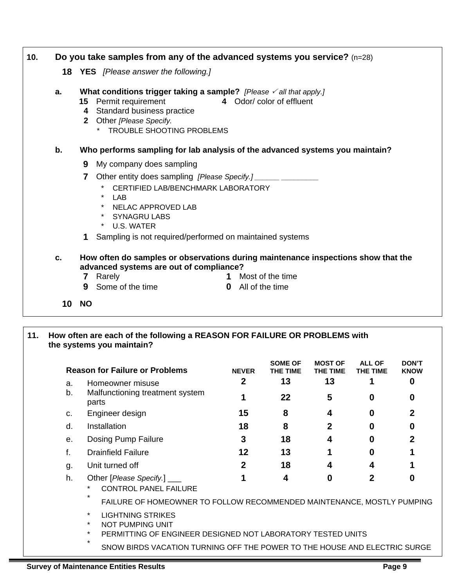| 10. |    | Do you take samples from any of the advanced systems you service? $(n=28)$                                                                                                                                                     |
|-----|----|--------------------------------------------------------------------------------------------------------------------------------------------------------------------------------------------------------------------------------|
|     |    | <b>18 YES</b> [Please answer the following.]                                                                                                                                                                                   |
|     | a. | What conditions trigger taking a sample? [Please $\checkmark$ all that apply.]<br>15 Permit requirement<br>4 Odor/color of effluent<br>4 Standard business practice<br>2 Other [Please Specify.<br>* TROUBLE SHOOTING PROBLEMS |
|     | b. | Who performs sampling for lab analysis of the advanced systems you maintain?                                                                                                                                                   |
|     |    | 9 My company does sampling                                                                                                                                                                                                     |
|     |    | Other entity does sampling [Please Specify.]<br>CERTIFIED LAB/BENCHMARK LABORATORY<br>$*$ LAB<br>* NELAC APPROVED LAB<br>* SYNAGRU LABS<br>* U.S. WATER<br>Sampling is not required/performed on maintained systems            |
|     | c. | How often do samples or observations during maintenance inspections show that the<br>advanced systems are out of compliance?<br>1 Most of the time<br>Rarely<br>7<br><b>9</b> Some of the time<br><b>0</b> All of the time     |
|     | 10 | <b>NO</b>                                                                                                                                                                                                                      |

#### **11. How often are each of the following a REASON FOR FAILURE OR PROBLEMS with the systems you maintain?**

|    | <b>Reason for Failure or Problems</b>                                                                                                        | <b>NEVER</b> | SOME OF<br>THE TIME | <b>MOST OF</b><br>THE TIME | <b>ALL OF</b><br>THE TIME | <b>DON'T</b><br><b>KNOW</b> |  |
|----|----------------------------------------------------------------------------------------------------------------------------------------------|--------------|---------------------|----------------------------|---------------------------|-----------------------------|--|
| a. | Homeowner misuse                                                                                                                             | $\mathbf{2}$ | 13                  | 13                         |                           | 0                           |  |
| b. | Malfunctioning treatment system<br>parts                                                                                                     |              | 22                  | 5                          | 0                         | 0                           |  |
| C. | Engineer design                                                                                                                              | 15           | 8                   | 4                          | 0                         | $\mathbf 2$                 |  |
| d. | Installation                                                                                                                                 | 18           | 8                   | 2                          | 0                         | 0                           |  |
| е. | Dosing Pump Failure                                                                                                                          | 3            | 18                  | 4                          | O                         | $\mathbf{2}$                |  |
| f. | <b>Drainfield Failure</b>                                                                                                                    | 12           | 13                  |                            |                           |                             |  |
| g. | Unit turned off                                                                                                                              | $\mathbf 2$  | 18                  | 4                          | 4                         |                             |  |
| h. | Other [Please Specify.] ____<br><b>CONTROL PANEL FAILURE</b>                                                                                 |              | 4                   | $\mathbf{0}$               | 2                         | O                           |  |
|    | FAILURE OF HOMEOWNER TO FOLLOW RECOMMENDED MAINTENANCE, MOSTLY PUMPING                                                                       |              |                     |                            |                           |                             |  |
|    | <b>LIGHTNING STRIKES</b><br>$\star$<br>$\star$<br>NOT PUMPING UNIT<br>$\star$<br>PERMITTING OF ENGINEER DESIGNED NOT LABORATORY TESTED UNITS |              |                     |                            |                           |                             |  |

SNOW BIRDS VACATION TURNING OFF THE POWER TO THE HOUSE AND ELECTRIC SURGE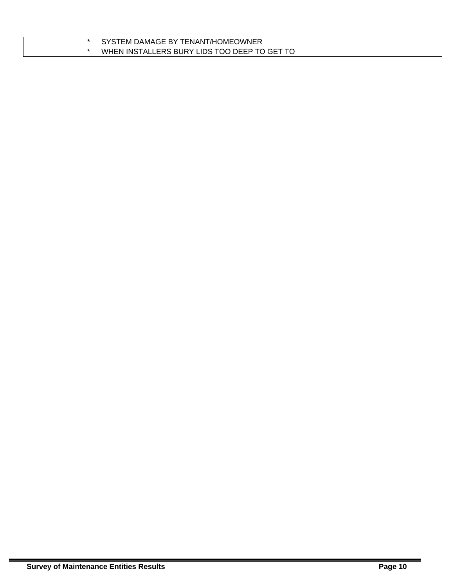| SYSTEM DAMAGE BY TENANT/HOMEOWNER            |
|----------------------------------------------|
| WHEN INSTALLERS BURY LIDS TOO DEEP TO GET TO |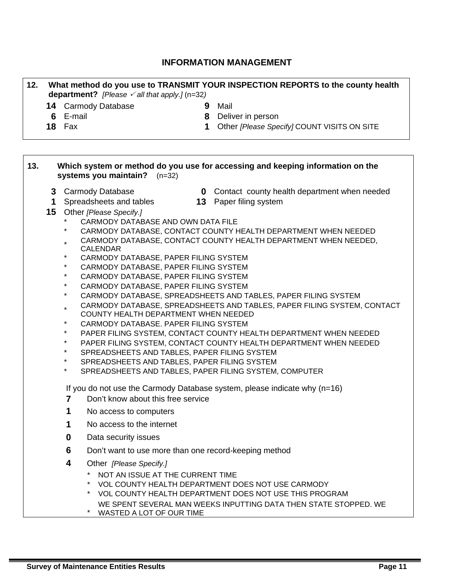# **INFORMATION MANAGEMENT**

| 12. | What method do you use to TRANSMIT YOUR INSPECTION REPORTS to the county health<br>department? [Please $\checkmark$ all that apply.] (n=32) |                                                            |             |                                                                                                             |
|-----|---------------------------------------------------------------------------------------------------------------------------------------------|------------------------------------------------------------|-------------|-------------------------------------------------------------------------------------------------------------|
|     |                                                                                                                                             | <b>14 Carmody Database</b>                                 |             | 9 Mail                                                                                                      |
|     |                                                                                                                                             | 6 E-mail                                                   |             | 8 Deliver in person                                                                                         |
|     |                                                                                                                                             | <b>18</b> Fax                                              | $\mathbf 1$ | Other [Please Specify] COUNT VISITS ON SITE                                                                 |
|     |                                                                                                                                             |                                                            |             |                                                                                                             |
| 13. |                                                                                                                                             | systems you maintain? $(n=32)$                             |             | Which system or method do you use for accessing and keeping information on the                              |
|     |                                                                                                                                             | 3 Carmody Database                                         |             | <b>0</b> Contact county health department when needed                                                       |
|     | 1                                                                                                                                           | Spreadsheets and tables                                    |             | <b>13</b> Paper filing system                                                                               |
|     | 15 <sub>1</sub>                                                                                                                             | Other [Please Specify.]                                    |             |                                                                                                             |
|     |                                                                                                                                             | CARMODY DATABASE AND OWN DATA FILE                         |             |                                                                                                             |
|     |                                                                                                                                             | *                                                          |             | CARMODY DATABASE, CONTACT COUNTY HEALTH DEPARTMENT WHEN NEEDED                                              |
|     |                                                                                                                                             | $\star$<br><b>CALENDAR</b>                                 |             | CARMODY DATABASE, CONTACT COUNTY HEALTH DEPARTMENT WHEN NEEDED,                                             |
|     |                                                                                                                                             | $\star$<br>CARMODY DATABASE, PAPER FILING SYSTEM           |             |                                                                                                             |
|     |                                                                                                                                             | $\star$<br>CARMODY DATABASE, PAPER FILING SYSTEM           |             |                                                                                                             |
|     |                                                                                                                                             | $\star$<br>CARMODY DATABASE, PAPER FILING SYSTEM           |             |                                                                                                             |
|     |                                                                                                                                             | $^\star$<br>CARMODY DATABASE, PAPER FILING SYSTEM          |             |                                                                                                             |
|     |                                                                                                                                             | $\star$                                                    |             | CARMODY DATABASE, SPREADSHEETS AND TABLES, PAPER FILING SYSTEM                                              |
|     |                                                                                                                                             | $\star$<br>COUNTY HEALTH DEPARTMENT WHEN NEEDED            |             | CARMODY DATABASE, SPREADSHEETS AND TABLES, PAPER FILING SYSTEM, CONTACT                                     |
|     |                                                                                                                                             | $\star$<br>CARMODY DATABASE. PAPER FILING SYSTEM           |             |                                                                                                             |
|     |                                                                                                                                             | *<br>$^\star$                                              |             | PAPER FILING SYSTEM, CONTACT COUNTY HEALTH DEPARTMENT WHEN NEEDED                                           |
|     |                                                                                                                                             | $\star$<br>SPREADSHEETS AND TABLES, PAPER FILING SYSTEM    |             | PAPER FILING SYSTEM, CONTACT COUNTY HEALTH DEPARTMENT WHEN NEEDED                                           |
|     |                                                                                                                                             | $\star$<br>SPREADSHEETS AND TABLES, PAPER FILING SYSTEM    |             |                                                                                                             |
|     |                                                                                                                                             | $\star$                                                    |             | SPREADSHEETS AND TABLES, PAPER FILING SYSTEM, COMPUTER                                                      |
|     |                                                                                                                                             |                                                            |             | If you do not use the Carmody Database system, please indicate why $(n=16)$                                 |
|     |                                                                                                                                             | Don't know about this free service<br>7                    |             |                                                                                                             |
|     |                                                                                                                                             | No access to computers                                     |             |                                                                                                             |
|     |                                                                                                                                             | No access to the internet                                  |             |                                                                                                             |
|     |                                                                                                                                             | 0<br>Data security issues                                  |             |                                                                                                             |
|     |                                                                                                                                             | 6<br>Don't want to use more than one record-keeping method |             |                                                                                                             |
|     |                                                                                                                                             | 4<br>Other [Please Specify.]                               |             |                                                                                                             |
|     |                                                                                                                                             | $^{\star}$<br>NOT AN ISSUE AT THE CURRENT TIME<br>*<br>*   |             | VOL COUNTY HEALTH DEPARTMENT DOES NOT USE CARMODY<br>VOL COUNTY HEALTH DEPARTMENT DOES NOT USE THIS PROGRAM |
|     |                                                                                                                                             | $\star$<br>WASTED A LOT OF OUR TIME                        |             | WE SPENT SEVERAL MAN WEEKS INPUTTING DATA THEN STATE STOPPED. WE                                            |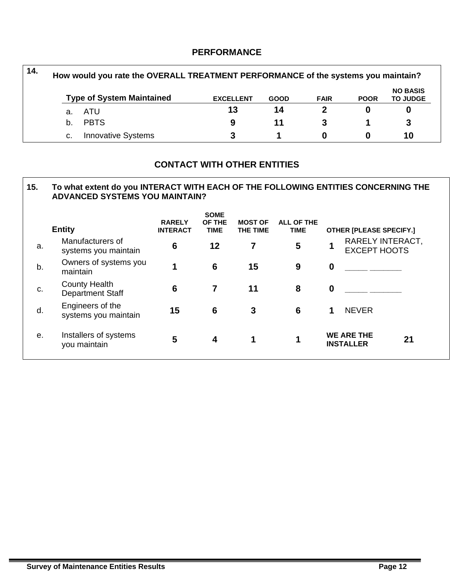## **PERFORMANCE**

| $14.$ |    | How would you rate the OVERALL TREATMENT PERFORMANCE of the systems you maintain? |                  |             |             |             |                                    |
|-------|----|-----------------------------------------------------------------------------------|------------------|-------------|-------------|-------------|------------------------------------|
|       |    | <b>Type of System Maintained</b>                                                  | <b>EXCELLENT</b> | <b>GOOD</b> | <b>FAIR</b> | <b>POOR</b> | <b>NO BASIS</b><br><b>TO JUDGE</b> |
|       | а. | ATU                                                                               | 13               | 14          |             |             |                                    |
|       | h. | <b>PBTS</b>                                                                       | 9                | 11          |             |             |                                    |
|       | c. | <b>Innovative Systems</b>                                                         |                  |             |             |             | 10                                 |

# **CONTACT WITH OTHER ENTITIES**

#### **15. To what extent do you INTERACT WITH EACH OF THE FOLLOWING ENTITIES CONCERNING THE ADVANCED SYSTEMS YOU MAINTAIN?**

|    | <b>Entity</b>                                   | <b>RARELY</b><br><b>INTERACT</b> | <b>SOME</b><br>OF THE<br><b>TIME</b> | <b>MOST OF</b><br>THE TIME | <b>ALL OF THE</b><br><b>TIME</b> |             | <b>OTHER [PLEASE SPECIFY.]</b>          |    |
|----|-------------------------------------------------|----------------------------------|--------------------------------------|----------------------------|----------------------------------|-------------|-----------------------------------------|----|
| a. | Manufacturers of<br>systems you maintain        | $6\phantom{1}6$                  | 12                                   | 7                          | 5                                |             | RARELY INTERACT,<br><b>EXCEPT HOOTS</b> |    |
| b. | Owners of systems you<br>maintain               |                                  | 6                                    | 15                         | 9                                | $\mathbf 0$ |                                         |    |
| c. | <b>County Health</b><br><b>Department Staff</b> | 6                                | 7                                    | 11                         | 8                                | $\bf{0}$    |                                         |    |
| d. | Engineers of the<br>systems you maintain        | 15                               | 6                                    | 3                          | 6                                | 1           | <b>NEVER</b>                            |    |
| е. | Installers of systems<br>you maintain           | 5                                | 4                                    | 1                          | 1                                |             | <b>WE ARE THE</b><br><b>INSTALLER</b>   | 21 |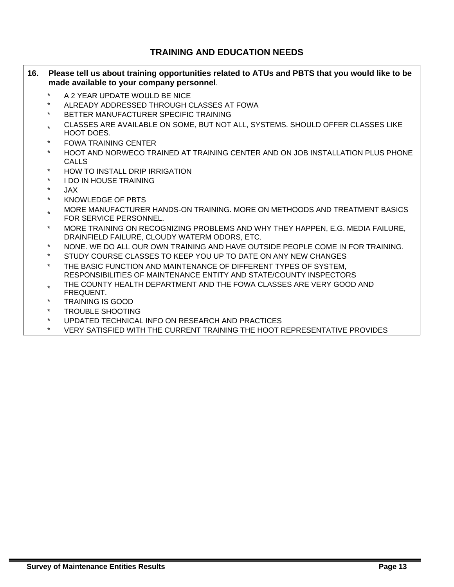# **TRAINING AND EDUCATION NEEDS**

| 16. |          | Please tell us about training opportunities related to ATUs and PBTS that you would like to be<br>made available to your company personnel.                                                                                                                                                                                                                                      |
|-----|----------|----------------------------------------------------------------------------------------------------------------------------------------------------------------------------------------------------------------------------------------------------------------------------------------------------------------------------------------------------------------------------------|
|     | $\star$  | A 2 YEAR UPDATE WOULD BE NICE                                                                                                                                                                                                                                                                                                                                                    |
|     | $^\star$ | ALREADY ADDRESSED THROUGH CLASSES AT FOWA                                                                                                                                                                                                                                                                                                                                        |
|     | $\ast$   | BETTER MANUFACTURER SPECIFIC TRAINING                                                                                                                                                                                                                                                                                                                                            |
|     | $\star$  | CLASSES ARE AVAILABLE ON SOME, BUT NOT ALL, SYSTEMS. SHOULD OFFER CLASSES LIKE<br>HOOT DOES.                                                                                                                                                                                                                                                                                     |
|     | $\star$  | <b>FOWA TRAINING CENTER</b>                                                                                                                                                                                                                                                                                                                                                      |
|     | $\star$  | HOOT AND NORWECO TRAINED AT TRAINING CENTER AND ON JOB INSTALLATION PLUS PHONE<br><b>CALLS</b>                                                                                                                                                                                                                                                                                   |
|     | $\star$  | HOW TO INSTALL DRIP IRRIGATION                                                                                                                                                                                                                                                                                                                                                   |
|     | $\star$  | <b>I DO IN HOUSE TRAINING</b>                                                                                                                                                                                                                                                                                                                                                    |
|     | $\star$  | JAX.                                                                                                                                                                                                                                                                                                                                                                             |
|     | $\ast$   | KNOWLEDGE OF PBTS                                                                                                                                                                                                                                                                                                                                                                |
|     | $\star$  | MORE MANUFACTURER HANDS-ON TRAINING. MORE ON METHOODS AND TREATMENT BASICS<br>FOR SERVICE PERSONNEL.                                                                                                                                                                                                                                                                             |
|     | $\star$  | MORE TRAINING ON RECOGNIZING PROBLEMS AND WHY THEY HAPPEN, E.G. MEDIA FAILURE,<br>DRAINFIELD FAILURE, CLOUDY WATERM ODORS, ETC.                                                                                                                                                                                                                                                  |
|     | $\star$  | NONE. WE DO ALL OUR OWN TRAINING AND HAVE OUTSIDE PEOPLE COME IN FOR TRAINING.                                                                                                                                                                                                                                                                                                   |
|     | $\star$  | STUDY COURSE CLASSES TO KEEP YOU UP TO DATE ON ANY NEW CHANGES                                                                                                                                                                                                                                                                                                                   |
|     | $\star$  | THE BASIC FUNCTION AND MAINTENANCE OF DIFFERENT TYPES OF SYSTEM,<br>RESPONSIBILITIES OF MAINTENANCE ENTITY AND STATE/COUNTY INSPECTORS                                                                                                                                                                                                                                           |
|     | $\star$  | THE COUNTY HEALTH DEPARTMENT AND THE FOWA CLASSES ARE VERY GOOD AND<br>FREQUENT.                                                                                                                                                                                                                                                                                                 |
|     | $\star$  | <b>TRAINING IS GOOD</b>                                                                                                                                                                                                                                                                                                                                                          |
|     | $\star$  | <b>TROUBLE SHOOTING</b>                                                                                                                                                                                                                                                                                                                                                          |
|     | $\star$  | UPDATED TECHNICAL INFO ON RESEARCH AND PRACTICES                                                                                                                                                                                                                                                                                                                                 |
|     |          | $UCDU$ $\Omega$ $\overline{I}$ $\overline{I}$ $\overline{I}$ $\overline{I}$ $\overline{I}$ $\overline{I}$ $\overline{I}$ $\overline{I}$ $\overline{I}$ $\overline{I}$ $\overline{I}$ $\overline{I}$ $\overline{I}$ $\overline{I}$ $\overline{I}$ $\overline{I}$ $\overline{I}$ $\overline{I}$ $\overline{I}$ $\overline{I}$ $\overline{I}$ $\overline{I}$ $\overline{I}$ $\over$ |

\* VERY SATISFIED WITH THE CURRENT TRAINING THE HOOT REPRESENTATIVE PROVIDES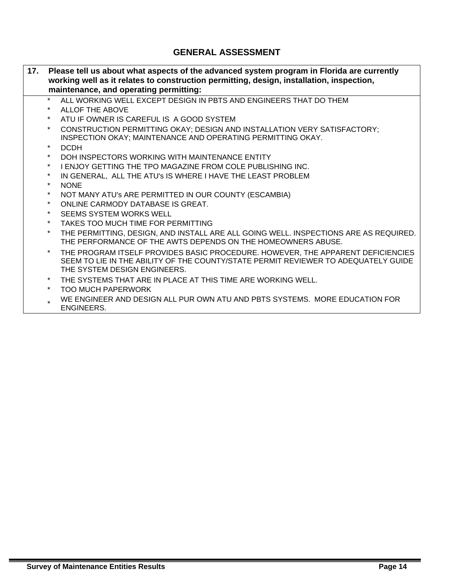# **GENERAL ASSESSMENT**

| 17. |         | Please tell us about what aspects of the advanced system program in Florida are currently<br>working well as it relates to construction permitting, design, installation, inspection,<br>maintenance, and operating permitting: |
|-----|---------|---------------------------------------------------------------------------------------------------------------------------------------------------------------------------------------------------------------------------------|
|     | $\star$ | ALL WORKING WELL EXCEPT DESIGN IN PBTS AND ENGINEERS THAT DO THEM                                                                                                                                                               |
|     | $\ast$  | <b>ALLOF THE ABOVE</b>                                                                                                                                                                                                          |
|     | $\star$ | ATU IF OWNER IS CAREFUL IS A GOOD SYSTEM                                                                                                                                                                                        |
|     | $\star$ | CONSTRUCTION PERMITTING OKAY; DESIGN AND INSTALLATION VERY SATISFACTORY;<br>INSPECTION OKAY; MAINTENANCE AND OPERATING PERMITTING OKAY.                                                                                         |
|     | $\star$ | <b>DCDH</b>                                                                                                                                                                                                                     |
|     | $\star$ | DOH INSPECTORS WORKING WITH MAINTENANCE ENTITY                                                                                                                                                                                  |
|     | $\star$ | I ENJOY GETTING THE TPO MAGAZINE FROM COLE PUBLISHING INC.                                                                                                                                                                      |
|     | $\star$ | IN GENERAL, ALL THE ATU's IS WHERE I HAVE THE LEAST PROBLEM                                                                                                                                                                     |
|     | $\star$ | <b>NONE</b>                                                                                                                                                                                                                     |
|     | $\star$ | NOT MANY ATU'S ARE PERMITTED IN OUR COUNTY (ESCAMBIA)                                                                                                                                                                           |
|     | $\star$ | ONLINE CARMODY DATABASE IS GREAT.                                                                                                                                                                                               |
|     | $\star$ | <b>SEEMS SYSTEM WORKS WELL</b>                                                                                                                                                                                                  |
|     | $\star$ | TAKES TOO MUCH TIME FOR PERMITTING                                                                                                                                                                                              |
|     | $\ast$  | THE PERMITTING, DESIGN, AND INSTALL ARE ALL GOING WELL. INSPECTIONS ARE AS REQUIRED.<br>THE PERFORMANCE OF THE AWTS DEPENDS ON THE HOMEOWNERS ABUSE.                                                                            |
|     | $\star$ | THE PROGRAM ITSELF PROVIDES BASIC PROCEDURE. HOWEVER, THE APPARENT DEFICIENCIES<br>SEEM TO LIE IN THE ABILITY OF THE COUNTY/STATE PERMIT REVIEWER TO ADEQUATELY GUIDE<br>THE SYSTEM DESIGN ENGINEERS.                           |
|     | $\star$ | THE SYSTEMS THAT ARE IN PLACE AT THIS TIME ARE WORKING WELL.                                                                                                                                                                    |
|     | $\star$ | <b>TOO MUCH PAPERWORK</b>                                                                                                                                                                                                       |
|     |         | WE ENGINEER AND DESIGN ALL PUR OWN ATU AND PBTS SYSTEMS. MORE EDUCATION FOR<br><b>ENOINEEDO</b>                                                                                                                                 |

ENGINEERS.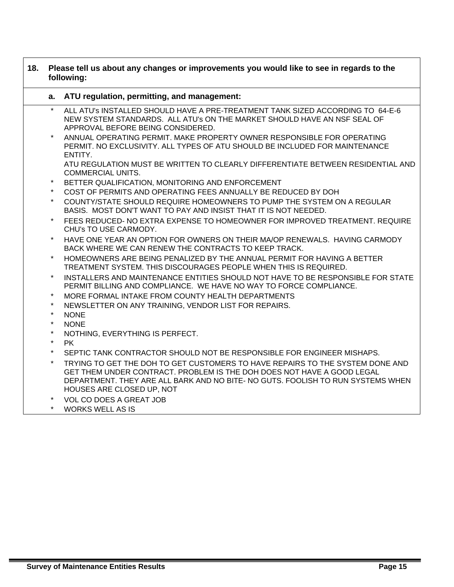| 18. | Please tell us about any changes or improvements you would like to see in regards to the<br>following: |                                                                                                                                                                                                                                                                         |  |
|-----|--------------------------------------------------------------------------------------------------------|-------------------------------------------------------------------------------------------------------------------------------------------------------------------------------------------------------------------------------------------------------------------------|--|
|     | a.                                                                                                     | ATU regulation, permitting, and management:                                                                                                                                                                                                                             |  |
|     | $\star$                                                                                                | ALL ATU's INSTALLED SHOULD HAVE A PRE-TREATMENT TANK SIZED ACCORDING TO 64-E-6<br>NEW SYSTEM STANDARDS. ALL ATU's ON THE MARKET SHOULD HAVE AN NSF SEAL OF<br>APPROVAL BEFORE BEING CONSIDERED.                                                                         |  |
|     | $\star$                                                                                                | ANNUAL OPERATING PERMIT. MAKE PROPERTY OWNER RESPONSIBLE FOR OPERATING<br>PERMIT. NO EXCLUSIVITY. ALL TYPES OF ATU SHOULD BE INCLUDED FOR MAINTENANCE<br>ENTITY.                                                                                                        |  |
|     |                                                                                                        | ATU REGULATION MUST BE WRITTEN TO CLEARLY DIFFERENTIATE BETWEEN RESIDENTIAL AND<br><b>COMMERCIAL UNITS.</b>                                                                                                                                                             |  |
|     | $\ast$                                                                                                 | BETTER QUALIFICATION, MONITORING AND ENFORCEMENT                                                                                                                                                                                                                        |  |
|     | $\star$                                                                                                | COST OF PERMITS AND OPERATING FEES ANNUALLY BE REDUCED BY DOH                                                                                                                                                                                                           |  |
|     | $\star$                                                                                                | COUNTY/STATE SHOULD REQUIRE HOMEOWNERS TO PUMP THE SYSTEM ON A REGULAR<br>BASIS. MOST DON'T WANT TO PAY AND INSIST THAT IT IS NOT NEEDED.                                                                                                                               |  |
|     | $\star$                                                                                                | FEES REDUCED- NO EXTRA EXPENSE TO HOMEOWNER FOR IMPROVED TREATMENT. REQUIRE<br>CHU's TO USE CARMODY.                                                                                                                                                                    |  |
|     | $\star$                                                                                                | HAVE ONE YEAR AN OPTION FOR OWNERS ON THEIR MA/OP RENEWALS. HAVING CARMODY<br>BACK WHERE WE CAN RENEW THE CONTRACTS TO KEEP TRACK.                                                                                                                                      |  |
|     | $\star$                                                                                                | HOMEOWNERS ARE BEING PENALIZED BY THE ANNUAL PERMIT FOR HAVING A BETTER<br>TREATMENT SYSTEM. THIS DISCOURAGES PEOPLE WHEN THIS IS REQUIRED.                                                                                                                             |  |
|     | $^\star$                                                                                               | INSTALLERS AND MAINTENANCE ENTITIES SHOULD NOT HAVE TO BE RESPONSIBLE FOR STATE<br>PERMIT BILLING AND COMPLIANCE. WE HAVE NO WAY TO FORCE COMPLIANCE.                                                                                                                   |  |
|     | $^\star$                                                                                               | MORE FORMAL INTAKE FROM COUNTY HEALTH DEPARTMENTS                                                                                                                                                                                                                       |  |
|     | $\star$                                                                                                | NEWSLETTER ON ANY TRAINING, VENDOR LIST FOR REPAIRS.                                                                                                                                                                                                                    |  |
|     | $\star$                                                                                                | <b>NONE</b>                                                                                                                                                                                                                                                             |  |
|     | $^\star$                                                                                               | <b>NONE</b>                                                                                                                                                                                                                                                             |  |
|     | $^\star$                                                                                               | NOTHING, EVERYTHING IS PERFECT.                                                                                                                                                                                                                                         |  |
|     | $\star$<br>$\star$                                                                                     | <b>PK</b>                                                                                                                                                                                                                                                               |  |
|     | $\star$                                                                                                | SEPTIC TANK CONTRACTOR SHOULD NOT BE RESPONSIBLE FOR ENGINEER MISHAPS.                                                                                                                                                                                                  |  |
|     |                                                                                                        | TRYING TO GET THE DOH TO GET CUSTOMERS TO HAVE REPAIRS TO THE SYSTEM DONE AND<br>GET THEM UNDER CONTRACT. PROBLEM IS THE DOH DOES NOT HAVE A GOOD LEGAL<br>DEPARTMENT. THEY ARE ALL BARK AND NO BITE- NO GUTS. FOOLISH TO RUN SYSTEMS WHEN<br>HOUSES ARE CLOSED UP, NOT |  |
|     | $\ast$                                                                                                 | <b>VOL CO DOES A GREAT JOB</b>                                                                                                                                                                                                                                          |  |
|     | $\star$                                                                                                | <b>WORKS WELL AS IS</b>                                                                                                                                                                                                                                                 |  |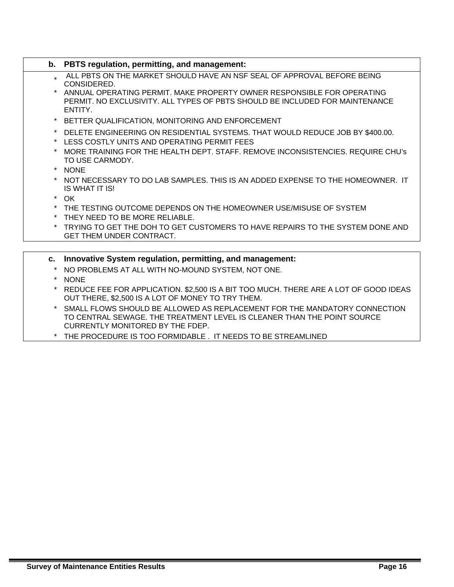|             | b. PBTS regulation, permitting, and management:                                                                                                                   |
|-------------|-------------------------------------------------------------------------------------------------------------------------------------------------------------------|
|             | ALL PBTS ON THE MARKET SHOULD HAVE AN NSF SEAL OF APPROVAL BEFORE BEING<br>CONSIDERED.                                                                            |
|             | ANNUAL OPERATING PERMIT. MAKE PROPERTY OWNER RESPONSIBLE FOR OPERATING<br>PERMIT. NO EXCLUSIVITY, ALL TYPES OF PBTS SHOULD BE INCLUDED FOR MAINTENANCE<br>ENTITY. |
|             | * BETTER QUALIFICATION, MONITORING AND ENFORCEMENT                                                                                                                |
|             | DELETE ENGINEERING ON RESIDENTIAL SYSTEMS. THAT WOULD REDUCE JOB BY \$400.00.<br>* LESS COSTLY UNITS AND OPERATING PERMIT FEES                                    |
|             | MORE TRAINING FOR THE HEALTH DEPT. STAFF. REMOVE INCONSISTENCIES. REQUIRE CHU's<br>TO USE CARMODY.                                                                |
|             | * NONE                                                                                                                                                            |
|             | * NOT NECESSARY TO DO LAB SAMPLES. THIS IS AN ADDED EXPENSE TO THE HOMEOWNER. IT<br>IS WHAT IT IS!                                                                |
|             | $*$ OK                                                                                                                                                            |
|             | * THE TESTING OUTCOME DEPENDS ON THE HOMEOWNER USE/MISUSE OF SYSTEM                                                                                               |
|             | * THEY NEED TO BE MORE RELIABLE.                                                                                                                                  |
|             | * TRYING TO GET THE DOH TO GET CUSTOMERS TO HAVE REPAIRS TO THE SYSTEM DONE AND<br><b>GET THEM UNDER CONTRACT.</b>                                                |
| $c_{\cdot}$ | Innovative System regulation, permitting, and management:                                                                                                         |

- \* NO PROBLEMS AT ALL WITH NO-MOUND SYSTEM, NOT ONE.
- \* NONE
- \* REDUCE FEE FOR APPLICATION. \$2,500 IS A BIT TOO MUCH. THERE ARE A LOT OF GOOD IDEAS OUT THERE, \$2,500 IS A LOT OF MONEY TO TRY THEM.
- \* SMALL FLOWS SHOULD BE ALLOWED AS REPLACEMENT FOR THE MANDATORY CONNECTION TO CENTRAL SEWAGE. THE TREATMENT LEVEL IS CLEANER THAN THE POINT SOURCE CURRENTLY MONITORED BY THE FDEP.
- \* THE PROCEDURE IS TOO FORMIDABLE . IT NEEDS TO BE STREAMLINED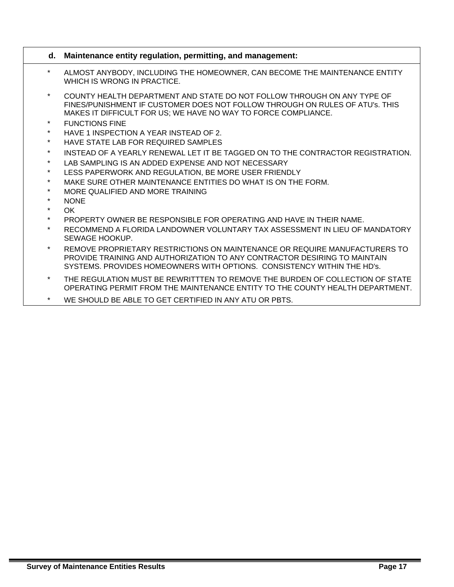#### **d. Maintenance entity regulation, permitting, and management:**

- \* ALMOST ANYBODY, INCLUDING THE HOMEOWNER, CAN BECOME THE MAINTENANCE ENTITY WHICH IS WRONG IN PRACTICE.
- COUNTY HEALTH DEPARTMENT AND STATE DO NOT FOLLOW THROUGH ON ANY TYPE OF FINES/PUNISHMENT IF CUSTOMER DOES NOT FOLLOW THROUGH ON RULES OF ATU's. THIS MAKES IT DIFFICULT FOR US; WE HAVE NO WAY TO FORCE COMPLIANCE.
- **FUNCTIONS FINE**
- HAVE 1 INSPECTION A YEAR INSTEAD OF 2.
- HAVE STATE LAB FOR REQUIRED SAMPLES
- INSTEAD OF A YEARLY RENEWAL LET IT BE TAGGED ON TO THE CONTRACTOR REGISTRATION.
- LAB SAMPLING IS AN ADDED EXPENSE AND NOT NECESSARY
- LESS PAPERWORK AND REGULATION. BE MORE USER FRIENDLY
- MAKE SURE OTHER MAINTENANCE ENTITIES DO WHAT IS ON THE FORM.
- MORE QUALIFIED AND MORE TRAINING
- NONE
- $\cap$ K
- PROPERTY OWNER BE RESPONSIBLE FOR OPERATING AND HAVE IN THEIR NAME.
- RECOMMEND A FLORIDA LANDOWNER VOLUNTARY TAX ASSESSMENT IN LIEU OF MANDATORY SEWAGE HOOKUP.
- REMOVE PROPRIETARY RESTRICTIONS ON MAINTENANCE OR REQUIRE MANUFACTURERS TO PROVIDE TRAINING AND AUTHORIZATION TO ANY CONTRACTOR DESIRING TO MAINTAIN SYSTEMS. PROVIDES HOMEOWNERS WITH OPTIONS. CONSISTENCY WITHIN THE HD's.
- THE REGULATION MUST BE REWRITTTEN TO REMOVE THE BURDEN OF COLLECTION OF STATE OPERATING PERMIT FROM THE MAINTENANCE ENTITY TO THE COUNTY HEALTH DEPARTMENT.
- \* WE SHOULD BE ABLE TO GET CERTIFIED IN ANY ATU OR PBTS.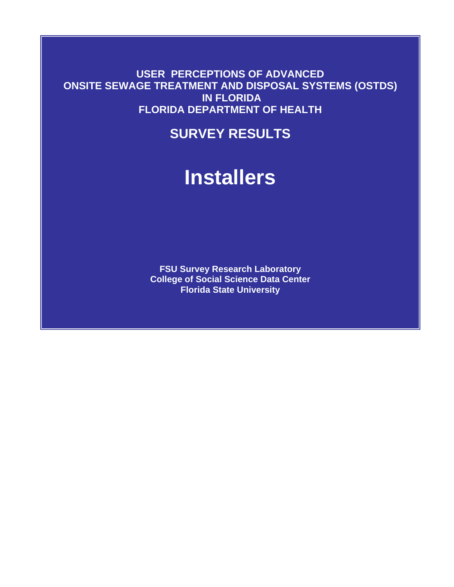**USER PERCEPTIONS OF ADVANCED ONSITE SEWAGE TREATMENT AND DISPOSAL SYSTEMS (OSTDS) IN FLORIDA FLORIDA DEPARTMENT OF HEALTH** 

# **SURVEY RESULTS**

# **Installers**

**FSU Survey Research Laboratory College of Social Science Data Center Florida State University**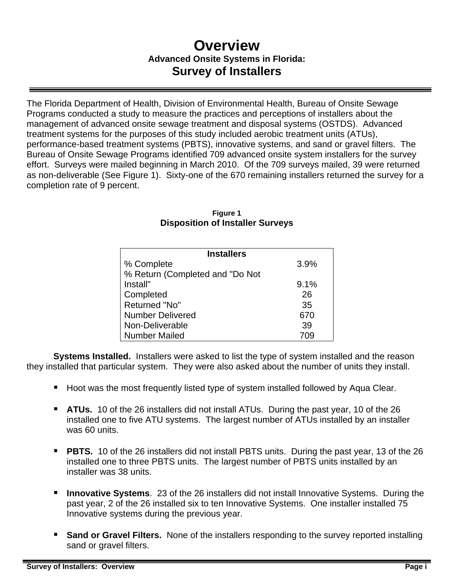# **Overview Advanced Onsite Systems in Florida: Survey of Installers**

The Florida Department of Health, Division of Environmental Health, Bureau of Onsite Sewage Programs conducted a study to measure the practices and perceptions of installers about the management of advanced onsite sewage treatment and disposal systems (OSTDS). Advanced treatment systems for the purposes of this study included aerobic treatment units (ATUs), performance-based treatment systems (PBTS), innovative systems, and sand or gravel filters. The Bureau of Onsite Sewage Programs identified 709 advanced onsite system installers for the survey effort. Surveys were mailed beginning in March 2010. Of the 709 surveys mailed, 39 were returned as non-deliverable (See Figure 1). Sixty-one of the 670 remaining installers returned the survey for a completion rate of 9 percent.

| <b>Installers</b>               |      |
|---------------------------------|------|
| % Complete                      | 3.9% |
| % Return (Completed and "Do Not |      |
| Install"                        | 9.1% |
| Completed                       | 26   |
| Returned "No"                   | 35   |
| <b>Number Delivered</b>         | 670  |
| Non-Deliverable                 | 39   |
| <b>Number Mailed</b>            |      |

#### **Figure 1 Disposition of Installer Surveys**

**Systems Installed.** Installers were asked to list the type of system installed and the reason they installed that particular system. They were also asked about the number of units they install.

- Hoot was the most frequently listed type of system installed followed by Aqua Clear.
- **ATUs.** 10 of the 26 installers did not install ATUs. During the past year, 10 of the 26 installed one to five ATU systems. The largest number of ATUs installed by an installer was 60 units.
- **PBTS.** 10 of the 26 installers did not install PBTS units. During the past year, 13 of the 26 installed one to three PBTS units. The largest number of PBTS units installed by an installer was 38 units.
- **Innovative Systems**. 23 of the 26 installers did not install Innovative Systems. During the past year, 2 of the 26 installed six to ten Innovative Systems. One installer installed 75 Innovative systems during the previous year.
- **Sand or Gravel Filters.** None of the installers responding to the survey reported installing sand or gravel filters.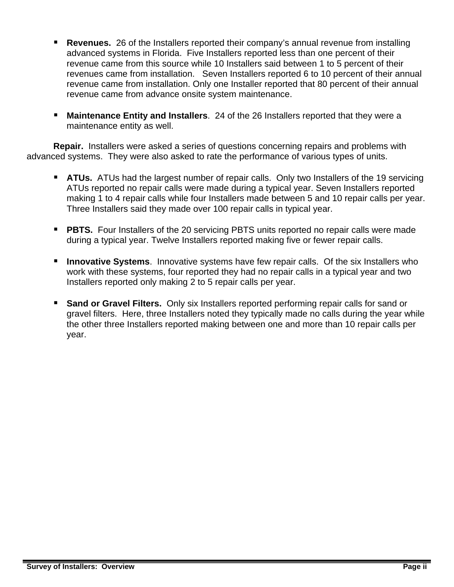- **Revenues.** 26 of the Installers reported their company's annual revenue from installing advanced systems in Florida. Five Installers reported less than one percent of their revenue came from this source while 10 Installers said between 1 to 5 percent of their revenues came from installation. Seven Installers reported 6 to 10 percent of their annual revenue came from installation. Only one Installer reported that 80 percent of their annual revenue came from advance onsite system maintenance.
- **Maintenance Entity and Installers**. 24 of the 26 Installers reported that they were a maintenance entity as well.

**Repair.** Installers were asked a series of questions concerning repairs and problems with advanced systems. They were also asked to rate the performance of various types of units.

- **ATUs.** ATUs had the largest number of repair calls. Only two Installers of the 19 servicing ATUs reported no repair calls were made during a typical year. Seven Installers reported making 1 to 4 repair calls while four Installers made between 5 and 10 repair calls per year. Three Installers said they made over 100 repair calls in typical year.
- **PBTS.** Four Installers of the 20 servicing PBTS units reported no repair calls were made during a typical year. Twelve Installers reported making five or fewer repair calls.
- **Innovative Systems**. Innovative systems have few repair calls. Of the six Installers who work with these systems, four reported they had no repair calls in a typical year and two Installers reported only making 2 to 5 repair calls per year.
- **Sand or Gravel Filters.** Only six Installers reported performing repair calls for sand or gravel filters. Here, three Installers noted they typically made no calls during the year while the other three Installers reported making between one and more than 10 repair calls per year.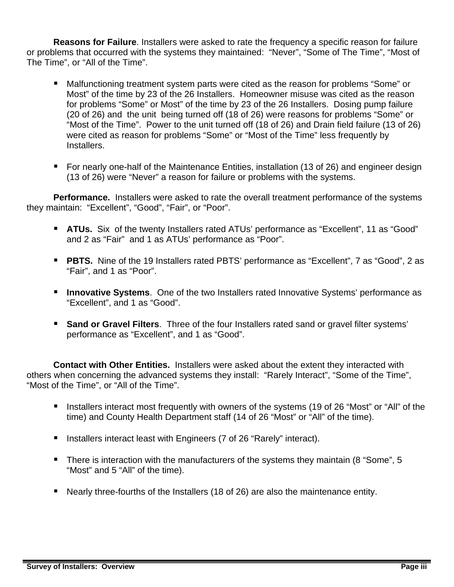**Reasons for Failure**. Installers were asked to rate the frequency a specific reason for failure or problems that occurred with the systems they maintained: "Never", "Some of The Time", "Most of The Time", or "All of the Time".

- Malfunctioning treatment system parts were cited as the reason for problems "Some" or Most" of the time by 23 of the 26 Installers. Homeowner misuse was cited as the reason for problems "Some" or Most" of the time by 23 of the 26 Installers. Dosing pump failure (20 of 26) and the unit being turned off (18 of 26) were reasons for problems "Some" or "Most of the Time". Power to the unit turned off (18 of 26) and Drain field failure (13 of 26) were cited as reason for problems "Some" or "Most of the Time" less frequently by **Installers**
- For nearly one-half of the Maintenance Entities, installation (13 of 26) and engineer design (13 of 26) were "Never" a reason for failure or problems with the systems.

**Performance.** Installers were asked to rate the overall treatment performance of the systems they maintain: "Excellent", "Good", "Fair", or "Poor".

- **ATUs.** Six of the twenty Installers rated ATUs' performance as "Excellent", 11 as "Good" and 2 as "Fair" and 1 as ATUs' performance as "Poor".
- **PBTS.** Nine of the 19 Installers rated PBTS' performance as "Excellent", 7 as "Good", 2 as "Fair", and 1 as "Poor".
- **Innovative Systems**. One of the two Installers rated Innovative Systems' performance as "Excellent", and 1 as "Good".
- **Sand or Gravel Filters.** Three of the four Installers rated sand or gravel filter systems' performance as "Excellent", and 1 as "Good".

**Contact with Other Entities.** Installers were asked about the extent they interacted with others when concerning the advanced systems they install: "Rarely Interact", "Some of the Time", "Most of the Time", or "All of the Time".

- Installers interact most frequently with owners of the systems (19 of 26 "Most" or "All" of the time) and County Health Department staff (14 of 26 "Most" or "All" of the time).
- Installers interact least with Engineers (7 of 26 "Rarely" interact).
- There is interaction with the manufacturers of the systems they maintain (8 "Some", 5 "Most" and 5 "All" of the time).
- Nearly three-fourths of the Installers (18 of 26) are also the maintenance entity.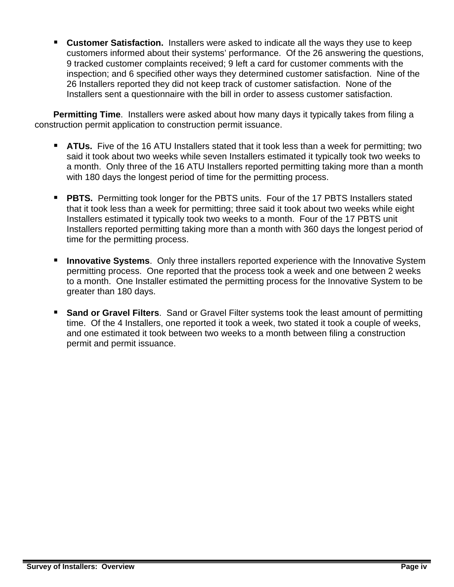**Customer Satisfaction.** Installers were asked to indicate all the ways they use to keep customers informed about their systems' performance. Of the 26 answering the questions, 9 tracked customer complaints received; 9 left a card for customer comments with the inspection; and 6 specified other ways they determined customer satisfaction. Nine of the 26 Installers reported they did not keep track of customer satisfaction. None of the Installers sent a questionnaire with the bill in order to assess customer satisfaction.

**Permitting Time**. Installers were asked about how many days it typically takes from filing a construction permit application to construction permit issuance.

- **ATUs.** Five of the 16 ATU Installers stated that it took less than a week for permitting; two said it took about two weeks while seven Installers estimated it typically took two weeks to a month. Only three of the 16 ATU Installers reported permitting taking more than a month with 180 days the longest period of time for the permitting process.
- **PBTS.** Permitting took longer for the PBTS units. Four of the 17 PBTS Installers stated that it took less than a week for permitting; three said it took about two weeks while eight Installers estimated it typically took two weeks to a month. Four of the 17 PBTS unit Installers reported permitting taking more than a month with 360 days the longest period of time for the permitting process.
- **Innovative Systems**. Only three installers reported experience with the Innovative System permitting process. One reported that the process took a week and one between 2 weeks to a month. One Installer estimated the permitting process for the Innovative System to be greater than 180 days.
- **Sand or Gravel Filters.** Sand or Gravel Filter systems took the least amount of permitting time. Of the 4 Installers, one reported it took a week, two stated it took a couple of weeks, and one estimated it took between two weeks to a month between filing a construction permit and permit issuance.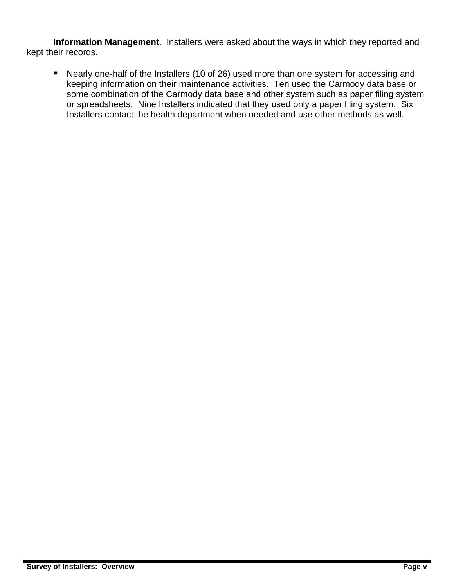**Information Management**. Installers were asked about the ways in which they reported and kept their records.

 Nearly one-half of the Installers (10 of 26) used more than one system for accessing and keeping information on their maintenance activities. Ten used the Carmody data base or some combination of the Carmody data base and other system such as paper filing system or spreadsheets. Nine Installers indicated that they used only a paper filing system. Six Installers contact the health department when needed and use other methods as well.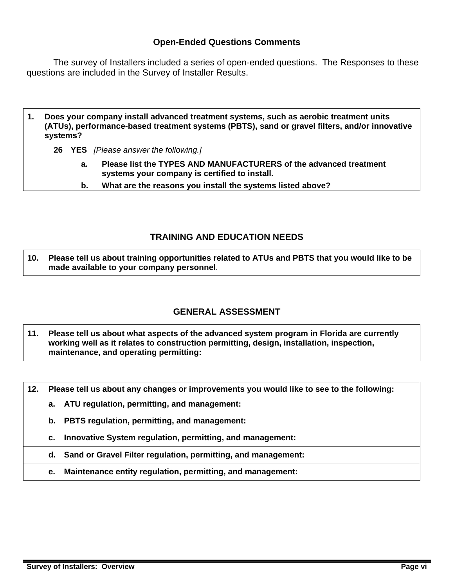### **Open-Ended Questions Comments**

 The survey of Installers included a series of open-ended questions. The Responses to these questions are included in the Survey of Installer Results.

- **1. Does your company install advanced treatment systems, such as aerobic treatment units (ATUs), performance-based treatment systems (PBTS), sand or gravel filters, and/or innovative systems?**
	- **26 YES** *[Please answer the following.]*
		- **a. Please list the TYPES AND MANUFACTURERS of the advanced treatment systems your company is certified to install.**
		- **b. What are the reasons you install the systems listed above?**

# **TRAINING AND EDUCATION NEEDS**

**10. Please tell us about training opportunities related to ATUs and PBTS that you would like to be made available to your company personnel**.

# **GENERAL ASSESSMENT**

**11. Please tell us about what aspects of the advanced system program in Florida are currently working well as it relates to construction permitting, design, installation, inspection, maintenance, and operating permitting:** 

**12. Please tell us about any changes or improvements you would like to see to the following:** 

- **a. ATU regulation, permitting, and management:**
- **b. PBTS regulation, permitting, and management:**
- **c. Innovative System regulation, permitting, and management:** 
	- **d. Sand or Gravel Filter regulation, permitting, and management:**
	- **e. Maintenance entity regulation, permitting, and management:**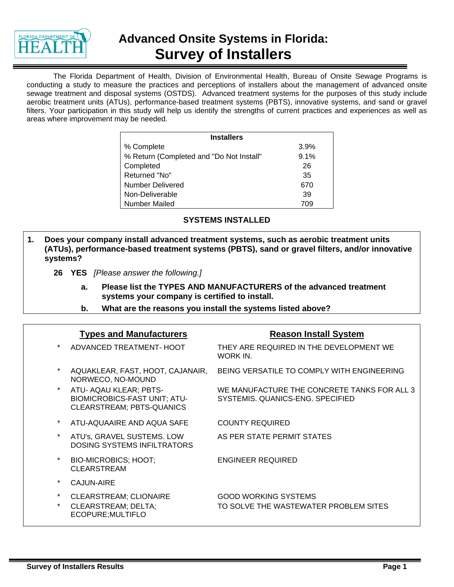

# **Advanced Onsite Systems in Florida: Survey of Installers**

The Florida Department of Health, Division of Environmental Health, Bureau of Onsite Sewage Programs is conducting a study to measure the practices and perceptions of installers about the management of advanced onsite sewage treatment and disposal systems (OSTDS). Advanced treatment systems for the purposes of this study include aerobic treatment units (ATUs), performance-based treatment systems (PBTS), innovative systems, and sand or gravel filters. Your participation in this study will help us identify the strengths of current practices and experiences as well as areas where improvement may be needed.

| <b>Installers</b>                        |      |
|------------------------------------------|------|
|                                          |      |
| % Complete                               | 3.9% |
| % Return (Completed and "Do Not Install" | 9.1% |
| Completed                                | 26   |
| Returned "No"                            | 35   |
| <b>Number Delivered</b>                  | 670  |
| Non-Deliverable                          | 39   |
| Number Mailed                            | 709  |

#### **SYSTEMS INSTALLED**

- **1. Does your company install advanced treatment systems, such as aerobic treatment units (ATUs), performance-based treatment systems (PBTS), sand or gravel filters, and/or innovative systems?**
	- **26 YES** *[Please answer the following.]*
		- **a. Please list the TYPES AND MANUFACTURERS of the advanced treatment systems your company is certified to install.**
		- **b. What are the reasons you install the systems listed above?**

|         | <b>Types and Manufacturers</b>                                                                    | <b>Reason Install System</b>                                                    |
|---------|---------------------------------------------------------------------------------------------------|---------------------------------------------------------------------------------|
| $\ast$  | ADVANCED TREATMENT- HOOT                                                                          | THEY ARE REQUIRED IN THE DEVELOPMENT WE<br>WORK IN.                             |
|         | AQUAKLEAR, FAST, HOOT, CAJANAIR,<br>NORWECO, NO-MOUND                                             | BEING VERSATILE TO COMPLY WITH ENGINEERING                                      |
|         | ATU- AQAU KLEAR; PBTS-<br><b>BIOMICROBICS-FAST UNIT; ATU-</b><br><b>CLEARSTREAM; PBTS-QUANICS</b> | WE MANUFACTURE THE CONCRETE TANKS FOR ALL 3<br>SYSTEMIS. QUANICS-ENG. SPECIFIED |
|         | ATU-AQUAAIRE AND AQUA SAFE                                                                        | <b>COUNTY REQUIRED</b>                                                          |
|         | ATU's, GRAVEL SUSTEMS. LOW<br><b>DOSING SYSTEMS INFILTRATORS</b>                                  | AS PER STATE PERMIT STATES                                                      |
| $\star$ | <b>BIO-MICROBICS; HOOT;</b><br><b>CLEARSTREAM</b>                                                 | <b>ENGINEER REQUIRED</b>                                                        |
|         | <b>CAJUN-AIRE</b>                                                                                 |                                                                                 |
| $\star$ | CLEARSTREAM; CLIONAIRE<br>CLEARSTREAM; DELTA;<br>ECOPURE; MULTIFLO                                | <b>GOOD WORKING SYSTEMS</b><br>TO SOLVE THE WASTEWATER PROBLEM SITES            |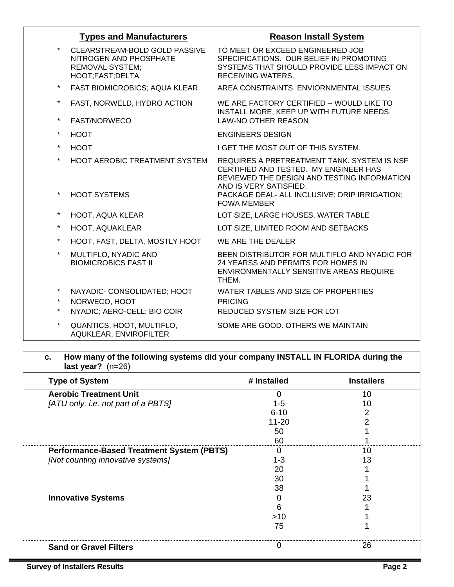|                    | <b>Types and Manufacturers</b>                                                                       | <b>Reason Install System</b>                                                                                                                                  |
|--------------------|------------------------------------------------------------------------------------------------------|---------------------------------------------------------------------------------------------------------------------------------------------------------------|
| $\star$            | CLEARSTREAM-BOLD GOLD PASSIVE<br>NITROGEN AND PHOSPHATE<br><b>REMOVAL SYSTEM;</b><br>HOOT;FAST;DELTA | TO MEET OR EXCEED ENGINEERED JOB<br>SPECIFICATIONS. OUR BELIEF IN PROMOTING<br>SYSTEMS THAT SHOULD PROVIDE LESS IMPACT ON<br><b>RECEIVING WATERS.</b>         |
| $\star$            | FAST BIOMICROBICS; AQUA KLEAR                                                                        | AREA CONSTRAINTS, ENVIORNMENTAL ISSUES                                                                                                                        |
| $\star$<br>$\star$ | FAST, NORWELD, HYDRO ACTION                                                                          | WE ARE FACTORY CERTIFIED -- WOULD LIKE TO<br>INSTALL MORE, KEEP UP WITH FUTURE NEEDS.                                                                         |
|                    | FAST/NORWECO                                                                                         | <b>LAW-NO OTHER REASON</b>                                                                                                                                    |
| $\star$            | <b>HOOT</b>                                                                                          | <b>ENGINEERS DESIGN</b>                                                                                                                                       |
| $\star$            | <b>HOOT</b>                                                                                          | I GET THE MOST OUT OF THIS SYSTEM.                                                                                                                            |
| $\star$<br>$\star$ | <b>HOOT AEROBIC TREATMENT SYSTEM</b>                                                                 | REQUIRES A PRETREATMENT TANK. SYSTEM IS NSF<br>CERTIFIED AND TESTED. MY ENGINEER HAS<br>REVIEWED THE DESIGN AND TESTING INFORMATION<br>AND IS VERY SATISFIED. |
|                    | <b>HOOT SYSTEMS</b>                                                                                  | PACKAGE DEAL- ALL INCLUSIVE; DRIP IRRIGATION;<br><b>FOWA MEMBER</b>                                                                                           |
| $\star$            | <b>HOOT, AQUA KLEAR</b>                                                                              | LOT SIZE, LARGE HOUSES, WATER TABLE                                                                                                                           |
| $\star$            | HOOT, AQUAKLEAR                                                                                      | LOT SIZE, LIMITED ROOM AND SETBACKS                                                                                                                           |
| $\star$            | HOOT, FAST, DELTA, MOSTLY HOOT                                                                       | WE ARE THE DEALER                                                                                                                                             |
| $\star$            | MULTIFLO, NYADIC AND<br><b>BIOMICROBICS FAST II</b>                                                  | BEEN DISTRIBUTOR FOR MULTIFLO AND NYADIC FOR<br>24 YEARSS AND PERMITS FOR HOMES IN<br>ENVIRONMENTALLY SENSITIVE AREAS REQUIRE<br>THEM.                        |
| $\star$            | NAYADIC- CONSOLIDATED; HOOT                                                                          | WATER TABLES AND SIZE OF PROPERTIES                                                                                                                           |
| $\star$            | NORWECO, HOOT                                                                                        | <b>PRICING</b>                                                                                                                                                |
| $\star$            | NYADIC; AERO-CELL; BIO COIR                                                                          | REDUCED SYSTEM SIZE FOR LOT                                                                                                                                   |
| $\star$            | QUANTICS, HOOT, MULTIFLO,<br>AQUKLEAR, ENVIROFILTER                                                  | SOME ARE GOOD. OTHERS WE MAINTAIN                                                                                                                             |

| <b>Type of System</b>                            | # Installed | <b>Installers</b> |
|--------------------------------------------------|-------------|-------------------|
| <b>Aerobic Treatment Unit</b>                    | 0           | 10                |
| [ATU only, i.e. not part of a PBTS]              | $1 - 5$     | 10                |
|                                                  | $6 - 10$    |                   |
|                                                  | $11 - 20$   | 2                 |
|                                                  | 50          |                   |
|                                                  | 60          |                   |
| <b>Performance-Based Treatment System (PBTS)</b> | $\Omega$    | 10                |
| [Not counting innovative systems]                | $1 - 3$     | 13                |
|                                                  | 20          |                   |
|                                                  | 30          |                   |
|                                                  | 38          |                   |
| <b>Innovative Systems</b>                        | 0           | 23                |
|                                                  | 6           |                   |
|                                                  | >10         |                   |
|                                                  | 75          |                   |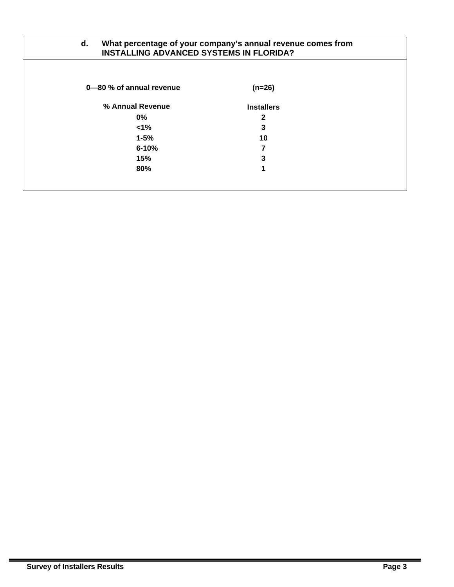| What percentage of your company's annual revenue comes from<br>d.<br><b>INSTALLING ADVANCED SYSTEMS IN FLORIDA?</b> |                   |  |  |  |  |  |  |  |
|---------------------------------------------------------------------------------------------------------------------|-------------------|--|--|--|--|--|--|--|
| 0–80 % of annual revenue                                                                                            | $(n=26)$          |  |  |  |  |  |  |  |
| % Annual Revenue                                                                                                    | <b>Installers</b> |  |  |  |  |  |  |  |
| $0\%$                                                                                                               | $\mathbf{2}$      |  |  |  |  |  |  |  |
| $< 1\%$                                                                                                             | 3                 |  |  |  |  |  |  |  |
| $1 - 5%$                                                                                                            | 10                |  |  |  |  |  |  |  |
| $6 - 10%$                                                                                                           |                   |  |  |  |  |  |  |  |
| 15%                                                                                                                 | 3                 |  |  |  |  |  |  |  |
| 80%                                                                                                                 | 1                 |  |  |  |  |  |  |  |
|                                                                                                                     |                   |  |  |  |  |  |  |  |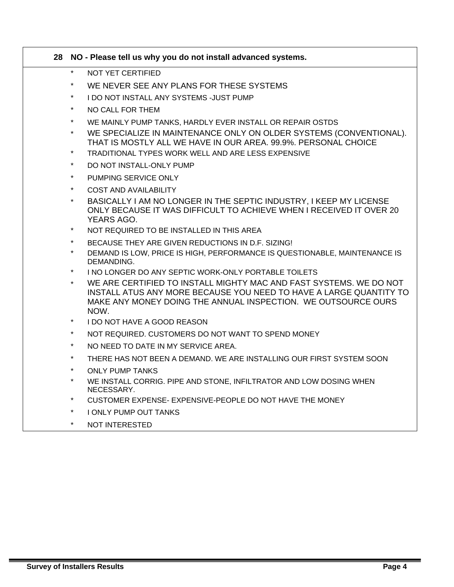|          | 28 NO - Please tell us why you do not install advanced systems.                                                                                                                                                   |
|----------|-------------------------------------------------------------------------------------------------------------------------------------------------------------------------------------------------------------------|
| $\star$  | NOT YET CERTIFIED                                                                                                                                                                                                 |
| $\star$  | WE NEVER SEE ANY PLANS FOR THESE SYSTEMS                                                                                                                                                                          |
| $\star$  | I DO NOT INSTALL ANY SYSTEMS -JUST PUMP                                                                                                                                                                           |
| $\star$  | NO CALL FOR THEM                                                                                                                                                                                                  |
| $^\star$ | WE MAINLY PUMP TANKS, HARDLY EVER INSTALL OR REPAIR OSTDS                                                                                                                                                         |
| $\star$  | WE SPECIALIZE IN MAINTENANCE ONLY ON OLDER SYSTEMS (CONVENTIONAL).<br>THAT IS MOSTLY ALL WE HAVE IN OUR AREA, 99.9%, PERSONAL CHOICE                                                                              |
| $\star$  | TRADITIONAL TYPES WORK WELL AND ARE LESS EXPENSIVE                                                                                                                                                                |
| $\star$  | DO NOT INSTALL-ONLY PUMP                                                                                                                                                                                          |
| $\star$  | PUMPING SERVICE ONLY                                                                                                                                                                                              |
| $\star$  | <b>COST AND AVAILABILITY</b>                                                                                                                                                                                      |
| $\star$  | BASICALLY I AM NO LONGER IN THE SEPTIC INDUSTRY, I KEEP MY LICENSE<br>ONLY BECAUSE IT WAS DIFFICULT TO ACHIEVE WHEN I RECEIVED IT OVER 20<br>YEARS AGO.                                                           |
| $\star$  | NOT REQUIRED TO BE INSTALLED IN THIS AREA                                                                                                                                                                         |
| $\star$  | BECAUSE THEY ARE GIVEN REDUCTIONS IN D.F. SIZING!                                                                                                                                                                 |
| $\star$  | DEMAND IS LOW, PRICE IS HIGH, PERFORMANCE IS QUESTIONABLE, MAINTENANCE IS<br>DEMANDING.                                                                                                                           |
| $\star$  | I NO LONGER DO ANY SEPTIC WORK-ONLY PORTABLE TOILETS                                                                                                                                                              |
| $\star$  | WE ARE CERTIFIED TO INSTALL MIGHTY MAC AND FAST SYSTEMS. WE DO NOT<br>INSTALL ATUS ANY MORE BECAUSE YOU NEED TO HAVE A LARGE QUANTITY TO<br>MAKE ANY MONEY DOING THE ANNUAL INSPECTION. WE OUTSOURCE OURS<br>NOW. |
| $\star$  | I DO NOT HAVE A GOOD REASON                                                                                                                                                                                       |
| $\star$  | NOT REQUIRED. CUSTOMERS DO NOT WANT TO SPEND MONEY                                                                                                                                                                |
| $\star$  | NO NEED TO DATE IN MY SERVICE AREA.                                                                                                                                                                               |
| $^\star$ | THERE HAS NOT BEEN A DEMAND. WE ARE INSTALLING OUR FIRST SYSTEM SOON                                                                                                                                              |
| $\star$  | <b>ONLY PUMP TANKS</b>                                                                                                                                                                                            |
| $\star$  | WE INSTALL CORRIG. PIPE AND STONE, INFILTRATOR AND LOW DOSING WHEN<br>NECESSARY.                                                                                                                                  |
| $\star$  | CUSTOMER EXPENSE- EXPENSIVE-PEOPLE DO NOT HAVE THE MONEY                                                                                                                                                          |
| $\star$  | I ONLY PUMP OUT TANKS                                                                                                                                                                                             |

\* NOT INTERESTED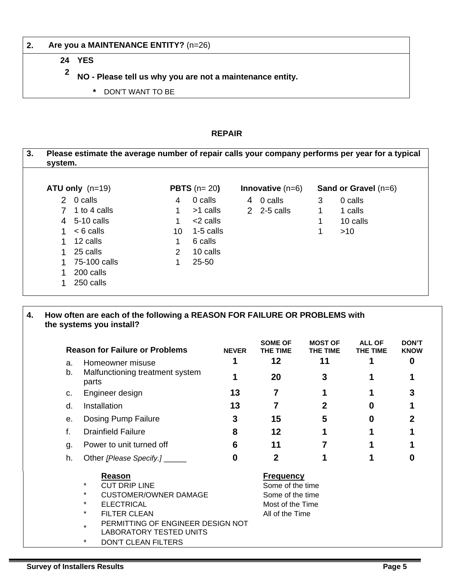#### **2. Are you a MAINTENANCE ENTITY?** (n=26)

#### **24 YES**

- **2 NO Please tell us why you are not a maintenance entity.** 
	- **\*** DON'T WANT TO BE

#### **REPAIR**

| Please estimate the average number of repair calls your company performs per year for a typical<br>system. |               |                      |                           |             |                               |
|------------------------------------------------------------------------------------------------------------|---------------|----------------------|---------------------------|-------------|-------------------------------|
| $ATU$ only $(n=19)$                                                                                        |               | <b>PBTS</b> $(n=20)$ | <b>Innovative</b> $(n=6)$ |             | <b>Sand or Gravel</b> $(n=6)$ |
| 2 0 calls                                                                                                  | 4             | 0 calls              | 4 0 calls                 | 3           | 0 calls                       |
| 1 to 4 calls                                                                                               | 1             | >1 calls             | $2\quad 2-5$ calls        | $\mathbf 1$ | 1 calls                       |
| 4 5-10 calls                                                                                               | 1             | <2 calls             |                           | 1           | 10 calls                      |
| $< 6$ calls                                                                                                | 10            | 1-5 calls            |                           |             | >10                           |
| 12 calls                                                                                                   | 1             | 6 calls              |                           |             |                               |
| 25 calls                                                                                                   | $\mathcal{P}$ | 10 calls             |                           |             |                               |
| 75-100 calls                                                                                               | 1             | $25 - 50$            |                           |             |                               |
| 200 calls                                                                                                  |               |                      |                           |             |                               |
| 250 calls                                                                                                  |               |                      |                           |             |                               |

|    | <b>Reason for Failure or Problems</b>    | <b>NEVER</b> | <b>SOME OF</b><br>THE TIME | <b>MOST OF</b><br>THE TIME | ALL OF<br><b>THE TIME</b> | <b>DON'T</b><br><b>KNOW</b> |
|----|------------------------------------------|--------------|----------------------------|----------------------------|---------------------------|-----------------------------|
| a. | Homeowner misuse                         |              | 12                         | 11                         |                           | $\boldsymbol{0}$            |
| b. | Malfunctioning treatment system<br>parts |              | 20                         | 3                          |                           |                             |
| C. | Engineer design                          | 13           |                            |                            |                           |                             |
| d. | Installation                             | 13           |                            | 2                          | O                         |                             |
| е. | Dosing Pump Failure                      | 3            | 15                         | 5                          | O                         |                             |
| f. | <b>Drainfield Failure</b>                | 8            | 12                         |                            |                           |                             |
| g. | Power to unit turned off                 | 6            | 11                         |                            |                           |                             |
| h. | Other [Please Specify.] ______           | 0            |                            |                            |                           | 0                           |
|    | Reason                                   |              | <b>Frequency</b>           |                            |                           |                             |
|    | $\ast$<br><b>CUT DRIP LINE</b>           |              | Some of the time           |                            |                           |                             |
|    | <b>CUSTOMER/OWNER DAMAGE</b><br>*        |              | Some of the time           |                            |                           |                             |

- \* ELECTRICAL Most of the Time
- FILTER CLEAN All of the Time
- PERMITTING OF ENGINEER DESIGN NOT
- LABORATORY TESTED UNITS
- DON'T CLEAN FILTERS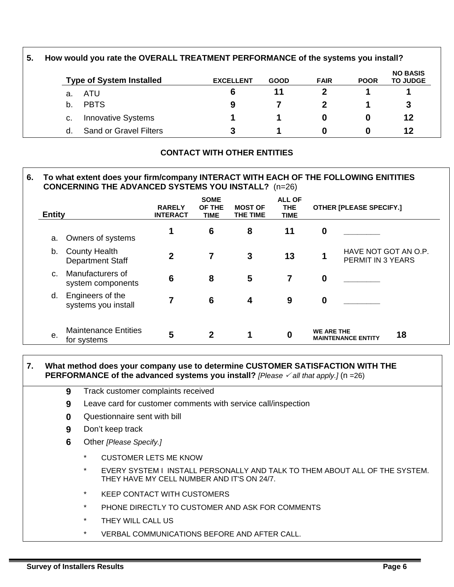| 5. | How would you rate the OVERALL TREATMENT PERFORMANCE of the systems you install? |                                 |                  |             |             |             |                                    |  |  |  |
|----|----------------------------------------------------------------------------------|---------------------------------|------------------|-------------|-------------|-------------|------------------------------------|--|--|--|
|    |                                                                                  | <b>Type of System Installed</b> | <b>EXCELLENT</b> | <b>GOOD</b> | <b>FAIR</b> | <b>POOR</b> | <b>NO BASIS</b><br><b>TO JUDGE</b> |  |  |  |
|    | а.                                                                               | ATU                             | 6                | 11          |             |             |                                    |  |  |  |
|    | b.                                                                               | <b>PBTS</b>                     | 9                |             |             |             | З                                  |  |  |  |
|    | c.                                                                               | <b>Innovative Systems</b>       |                  |             | 0           | 0           | 12                                 |  |  |  |
|    | d.                                                                               | <b>Sand or Gravel Filters</b>   | 3                |             | O           | O           | 12                                 |  |  |  |

# **CONTACT WITH OTHER ENTITIES**

### **6. To what extent does your firm/company INTERACT WITH EACH OF THE FOLLOWING ENITITIES CONCERNING THE ADVANCED SYSTEMS YOU INSTALL?** (n=26)

| <b>Entity</b>  |                                                 | <b>RARELY</b><br><b>INTERACT</b> | <b>SOME</b><br>OF THE<br><b>TIME</b> | <b>MOST OF</b><br>THE TIME | <b>ALL OF</b><br><b>THE</b><br><b>TIME</b> |                   | <b>OTHER [PLEASE SPECIFY.]</b>            |
|----------------|-------------------------------------------------|----------------------------------|--------------------------------------|----------------------------|--------------------------------------------|-------------------|-------------------------------------------|
| a.             | Owners of systems                               | 1                                | 6                                    | 8                          | 11                                         | $\boldsymbol{0}$  |                                           |
| b.             | <b>County Health</b><br><b>Department Staff</b> | $\mathbf{2}$                     | 7                                    | 3                          | 13                                         | 1                 | HAVE NOT GOT AN O.P.<br>PERMIT IN 3 YEARS |
| $\mathsf{C}$ . | Manufacturers of<br>system components           | $6\phantom{1}6$                  | 8                                    | 5                          | 7                                          | $\boldsymbol{0}$  |                                           |
| d.             | Engineers of the<br>systems you install         | 7                                | 6                                    | 4                          | 9                                          | $\boldsymbol{0}$  |                                           |
| е.             | <b>Maintenance Entities</b><br>for systems      | 5                                | $\mathbf{2}$                         | 1                          | $\boldsymbol{0}$                           | <b>WE ARE THE</b> | 18<br><b>MAINTENANCE ENTITY</b>           |

#### **7. What method does your company use to determine CUSTOMER SATISFACTION WITH THE PERFORMANCE of the advanced systems you install?** *[Please*  $\checkmark$  *all that apply.]* (n =26)

- **9** Track customer complaints received
- **9** Leave card for customer comments with service call/inspection
- **0** Questionnaire sent with bill
- **9** Don't keep track
- **6** Other *[Please Specify.]* 
	- CUSTOMER LETS ME KNOW
	- EVERY SYSTEM I INSTALL PERSONALLY AND TALK TO THEM ABOUT ALL OF THE SYSTEM. THEY HAVE MY CELL NUMBER AND IT'S ON 24/7.
	- **KEEP CONTACT WITH CUSTOMERS**
	- PHONE DIRECTLY TO CUSTOMER AND ASK FOR COMMENTS
	- THEY WILL CALL US
	- VERBAL COMMUNICATIONS BEFORE AND AFTER CALL.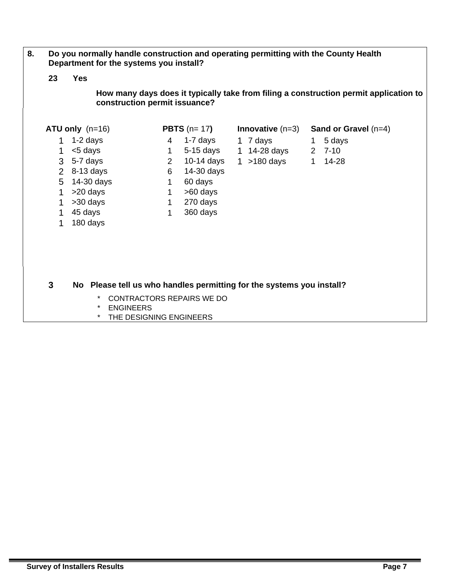- **8. Do you normally handle construction and operating permitting with the County Health Department for the systems you install?** 
	- **23 Yes**

**How many days does it typically take from filing a construction permit application to construction permit issuance?**

|              | $ATU$ only $(n=16)$                                                   |                | <b>PBTS</b> $(n=17)$      | <b>Innovative</b> $(n=3)$ |   | Sand or Gravel $(n=4)$ |
|--------------|-----------------------------------------------------------------------|----------------|---------------------------|---------------------------|---|------------------------|
| 1            | $1-2$ days                                                            | 4              | 1-7 days                  | 1 7 days                  | 1 | 5 days                 |
| $\mathbf{1}$ | <5 days                                                               | 1              | 5-15 days                 | 1 14-28 days              |   | $2, 7-10$              |
| 3            | 5-7 days                                                              | $\overline{2}$ | $10-14$ days              | $1 > 180$ days            | 1 | 14-28                  |
| 2            | $8-13$ days                                                           | 6              | 14-30 days                |                           |   |                        |
| 5            | 14-30 days                                                            | 1              | 60 days                   |                           |   |                        |
| 1            | >20 days                                                              | 1.             | >60 days                  |                           |   |                        |
|              | >30 days                                                              | 1              | 270 days                  |                           |   |                        |
| $\mathbf 1$  | 45 days                                                               | 1              | 360 days                  |                           |   |                        |
| $\mathbf 1$  | 180 days                                                              |                |                           |                           |   |                        |
|              |                                                                       |                |                           |                           |   |                        |
|              |                                                                       |                |                           |                           |   |                        |
|              |                                                                       |                |                           |                           |   |                        |
|              |                                                                       |                |                           |                           |   |                        |
| 3            | No Please tell us who handles permitting for the systems you install? |                |                           |                           |   |                        |
|              | $\ast$<br><b>ENGINEERS</b><br>$\ast$                                  |                | CONTRACTORS REPAIRS WE DO |                           |   |                        |

\* THE DESIGNING ENGINEERS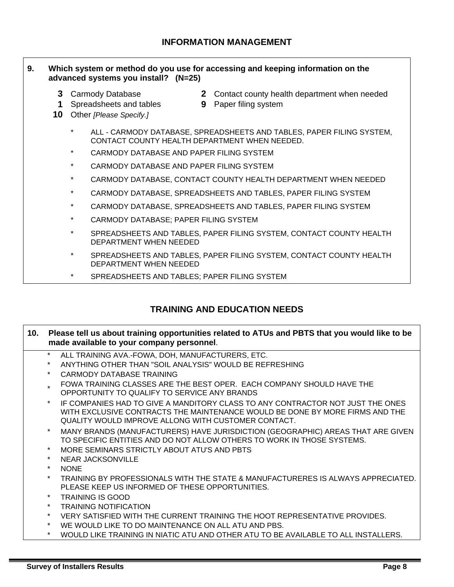#### **9. Which system or method do you use for accessing and keeping information on the advanced systems you install? (N=25)**

- 
- **1** Spreadsheets and tables **9** Paper filing system
- **10** Other *[Please Specify.]*
- **3** Carmody Database **2** Contact county health department when needed
	-
	- \* ALL CARMODY DATABASE, SPREADSHEETS AND TABLES, PAPER FILING SYSTEM, CONTACT COUNTY HEALTH DEPARTMENT WHEN NEEDED.
	- \* CARMODY DATABASE AND PAPER FILING SYSTEM
	- CARMODY DATABASE AND PAPER FILING SYSTEM
	- \* CARMODY DATABASE, CONTACT COUNTY HEALTH DEPARTMENT WHEN NEEDED
	- \* CARMODY DATABASE, SPREADSHEETS AND TABLES, PAPER FILING SYSTEM
	- \* CARMODY DATABASE, SPREADSHEETS AND TABLES, PAPER FILING SYSTEM
	- \* CARMODY DATABASE; PAPER FILING SYSTEM
	- \* SPREADSHEETS AND TABLES, PAPER FILING SYSTEM, CONTACT COUNTY HEALTH DEPARTMENT WHEN NEEDED
	- \* SPREADSHEETS AND TABLES, PAPER FILING SYSTEM, CONTACT COUNTY HEALTH DEPARTMENT WHEN NEEDED
	- SPREADSHEETS AND TABLES; PAPER FILING SYSTEM

# **TRAINING AND EDUCATION NEEDS**

| 10. |         | Please tell us about training opportunities related to ATUs and PBTS that you would like to be<br>made available to your company personnel.                                                                           |
|-----|---------|-----------------------------------------------------------------------------------------------------------------------------------------------------------------------------------------------------------------------|
|     | $\star$ | ALL TRAINING AVA.-FOWA, DOH, MANUFACTURERS, ETC.                                                                                                                                                                      |
|     |         | ANYTHING OTHER THAN "SOIL ANALYSIS" WOULD BE REFRESHING                                                                                                                                                               |
|     | $\star$ | CARMODY DATABASE TRAINING                                                                                                                                                                                             |
|     |         | FOWA TRAINING CLASSES ARE THE BEST OPER. EACH COMPANY SHOULD HAVE THE<br>OPPORTUNITY TO QUALIFY TO SERVICE ANY BRANDS                                                                                                 |
|     |         | IF COMPANIES HAD TO GIVE A MANDITORY CLASS TO ANY CONTRACTOR NOT JUST THE ONES<br>WITH EXCLUSIVE CONTRACTS THE MAINTENANCE WOULD BE DONE BY MORE FIRMS AND THE<br>QUALITY WOULD IMPROVE ALLONG WITH CUSTOMER CONTACT. |
|     |         | MANY BRANDS (MANUFACTURERS) HAVE JURISDICTION (GEOGRAPHIC) AREAS THAT ARE GIVEN<br>TO SPECIFIC ENTITIES AND DO NOT ALLOW OTHERS TO WORK IN THOSE SYSTEMS.                                                             |
|     |         | MORE SEMINARS STRICTLY ABOUT ATU'S AND PBTS                                                                                                                                                                           |
|     | $\star$ | NEAR JACKSONVILLE                                                                                                                                                                                                     |
|     | $\star$ | <b>NONE</b>                                                                                                                                                                                                           |
|     | $\star$ | TRAINING BY PROFESSIONALS WITH THE STATE & MANUFACTURERES IS ALWAYS APPRECIATED.<br>PLEASE KEEP US INFORMED OF THESE OPPORTUNITIES.                                                                                   |
|     |         | <b>TRAINING IS GOOD</b>                                                                                                                                                                                               |
|     | $\star$ | <b>TRAINING NOTIFICATION</b>                                                                                                                                                                                          |
|     | $\star$ | VERY SATISFIED WITH THE CURRENT TRAINING THE HOOT REPRESENTATIVE PROVIDES.                                                                                                                                            |
|     | $\star$ | WE WOULD LIKE TO DO MAINTENANCE ON ALL ATU AND PBS.                                                                                                                                                                   |
|     | $\star$ | WOULD LIKE TRAINING IN NIATIC ATU AND OTHER ATU TO BE AVAILABLE TO ALL INSTALLERS.                                                                                                                                    |
|     |         |                                                                                                                                                                                                                       |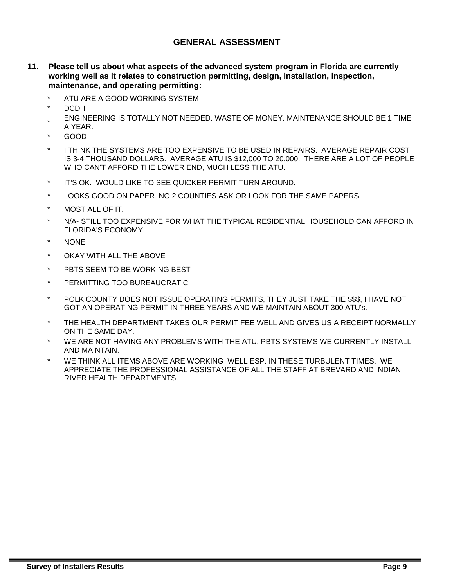## **GENERAL ASSESSMENT**

- **11. Please tell us about what aspects of the advanced system program in Florida are currently working well as it relates to construction permitting, design, installation, inspection, maintenance, and operating permitting:** 
	- ATU ARE A GOOD WORKING SYSTEM
	- \* DCDH
	- ENGINEERING IS TOTALLY NOT NEEDED. WASTE OF MONEY. MAINTENANCE SHOULD BE 1 TIME A YEAR.
	- \* GOOD
	- I THINK THE SYSTEMS ARE TOO EXPENSIVE TO BE USED IN REPAIRS. AVERAGE REPAIR COST IS 3-4 THOUSAND DOLLARS. AVERAGE ATU IS \$12,000 TO 20,000. THERE ARE A LOT OF PEOPLE WHO CAN'T AFFORD THE LOWER END, MUCH LESS THE ATU.
	- \* IT'S OK. WOULD LIKE TO SEE QUICKER PERMIT TURN AROUND.
	- LOOKS GOOD ON PAPER. NO 2 COUNTIES ASK OR LOOK FOR THE SAME PAPERS.
	- MOST ALL OF IT.
	- N/A- STILL TOO EXPENSIVE FOR WHAT THE TYPICAL RESIDENTIAL HOUSEHOLD CAN AFFORD IN FLORIDA'S ECONOMY.
	- NONE
	- OKAY WITH ALL THE ABOVE
	- \* PBTS SEEM TO BE WORKING BEST
	- \* PERMITTING TOO BUREAUCRATIC
	- POLK COUNTY DOES NOT ISSUE OPERATING PERMITS, THEY JUST TAKE THE \$\$\$. I HAVE NOT GOT AN OPERATING PERMIT IN THREE YEARS AND WE MAINTAIN ABOUT 300 ATU's.
	- THE HEALTH DEPARTMENT TAKES OUR PERMIT FEE WELL AND GIVES US A RECEIPT NORMALLY ON THE SAME DAY.
	- WE ARE NOT HAVING ANY PROBLEMS WITH THE ATU, PBTS SYSTEMS WE CURRENTLY INSTALL AND MAINTAIN.
	- WE THINK ALL ITEMS ABOVE ARE WORKING WELL ESP. IN THESE TURBULENT TIMES. WE APPRECIATE THE PROFESSIONAL ASSISTANCE OF ALL THE STAFF AT BREVARD AND INDIAN RIVER HEALTH DEPARTMENTS.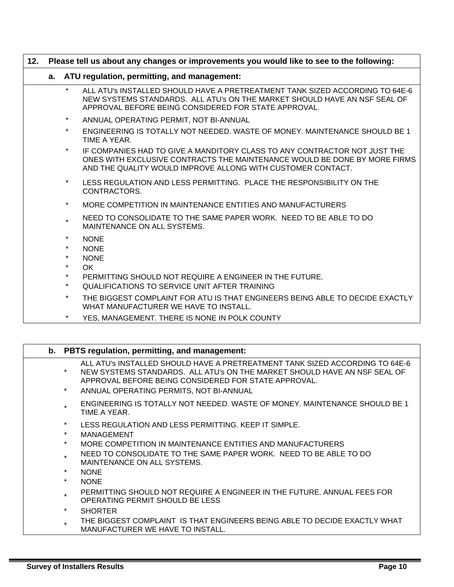| 12. | Please tell us about any changes or improvements you would like to see to the following: |                    |                                                                                                                                                                                                                       |
|-----|------------------------------------------------------------------------------------------|--------------------|-----------------------------------------------------------------------------------------------------------------------------------------------------------------------------------------------------------------------|
|     | a. ATU regulation, permitting, and management:                                           |                    |                                                                                                                                                                                                                       |
|     |                                                                                          | $\star$            | ALL ATU'S INSTALLED SHOULD HAVE A PRETREATMENT TANK SIZED ACCORDING TO 64E-6<br>NEW SYSTEMS STANDARDS. ALL ATU's ON THE MARKET SHOULD HAVE AN NSF SEAL OF<br>APPROVAL BEFORE BEING CONSIDERED FOR STATE APPROVAL.     |
|     |                                                                                          | $\star$            | ANNUAL OPERATING PERMIT, NOT BI-ANNUAL                                                                                                                                                                                |
|     |                                                                                          | $\star$            | ENGINEERING IS TOTALLY NOT NEEDED. WASTE OF MONEY, MAINTENANCE SHOULD BE 1<br>TIME A YEAR.                                                                                                                            |
|     |                                                                                          | $\star$            | IF COMPANIES HAD TO GIVE A MANDITORY CLASS TO ANY CONTRACTOR NOT JUST THE<br>ONES WITH EXCLUSIVE CONTRACTS THE MAINTENANCE WOULD BE DONE BY MORE FIRMS<br>AND THE QUALITY WOULD IMPROVE ALLONG WITH CUSTOMER CONTACT. |
|     |                                                                                          | $\star$            | LESS REGULATION AND LESS PERMITTING. PLACE THE RESPONSIBILITY ON THE<br>CONTRACTORS.                                                                                                                                  |
|     |                                                                                          | $\star$            | MORE COMPETITION IN MAINTENANCE ENTITIES AND MANUFACTURERS                                                                                                                                                            |
|     |                                                                                          | $\star$            | NEED TO CONSOLIDATE TO THE SAME PAPER WORK. NEED TO BE ABLE TO DO<br>MAINTENANCE ON ALL SYSTEMS.                                                                                                                      |
|     |                                                                                          | $\star$            | <b>NONE</b>                                                                                                                                                                                                           |
|     |                                                                                          | $\star$            | <b>NONE</b>                                                                                                                                                                                                           |
|     |                                                                                          | $\star$            | <b>NONE</b>                                                                                                                                                                                                           |
|     |                                                                                          | $\star$            | OK                                                                                                                                                                                                                    |
|     |                                                                                          | $\star$<br>$\star$ | PERMITTING SHOULD NOT REQUIRE A ENGINEER IN THE FUTURE.<br>QUALIFICATIONS TO SERVICE UNIT AFTER TRAINING                                                                                                              |
|     |                                                                                          | $\star$            | THE BIGGEST COMPLAINT FOR ATU IS THAT ENGINEERS BEING ABLE TO DECIDE EXACTLY<br>WHAT MANUFACTURER WE HAVE TO INSTALL.                                                                                                 |
|     |                                                                                          | $\star$            | YES, MANAGEMENT. THERE IS NONE IN POLK COUNTY                                                                                                                                                                         |

|                    | b. PBTS regulation, permitting, and management:                                                                                                                                                                                                              |
|--------------------|--------------------------------------------------------------------------------------------------------------------------------------------------------------------------------------------------------------------------------------------------------------|
| $\star$<br>$\star$ | ALL ATU's INSTALLED SHOULD HAVE A PRETREATMENT TANK SIZED ACCORDING TO 64E-6<br>NEW SYSTEMS STANDARDS. ALL ATU's ON THE MARKET SHOULD HAVE AN NSF SEAL OF<br>APPROVAL BEFORE BEING CONSIDERED FOR STATE APPROVAL.<br>ANNUAL OPERATING PERMITS, NOT BI-ANNUAL |
| $\star$            | ENGINEERING IS TOTALLY NOT NEEDED. WASTE OF MONEY. MAINTENANCE SHOULD BE 1<br>TIME A YEAR.                                                                                                                                                                   |
| $\star$            | LESS REGULATION AND LESS PERMITTING. KEEP IT SIMPLE.                                                                                                                                                                                                         |
| $\star$            | MANAGEMENT                                                                                                                                                                                                                                                   |
| $\star$            | MORE COMPETITION IN MAINTENANCE ENTITIES AND MANUFACTURERS                                                                                                                                                                                                   |
| $\star$            | NEED TO CONSOLIDATE TO THE SAME PAPER WORK. NEED TO BE ABLE TO DO<br>MAINTENANCE ON ALL SYSTEMS.                                                                                                                                                             |
| $\star$            | <b>NONE</b>                                                                                                                                                                                                                                                  |
| $\star$            | <b>NONE</b>                                                                                                                                                                                                                                                  |
| $\star$            | PERMITTING SHOULD NOT REQUIRE A ENGINEER IN THE FUTURE. ANNUAL FEES FOR<br>OPERATING PERMIT SHOULD BE LESS                                                                                                                                                   |
| $\star$            | <b>SHORTER</b>                                                                                                                                                                                                                                               |
| $\star$            | THE BIGGEST COMPLAINT IS THAT ENGINEERS BEING ABLE TO DECIDE EXACTLY WHAT<br>MANUFACTURER WE HAVE TO INSTALL.                                                                                                                                                |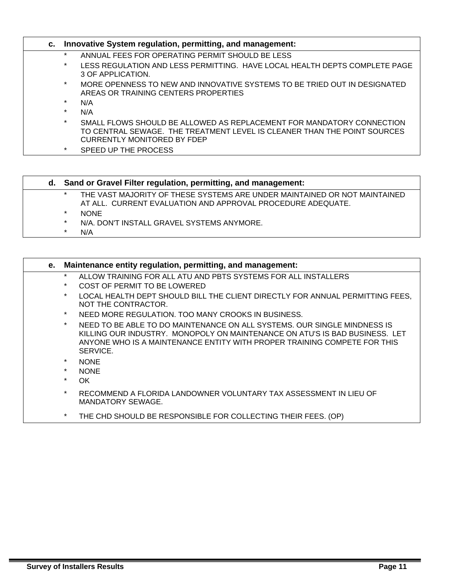|         | c. Innovative System regulation, permitting, and management:                                                                                                                     |
|---------|----------------------------------------------------------------------------------------------------------------------------------------------------------------------------------|
| $\star$ | ANNUAL FEES FOR OPERATING PERMIT SHOULD BE LESS                                                                                                                                  |
| $\star$ | LESS REGULATION AND LESS PERMITTING. HAVE LOCAL HEALTH DEPTS COMPLETE PAGE<br>3 OF APPLICATION.                                                                                  |
| $\star$ | MORE OPENNESS TO NEW AND INNOVATIVE SYSTEMS TO BE TRIED OUT IN DESIGNATED<br>AREAS OR TRAINING CENTERS PROPERTIES                                                                |
| $\star$ | N/A                                                                                                                                                                              |
| $\star$ | N/A                                                                                                                                                                              |
| $\star$ | SMALL FLOWS SHOULD BE ALLOWED AS REPLACEMENT FOR MANDATORY CONNECTION<br>TO CENTRAL SEWAGE. THE TREATMENT LEVEL IS CLEANER THAN THE POINT SOURCES<br>CURRENTLY MONITORED BY FDEP |
| $\star$ | SPEED UP THE PROCESS                                                                                                                                                             |

| d. Sand or Gravel Filter regulation, permitting, and management: |                                                                                                                                          |
|------------------------------------------------------------------|------------------------------------------------------------------------------------------------------------------------------------------|
| $\ast$                                                           | THE VAST MAJORITY OF THESE SYSTEMS ARE UNDER MAINTAINED OR NOT MAINTAINED<br>AT ALL. CURRENT EVALUATION AND APPROVAL PROCEDURE ADEQUATE. |
| $\ast$                                                           | <b>NONE</b>                                                                                                                              |
| $\ast$                                                           | N/A. DON'T INSTALL GRAVEL SYSTEMS ANYMORE.                                                                                               |
| $\star$                                                          | N/A                                                                                                                                      |

| е.               | Maintenance entity regulation, permitting, and management:                                                                                                                                                                                        |
|------------------|---------------------------------------------------------------------------------------------------------------------------------------------------------------------------------------------------------------------------------------------------|
| $\ast$<br>$\ast$ | ALLOW TRAINING FOR ALL ATU AND PBTS SYSTEMS FOR ALL INSTALLERS                                                                                                                                                                                    |
|                  | COST OF PERMIT TO BE LOWERED                                                                                                                                                                                                                      |
| $\star$          | LOCAL HEALTH DEPT SHOULD BILL THE CLIENT DIRECTLY FOR ANNUAL PERMITTING FEES,<br>NOT THE CONTRACTOR.                                                                                                                                              |
| $\star$          | NEED MORE REGULATION. TOO MANY CROOKS IN BUSINESS.                                                                                                                                                                                                |
| $\star$          | NEED TO BE ABLE TO DO MAINTENANCE ON ALL SYSTEMS. OUR SINGLE MINDNESS IS<br>KILLING OUR INDUSTRY.  MONOPOLY ON MAINTENANCE ON ATU'S IS BAD BUSINESS.  LET<br>ANYONE WHO IS A MAINTENANCE ENTITY WITH PROPER TRAINING COMPETE FOR THIS<br>SERVICE. |
| $\star$          | <b>NONE</b>                                                                                                                                                                                                                                       |
| $\star$          | <b>NONE</b>                                                                                                                                                                                                                                       |
| $\ast$           | OK.                                                                                                                                                                                                                                               |
| $\ast$           | RECOMMEND A FLORIDA LANDOWNER VOLUNTARY TAX ASSESSMENT IN LIEU OF<br>MANDATORY SEWAGE.                                                                                                                                                            |
| $\star$          | THE CHD SHOULD BE RESPONSIBLE FOR COLLECTING THEIR FEES. (OP)                                                                                                                                                                                     |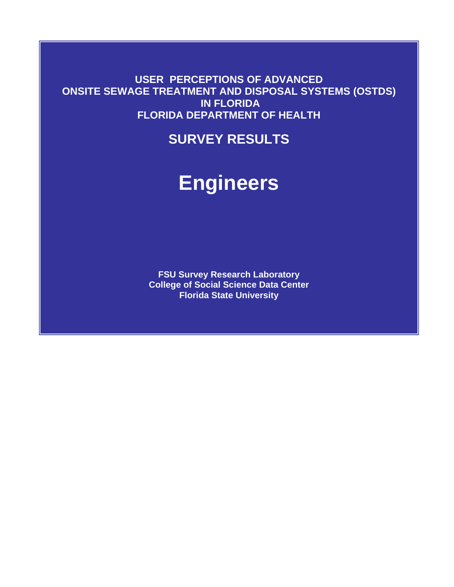**USER PERCEPTIONS OF ADVANCED ONSITE SEWAGE TREATMENT AND DISPOSAL SYSTEMS (OSTDS) IN FLORIDA FLORIDA DEPARTMENT OF HEALTH** 

**SURVEY RESULTS**

# **Engineers**

**FSU Survey Research Laboratory College of Social Science Data Center Florida State University**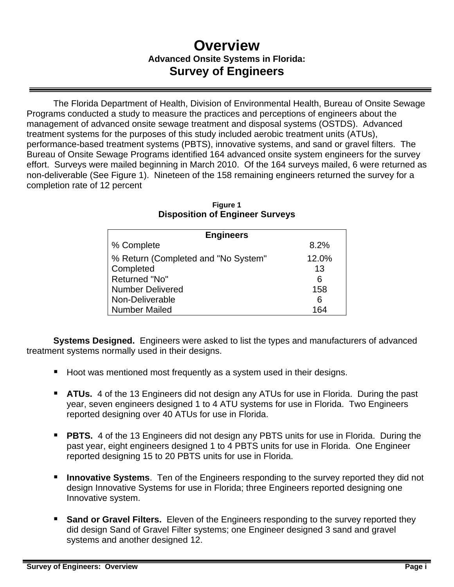# **Overview Advanced Onsite Systems in Florida: Survey of Engineers**

The Florida Department of Health, Division of Environmental Health, Bureau of Onsite Sewage Programs conducted a study to measure the practices and perceptions of engineers about the management of advanced onsite sewage treatment and disposal systems (OSTDS). Advanced treatment systems for the purposes of this study included aerobic treatment units (ATUs), performance-based treatment systems (PBTS), innovative systems, and sand or gravel filters. The Bureau of Onsite Sewage Programs identified 164 advanced onsite system engineers for the survey effort. Surveys were mailed beginning in March 2010. Of the 164 surveys mailed, 6 were returned as non-deliverable (See Figure 1). Nineteen of the 158 remaining engineers returned the survey for a completion rate of 12 percent

| <b>Engineers</b>                    |       |
|-------------------------------------|-------|
| % Complete                          | 8.2%  |
| % Return (Completed and "No System" | 12.0% |
| Completed                           | 13    |
| Returned "No"                       | 6     |
| <b>Number Delivered</b>             | 158   |
| Non-Deliverable                     | 6     |
| <b>Number Mailed</b>                | 164   |

#### **Figure 1 Disposition of Engineer Surveys**

**Systems Designed.** Engineers were asked to list the types and manufacturers of advanced treatment systems normally used in their designs.

- Hoot was mentioned most frequently as a system used in their designs.
- **ATUs.** 4 of the 13 Engineers did not design any ATUs for use in Florida. During the past year, seven engineers designed 1 to 4 ATU systems for use in Florida. Two Engineers reported designing over 40 ATUs for use in Florida.
- **PBTS.** 4 of the 13 Engineers did not design any PBTS units for use in Florida. During the past year, eight engineers designed 1 to 4 PBTS units for use in Florida. One Engineer reported designing 15 to 20 PBTS units for use in Florida.
- **Innovative Systems**. Ten of the Engineers responding to the survey reported they did not design Innovative Systems for use in Florida; three Engineers reported designing one Innovative system.
- **Sand or Gravel Filters.** Eleven of the Engineers responding to the survey reported they did design Sand of Gravel Filter systems; one Engineer designed 3 sand and gravel systems and another designed 12.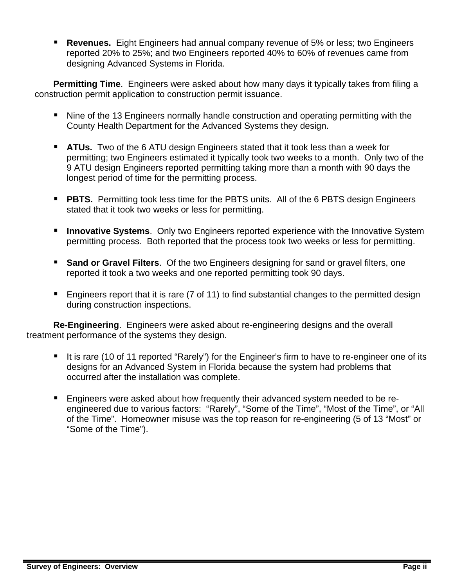**Revenues.** Eight Engineers had annual company revenue of 5% or less; two Engineers reported 20% to 25%; and two Engineers reported 40% to 60% of revenues came from designing Advanced Systems in Florida.

**Permitting Time**. Engineers were asked about how many days it typically takes from filing a construction permit application to construction permit issuance.

- Nine of the 13 Engineers normally handle construction and operating permitting with the County Health Department for the Advanced Systems they design.
- **ATUs.** Two of the 6 ATU design Engineers stated that it took less than a week for permitting; two Engineers estimated it typically took two weeks to a month. Only two of the 9 ATU design Engineers reported permitting taking more than a month with 90 days the longest period of time for the permitting process.
- **PBTS.** Permitting took less time for the PBTS units. All of the 6 PBTS design Engineers stated that it took two weeks or less for permitting.
- **Innovative Systems**. Only two Engineers reported experience with the Innovative System permitting process. Both reported that the process took two weeks or less for permitting.
- **Sand or Gravel Filters.** Of the two Engineers designing for sand or gravel filters, one reported it took a two weeks and one reported permitting took 90 days.
- **Engineers report that it is rare (7 of 11) to find substantial changes to the permitted design** during construction inspections.

**Re-Engineering**. Engineers were asked about re-engineering designs and the overall treatment performance of the systems they design.

- It is rare (10 of 11 reported "Rarely") for the Engineer's firm to have to re-engineer one of its designs for an Advanced System in Florida because the system had problems that occurred after the installation was complete.
- Engineers were asked about how frequently their advanced system needed to be reengineered due to various factors: "Rarely", "Some of the Time", "Most of the Time", or "All of the Time". Homeowner misuse was the top reason for re-engineering (5 of 13 "Most" or "Some of the Time").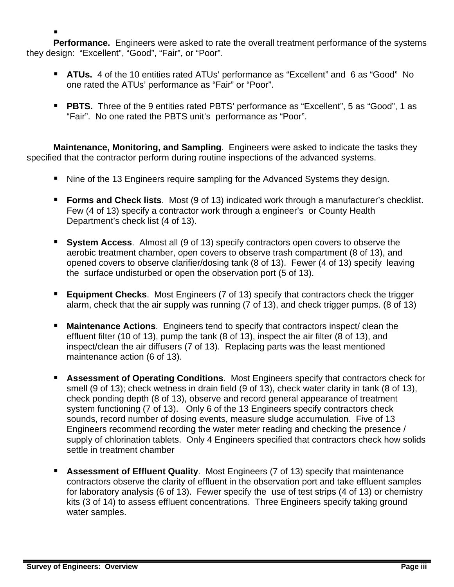■ **Performance.** Engineers were asked to rate the overall treatment performance of the systems they design: "Excellent", "Good", "Fair", or "Poor".

- **ATUs.** 4 of the 10 entities rated ATUs' performance as "Excellent" and 6 as "Good" No one rated the ATUs' performance as "Fair" or "Poor".
- **PBTS.** Three of the 9 entities rated PBTS' performance as "Excellent", 5 as "Good", 1 as "Fair". No one rated the PBTS unit's performance as "Poor".

**Maintenance, Monitoring, and Sampling**. Engineers were asked to indicate the tasks they specified that the contractor perform during routine inspections of the advanced systems.

- Nine of the 13 Engineers require sampling for the Advanced Systems they design.
- **Forms and Check lists**. Most (9 of 13) indicated work through a manufacturer's checklist. Few (4 of 13) specify a contractor work through a engineer's or County Health Department's check list (4 of 13).
- **System Access**. Almost all (9 of 13) specify contractors open covers to observe the aerobic treatment chamber, open covers to observe trash compartment (8 of 13), and opened covers to observe clarifier/dosing tank (8 of 13). Fewer (4 of 13) specify leaving the surface undisturbed or open the observation port (5 of 13).
- **Equipment Checks**. Most Engineers (7 of 13) specify that contractors check the trigger alarm, check that the air supply was running (7 of 13), and check trigger pumps. (8 of 13)
- **Maintenance Actions**. Engineers tend to specify that contractors inspect/ clean the effluent filter (10 of 13), pump the tank (8 of 13), inspect the air filter (8 of 13), and inspect/clean the air diffusers (7 of 13). Replacing parts was the least mentioned maintenance action (6 of 13).
- **Assessment of Operating Conditions.** Most Engineers specify that contractors check for smell (9 of 13); check wetness in drain field (9 of 13), check water clarity in tank (8 of 13), check ponding depth (8 of 13), observe and record general appearance of treatment system functioning (7 of 13). Only 6 of the 13 Engineers specify contractors check sounds, record number of dosing events, measure sludge accumulation. Five of 13 Engineers recommend recording the water meter reading and checking the presence / supply of chlorination tablets. Only 4 Engineers specified that contractors check how solids settle in treatment chamber
- **Assessment of Effluent Quality**. Most Engineers (7 of 13) specify that maintenance contractors observe the clarity of effluent in the observation port and take effluent samples for laboratory analysis (6 of 13). Fewer specify the use of test strips (4 of 13) or chemistry kits (3 of 14) to assess effluent concentrations. Three Engineers specify taking ground water samples.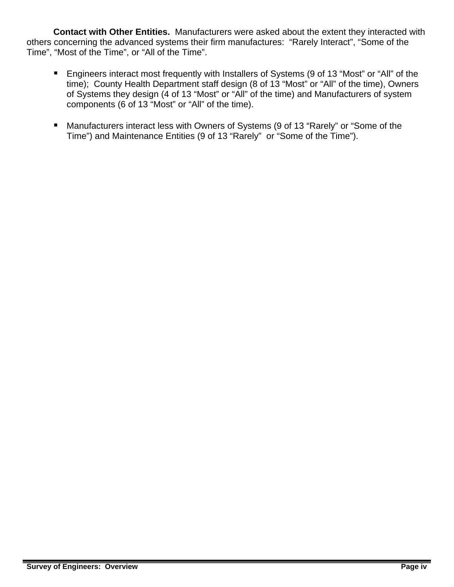**Contact with Other Entities.** Manufacturers were asked about the extent they interacted with others concerning the advanced systems their firm manufactures: "Rarely Interact", "Some of the Time", "Most of the Time", or "All of the Time".

- **Engineers interact most frequently with Installers of Systems (9 of 13 "Most" or "All" of the** time); County Health Department staff design (8 of 13 "Most" or "All" of the time), Owners of Systems they design (4 of 13 "Most" or "All" of the time) and Manufacturers of system components (6 of 13 "Most" or "All" of the time).
- Manufacturers interact less with Owners of Systems (9 of 13 "Rarely" or "Some of the Time") and Maintenance Entities (9 of 13 "Rarely" or "Some of the Time").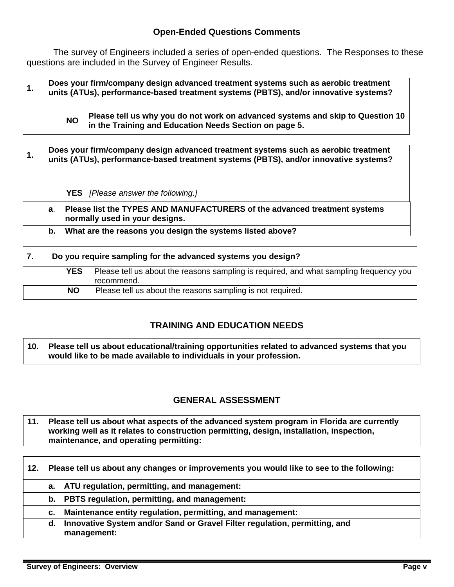## **Open-Ended Questions Comments**

 The survey of Engineers included a series of open-ended questions. The Responses to these questions are included in the Survey of Engineer Results.

**1. Does your firm/company design advanced treatment systems such as aerobic treatment units (ATUs), performance-based treatment systems (PBTS), and/or innovative systems?** 

> **NO Please tell us why you do not work on advanced systems and skip to Question 10 in the Training and Education Needs Section on page 5.**

# **1. <b>Does your firm/company design advanced treatment systems such as aerobic treatment**  $\frac{1}{2}$ **units (ATUs), performance-based treatment systems (PBTS), and/or innovative systems? YES** *[Please answer the following.]* **a**. **Please list the TYPES AND MANUFACTURERS of the advanced treatment systems normally used in your designs. b. What are the reasons you design the systems listed above?**

| Do you require sampling for the advanced systems you design? |                                                                                                      |
|--------------------------------------------------------------|------------------------------------------------------------------------------------------------------|
| <b>YES</b>                                                   | Please tell us about the reasons sampling is required, and what sampling frequency you<br>recommend. |
| <b>NO</b>                                                    | Please tell us about the reasons sampling is not required.                                           |

# **TRAINING AND EDUCATION NEEDS**

**10. Please tell us about educational/training opportunities related to advanced systems that you would like to be made available to individuals in your profession.** 

# **GENERAL ASSESSMENT**

**11. Please tell us about what aspects of the advanced system program in Florida are currently working well as it relates to construction permitting, design, installation, inspection, maintenance, and operating permitting:** 

| 12. | Please tell us about any changes or improvements you would like to see to the following: |                                                                                           |  |
|-----|------------------------------------------------------------------------------------------|-------------------------------------------------------------------------------------------|--|
|     |                                                                                          | a. ATU regulation, permitting, and management:                                            |  |
|     |                                                                                          | b. PBTS regulation, permitting, and management:                                           |  |
|     | $c_{\cdot}$                                                                              | Maintenance entity regulation, permitting, and management:                                |  |
|     | d.                                                                                       | Innovative System and/or Sand or Gravel Filter regulation, permitting, and<br>management: |  |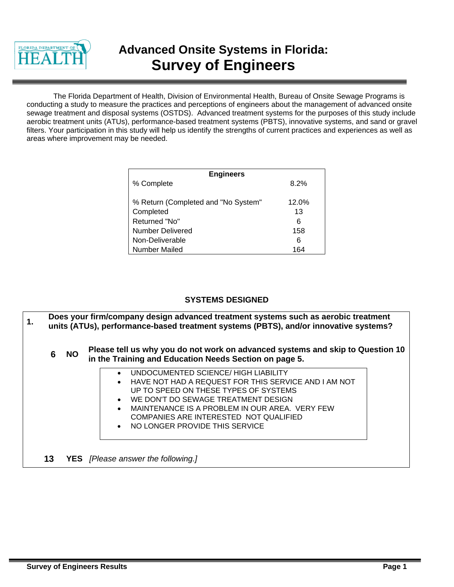

# **Advanced Onsite Systems in Florida: Survey of Engineers**

The Florida Department of Health, Division of Environmental Health, Bureau of Onsite Sewage Programs is conducting a study to measure the practices and perceptions of engineers about the management of advanced onsite sewage treatment and disposal systems (OSTDS). Advanced treatment systems for the purposes of this study include aerobic treatment units (ATUs), performance-based treatment systems (PBTS), innovative systems, and sand or gravel filters. Your participation in this study will help us identify the strengths of current practices and experiences as well as areas where improvement may be needed.

| <b>Engineers</b>                    |         |
|-------------------------------------|---------|
| % Complete                          | $8.2\%$ |
|                                     |         |
| % Return (Completed and "No System" | 12.0%   |
| Completed                           | 13      |
| Returned "No"                       | 6       |
| <b>Number Delivered</b>             | 158     |
| Non-Deliverable                     | 6       |
| <b>Number Mailed</b>                | 164     |

#### **SYSTEMS DESIGNED**

**1. Does your firm/company design advanced treatment systems such as aerobic treatment 1.** *pulled in the line of the systems* **units (ATUs), performance-based treatment systems (PBTS), and/or innovative systems? 6 NO Please tell us why you do not work on advanced systems and skip to Question 10 in the Training and Education Needs Section on page 5.** • UNDOCUMENTED SCIENCE/ HIGH LIABILITY • HAVE NOT HAD A REQUEST FOR THIS SERVICE AND I AM NOT UP TO SPEED ON THESE TYPES OF SYSTEMS WE DON'T DO SEWAGE TREATMENT DESIGN MAINTENANCE IS A PROBLEM IN OUR AREA. VERY FEW COMPANIES ARE INTERESTED NOT QUALIFIED • NO LONGER PROVIDE THIS SERVICE **13 YES** *[Please answer the following.]*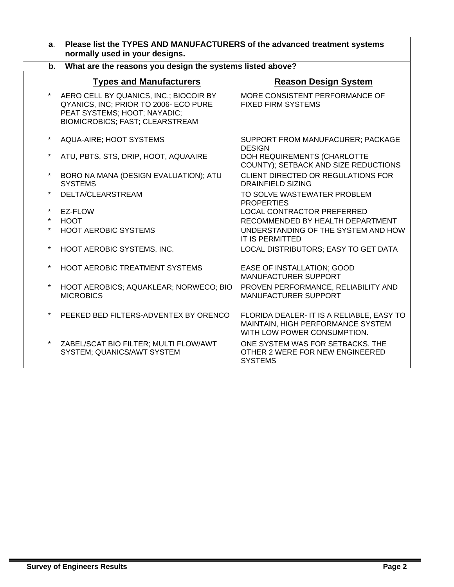| $a_{\cdot}$ | Please list the TYPES AND MANUFACTURERS of the advanced treatment systems<br>normally used in your designs.                                               |                                                                                                               |
|-------------|-----------------------------------------------------------------------------------------------------------------------------------------------------------|---------------------------------------------------------------------------------------------------------------|
| b.          | What are the reasons you design the systems listed above?                                                                                                 |                                                                                                               |
|             | <b>Types and Manufacturers</b>                                                                                                                            | <b>Reason Design System</b>                                                                                   |
|             | AERO CELL BY QUANICS, INC.; BIOCOIR BY<br>QYANICS, INC; PRIOR TO 2006- ECO PURE<br>PEAT SYSTEMS; HOOT; NAYADIC;<br><b>BIOMICROBICS; FAST; CLEARSTREAM</b> | MORE CONSISTENT PERFORMANCE OF<br><b>FIXED FIRM SYSTEMS</b>                                                   |
| $\star$     | AQUA-AIRE; HOOT SYSTEMS                                                                                                                                   | SUPPORT FROM MANUFACURER; PACKAGE<br><b>DESIGN</b>                                                            |
| $\star$     | ATU, PBTS, STS, DRIP, HOOT, AQUAAIRE                                                                                                                      | DOH REQUIREMENTS (CHARLOTTE<br>COUNTY); SETBACK AND SIZE REDUCTIONS                                           |
| $\star$     | BORO NA MANA (DESIGN EVALUATION); ATU<br><b>SYSTEMS</b>                                                                                                   | CLIENT DIRECTED OR REGULATIONS FOR<br><b>DRAINFIELD SIZING</b>                                                |
| $\star$     | DELTA/CLEARSTREAM                                                                                                                                         | TO SOLVE WASTEWATER PROBLEM<br><b>PROPERTIES</b>                                                              |
| $\star$     | EZ-FLOW                                                                                                                                                   | LOCAL CONTRACTOR PREFERRED                                                                                    |
| $\star$     | <b>HOOT</b>                                                                                                                                               | RECOMMENDED BY HEALTH DEPARTMENT                                                                              |
| $\star$     | <b>HOOT AEROBIC SYSTEMS</b>                                                                                                                               | UNDERSTANDING OF THE SYSTEM AND HOW<br><b>IT IS PERMITTED</b>                                                 |
| $\star$     | HOOT AEROBIC SYSTEMS, INC.                                                                                                                                | LOCAL DISTRIBUTORS; EASY TO GET DATA                                                                          |
| $\star$     | HOOT AEROBIC TREATMENT SYSTEMS                                                                                                                            | EASE OF INSTALLATION; GOOD<br><b>MANUFACTURER SUPPORT</b>                                                     |
| $^\star$    | HOOT AEROBICS; AQUAKLEAR; NORWECO; BIO<br><b>MICROBICS</b>                                                                                                | PROVEN PERFORMANCE, RELIABILITY AND<br><b>MANUFACTURER SUPPORT</b>                                            |
|             | PEEKED BED FILTERS-ADVENTEX BY ORENCO                                                                                                                     | FLORIDA DEALER- IT IS A RELIABLE, EASY TO<br>MAINTAIN, HIGH PERFORMANCE SYSTEM<br>WITH LOW POWER CONSUMPTION. |
| $\star$     | ZABEL/SCAT BIO FILTER; MULTI FLOW/AWT<br>SYSTEM; QUANICS/AWT SYSTEM                                                                                       | ONE SYSTEM WAS FOR SETBACKS. THE<br>OTHER 2 WERE FOR NEW ENGINEERED<br><b>SYSTEMS</b>                         |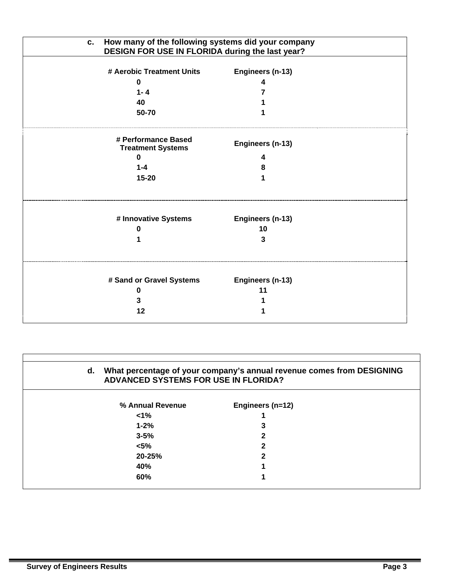| How many of the following systems did your company<br>C.<br>DESIGN FOR USE IN FLORIDA during the last year? |                  |  |
|-------------------------------------------------------------------------------------------------------------|------------------|--|
| # Aerobic Treatment Units                                                                                   | Engineers (n-13) |  |
| 0                                                                                                           |                  |  |
| $1 - 4$                                                                                                     |                  |  |
| 40                                                                                                          |                  |  |
| 50-70                                                                                                       |                  |  |
| # Performance Based<br><b>Treatment Systems</b>                                                             | Engineers (n-13) |  |
| $\bf{0}$                                                                                                    | 4                |  |
| $1 - 4$                                                                                                     | 8                |  |
| 15-20                                                                                                       |                  |  |
| # Innovative Systems                                                                                        | Engineers (n-13) |  |
| n                                                                                                           | 10               |  |
|                                                                                                             | 3                |  |
| # Sand or Gravel Systems                                                                                    | Engineers (n-13) |  |
| o                                                                                                           | 11               |  |
| 3                                                                                                           |                  |  |
| 12                                                                                                          |                  |  |
|                                                                                                             |                  |  |

| d.<br><b>ADVANCED SYSTEMS FOR USE IN FLORIDA?</b> | What percentage of your company's annual revenue comes from DESIGNING |
|---------------------------------------------------|-----------------------------------------------------------------------|
| % Annual Revenue                                  | Engineers (n=12)                                                      |
| $1\%$                                             |                                                                       |
| $1 - 2%$                                          | 3                                                                     |
| $3 - 5%$                                          |                                                                       |
| $< 5\%$                                           | າ                                                                     |
| 20-25%                                            | 2                                                                     |
| 40%                                               |                                                                       |
| 60%                                               |                                                                       |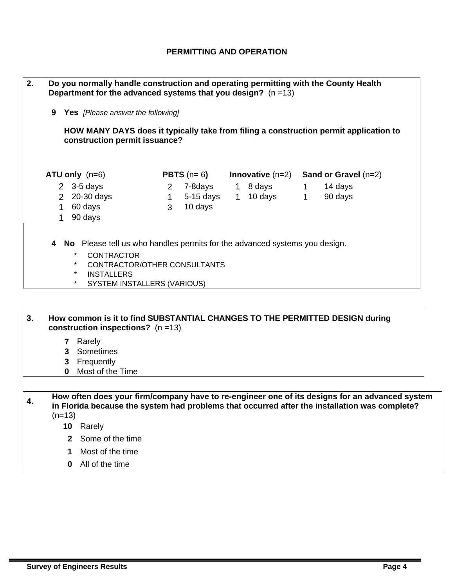## **PERMITTING AND OPERATION**

| 2. |    | Do you normally handle construction and operating permitting with the County Health<br>Department for the advanced systems that you design? $(n=13)$                                                                            |              |                     |                    |                |                                                                                       |
|----|----|---------------------------------------------------------------------------------------------------------------------------------------------------------------------------------------------------------------------------------|--------------|---------------------|--------------------|----------------|---------------------------------------------------------------------------------------|
|    | 9  | <b>Yes</b> [Please answer the following]                                                                                                                                                                                        |              |                     |                    |                |                                                                                       |
|    |    | construction permit issuance?                                                                                                                                                                                                   |              |                     |                    |                | HOW MANY DAYS does it typically take from filing a construction permit application to |
|    |    | $ATU$ only $(n=6)$                                                                                                                                                                                                              |              | <b>PBTS</b> $(n=6)$ |                    |                | Innovative $(n=2)$ Sand or Gravel $(n=2)$                                             |
|    |    | 2 $3-5$ days                                                                                                                                                                                                                    | $\mathbf{2}$ |                     | 7-8days   1 8 days | $\overline{1}$ | 14 days                                                                               |
|    |    | 2 20-30 days                                                                                                                                                                                                                    | $\mathbf 1$  | 5-15 days           | 1 10 days 1        |                | 90 days                                                                               |
|    | 1. | 60 days                                                                                                                                                                                                                         | 3            | 10 days             |                    |                |                                                                                       |
|    | 1  | 90 days                                                                                                                                                                                                                         |              |                     |                    |                |                                                                                       |
|    | 4  | No Please tell us who handles permits for the advanced systems you design.<br>$\star$<br><b>CONTRACTOR</b><br>$\star$<br>CONTRACTOR/OTHER CONSULTANTS<br>$\star$<br><b>INSTALLERS</b><br>$\star$<br>SYSTEM INSTALLERS (VARIOUS) |              |                     |                    |                |                                                                                       |

**3. How common is it to find SUBSTANTIAL CHANGES TO THE PERMITTED DESIGN during construction inspections?** (n =13)

- **7** Rarely
- **3** Sometimes
- **3** Frequently
- **0** Most of the Time

**4. How often does your firm/company have to re-engineer one of its designs for an advanced system in Florida because the system had problems that occurred after the installation was complete?**   $(n=13)$ 

- **10** Rarely
- **2** Some of the time
- **1** Most of the time
- **0** All of the time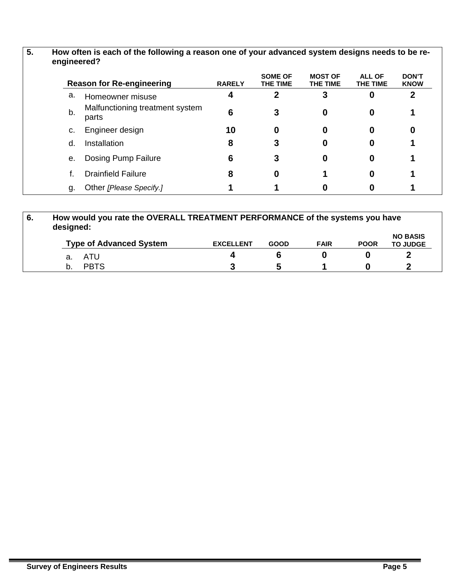|    | <b>Reason for Re-engineering</b>         | <b>RARELY</b> | <b>SOME OF</b><br>THE TIME | <b>MOST OF</b><br>THE TIME | <b>ALL OF</b><br>THE TIME | <b>DON'T</b><br><b>KNOW</b> |
|----|------------------------------------------|---------------|----------------------------|----------------------------|---------------------------|-----------------------------|
| a. | Homeowner misuse                         |               |                            | 3                          | 0                         | 2                           |
| b. | Malfunctioning treatment system<br>parts | 6             | 3                          | 0                          | 0                         |                             |
| c. | Engineer design                          | 10            | 0                          | 0                          | 0                         |                             |
| d. | Installation                             | 8             |                            | 0                          | O                         |                             |
| е. | Dosing Pump Failure                      | 6             | 3                          | 0                          | 0                         |                             |
|    | <b>Drainfield Failure</b>                | 8             | 0                          |                            | 0                         |                             |
| g. | Other [Please Specify.]                  |               |                            |                            |                           |                             |

| 6. | designed: | How would you rate the OVERALL TREATMENT PERFORMANCE of the systems you have |                  |             |             |             |                                    |
|----|-----------|------------------------------------------------------------------------------|------------------|-------------|-------------|-------------|------------------------------------|
|    |           | <b>Type of Advanced System</b>                                               | <b>EXCELLENT</b> | <b>GOOD</b> | <b>FAIR</b> | <b>POOR</b> | <b>NO BASIS</b><br><b>TO JUDGE</b> |
|    | а.        | ATU                                                                          |                  |             |             |             |                                    |
|    |           | <b>PBTS</b>                                                                  |                  |             |             |             |                                    |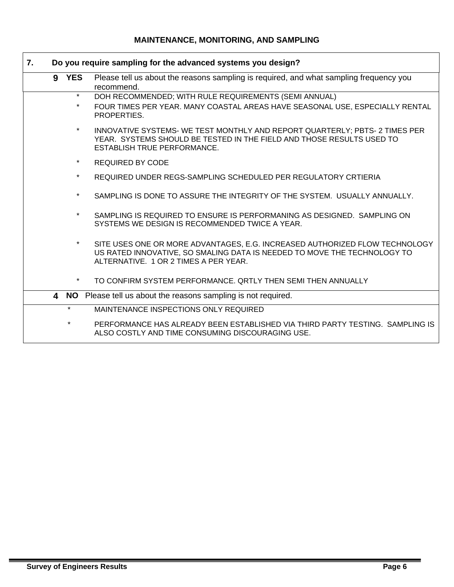# **MAINTENANCE, MONITORING, AND SAMPLING**

| 7. |                    | Do you require sampling for the advanced systems you design?                                                                                                                                     |
|----|--------------------|--------------------------------------------------------------------------------------------------------------------------------------------------------------------------------------------------|
|    | 9 YES              | Please tell us about the reasons sampling is required, and what sampling frequency you<br>recommend.                                                                                             |
|    | $\star$<br>$\star$ | DOH RECOMMENDED; WITH RULE REQUIREMENTS (SEMI ANNUAL)<br>FOUR TIMES PER YEAR. MANY COASTAL AREAS HAVE SEASONAL USE, ESPECIALLY RENTAL<br>PROPERTIES.                                             |
|    | $\star$            | INNOVATIVE SYSTEMS- WE TEST MONTHLY AND REPORT QUARTERLY; PBTS- 2 TIMES PER<br>YEAR. SYSTEMS SHOULD BE TESTED IN THE FIELD AND THOSE RESULTS USED TO<br><b>ESTABLISH TRUE PERFORMANCE.</b>       |
|    | $\star$            | <b>REQUIRED BY CODE</b>                                                                                                                                                                          |
|    | $\star$            | REQUIRED UNDER REGS-SAMPLING SCHEDULED PER REGULATORY CRTIERIA                                                                                                                                   |
|    | $\star$            | SAMPLING IS DONE TO ASSURE THE INTEGRITY OF THE SYSTEM. USUALLY ANNUALLY.                                                                                                                        |
|    | $\star$            | SAMPLING IS REQUIRED TO ENSURE IS PERFORMANING AS DESIGNED. SAMPLING ON<br>SYSTEMS WE DESIGN IS RECOMMENDED TWICE A YEAR.                                                                        |
|    |                    | SITE USES ONE OR MORE ADVANTAGES, E.G. INCREASED AUTHORIZED FLOW TECHNOLOGY<br>US RATED INNOVATIVE, SO SMALING DATA IS NEEDED TO MOVE THE TECHNOLOGY TO<br>ALTERNATIVE. 1 OR 2 TIMES A PER YEAR. |
|    | $\star$            | TO CONFIRM SYSTEM PERFORMANCE. QRTLY THEN SEMI THEN ANNUALLY                                                                                                                                     |
|    |                    | 4 NO Please tell us about the reasons sampling is not required.                                                                                                                                  |
|    | $\star$            | MAINTENANCE INSPECTIONS ONLY REQUIRED                                                                                                                                                            |
|    | $^\star$           | PERFORMANCE HAS ALREADY BEEN ESTABLISHED VIA THIRD PARTY TESTING. SAMPLING IS<br>ALSO COSTLY AND TIME CONSUMING DISCOURAGING USE.                                                                |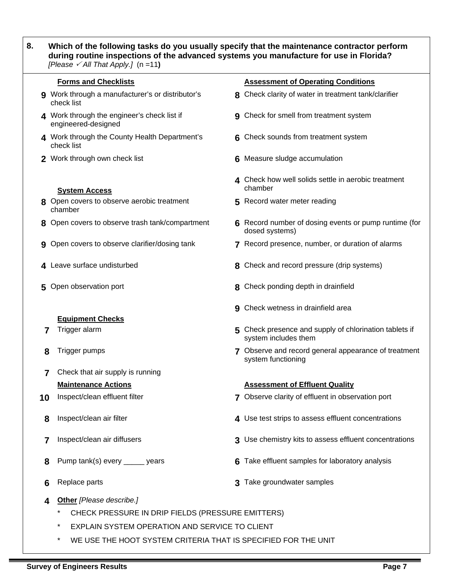| Which of the following tasks do you usually specify that the maintenance contractor perform<br>during routine inspections of the advanced systems you manufacture for use in Florida? |
|---------------------------------------------------------------------------------------------------------------------------------------------------------------------------------------|
| [Please $\checkmark$ All That Apply.] (n =11)                                                                                                                                         |

|    | <b>Forms and Checklists</b>                                        |   | <b>Assessment of Operating Conditions</b>                                      |
|----|--------------------------------------------------------------------|---|--------------------------------------------------------------------------------|
|    | 9 Work through a manufacturer's or distributor's<br>check list     |   | 8 Check clarity of water in treatment tank/clarifier                           |
|    | 4 Work through the engineer's check list if<br>engineered-designed |   | 9 Check for smell from treatment system                                        |
|    | 4 Work through the County Health Department's<br>check list        |   | 6 Check sounds from treatment system                                           |
|    | 2 Work through own check list                                      | 6 | Measure sludge accumulation                                                    |
|    | <b>System Access</b>                                               |   | 4 Check how well solids settle in aerobic treatment<br>chamber                 |
|    | 8 Open covers to observe aerobic treatment<br>chamber              |   | 5 Record water meter reading                                                   |
| 8  | Open covers to observe trash tank/compartment                      |   | Record number of dosing events or pump runtime (for<br>dosed systems)          |
| 9  | Open covers to observe clarifier/dosing tank                       |   | 7 Record presence, number, or duration of alarms                               |
|    | Leave surface undisturbed                                          |   | 8 Check and record pressure (drip systems)                                     |
| 5  | Open observation port                                              |   | Check ponding depth in drainfield                                              |
|    | <b>Equipment Checks</b>                                            | 9 | Check wetness in drainfield area                                               |
| 7  | Trigger alarm                                                      |   | 5 Check presence and supply of chlorination tablets if<br>system includes them |
| 8  | Trigger pumps                                                      |   | 7 Observe and record general appearance of treatment<br>system functioning     |
| 7  | Check that air supply is running                                   |   |                                                                                |
|    | <b>Maintenance Actions</b>                                         |   | <b>Assessment of Effluent Quality</b>                                          |
| 10 | Inspect/clean effluent filter                                      |   | 7 Observe clarity of effluent in observation port                              |
| 8  | Inspect/clean air filter                                           |   | 4 Use test strips to assess effluent concentrations                            |
| 7  | Inspect/clean air diffusers                                        | 3 | Use chemistry kits to assess effluent concentrations                           |
| 8  | Pump tank(s) every _____ years                                     |   | Take effluent samples for laboratory analysis                                  |
| 6  | Replace parts                                                      |   | Take groundwater samples                                                       |

- **4 Other** *[Please describe.]*
	- \* CHECK PRESSURE IN DRIP FIELDS (PRESSURE EMITTERS)
	- \* EXPLAIN SYSTEM OPERATION AND SERVICE TO CLIENT
	- \* WE USE THE HOOT SYSTEM CRITERIA THAT IS SPECIFIED FOR THE UNIT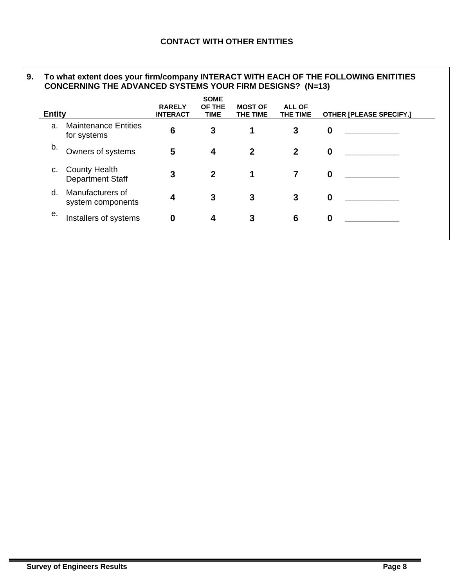#### **9. To what extent does your firm/company INTERACT WITH EACH OF THE FOLLOWING ENITITIES CONCERNING THE ADVANCED SYSTEMS YOUR FIRM DESIGNS? (N=13)**

| <b>Entity</b>                                         | <b>RARELY</b><br><b>INTERACT</b> | <b>SOME</b><br>OF THE<br><b>TIME</b> | <b>MOST OF</b><br>THE TIME | <b>ALL OF</b><br>THE TIME | <b>OTHER [PLEASE SPECIFY.]</b> |
|-------------------------------------------------------|----------------------------------|--------------------------------------|----------------------------|---------------------------|--------------------------------|
| <b>Maintenance Entities</b><br>for systems            | 6                                | 3                                    |                            | 3                         | $\mathbf 0$                    |
| Owners of systems                                     | 5                                | 4                                    | $\mathbf 2$                | $\overline{2}$            | $\boldsymbol{0}$               |
| <b>County Health</b><br>C.<br><b>Department Staff</b> | 3                                | $\mathbf{2}$                         |                            | 7                         | $\bf{0}$                       |
| Manufacturers of<br>system components                 | 4                                | 3                                    | 3                          | 3                         | $\mathbf 0$                    |
| Installers of systems                                 | 0                                | 4                                    | 3                          | 6                         | $\mathbf 0$                    |
|                                                       |                                  |                                      |                            |                           |                                |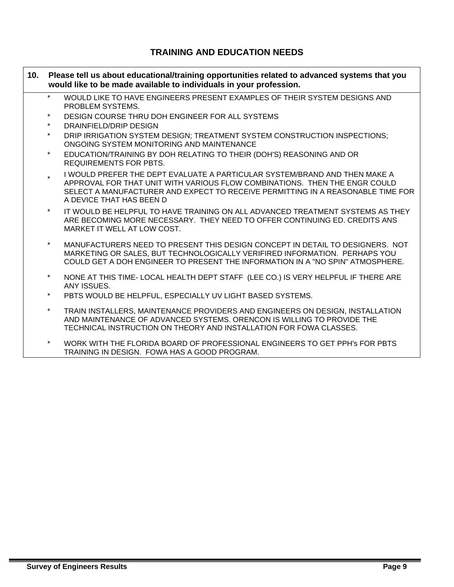### **TRAINING AND EDUCATION NEEDS**

- **10. Please tell us about educational/training opportunities related to advanced systems that you would like to be made available to individuals in your profession.** 
	- WOULD LIKE TO HAVE ENGINEERS PRESENT EXAMPLES OF THEIR SYSTEM DESIGNS AND PROBLEM SYSTEMS.
	- DESIGN COURSE THRU DOH ENGINEER FOR ALL SYSTEMS
	- DRAINFIELD/DRIP DESIGN
	- DRIP IRRIGATION SYSTEM DESIGN: TREATMENT SYSTEM CONSTRUCTION INSPECTIONS: ONGOING SYSTEM MONITORING AND MAINTENANCE
	- \* EDUCATION/TRAINING BY DOH RELATING TO THEIR (DOH'S) REASONING AND OR REQUIREMENTS FOR PBTS.
	- I WOULD PREFER THE DEPT EVALUATE A PARTICULAR SYSTEM/BRAND AND THEN MAKE A APPROVAL FOR THAT UNIT WITH VARIOUS FLOW COMBINATIONS. THEN THE ENGR COULD SELECT A MANUFACTURER AND EXPECT TO RECEIVE PERMITTING IN A REASONABLE TIME FOR A DEVICE THAT HAS BEEN D
	- IT WOULD BE HELPFUL TO HAVE TRAINING ON ALL ADVANCED TREATMENT SYSTEMS AS THEY ARE BECOMING MORE NECESSARY. THEY NEED TO OFFER CONTINUING ED. CREDITS ANS MARKET IT WELL AT LOW COST.
	- MANUFACTURERS NEED TO PRESENT THIS DESIGN CONCEPT IN DETAIL TO DESIGNERS. NOT MARKETING OR SALES, BUT TECHNOLOGICALLY VERIFIRED INFORMATION. PERHAPS YOU COULD GET A DOH ENGINEER TO PRESENT THE INFORMATION IN A "NO SPIN" ATMOSPHERE.
	- NONE AT THIS TIME- LOCAL HEALTH DEPT STAFF (LEE CO.) IS VERY HELPFUL IF THERE ARE ANY ISSUES.
	- PBTS WOULD BE HELPFUL, ESPECIALLY UV LIGHT BASED SYSTEMS.
	- TRAIN INSTALLERS, MAINTENANCE PROVIDERS AND ENGINEERS ON DESIGN, INSTALLATION AND MAINTENANCE OF ADVANCED SYSTEMS. ORENCON IS WILLING TO PROVIDE THE TECHNICAL INSTRUCTION ON THEORY AND INSTALLATION FOR FOWA CLASSES.
	- WORK WITH THE FLORIDA BOARD OF PROFESSIONAL ENGINEERS TO GET PPH's FOR PBTS TRAINING IN DESIGN. FOWA HAS A GOOD PROGRAM.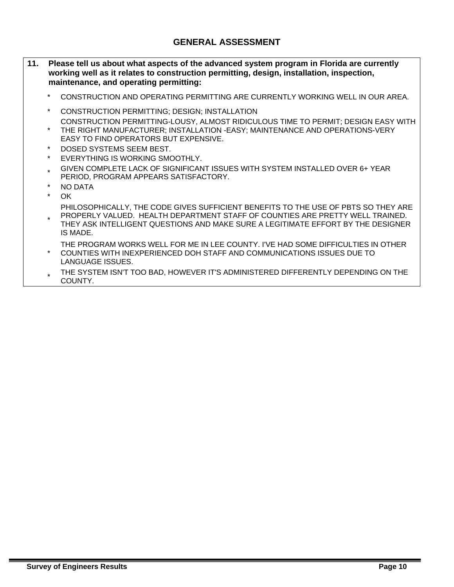- **11. Please tell us about what aspects of the advanced system program in Florida are currently working well as it relates to construction permitting, design, installation, inspection, maintenance, and operating permitting:** 
	- CONSTRUCTION AND OPERATING PERMITTING ARE CURRENTLY WORKING WELL IN OUR AREA.
	- CONSTRUCTION PERMITTING: DESIGN: INSTALLATION
- \* CONSTRUCTION PERMITTING-LOUSY, ALMOST RIDICULOUS TIME TO PERMIT; DESIGN EASY WITH THE RIGHT MANUFACTURER; INSTALLATION -EASY; MAINTENANCE AND OPERATIONS-VERY EASY TO FIND OPERATORS BUT EXPENSIVE.
	- DOSED SYSTEMS SEEM BEST.
	- EVERYTHING IS WORKING SMOOTHLY.
	- \* GIVEN COMPLETE LACK OF SIGNIFICANT ISSUES WITH SYSTEM INSTALLED OVER 6+ YEAR PERIOD, PROGRAM APPEARS SATISFACTORY.
	- NO DATA
	- $OK$
	- PHILOSOPHICALLY, THE CODE GIVES SUFFICIENT BENEFITS TO THE USE OF PBTS SO THEY ARE PROPERLY VALUED. HEALTH DEPARTMENT STAFF OF COUNTIES ARE PRETTY WELL TRAINED.
- \* THEY ASK INTELLIGENT QUESTIONS AND MAKE SURE A LEGITIMATE EFFORT BY THE DESIGNER IS MADE.
- \* THE PROGRAM WORKS WELL FOR ME IN LEE COUNTY. I'VE HAD SOME DIFFICULTIES IN OTHER COUNTIES WITH INEXPERIENCED DOH STAFF AND COMMUNICATIONS ISSUES DUE TO LANGUAGE ISSUES.
	- THE SYSTEM ISN'T TOO BAD, HOWEVER IT'S ADMINISTERED DIFFERENTLY DEPENDING ON THE COUNTY.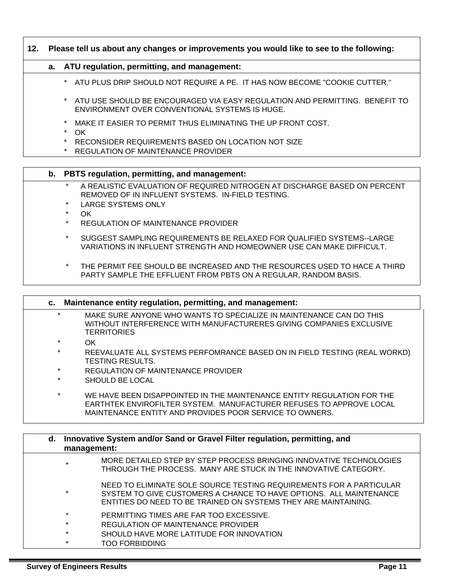### **12. Please tell us about any changes or improvements you would like to see to the following:**

### **a. ATU regulation, permitting, and management:**

- \* ATU PLUS DRIP SHOULD NOT REQUIRE A PE. IT HAS NOW BECOME "COOKIE CUTTER."
- ATU USE SHOULD BE ENCOURAGED VIA EASY REGULATION AND PERMITTING. BENEFIT TO ENVIRONMENT OVER CONVENTIONAL SYSTEMS IS HUGE.
- MAKE IT EASIER TO PERMIT THUS ELIMINATING THE UP FRONT COST.
- $OK$
- RECONSIDER REQUIREMENTS BASED ON LOCATION NOT SIZE
- \* REGULATION OF MAINTENANCE PROVIDER

### **b. PBTS regulation, permitting, and management:**

- \* A REALISTIC EVALUATION OF REQUIRED NITROGEN AT DISCHARGE BASED ON PERCENT REMOVED OF IN INFLUENT SYSTEMS. IN-FIELD TESTING.
- \* LARGE SYSTEMS ONLY
- \* OK
- REGULATION OF MAINTENANCE PROVIDER
- SUGGEST SAMPLING REQUIREMENTS BE RELAXED FOR QUALIFIED SYSTEMS--LARGE VARIATIONS IN INFLUENT STRENGTH AND HOMEOWNER USE CAN MAKE DIFFICULT.
- THE PERMIT FEE SHOULD BE INCREASED AND THE RESOURCES USED TO HACE A THIRD PARTY SAMPLE THE EFFLUENT FROM PBTS ON A REGULAR, RANDOM BASIS.

|    |                | c. Maintenance entity regulation, permitting, and management:                                                                                                                                                |
|----|----------------|--------------------------------------------------------------------------------------------------------------------------------------------------------------------------------------------------------------|
|    | $\star$        | MAKE SURE ANYONE WHO WANTS TO SPECIALIZE IN MAINTENANCE CAN DO THIS<br>WITHOUT INTERFERENCE WITH MANUFACTURERES GIVING COMPANIES EXCLUSIVE<br><b>TERRITORIES</b>                                             |
|    | $\star$<br>OK. |                                                                                                                                                                                                              |
|    | $\star$        | REEVALUATE ALL SYSTEMS PERFOMRANCE BASED ON IN FIELD TESTING (REAL WORKD)<br><b>TESTING RESULTS.</b>                                                                                                         |
|    | $\star$        | <b>REGULATION OF MAINTENANCE PROVIDER</b>                                                                                                                                                                    |
|    | $\star$        | SHOULD BE LOCAL                                                                                                                                                                                              |
|    | $\star$        | WE HAVE BEEN DISAPPOINTED IN THE MAINTENANCE ENTITY REGULATION FOR THE<br>EARTHTEK ENVIROFILTER SYSTEM. MANUFACTURER REFUSES TO APPROVE LOCAL<br>MAINTENANCE ENTITY AND PROVIDES POOR SERVICE TO OWNERS.     |
|    |                |                                                                                                                                                                                                              |
| d. | management:    | Innovative System and/or Sand or Gravel Filter regulation, permitting, and                                                                                                                                   |
|    | $\star$        | MORE DETAILED STEP BY STEP PROCESS BRINGING INNOVATIVE TECHNOLOGIES                                                                                                                                          |
|    |                | THROUGH THE PROCESS. MANY ARE STUCK IN THE INNOVATIVE CATEGORY.                                                                                                                                              |
|    | $\star$        | NEED TO ELIMINATE SOLE SOURCE TESTING REQUIREMENTS FOR A PARTICULAR<br>SYSTEM TO GIVE CUSTOMERS A CHANCE TO HAVE OPTIONS. ALL MAINTENANCE<br>ENTITIES DO NEED TO BE TRAINED ON SYSTEMS THEY ARE MAINTAINING. |
|    | $\star$        | PERMITTING TIMES ARE FAR TOO EXCESSIVE.                                                                                                                                                                      |
|    | $\star$        | REGULATION OF MAINTENANCE PROVIDER                                                                                                                                                                           |
|    | $\star$        | SHOULD HAVE MORE LATITUDE FOR INNOVATION                                                                                                                                                                     |
|    | $\star$        | <b>TOO FORBIDDING</b>                                                                                                                                                                                        |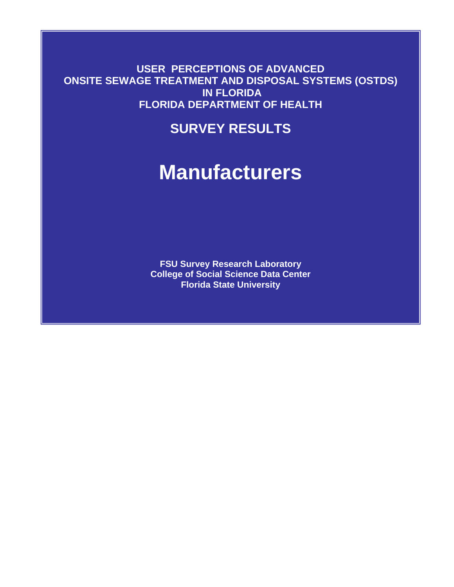**USER PERCEPTIONS OF ADVANCED ONSITE SEWAGE TREATMENT AND DISPOSAL SYSTEMS (OSTDS) IN FLORIDA FLORIDA DEPARTMENT OF HEALTH** 

## **SURVEY RESULTS**

# **Manufacturers**

**FSU Survey Research Laboratory College of Social Science Data Center Florida State University**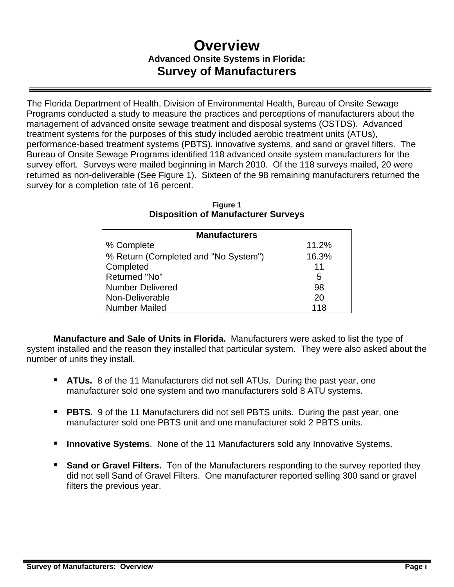## **Overview Advanced Onsite Systems in Florida: Survey of Manufacturers**

The Florida Department of Health, Division of Environmental Health, Bureau of Onsite Sewage Programs conducted a study to measure the practices and perceptions of manufacturers about the management of advanced onsite sewage treatment and disposal systems (OSTDS). Advanced treatment systems for the purposes of this study included aerobic treatment units (ATUs), performance-based treatment systems (PBTS), innovative systems, and sand or gravel filters. The Bureau of Onsite Sewage Programs identified 118 advanced onsite system manufacturers for the survey effort. Surveys were mailed beginning in March 2010. Of the 118 surveys mailed, 20 were returned as non-deliverable (See Figure 1). Sixteen of the 98 remaining manufacturers returned the survey for a completion rate of 16 percent.

| <b>Manufacturers</b>                 |       |
|--------------------------------------|-------|
| % Complete                           | 11.2% |
| % Return (Completed and "No System") | 16.3% |
| Completed                            | 11    |
| Returned "No"                        | 5     |
| <b>Number Delivered</b>              | 98    |
| Non-Deliverable                      | 20    |
| <b>Number Mailed</b>                 | 118   |

### **Figure 1 Disposition of Manufacturer Surveys**

**Manufacture and Sale of Units in Florida.** Manufacturers were asked to list the type of system installed and the reason they installed that particular system. They were also asked about the number of units they install.

- **ATUs.** 8 of the 11 Manufacturers did not sell ATUs. During the past year, one manufacturer sold one system and two manufacturers sold 8 ATU systems.
- **PBTS.** 9 of the 11 Manufacturers did not sell PBTS units. During the past year, one manufacturer sold one PBTS unit and one manufacturer sold 2 PBTS units.
- **Innovative Systems**. None of the 11 Manufacturers sold any Innovative Systems.
- **Sand or Gravel Filters.** Ten of the Manufacturers responding to the survey reported they did not sell Sand of Gravel Filters. One manufacturer reported selling 300 sand or gravel filters the previous year.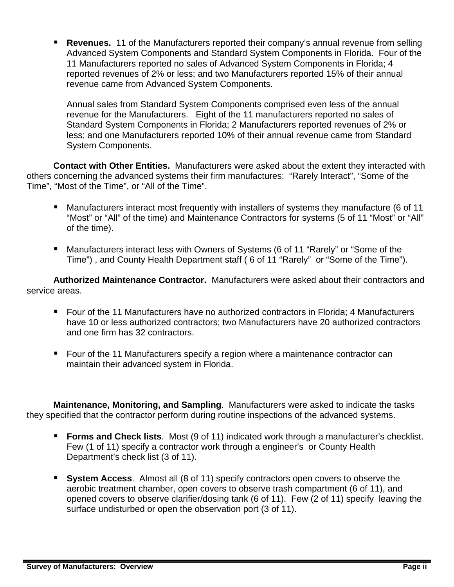**Revenues.** 11 of the Manufacturers reported their company's annual revenue from selling Advanced System Components and Standard System Components in Florida. Four of the 11 Manufacturers reported no sales of Advanced System Components in Florida; 4 reported revenues of 2% or less; and two Manufacturers reported 15% of their annual revenue came from Advanced System Components.

Annual sales from Standard System Components comprised even less of the annual revenue for the Manufacturers. Eight of the 11 manufacturers reported no sales of Standard System Components in Florida; 2 Manufacturers reported revenues of 2% or less; and one Manufacturers reported 10% of their annual revenue came from Standard System Components.

**Contact with Other Entities.** Manufacturers were asked about the extent they interacted with others concerning the advanced systems their firm manufactures: "Rarely Interact", "Some of the Time", "Most of the Time", or "All of the Time".

- **Manufacturers interact most frequently with installers of systems they manufacture (6 of 11** "Most" or "All" of the time) and Maintenance Contractors for systems (5 of 11 "Most" or "All" of the time).
- Manufacturers interact less with Owners of Systems (6 of 11 "Rarely" or "Some of the Time") , and County Health Department staff ( 6 of 11 "Rarely" or "Some of the Time").

**Authorized Maintenance Contractor.** Manufacturers were asked about their contractors and service areas.

- Four of the 11 Manufacturers have no authorized contractors in Florida; 4 Manufacturers have 10 or less authorized contractors; two Manufacturers have 20 authorized contractors and one firm has 32 contractors.
- Four of the 11 Manufacturers specify a region where a maintenance contractor can maintain their advanced system in Florida.

**Maintenance, Monitoring, and Sampling**. Manufacturers were asked to indicate the tasks they specified that the contractor perform during routine inspections of the advanced systems.

- **Forms and Check lists**. Most (9 of 11) indicated work through a manufacturer's checklist. Few (1 of 11) specify a contractor work through a engineer's or County Health Department's check list (3 of 11).
- **System Access.** Almost all (8 of 11) specify contractors open covers to observe the aerobic treatment chamber, open covers to observe trash compartment (6 of 11), and opened covers to observe clarifier/dosing tank (6 of 11). Few (2 of 11) specify leaving the surface undisturbed or open the observation port (3 of 11).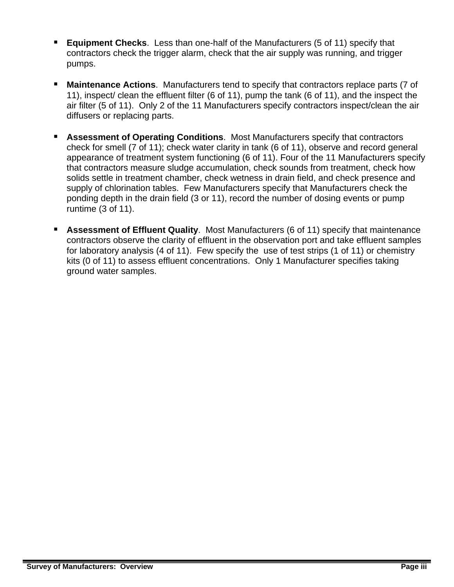- **Equipment Checks**. Less than one-half of the Manufacturers (5 of 11) specify that contractors check the trigger alarm, check that the air supply was running, and trigger pumps.
- **Maintenance Actions**. Manufacturers tend to specify that contractors replace parts (7 of 11), inspect/ clean the effluent filter (6 of 11), pump the tank (6 of 11), and the inspect the air filter (5 of 11). Only 2 of the 11 Manufacturers specify contractors inspect/clean the air diffusers or replacing parts.
- **Assessment of Operating Conditions.** Most Manufacturers specify that contractors check for smell (7 of 11); check water clarity in tank (6 of 11), observe and record general appearance of treatment system functioning (6 of 11). Four of the 11 Manufacturers specify that contractors measure sludge accumulation, check sounds from treatment, check how solids settle in treatment chamber, check wetness in drain field, and check presence and supply of chlorination tables. Few Manufacturers specify that Manufacturers check the ponding depth in the drain field (3 or 11), record the number of dosing events or pump runtime (3 of 11).
- **Assessment of Effluent Quality**. Most Manufacturers (6 of 11) specify that maintenance contractors observe the clarity of effluent in the observation port and take effluent samples for laboratory analysis (4 of 11). Few specify the use of test strips (1 of 11) or chemistry kits (0 of 11) to assess effluent concentrations. Only 1 Manufacturer specifies taking ground water samples.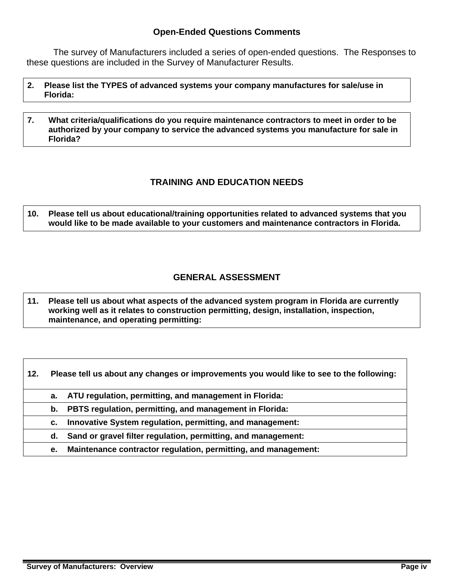### **Open-Ended Questions Comments**

 The survey of Manufacturers included a series of open-ended questions. The Responses to these questions are included in the Survey of Manufacturer Results.

- **2. Please list the TYPES of advanced systems your company manufactures for sale/use in Florida:**
- **7. What criteria/qualifications do you require maintenance contractors to meet in order to be authorized by your company to service the advanced systems you manufacture for sale in Florida?**

### **TRAINING AND EDUCATION NEEDS**

**10. Please tell us about educational/training opportunities related to advanced systems that you would like to be made available to your customers and maintenance contractors in Florida.** 

### **GENERAL ASSESSMENT**

**11. Please tell us about what aspects of the advanced system program in Florida are currently working well as it relates to construction permitting, design, installation, inspection, maintenance, and operating permitting:** 

| ATU regulation, permitting, and management in Florida:<br>а.<br>PBTS regulation, permitting, and management in Florida:<br>b.<br>Innovative System regulation, permitting, and management:<br>С.<br>Sand or gravel filter regulation, permitting, and management:<br>d. | 12. | Please tell us about any changes or improvements you would like to see to the following: |
|-------------------------------------------------------------------------------------------------------------------------------------------------------------------------------------------------------------------------------------------------------------------------|-----|------------------------------------------------------------------------------------------|
|                                                                                                                                                                                                                                                                         |     |                                                                                          |
|                                                                                                                                                                                                                                                                         |     |                                                                                          |
|                                                                                                                                                                                                                                                                         |     |                                                                                          |
|                                                                                                                                                                                                                                                                         |     |                                                                                          |
| е.                                                                                                                                                                                                                                                                      |     | Maintenance contractor regulation, permitting, and management:                           |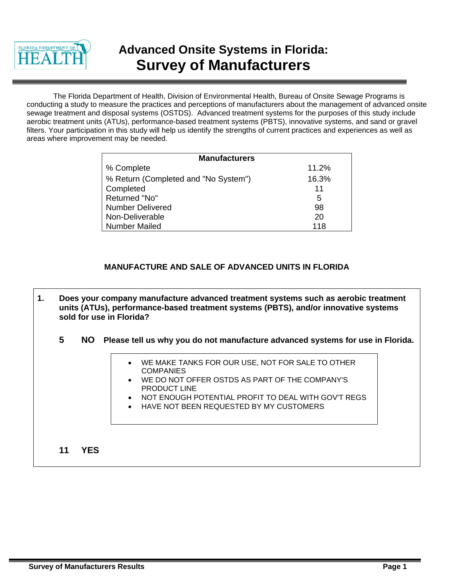

## **Advanced Onsite Systems in Florida: Survey of Manufacturers**

The Florida Department of Health, Division of Environmental Health, Bureau of Onsite Sewage Programs is conducting a study to measure the practices and perceptions of manufacturers about the management of advanced onsite sewage treatment and disposal systems (OSTDS). Advanced treatment systems for the purposes of this study include aerobic treatment units (ATUs), performance-based treatment systems (PBTS), innovative systems, and sand or gravel filters. Your participation in this study will help us identify the strengths of current practices and experiences as well as areas where improvement may be needed.

| <b>Manufacturers</b>                 |       |
|--------------------------------------|-------|
| % Complete                           | 11.2% |
| % Return (Completed and "No System") | 16.3% |
| Completed                            | 11    |
| Returned "No"                        | 5     |
| <b>Number Delivered</b>              | 98    |
| Non-Deliverable                      | 20    |
| Number Mailed                        | 118   |

### **MANUFACTURE AND SALE OF ADVANCED UNITS IN FLORIDA**

- **1. Does your company manufacture advanced treatment systems such as aerobic treatment units (ATUs), performance-based treatment systems (PBTS), and/or innovative systems sold for use in Florida?** 
	- **5 NO Please tell us why you do not manufacture advanced systems for use in Florida.**
		- WE MAKE TANKS FOR OUR USE, NOT FOR SALE TO OTHER **COMPANIES**
		- WE DO NOT OFFER OSTDS AS PART OF THE COMPANY'S PRODUCT LINE
		- NOT ENOUGH POTENTIAL PROFIT TO DEAL WITH GOV'T REGS
		- HAVE NOT BEEN REQUESTED BY MY CUSTOMERS

**11 YES**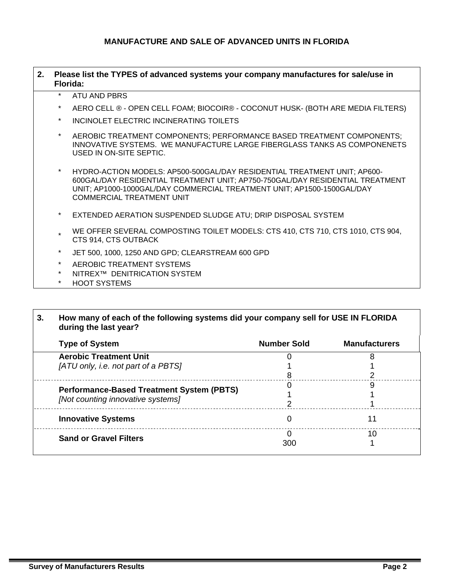### **MANUFACTURE AND SALE OF ADVANCED UNITS IN FLORIDA**

| 2. |          | Please list the TYPES of advanced systems your company manufactures for sale/use in<br>Florida:                                                                                                                                                                         |
|----|----------|-------------------------------------------------------------------------------------------------------------------------------------------------------------------------------------------------------------------------------------------------------------------------|
|    | $\ast$   | ATU AND PBRS                                                                                                                                                                                                                                                            |
|    | $^\star$ | AERO CELL ® - OPEN CELL FOAM; BIOCOIR® - COCONUT HUSK- (BOTH ARE MEDIA FILTERS)                                                                                                                                                                                         |
|    | $\star$  | INCINOLET ELECTRIC INCINERATING TOILETS                                                                                                                                                                                                                                 |
|    | $\star$  | AEROBIC TREATMENT COMPONENTS; PERFORMANCE BASED TREATMENT COMPONENTS;<br>INNOVATIVE SYSTEMS. WE MANUFACTURE LARGE FIBERGLASS TANKS AS COMPONENETS<br>USED IN ON-SITE SEPTIC.                                                                                            |
|    | $\star$  | HYDRO-ACTION MODELS: AP500-500GAL/DAY RESIDENTIAL TREATMENT UNIT; AP600-<br>600GAL/DAY RESIDENTIAL TREATMENT UNIT; AP750-750GAL/DAY RESIDENTIAL TREATMENT<br>UNIT; AP1000-1000GAL/DAY COMMERCIAL TREATMENT UNIT; AP1500-1500GAL/DAY<br><b>COMMERCIAL TREATMENT UNIT</b> |
|    | $\star$  | EXTENDED AERATION SUSPENDED SLUDGE ATU; DRIP DISPOSAL SYSTEM                                                                                                                                                                                                            |
|    | $\star$  | WE OFFER SEVERAL COMPOSTING TOILET MODELS: CTS 410, CTS 710, CTS 1010, CTS 904,<br>CTS 914, CTS OUTBACK                                                                                                                                                                 |
|    | $\star$  | JET 500, 1000, 1250 AND GPD; CLEARSTREAM 600 GPD                                                                                                                                                                                                                        |
|    | $\star$  | AEROBIC TREATMENT SYSTEMS                                                                                                                                                                                                                                               |
|    | $\star$  | NITREX™ DENITRICATION SYSTEM                                                                                                                                                                                                                                            |
|    | $^\star$ | <b>HOOT SYSTEMS</b>                                                                                                                                                                                                                                                     |

| <b>Type of System</b>                            | <b>Number Sold</b> | <b>Manufacturers</b> |
|--------------------------------------------------|--------------------|----------------------|
| <b>Aerobic Treatment Unit</b>                    |                    |                      |
| [ATU only, i.e. not part of a PBTS]              |                    |                      |
|                                                  |                    |                      |
|                                                  |                    | Ω                    |
| <b>Performance-Based Treatment System (PBTS)</b> |                    |                      |
| [Not counting innovative systems]                |                    |                      |
| <b>Innovative Systems</b>                        | Ω                  | 11                   |
|                                                  |                    | 10                   |
| <b>Sand or Gravel Filters</b>                    | 300                |                      |

Г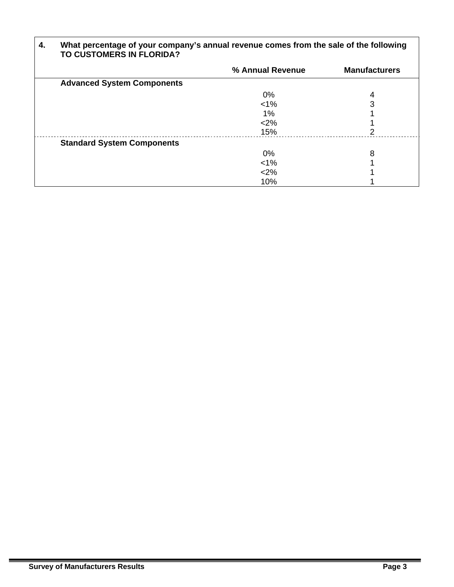| 4. | What percentage of your company's annual revenue comes from the sale of the following<br>TO CUSTOMERS IN FLORIDA? |                  |                      |
|----|-------------------------------------------------------------------------------------------------------------------|------------------|----------------------|
|    |                                                                                                                   | % Annual Revenue | <b>Manufacturers</b> |
|    | <b>Advanced System Components</b>                                                                                 |                  |                      |
|    |                                                                                                                   | 0%               | 4                    |
|    |                                                                                                                   | $< 1\%$          |                      |
|    |                                                                                                                   | $1\%$            |                      |
|    |                                                                                                                   | < 2%             |                      |
|    |                                                                                                                   | 15%              | 2                    |
|    | <b>Standard System Components</b>                                                                                 |                  |                      |
|    |                                                                                                                   | 0%               | 8                    |
|    |                                                                                                                   | $< 1\%$          |                      |
|    |                                                                                                                   | <2%              |                      |
|    |                                                                                                                   | 10%              |                      |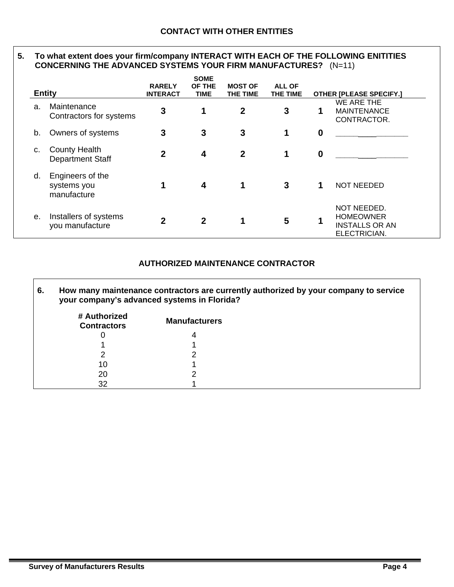### **5. To what extent does your firm/company INTERACT WITH EACH OF THE FOLLOWING ENITITIES CONCERNING THE ADVANCED SYSTEMS YOUR FIRM MANUFACTURES?** (N=11)

|    | <b>Entity</b>                                   | <b>RARELY</b><br><b>INTERACT</b> | <b>SOME</b><br>OF THE<br><b>TIME</b> | <b>MOST OF</b><br>THE TIME | <b>ALL OF</b><br>THE TIME |                  | <b>OTHER [PLEASE SPECIFY.]</b>                                           |
|----|-------------------------------------------------|----------------------------------|--------------------------------------|----------------------------|---------------------------|------------------|--------------------------------------------------------------------------|
| a. | Maintenance<br>Contractors for systems          | 3                                | 1                                    | 2                          | 3                         | 1                | WE ARE THE<br><b>MAINTENANCE</b><br>CONTRACTOR.                          |
| b. | Owners of systems                               | 3                                | 3                                    | 3                          | 1                         | $\bf{0}$         |                                                                          |
| c. | <b>County Health</b><br><b>Department Staff</b> | $\mathbf{2}$                     | 4                                    | $\mathbf 2$                | 1                         | $\boldsymbol{0}$ |                                                                          |
| d. | Engineers of the<br>systems you<br>manufacture  |                                  | 4                                    | 1                          | 3                         |                  | <b>NOT NEEDED</b>                                                        |
| е. | Installers of systems<br>you manufacture        | $\mathbf{2}$                     | $\mathbf{2}$                         | 1                          | 5                         | 1                | NOT NEEDED.<br><b>HOMEOWNER</b><br><b>INSTALLS OR AN</b><br>ELECTRICIAN. |

### **AUTHORIZED MAINTENANCE CONTRACTOR**

| 6. | your company's advanced systems in Florida? |                      | How many maintenance contractors are currently authorized by your company to service |
|----|---------------------------------------------|----------------------|--------------------------------------------------------------------------------------|
|    | # Authorized<br><b>Contractors</b>          | <b>Manufacturers</b> |                                                                                      |
|    |                                             | 4                    |                                                                                      |
|    |                                             |                      |                                                                                      |
|    |                                             |                      |                                                                                      |
|    | 10                                          |                      |                                                                                      |
|    | 20                                          |                      |                                                                                      |
|    |                                             |                      |                                                                                      |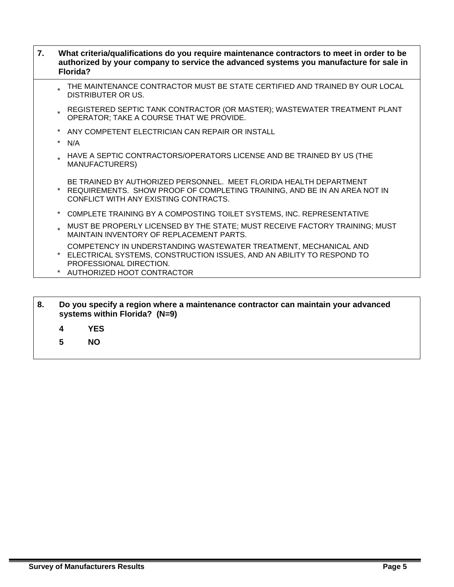| 7. |         | What criteria/qualifications do you require maintenance contractors to meet in order to be<br>authorized by your company to service the advanced systems you manufacture for sale in<br>Florida?     |
|----|---------|------------------------------------------------------------------------------------------------------------------------------------------------------------------------------------------------------|
|    |         | THE MAINTENANCE CONTRACTOR MUST BE STATE CERTIFIED AND TRAINED BY OUR LOCAL<br><b>DISTRIBUTER OR US.</b>                                                                                             |
|    |         | * REGISTERED SEPTIC TANK CONTRACTOR (OR MASTER); WASTEWATER TREATMENT PLANT<br>OPERATOR; TAKE A COURSE THAT WE PROVIDE.                                                                              |
|    |         | ANY COMPETENT ELECTRICIAN CAN REPAIR OR INSTALL                                                                                                                                                      |
|    | $\star$ | N/A                                                                                                                                                                                                  |
|    |         | HAVE A SEPTIC CONTRACTORS/OPERATORS LICENSE AND BE TRAINED BY US (THE<br><b>MANUFACTURERS)</b>                                                                                                       |
|    |         | BE TRAINED BY AUTHORIZED PERSONNEL. MEET FLORIDA HEALTH DEPARTMENT<br>REQUIREMENTS. SHOW PROOF OF COMPLETING TRAINING, AND BE IN AN AREA NOT IN<br>CONFLICT WITH ANY EXISTING CONTRACTS.             |
|    | $\star$ | COMPLETE TRAINING BY A COMPOSTING TOILET SYSTEMS, INC. REPRESENTATIVE                                                                                                                                |
|    |         | MUST BE PROPERLY LICENSED BY THE STATE; MUST RECEIVE FACTORY TRAINING; MUST<br>MAINTAIN INVENTORY OF REPLACEMENT PARTS.                                                                              |
|    |         | COMPETENCY IN UNDERSTANDING WASTEWATER TREATMENT, MECHANICAL AND<br>* ELECTRICAL SYSTEMS, CONSTRUCTION ISSUES, AND AN ABILITY TO RESPOND TO<br>PROFESSIONAL DIRECTION.<br>AUTHORIZED HOOT CONTRACTOR |
|    |         |                                                                                                                                                                                                      |

| 8. | Do you specify a region where a maintenance contractor can maintain your advanced |  |
|----|-----------------------------------------------------------------------------------|--|
|    | systems within Florida? (N=9)                                                     |  |

- **4 YES**
- **5 NO**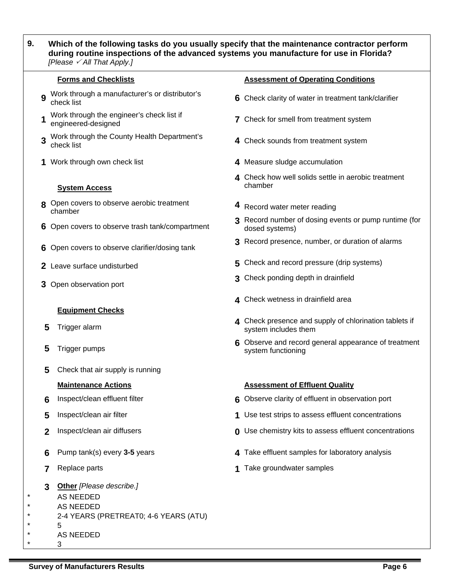### **9. Which of the following tasks do you usually specify that the maintenance contractor perform during routine inspections of the advanced systems you manufacture for use in Florida?**  *[Please* 3 *All That Apply.]*

- **9** Work through a manufacturer's or distributor's
- **1** Work through the engineer's check list if engineered-designed
- **3** Work through the County Health Department's check list
- 

### **System Access**

- **8** Open covers to observe aerobic treatment chamber
- 
- 
- 
- 

### **Equipment Checks**

- 
- 
- **5** Check that air supply is running

- 
- 
- 
- 
- 
- **3 Other** *[Please describe.]*
- AS NEEDED
- AS NEEDED

### 2-4 YEARS (PRETREAT0; 4-6 YEARS (ATU)

- 5 \* AS NEEDED
- \* 3

### **Forms and Checklists Assessment of Operating Conditions**

- **6** Check clarity of water in treatment tank/clarifier
- **7** Check for smell from treatment system
- 4 Check sounds from treatment system
- **1** Work through own check list **4** Measure sludge accumulation
	- **4** Check how well solids settle in aerobic treatment chamber
	- **4** Record water meter reading
- **6** Open covers to observe trash tank/compartment **3** Record number of dosing events or pump runtime (for dosed systems) dosed systems)
- **6** Open covers to observe clarifier/dosing tank **3** Record presence, number, or duration of alarms
- **2** Leave surface undisturbed **5** Check and record pressure (drip systems)
- **3** Open observation port **3** Check ponding depth in drainfield
	- **4** Check wetness in drainfield area
- **4** Check presence and supply of chlorination tablets if<br>system includes them<br>system includes them system includes them
- **5** Trigger pumps **6** Observe and record general appearance of treatment system functioning

### **Maintenance Actions Assessment of Effluent Quality** Assessment of Effluent Quality

- **6** Inspect/clean effluent filter **6** Observe clarity of effluent in observation port
- **5** Inspect/clean air filter **1** Use test strips to assess effluent concentrations
- **2** Inspect/clean air diffusers **0** Use chemistry kits to assess effluent concentrations
- **6** Pump tank(s) every **3-5** years **4** Take effluent samples for laboratory analysis
- **7** Replace parts **1** Take groundwater samples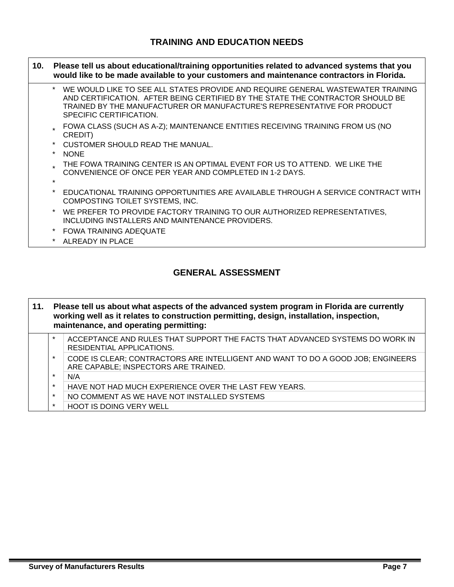### **TRAINING AND EDUCATION NEEDS**

- **10. Please tell us about educational/training opportunities related to advanced systems that you would like to be made available to your customers and maintenance contractors in Florida.** 
	- \* WE WOULD LIKE TO SEE ALL STATES PROVIDE AND REQUIRE GENERAL WASTEWATER TRAINING AND CERTIFICATION. AFTER BEING CERTIFIED BY THE STATE THE CONTRACTOR SHOULD BE TRAINED BY THE MANUFACTURER OR MANUFACTURE'S REPRESENTATIVE FOR PRODUCT SPECIFIC CERTIFICATION.
	- FOWA CLASS (SUCH AS A-Z); MAINTENANCE ENTITIES RECEIVING TRAINING FROM US (NO CREDIT)
	- CUSTOMER SHOULD READ THE MANUAL.
	- NONE
	- THE FOWA TRAINING CENTER IS AN OPTIMAL EVENT FOR US TO ATTEND. WE LIKE THE CONVENIENCE OF ONCE PER YEAR AND COMPLETED IN 1-2 DAYS.
	- \*
	- \* EDUCATIONAL TRAINING OPPORTUNITIES ARE AVAILABLE THROUGH A SERVICE CONTRACT WITH COMPOSTING TOILET SYSTEMS, INC.
	- WE PREFER TO PROVIDE FACTORY TRAINING TO OUR AUTHORIZED REPRESENTATIVES, INCLUDING INSTALLERS AND MAINTENANCE PROVIDERS.
	- \* FOWA TRAINING ADEQUATE
	- ALREADY IN PLACE

### **GENERAL ASSESSMENT**

| 11. | Please tell us about what aspects of the advanced system program in Florida are currently<br>working well as it relates to construction permitting, design, installation, inspection,<br>maintenance, and operating permitting: |                                                                                                                         |  |
|-----|---------------------------------------------------------------------------------------------------------------------------------------------------------------------------------------------------------------------------------|-------------------------------------------------------------------------------------------------------------------------|--|
|     | $\star$                                                                                                                                                                                                                         | ACCEPTANCE AND RULES THAT SUPPORT THE FACTS THAT ADVANCED SYSTEMS DO WORK IN<br>RESIDENTIAL APPLICATIONS.               |  |
|     | $\star$                                                                                                                                                                                                                         | CODE IS CLEAR; CONTRACTORS ARE INTELLIGENT AND WANT TO DO A GOOD JOB; ENGINEERS<br>ARE CAPABLE; INSPECTORS ARE TRAINED. |  |
|     | $\star$                                                                                                                                                                                                                         | N/A                                                                                                                     |  |
|     | $\star$                                                                                                                                                                                                                         | HAVE NOT HAD MUCH EXPERIENCE OVER THE LAST FEW YEARS.                                                                   |  |
|     | $\star$                                                                                                                                                                                                                         | NO COMMENT AS WE HAVE NOT INSTALLED SYSTEMS                                                                             |  |
|     | $\star$                                                                                                                                                                                                                         | <b>HOOT IS DOING VERY WELL</b>                                                                                          |  |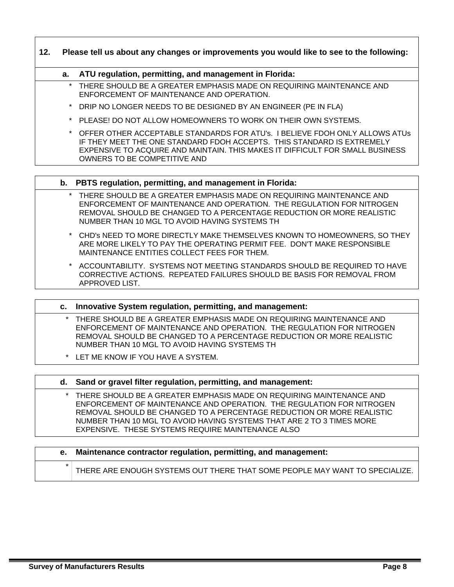**12. Please tell us about any changes or improvements you would like to see to the following:** 

### **a. ATU regulation, permitting, and management in Florida:**

- THERE SHOULD BE A GREATER EMPHASIS MADE ON REQUIRING MAINTENANCE AND ENFORCEMENT OF MAINTENANCE AND OPERATION.
- DRIP NO LONGER NEEDS TO BE DESIGNED BY AN ENGINEER (PE IN FLA)
- \* PLEASE! DO NOT ALLOW HOMEOWNERS TO WORK ON THEIR OWN SYSTEMS.
- \* OFFER OTHER ACCEPTABLE STANDARDS FOR ATU's. I BELIEVE FDOH ONLY ALLOWS ATUs IF THEY MEET THE ONE STANDARD FDOH ACCEPTS. THIS STANDARD IS EXTREMELY EXPENSIVE TO ACQUIRE AND MAINTAIN. THIS MAKES IT DIFFICULT FOR SMALL BUSINESS OWNERS TO BE COMPETITIVE AND

### **b. PBTS regulation, permitting, and management in Florida:**

- THERE SHOULD BE A GREATER EMPHASIS MADE ON REQUIRING MAINTENANCE AND ENFORCEMENT OF MAINTENANCE AND OPERATION. THE REGULATION FOR NITROGEN REMOVAL SHOULD BE CHANGED TO A PERCENTAGE REDUCTION OR MORE REALISTIC NUMBER THAN 10 MGL TO AVOID HAVING SYSTEMS TH
- \* CHD's NEED TO MORE DIRECTLY MAKE THEMSELVES KNOWN TO HOMEOWNERS, SO THEY ARE MORE LIKELY TO PAY THE OPERATING PERMIT FEE. DON'T MAKE RESPONSIBLE MAINTENANCE ENTITIES COLLECT FEES FOR THEM.
- ACCOUNTABILITY. SYSTEMS NOT MEETING STANDARDS SHOULD BE REQUIRED TO HAVE CORRECTIVE ACTIONS. REPEATED FAILURES SHOULD BE BASIS FOR REMOVAL FROM APPROVED LIST.
- **c. Innovative System regulation, permitting, and management:**  THERE SHOULD BE A GREATER EMPHASIS MADE ON REQUIRING MAINTENANCE AND ENFORCEMENT OF MAINTENANCE AND OPERATION. THE REGULATION FOR NITROGEN REMOVAL SHOULD BE CHANGED TO A PERCENTAGE REDUCTION OR MORE REALISTIC NUMBER THAN 10 MGL TO AVOID HAVING SYSTEMS TH \* LET ME KNOW IF YOU HAVE A SYSTEM.

### **d. Sand or gravel filter regulation, permitting, and management:**

THERE SHOULD BE A GREATER EMPHASIS MADE ON REQUIRING MAINTENANCE AND ENFORCEMENT OF MAINTENANCE AND OPERATION. THE REGULATION FOR NITROGEN REMOVAL SHOULD BE CHANGED TO A PERCENTAGE REDUCTION OR MORE REALISTIC NUMBER THAN 10 MGL TO AVOID HAVING SYSTEMS THAT ARE 2 TO 3 TIMES MORE EXPENSIVE. THESE SYSTEMS REQUIRE MAINTENANCE ALSO

|         | e. Maintenance contractor regulation, permitting, and management:           |
|---------|-----------------------------------------------------------------------------|
| $\star$ | THERE ARE ENOUGH SYSTEMS OUT THERE THAT SOME PEOPLE MAY WANT TO SPECIALIZE. |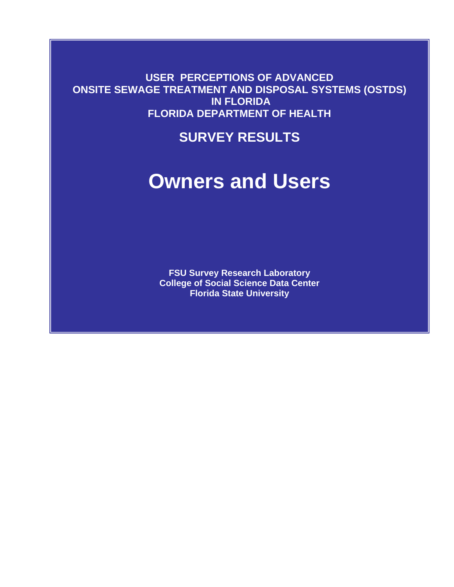**USER PERCEPTIONS OF ADVANCED ONSITE SEWAGE TREATMENT AND DISPOSAL SYSTEMS (OSTDS) IN FLORIDA FLORIDA DEPARTMENT OF HEALTH** 

## **SURVEY RESULTS**

# **Owners and Users**

**FSU Survey Research Laboratory College of Social Science Data Center Florida State University**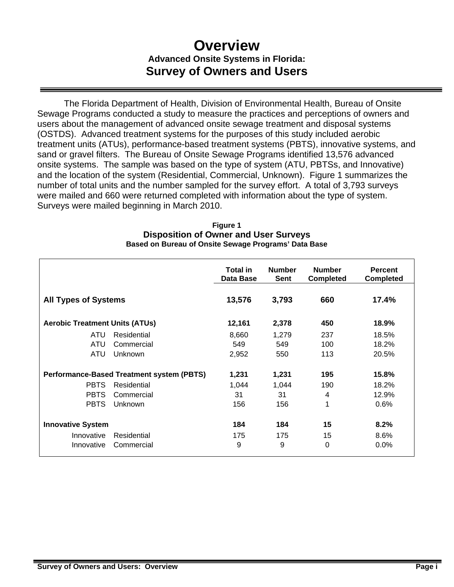## **Overview Advanced Onsite Systems in Florida: Survey of Owners and Users**

 The Florida Department of Health, Division of Environmental Health, Bureau of Onsite Sewage Programs conducted a study to measure the practices and perceptions of owners and users about the management of advanced onsite sewage treatment and disposal systems (OSTDS). Advanced treatment systems for the purposes of this study included aerobic treatment units (ATUs), performance-based treatment systems (PBTS), innovative systems, and sand or gravel filters. The Bureau of Onsite Sewage Programs identified 13,576 advanced onsite systems. The sample was based on the type of system (ATU, PBTSs, and Innovative) and the location of the system (Residential, Commercial, Unknown). Figure 1 summarizes the number of total units and the number sampled for the survey effort. A total of 3,793 surveys were mailed and 660 were returned completed with information about the type of system. Surveys were mailed beginning in March 2010.

| <b>Figure 1</b>                                      |
|------------------------------------------------------|
| <b>Disposition of Owner and User Surveys</b>         |
| Based on Bureau of Onsite Sewage Programs' Data Base |

|                                                  |             | <b>Total in</b><br>Data Base | <b>Number</b><br><b>Sent</b> | <b>Number</b><br><b>Completed</b> | <b>Percent</b><br><b>Completed</b> |
|--------------------------------------------------|-------------|------------------------------|------------------------------|-----------------------------------|------------------------------------|
| <b>All Types of Systems</b>                      |             | 13,576                       | 3,793                        | 660                               | 17.4%                              |
| <b>Aerobic Treatment Units (ATUs)</b>            |             | 12,161                       | 2,378                        | 450                               | 18.9%                              |
| <b>ATU</b>                                       | Residential | 8,660                        | 1,279                        | 237                               | 18.5%                              |
| ATU                                              | Commercial  | 549                          | 549                          | 100                               | 18.2%                              |
| <b>ATU</b>                                       | Unknown     | 2,952                        | 550                          | 113                               | 20.5%                              |
| <b>Performance-Based Treatment system (PBTS)</b> |             | 1,231                        | 1,231                        | 195                               | 15.8%                              |
| <b>PBTS</b>                                      | Residential | 1,044                        | 1,044                        | 190                               | 18.2%                              |
| <b>PBTS</b>                                      | Commercial  | 31                           | 31                           | 4                                 | 12.9%                              |
| <b>PBTS</b>                                      | Unknown     | 156                          | 156                          | 1                                 | 0.6%                               |
| <b>Innovative System</b>                         |             | 184                          | 184                          | 15                                | 8.2%                               |
| Innovative                                       | Residential | 175                          | 175                          | 15                                | 8.6%                               |
| Innovative                                       | Commercial  | 9                            | 9                            | 0                                 | $0.0\%$                            |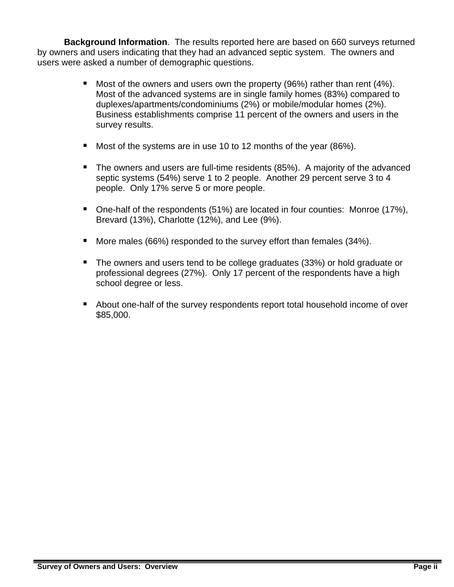**Background Information**. The results reported here are based on 660 surveys returned by owners and users indicating that they had an advanced septic system. The owners and users were asked a number of demographic questions.

- **Most of the owners and users own the property (96%) rather than rent (4%).** Most of the advanced systems are in single family homes (83%) compared to duplexes/apartments/condominiums (2%) or mobile/modular homes (2%). Business establishments comprise 11 percent of the owners and users in the survey results.
- Most of the systems are in use 10 to 12 months of the year (86%).
- The owners and users are full-time residents (85%). A majority of the advanced septic systems (54%) serve 1 to 2 people. Another 29 percent serve 3 to 4 people. Only 17% serve 5 or more people.
- One-half of the respondents (51%) are located in four counties: Monroe (17%), Brevard (13%), Charlotte (12%), and Lee (9%).
- More males (66%) responded to the survey effort than females (34%).
- The owners and users tend to be college graduates (33%) or hold graduate or professional degrees (27%). Only 17 percent of the respondents have a high school degree or less.
- About one-half of the survey respondents report total household income of over \$85,000.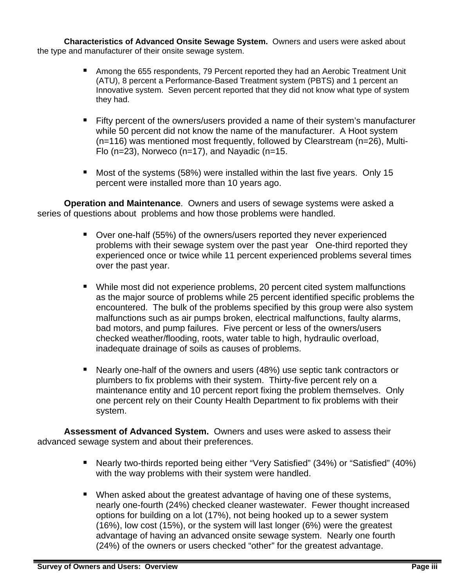**Characteristics of Advanced Onsite Sewage System.** Owners and users were asked about the type and manufacturer of their onsite sewage system.

- Among the 655 respondents, 79 Percent reported they had an Aerobic Treatment Unit (ATU), 8 percent a Performance-Based Treatment system (PBTS) and 1 percent an Innovative system. Seven percent reported that they did not know what type of system they had.
- Fifty percent of the owners/users provided a name of their system's manufacturer while 50 percent did not know the name of the manufacturer. A Hoot system (n=116) was mentioned most frequently, followed by Clearstream (n=26), Multi-Flo  $(n=23)$ , Norweco  $(n=17)$ , and Nayadic  $(n=15$ .
- Most of the systems (58%) were installed within the last five years. Only 15 percent were installed more than 10 years ago.

**Operation and Maintenance**. Owners and users of sewage systems were asked a series of questions about problems and how those problems were handled.

- Over one-half (55%) of the owners/users reported they never experienced problems with their sewage system over the past year One-third reported they experienced once or twice while 11 percent experienced problems several times over the past year.
- While most did not experience problems, 20 percent cited system malfunctions as the major source of problems while 25 percent identified specific problems the encountered. The bulk of the problems specified by this group were also system malfunctions such as air pumps broken, electrical malfunctions, faulty alarms, bad motors, and pump failures. Five percent or less of the owners/users checked weather/flooding, roots, water table to high, hydraulic overload, inadequate drainage of soils as causes of problems.
- Nearly one-half of the owners and users (48%) use septic tank contractors or plumbers to fix problems with their system. Thirty-five percent rely on a maintenance entity and 10 percent report fixing the problem themselves. Only one percent rely on their County Health Department to fix problems with their system.

**Assessment of Advanced System.** Owners and uses were asked to assess their advanced sewage system and about their preferences.

- Nearly two-thirds reported being either "Very Satisfied" (34%) or "Satisfied" (40%) with the way problems with their system were handled.
- When asked about the greatest advantage of having one of these systems, nearly one-fourth (24%) checked cleaner wastewater. Fewer thought increased options for building on a lot (17%), not being hooked up to a sewer system (16%), low cost (15%), or the system will last longer (6%) were the greatest advantage of having an advanced onsite sewage system. Nearly one fourth (24%) of the owners or users checked "other" for the greatest advantage.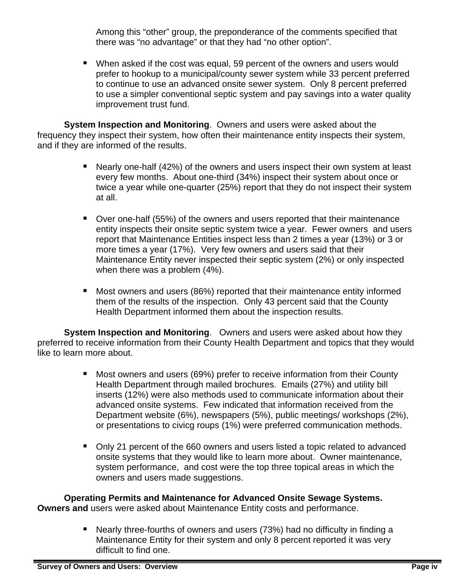Among this "other" group, the preponderance of the comments specified that there was "no advantage" or that they had "no other option".

 When asked if the cost was equal, 59 percent of the owners and users would prefer to hookup to a municipal/county sewer system while 33 percent preferred to continue to use an advanced onsite sewer system. Only 8 percent preferred to use a simpler conventional septic system and pay savings into a water quality improvement trust fund.

**System Inspection and Monitoring**. Owners and users were asked about the frequency they inspect their system, how often their maintenance entity inspects their system, and if they are informed of the results.

- Nearly one-half (42%) of the owners and users inspect their own system at least every few months. About one-third (34%) inspect their system about once or twice a year while one-quarter (25%) report that they do not inspect their system at all.
- Over one-half (55%) of the owners and users reported that their maintenance entity inspects their onsite septic system twice a year. Fewer owners and users report that Maintenance Entities inspect less than 2 times a year (13%) or 3 or more times a year (17%). Very few owners and users said that their Maintenance Entity never inspected their septic system (2%) or only inspected when there was a problem (4%).
- Most owners and users (86%) reported that their maintenance entity informed them of the results of the inspection. Only 43 percent said that the County Health Department informed them about the inspection results.

**System Inspection and Monitoring**. Owners and users were asked about how they preferred to receive information from their County Health Department and topics that they would like to learn more about.

- **Most owners and users (69%) prefer to receive information from their County** Health Department through mailed brochures. Emails (27%) and utility bill inserts (12%) were also methods used to communicate information about their advanced onsite systems. Few indicated that information received from the Department website (6%), newspapers (5%), public meetings/ workshops (2%), or presentations to civicg roups (1%) were preferred communication methods.
- Only 21 percent of the 660 owners and users listed a topic related to advanced onsite systems that they would like to learn more about. Owner maintenance, system performance, and cost were the top three topical areas in which the owners and users made suggestions.

### **Operating Permits and Maintenance for Advanced Onsite Sewage Systems.**

**Owners and** users were asked about Maintenance Entity costs and performance.

 Nearly three-fourths of owners and users (73%) had no difficulty in finding a Maintenance Entity for their system and only 8 percent reported it was very difficult to find one.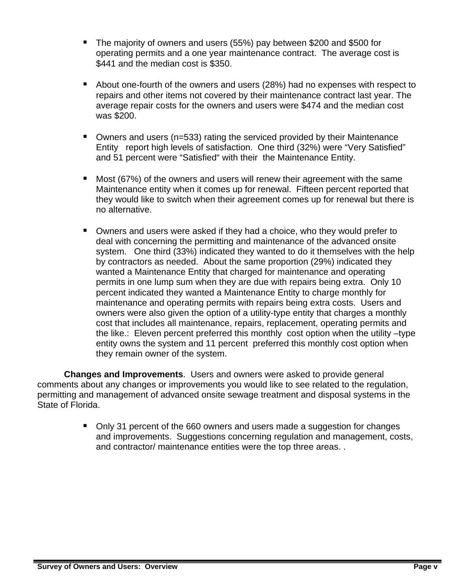- The majority of owners and users (55%) pay between \$200 and \$500 for operating permits and a one year maintenance contract. The average cost is \$441 and the median cost is \$350.
- About one-fourth of the owners and users (28%) had no expenses with respect to repairs and other items not covered by their maintenance contract last year. The average repair costs for the owners and users were \$474 and the median cost was \$200.
- Owners and users (n=533) rating the serviced provided by their Maintenance Entity report high levels of satisfaction. One third (32%) were "Very Satisfied" and 51 percent were "Satisfied" with their the Maintenance Entity.
- Most (67%) of the owners and users will renew their agreement with the same Maintenance entity when it comes up for renewal. Fifteen percent reported that they would like to switch when their agreement comes up for renewal but there is no alternative.
- Owners and users were asked if they had a choice, who they would prefer to deal with concerning the permitting and maintenance of the advanced onsite system. One third (33%) indicated they wanted to do it themselves with the help by contractors as needed. About the same proportion (29%) indicated they wanted a Maintenance Entity that charged for maintenance and operating permits in one lump sum when they are due with repairs being extra. Only 10 percent indicated they wanted a Maintenance Entity to charge monthly for maintenance and operating permits with repairs being extra costs. Users and owners were also given the option of a utility-type entity that charges a monthly cost that includes all maintenance, repairs, replacement, operating permits and the like.: Eleven percent preferred this monthly cost option when the utility –type entity owns the system and 11 percent preferred this monthly cost option when they remain owner of the system.

**Changes and Improvements**. Users and owners were asked to provide general comments about any changes or improvements you would like to see related to the regulation, permitting and management of advanced onsite sewage treatment and disposal systems in the State of Florida.

> • Only 31 percent of the 660 owners and users made a suggestion for changes and improvements. Suggestions concerning regulation and management, costs, and contractor/ maintenance entities were the top three areas. .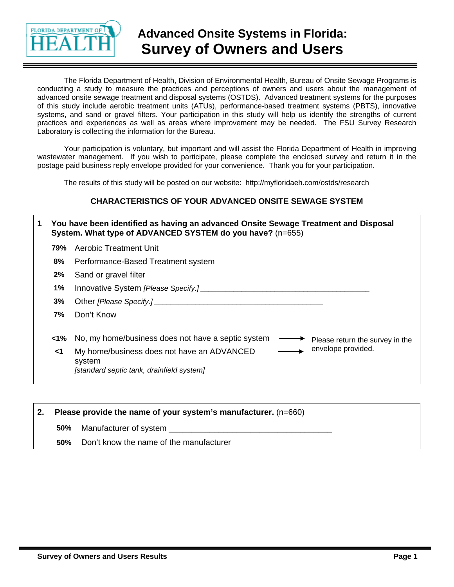

## **Advanced Onsite Systems in Florida: Survey of Owners and Users**

The Florida Department of Health, Division of Environmental Health, Bureau of Onsite Sewage Programs is conducting a study to measure the practices and perceptions of owners and users about the management of advanced onsite sewage treatment and disposal systems (OSTDS). Advanced treatment systems for the purposes of this study include aerobic treatment units (ATUs), performance-based treatment systems (PBTS), innovative systems, and sand or gravel filters. Your participation in this study will help us identify the strengths of current practices and experiences as well as areas where improvement may be needed. The FSU Survey Research Laboratory is collecting the information for the Bureau.

Your participation is voluntary, but important and will assist the Florida Department of Health in improving wastewater management. If you wish to participate, please complete the enclosed survey and return it in the postage paid business reply envelope provided for your convenience. Thank you for your participation.

The results of this study will be posted on our website: http://myfloridaeh.com/ostds/research

### **CHARACTERISTICS OF YOUR ADVANCED ONSITE SEWAGE SYSTEM**

| 1. | You have been identified as having an advanced Onsite Sewage Treatment and Disposal<br>System. What type of ADVANCED SYSTEM do you have? (n=655) |                                                                                                                         |  |  |
|----|--------------------------------------------------------------------------------------------------------------------------------------------------|-------------------------------------------------------------------------------------------------------------------------|--|--|
|    | 79%                                                                                                                                              | Aerobic Treatment Unit                                                                                                  |  |  |
|    | 8%                                                                                                                                               | Performance-Based Treatment system                                                                                      |  |  |
|    | $2\%$                                                                                                                                            | Sand or gravel filter                                                                                                   |  |  |
|    | 1%                                                                                                                                               |                                                                                                                         |  |  |
|    | 3%                                                                                                                                               |                                                                                                                         |  |  |
|    | 7%                                                                                                                                               | Don't Know                                                                                                              |  |  |
|    | <1%                                                                                                                                              | No, my home/business does not have a septic system<br>Please return the survey in the                                   |  |  |
|    | <1                                                                                                                                               | envelope provided.<br>My home/business does not have an ADVANCED<br>system<br>[standard septic tank, drainfield system] |  |  |

| 2. Please provide the name of your system's manufacturer. $(n=660)$ |                                         |  |
|---------------------------------------------------------------------|-----------------------------------------|--|
| 50%                                                                 | Manufacturer of system                  |  |
| 50%                                                                 | Don't know the name of the manufacturer |  |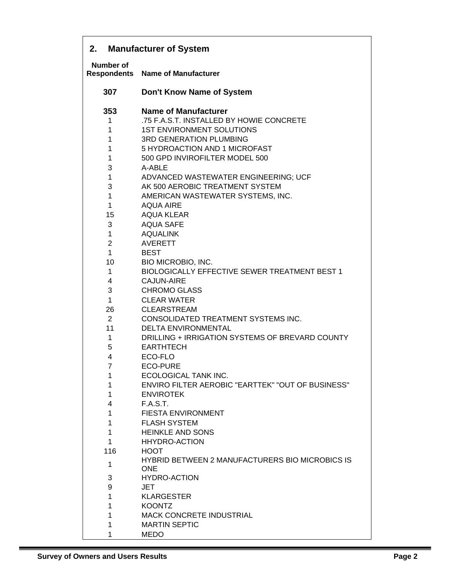| 2.                              | <b>Manufacturer of System</b>                          |  |  |  |
|---------------------------------|--------------------------------------------------------|--|--|--|
| Number of<br><b>Respondents</b> | <b>Name of Manufacturer</b>                            |  |  |  |
| 307                             | Don't Know Name of System                              |  |  |  |
| 353                             | <b>Name of Manufacturer</b>                            |  |  |  |
| 1                               | .75 F.A.S.T. INSTALLED BY HOWIE CONCRETE               |  |  |  |
| 1                               | <b>1ST ENVIRONMENT SOLUTIONS</b>                       |  |  |  |
| 1                               | <b>3RD GENERATION PLUMBING</b>                         |  |  |  |
| 1                               | 5 HYDROACTION AND 1 MICROFAST                          |  |  |  |
| 1                               | 500 GPD INVIROFILTER MODEL 500                         |  |  |  |
| 3                               | A-ABLE                                                 |  |  |  |
| 1                               | ADVANCED WASTEWATER ENGINEERING; UCF                   |  |  |  |
| 3                               | AK 500 AEROBIC TREATMENT SYSTEM                        |  |  |  |
| $\mathbf{1}$                    | AMERICAN WASTEWATER SYSTEMS, INC.                      |  |  |  |
| $\mathbf{1}$                    | <b>AQUA AIRE</b>                                       |  |  |  |
| 15                              | <b>AQUA KLEAR</b>                                      |  |  |  |
| 3                               | <b>AQUA SAFE</b>                                       |  |  |  |
| 1                               | <b>AQUALINK</b>                                        |  |  |  |
| $\overline{2}$                  | <b>AVERETT</b>                                         |  |  |  |
| $\mathbf{1}$                    | <b>BEST</b>                                            |  |  |  |
| 10                              | BIO MICROBIO, INC.                                     |  |  |  |
| $\mathbf 1$                     | <b>BIOLOGICALLY EFFECTIVE SEWER TREATMENT BEST 1</b>   |  |  |  |
| 4                               | <b>CAJUN-AIRE</b>                                      |  |  |  |
| 3                               | <b>CHROMO GLASS</b>                                    |  |  |  |
| $\mathbf 1$                     | <b>CLEAR WATER</b>                                     |  |  |  |
| 26                              | <b>CLEARSTREAM</b>                                     |  |  |  |
| $\overline{2}$                  | CONSOLIDATED TREATMENT SYSTEMS INC.                    |  |  |  |
| 11                              | <b>DELTA ENVIRONMENTAL</b>                             |  |  |  |
| 1                               | DRILLING + IRRIGATION SYSTEMS OF BREVARD COUNTY        |  |  |  |
| 5                               | <b>EARTHTECH</b>                                       |  |  |  |
| 4                               | ECO-FLO                                                |  |  |  |
| 7                               | <b>ECO-PURE</b>                                        |  |  |  |
| 1                               | ECOLOGICAL TANK INC.                                   |  |  |  |
| 1                               | ENVIRO FILTER AEROBIC "EARTTEK" "OUT OF BUSINESS"      |  |  |  |
| 1                               | <b>ENVIROTEK</b>                                       |  |  |  |
| 4                               | F.A.S.T.                                               |  |  |  |
| 1                               | <b>FIESTA ENVIRONMENT</b>                              |  |  |  |
| $\mathbf{1}$                    | <b>FLASH SYSTEM</b>                                    |  |  |  |
| $\mathbf{1}$                    | <b>HEINKLE AND SONS</b>                                |  |  |  |
| $\mathbf{1}$                    | <b>HHYDRO-ACTION</b>                                   |  |  |  |
| 116                             | <b>HOOT</b>                                            |  |  |  |
|                                 | <b>HYBRID BETWEEN 2 MANUFACTURERS BIO MICROBICS IS</b> |  |  |  |
| 1                               | <b>ONE</b>                                             |  |  |  |
| 3                               | <b>HYDRO-ACTION</b>                                    |  |  |  |
| 9                               | JET                                                    |  |  |  |
| 1                               | <b>KLARGESTER</b>                                      |  |  |  |
| 1                               | <b>KOONTZ</b>                                          |  |  |  |
| 1                               | <b>MACK CONCRETE INDUSTRIAL</b>                        |  |  |  |
| 1                               | <b>MARTIN SEPTIC</b>                                   |  |  |  |
| 1                               | <b>MEDO</b>                                            |  |  |  |
|                                 |                                                        |  |  |  |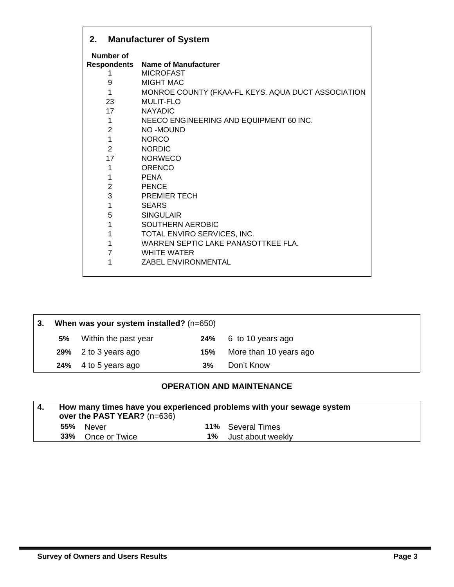| 2.             | <b>Manufacturer of System</b>                      |
|----------------|----------------------------------------------------|
| Number of      |                                                    |
|                | <b>Respondents Name of Manufacturer</b>            |
| 1              | <b>MICROFAST</b>                                   |
| 9              | <b>MIGHT MAC</b>                                   |
| 1              | MONROE COUNTY (FKAA-FL KEYS. AQUA DUCT ASSOCIATION |
| 23             | MULIT-FLO                                          |
| $17$ and $17$  | <b>NAYADIC</b>                                     |
| 1              | NEECO ENGINEERING AND EQUIPMENT 60 INC.            |
| $\overline{2}$ | NO-MOUND                                           |
| $\mathbf{1}$   | <b>NORCO</b>                                       |
| $\overline{2}$ | <b>NORDIC</b>                                      |
| 17             | <b>NORWECO</b>                                     |
| 1              | ORENCO                                             |
| 1              | <b>PENA</b>                                        |
| $\overline{2}$ | <b>PENCE</b>                                       |
| 3              | <b>PREMIER TECH</b>                                |
| $\mathbf{1}$   | <b>SEARS</b>                                       |
| 5              | <b>SINGULAIR</b>                                   |
| 1              | <b>SOUTHERN AEROBIC</b>                            |
| 1              | TOTAL ENVIRO SERVICES, INC.                        |
| 1              | WARREN SEPTIC LAKE PANASOTTKEE FLA.                |
| $\overline{7}$ | <b>WHITE WATER</b>                                 |
| 1              | <b>ZABEL ENVIRONMENTAL</b>                         |
|                |                                                    |

| -3. |    | When was your system installed? (n=650) |     |                        |  |
|-----|----|-----------------------------------------|-----|------------------------|--|
|     | 5% | Within the past year                    |     | 24% 6 to 10 years ago  |  |
|     |    | 29% 2 to 3 years ago                    | 15% | More than 10 years ago |  |
|     |    | 24% 4 to 5 years ago                    | 3%  | Don't Know             |  |

### **OPERATION AND MAINTENANCE**

| How many times have you experienced problems with your sewage system<br>over the PAST YEAR? (n=636) |                   |  |                          |
|-----------------------------------------------------------------------------------------------------|-------------------|--|--------------------------|
|                                                                                                     | 55% Never         |  | <b>11%</b> Several Times |
|                                                                                                     | 33% Once or Twice |  | 1% Just about weekly     |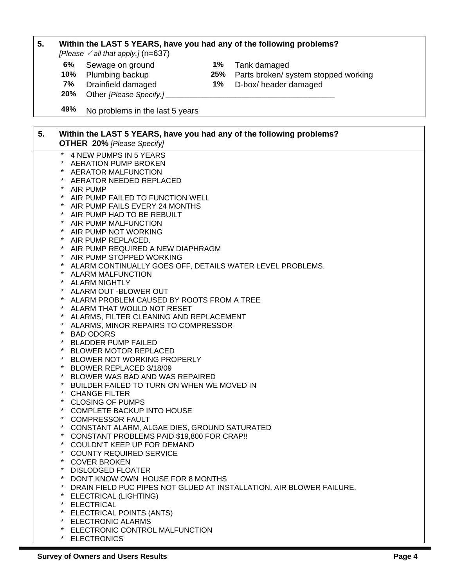### **5. Within the LAST 5 YEARS, have you had any of the following problems?**

*[Please*  $\checkmark$  *all that apply.]* (n=637)

- **6%** Sewage on ground **1%** Tank damaged
- 
- 
- 
- **10%** Plumbing backup **25%** Parts broken/ system stopped working
- **7%** Drainfield damaged **1%** D-box/ header damaged
- Other *[Please Specify.]*
- **49%** No problems in the last 5 years

| 5. | Within the LAST 5 YEARS, have you had any of the following problems?<br><b>OTHER 20% [Please Specify]</b> |
|----|-----------------------------------------------------------------------------------------------------------|
|    | $\ast$<br>4 NEW PUMPS IN 5 YEARS                                                                          |
|    | <b>AERATION PUMP BROKEN</b>                                                                               |
|    | <b>AERATOR MALFUNCTION</b>                                                                                |
|    | AERATOR NEEDED REPLACED                                                                                   |
|    | $\star$<br>AIR PUMP                                                                                       |
|    | $\star$<br>AIR PUMP FAILED TO FUNCTION WELL                                                               |
|    | AIR PUMP FAILS EVERY 24 MONTHS                                                                            |
|    | $\star$<br>AIR PUMP HAD TO BE REBUILT                                                                     |
|    | $\star$<br>AIR PUMP MALFUNCTION                                                                           |
|    | AIR PUMP NOT WORKING                                                                                      |
|    | * AIR PUMP REPLACED.                                                                                      |
|    | * AIR PUMP REQUIRED A NEW DIAPHRAGM                                                                       |
|    | $\star$<br>AIR PUMP STOPPED WORKING                                                                       |
|    | $\ast$<br>ALARM CONTINUALLY GOES OFF, DETAILS WATER LEVEL PROBLEMS.                                       |
|    | $\star$<br><b>ALARM MALFUNCTION</b>                                                                       |
|    | ALARM NIGHTLY                                                                                             |
|    | ALARM OUT -BLOWER OUT                                                                                     |
|    | * ALARM PROBLEM CAUSED BY ROOTS FROM A TREE                                                               |
|    | $\star$<br>ALARM THAT WOULD NOT RESET                                                                     |
|    | $\star$<br>ALARMS, FILTER CLEANING AND REPLACEMENT                                                        |
|    | $\ast$<br>ALARMS, MINOR REPAIRS TO COMPRESSOR                                                             |
|    | $\ast$<br><b>BAD ODORS</b>                                                                                |
|    | <b>BLADDER PUMP FAILED</b>                                                                                |
|    | $\star$<br><b>BLOWER MOTOR REPLACED</b>                                                                   |
|    | $\star$<br>BLOWER NOT WORKING PROPERLY                                                                    |
|    | $\star$<br>BLOWER REPLACED 3/18/09                                                                        |
|    | $\star$<br>BLOWER WAS BAD AND WAS REPAIRED                                                                |
|    | BUILDER FAILED TO TURN ON WHEN WE MOVED IN                                                                |
|    | $\star$<br><b>CHANGE FILTER</b>                                                                           |
|    | $\star$<br><b>CLOSING OF PUMPS</b>                                                                        |
|    | $\star$<br><b>COMPLETE BACKUP INTO HOUSE</b>                                                              |
|    | $\star$<br><b>COMPRESSOR FAULT</b>                                                                        |
|    | $\star$<br>CONSTANT ALARM, ALGAE DIES, GROUND SATURATED                                                   |
|    | CONSTANT PROBLEMS PAID \$19,800 FOR CRAP!!                                                                |
|    | COULDN'T KEEP UP FOR DEMAND                                                                               |
|    | <b>COUNTY REQUIRED SERVICE</b><br><b>COVER BROKEN</b>                                                     |
|    | <b>DISLODGED FLOATER</b>                                                                                  |
|    | DON'T KNOW OWN HOUSE FOR 8 MONTHS                                                                         |
|    | DRAIN FIELD PUC PIPES NOT GLUED AT INSTALLATION. AIR BLOWER FAILURE.                                      |
|    | ELECTRICAL (LIGHTING)                                                                                     |
|    | $^{\star}$<br><b>ELECTRICAL</b>                                                                           |
|    | ELECTRICAL POINTS (ANTS)                                                                                  |
|    | <b>ELECTRONIC ALARMS</b>                                                                                  |
|    | ELECTRONIC CONTROL MALFUNCTION                                                                            |
|    | * ELECTRONICS                                                                                             |

\* ELECTRONICS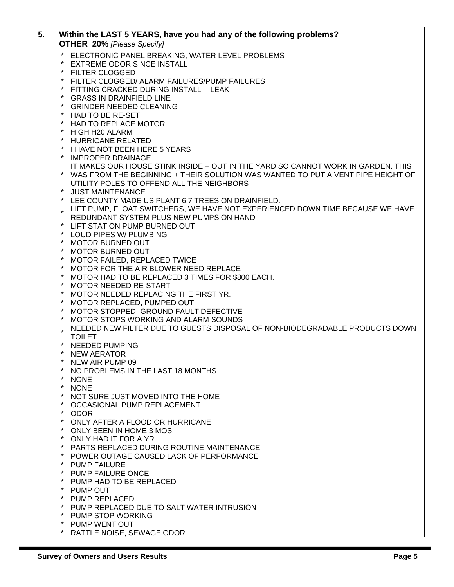| 5. | Within the LAST 5 YEARS, have you had any of the following problems?<br><b>OTHER 20% [Please Specify]</b>                                                             |
|----|-----------------------------------------------------------------------------------------------------------------------------------------------------------------------|
|    | $\star$<br>ELECTRONIC PANEL BREAKING, WATER LEVEL PROBLEMS                                                                                                            |
|    | $\ast$<br><b>EXTREME ODOR SINCE INSTALL</b>                                                                                                                           |
|    | <b>FILTER CLOGGED</b>                                                                                                                                                 |
|    | $\ast$<br>FILTER CLOGGED/ ALARM FAILURES/PUMP FAILURES                                                                                                                |
|    | $\ast$<br>FITTING CRACKED DURING INSTALL -- LEAK                                                                                                                      |
|    | $\ast$<br><b>GRASS IN DRAINFIELD LINE</b>                                                                                                                             |
|    | $\star$<br><b>GRINDER NEEDED CLEANING</b>                                                                                                                             |
|    | $\star$<br>HAD TO BE RE-SET                                                                                                                                           |
|    | $\star$<br><b>HAD TO REPLACE MOTOR</b>                                                                                                                                |
|    | $\star$<br>HIGH H20 ALARM                                                                                                                                             |
|    | $\star$<br><b>HURRICANE RELATED</b>                                                                                                                                   |
|    | * I HAVE NOT BEEN HERE 5 YEARS                                                                                                                                        |
|    | <b>IMPROPER DRAINAGE</b><br>$\star$                                                                                                                                   |
|    | IT MAKES OUR HOUSE STINK INSIDE + OUT IN THE YARD SO CANNOT WORK IN GARDEN. THIS<br>* WAS FROM THE BEGINNING + THEIR SOLUTION WAS WANTED TO PUT A VENT PIPE HEIGHT OF |
|    | UTILITY POLES TO OFFEND ALL THE NEIGHBORS                                                                                                                             |
|    | $\ast$<br><b>JUST MAINTENANCE</b>                                                                                                                                     |
|    | LEE COUNTY MADE US PLANT 6.7 TREES ON DRAINFIELD.<br>$\star$                                                                                                          |
|    | LIFT PUMP, FLOAT SWITCHERS, WE HAVE NOT EXPERIENCED DOWN TIME BECAUSE WE HAVE                                                                                         |
|    | REDUNDANT SYSTEM PLUS NEW PUMPS ON HAND                                                                                                                               |
|    | LIFT STATION PUMP BURNED OUT                                                                                                                                          |
|    | $\ast$<br>LOUD PIPES W/ PLUMBING                                                                                                                                      |
|    | $\star$<br><b>MOTOR BURNED OUT</b>                                                                                                                                    |
|    | $\star$<br><b>MOTOR BURNED OUT</b>                                                                                                                                    |
|    | $\ast$<br>MOTOR FAILED, REPLACED TWICE                                                                                                                                |
|    | $^\star$<br>MOTOR FOR THE AIR BLOWER NEED REPLACE                                                                                                                     |
|    | $\star$<br>MOTOR HAD TO BE REPLACED 3 TIMES FOR \$800 EACH.                                                                                                           |
|    | $^\star$<br>MOTOR NEEDED RE-START                                                                                                                                     |
|    | $^\star$<br>MOTOR NEEDED REPLACING THE FIRST YR.                                                                                                                      |
|    | $^\star$<br>MOTOR REPLACED, PUMPED OUT                                                                                                                                |
|    | $\ast$<br>MOTOR STOPPED- GROUND FAULT DEFECTIVE                                                                                                                       |
|    | $^\star$<br>MOTOR STOPS WORKING AND ALARM SOUNDS                                                                                                                      |
|    | NEEDED NEW FILTER DUE TO GUESTS DISPOSAL OF NON-BIODEGRADABLE PRODUCTS DOWN                                                                                           |
|    | <b>TOILET</b><br>* NEEDED PUMPING                                                                                                                                     |
|    | * NEW AERATOR                                                                                                                                                         |
|    | NEW AIR PUMP 09                                                                                                                                                       |
|    | NO PROBLEMS IN THE LAST 18 MONTHS                                                                                                                                     |
|    | <b>NONE</b>                                                                                                                                                           |
|    | $^\star$<br><b>NONE</b>                                                                                                                                               |
|    | $^\star$<br>NOT SURE JUST MOVED INTO THE HOME                                                                                                                         |
|    | $^\star$<br>OCCASIONAL PUMP REPLACEMENT                                                                                                                               |
|    | $\ast$<br><b>ODOR</b>                                                                                                                                                 |
|    | *<br>ONLY AFTER A FLOOD OR HURRICANE                                                                                                                                  |
|    | $^\star$<br>ONLY BEEN IN HOME 3 MOS.                                                                                                                                  |
|    | $\star$<br>ONLY HAD IT FOR A YR                                                                                                                                       |
|    | $\star$<br>PARTS REPLACED DURING ROUTINE MAINTENANCE                                                                                                                  |
|    | POWER OUTAGE CAUSED LACK OF PERFORMANCE<br>$\star$                                                                                                                    |
|    | $\star$<br><b>PUMP FAILURE</b>                                                                                                                                        |
|    | $\ast$<br><b>PUMP FAILURE ONCE</b>                                                                                                                                    |
|    | *<br>PUMP HAD TO BE REPLACED                                                                                                                                          |
|    | $\star$<br>PUMP OUT<br>$\star$                                                                                                                                        |
|    | PUMP REPLACED<br>$\star$                                                                                                                                              |
|    | PUMP REPLACED DUE TO SALT WATER INTRUSION<br>$\ast$                                                                                                                   |
|    | PUMP STOP WORKING<br>$\star$<br>PUMP WENT OUT                                                                                                                         |
|    | RATTLE NOISE, SEWAGE ODOR<br>*                                                                                                                                        |
|    |                                                                                                                                                                       |

Г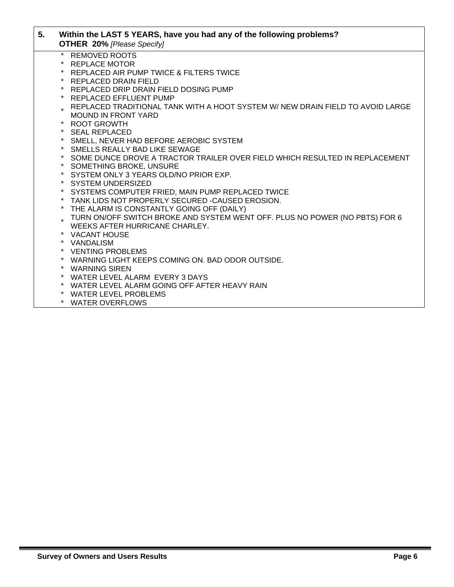| 5. | Within the LAST 5 YEARS, have you had any of the following problems?<br><b>OTHER 20% [Please Specify]</b> |
|----|-----------------------------------------------------------------------------------------------------------|
|    | <b>REMOVED ROOTS</b>                                                                                      |
|    | <b>REPLACE MOTOR</b>                                                                                      |
|    | REPLACED AIR PUMP TWICE & FILTERS TWICE                                                                   |
|    | REPLACED DRAIN FIELD                                                                                      |
|    | REPLACED DRIP DRAIN FIELD DOSING PUMP                                                                     |
|    | REPLACED EFFLUENT PUMP                                                                                    |
|    | REPLACED TRADITIONAL TANK WITH A HOOT SYSTEM W/ NEW DRAIN FIELD TO AVOID LARGE                            |
|    | <b>MOUND IN FRONT YARD</b>                                                                                |
|    | * ROOT GROWTH                                                                                             |
|    | * SEAL REPLACED                                                                                           |
|    | * SMELL, NEVER HAD BEFORE AEROBIC SYSTEM                                                                  |
|    | * SMELLS REALLY BAD LIKE SEWAGE                                                                           |
|    | SOME DUNCE DROVE A TRACTOR TRAILER OVER FIELD WHICH RESULTED IN REPLACEMENT                               |
|    | SOMETHING BROKE, UNSURE                                                                                   |
|    | * SYSTEM ONLY 3 YEARS OLD/NO PRIOR EXP.                                                                   |
|    | * SYSTEM UNDERSIZED                                                                                       |
|    | * SYSTEMS COMPUTER FRIED, MAIN PUMP REPLACED TWICE                                                        |
|    | TANK LIDS NOT PROPERLY SECURED -CAUSED EROSION.                                                           |
|    | * THE ALARM IS CONSTANTLY GOING OFF (DAILY)                                                               |
|    | TURN ON/OFF SWITCH BROKE AND SYSTEM WENT OFF. PLUS NO POWER (NO PBTS) FOR 6                               |
|    | WEEKS AFTER HURRICANE CHARLEY.                                                                            |
|    | * VACANT HOUSE                                                                                            |
|    | * VANDALISM                                                                                               |
|    | * VENTING PROBLEMS                                                                                        |
|    | * WARNING LIGHT KEEPS COMING ON. BAD ODOR OUTSIDE.                                                        |
|    | * WARNING SIREN                                                                                           |
|    | * WATER LEVEL ALARM EVERY 3 DAYS                                                                          |
|    | * WATER LEVEL ALARM GOING OFF AFTER HEAVY RAIN                                                            |
|    | * WATER LEVEL PROBLEMS                                                                                    |

\* WATER OVERFLOWS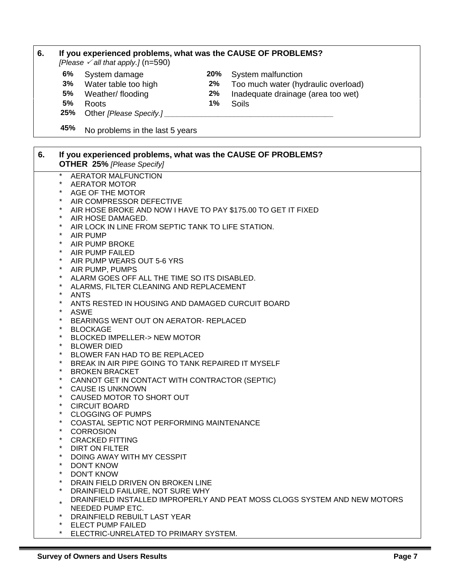| 6. |                     | If you experienced problems, what was the CAUSE OF PROBLEMS?                                      |       |                                                                           |
|----|---------------------|---------------------------------------------------------------------------------------------------|-------|---------------------------------------------------------------------------|
|    |                     | [Please $\checkmark$ all that apply.] (n=590)                                                     |       |                                                                           |
|    | 6%                  | System damage                                                                                     | 20%   | System malfunction                                                        |
|    | 3%                  | Water table too high                                                                              | $2\%$ | Too much water (hydraulic overload)                                       |
|    | 5%                  | Weather/ flooding                                                                                 | 2%    | Inadequate drainage (area too wet)                                        |
|    | 5%                  | Roots                                                                                             | 1%    | Soils                                                                     |
|    | 25%                 | Other [Please Specify.]_                                                                          |       |                                                                           |
|    | 45%                 | No problems in the last 5 years                                                                   |       |                                                                           |
|    |                     |                                                                                                   |       |                                                                           |
| 6. |                     | If you experienced problems, what was the CAUSE OF PROBLEMS?<br><b>OTHER 25% [Please Specify]</b> |       |                                                                           |
|    | $\star$             | <b>AERATOR MALFUNCTION</b>                                                                        |       |                                                                           |
|    | $^\star$            | <b>AERATOR MOTOR</b>                                                                              |       |                                                                           |
|    | $\star$<br>*        | AGE OF THE MOTOR                                                                                  |       |                                                                           |
|    | $^\star$            | AIR COMPRESSOR DEFECTIVE                                                                          |       |                                                                           |
|    | $\star$             | AIR HOSE BROKE AND NOW I HAVE TO PAY \$175.00 TO GET IT FIXED<br>AIR HOSE DAMAGED.                |       |                                                                           |
|    | $\ast$              | AIR LOCK IN LINE FROM SEPTIC TANK TO LIFE STATION.                                                |       |                                                                           |
|    | $\ast$              | AIR PUMP                                                                                          |       |                                                                           |
|    | $\star$             | AIR PUMP BROKE                                                                                    |       |                                                                           |
|    | $\star$             | AIR PUMP FAILED                                                                                   |       |                                                                           |
|    | $^\star$            | AIR PUMP WEARS OUT 5-6 YRS                                                                        |       |                                                                           |
|    | $\star$             | AIR PUMP, PUMPS                                                                                   |       |                                                                           |
|    | $\ast$<br>$\star$   | ALARM GOES OFF ALL THE TIME SO ITS DISABLED.                                                      |       |                                                                           |
|    | $\star$             | ALARMS, FILTER CLEANING AND REPLACEMENT                                                           |       |                                                                           |
|    | *                   | <b>ANTS</b><br>ANTS RESTED IN HOUSING AND DAMAGED CURCUIT BOARD                                   |       |                                                                           |
|    | *                   | <b>ASWE</b>                                                                                       |       |                                                                           |
|    | $\star$             | BEARINGS WENT OUT ON AERATOR- REPLACED                                                            |       |                                                                           |
|    | $\ast$              | <b>BLOCKAGE</b>                                                                                   |       |                                                                           |
|    | $^\star$            | <b>BLOCKED IMPELLER-&gt; NEW MOTOR</b>                                                            |       |                                                                           |
|    | $^{\star}$          | <b>BLOWER DIED</b>                                                                                |       |                                                                           |
|    | $^\star$            | BLOWER FAN HAD TO BE REPLACED                                                                     |       |                                                                           |
|    | *                   | BREAK IN AIR PIPE GOING TO TANK REPAIRED IT MYSELF                                                |       |                                                                           |
|    | $\ast$              | <b>BROKEN BRACKET</b>                                                                             |       |                                                                           |
|    | $^\star$            | CANNOT GET IN CONTACT WITH CONTRACTOR (SEPTIC)<br><b>CAUSE IS UNKNOWN</b>                         |       |                                                                           |
|    | $^{\star}$          | CAUSED MOTOR TO SHORT OUT                                                                         |       |                                                                           |
|    | *                   | <b>CIRCUIT BOARD</b>                                                                              |       |                                                                           |
|    | $^\star$            | <b>CLOGGING OF PUMPS</b>                                                                          |       |                                                                           |
|    | $^{\star}$          | COASTAL SEPTIC NOT PERFORMING MAINTENANCE                                                         |       |                                                                           |
|    | $^{\star}$          | <b>CORROSION</b>                                                                                  |       |                                                                           |
|    | $^\star$            | <b>CRACKED FITTING</b>                                                                            |       |                                                                           |
|    | $\ast$              | DIRT ON FILTER                                                                                    |       |                                                                           |
|    | $\ast$              | DOING AWAY WITH MY CESSPIT                                                                        |       |                                                                           |
|    | $^\star$<br>$\star$ | <b>DON'T KNOW</b>                                                                                 |       |                                                                           |
|    | $\star$             | <b>DON'T KNOW</b>                                                                                 |       |                                                                           |
|    | $^{\star}$          | DRAIN FIELD DRIVEN ON BROKEN LINE                                                                 |       |                                                                           |
|    |                     | DRAINFIELD FAILURE, NOT SURE WHY                                                                  |       | DRAINFIELD INSTALLED IMPROPERLY AND PEAT MOSS CLOGS SYSTEM AND NEW MOTORS |
|    | $\star$             | NEEDED PUMP ETC.                                                                                  |       |                                                                           |
|    | $\star$             | DRAINFIELD REBUILT LAST YEAR                                                                      |       |                                                                           |
|    |                     | * ELECT PUMP FAILED                                                                               |       |                                                                           |
|    |                     | * ELECTRIC-UNRELATED TO PRIMARY SYSTEM.                                                           |       |                                                                           |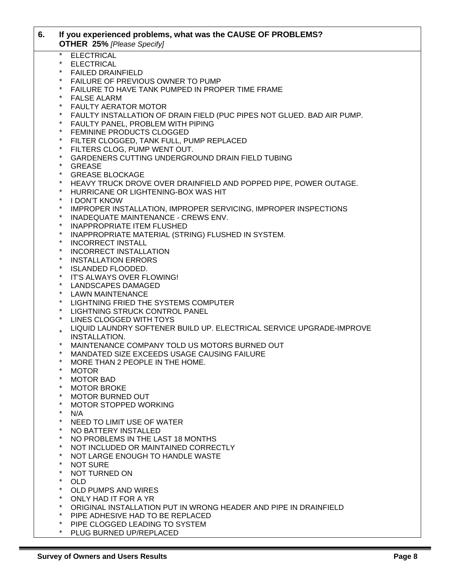| 6. |          | If you experienced problems, what was the CAUSE OF PROBLEMS?<br><b>OTHER 25% [Please Specify]</b> |
|----|----------|---------------------------------------------------------------------------------------------------|
|    | $\star$  | <b>ELECTRICAL</b>                                                                                 |
|    | $\star$  | <b>ELECTRICAL</b>                                                                                 |
|    | $\star$  | <b>FAILED DRAINFIELD</b>                                                                          |
|    | $\ast$   | FAILURE OF PREVIOUS OWNER TO PUMP                                                                 |
|    | $\star$  | FAILURE TO HAVE TANK PUMPED IN PROPER TIME FRAME                                                  |
|    | $\star$  | <b>FALSE ALARM</b>                                                                                |
|    | $\star$  | <b>FAULTY AERATOR MOTOR</b>                                                                       |
|    | $\star$  | FAULTY INSTALLATION OF DRAIN FIELD (PUC PIPES NOT GLUED. BAD AIR PUMP.                            |
|    | $\star$  | FAULTY PANEL, PROBLEM WITH PIPING                                                                 |
|    | $\star$  | FEMININE PRODUCTS CLOGGED                                                                         |
|    | $\star$  | FILTER CLOGGED, TANK FULL, PUMP REPLACED                                                          |
|    | $\star$  | FILTERS CLOG, PUMP WENT OUT.                                                                      |
|    | $\star$  | GARDENERS CUTTING UNDERGROUND DRAIN FIELD TUBING                                                  |
|    | $\star$  | <b>GREASE</b>                                                                                     |
|    | $\star$  | <b>GREASE BLOCKAGE</b>                                                                            |
|    | $\star$  | HEAVY TRUCK DROVE OVER DRAINFIELD AND POPPED PIPE, POWER OUTAGE.                                  |
|    | $\ast$   | HURRICANE OR LIGHTENING-BOX WAS HIT                                                               |
|    | $\star$  | <b>I DON'T KNOW</b>                                                                               |
|    | $\star$  | <b>IMPROPER INSTALLATION, IMPROPER SERVICING, IMPROPER INSPECTIONS</b>                            |
|    | $\star$  | INADEQUATE MAINTENANCE - CREWS ENV.                                                               |
|    | $\star$  | <b>INAPPROPRIATE ITEM FLUSHED</b>                                                                 |
|    | $\ast$   | INAPPROPRIATE MATERIAL (STRING) FLUSHED IN SYSTEM.                                                |
|    | $\star$  | <b>INCORRECT INSTALL</b>                                                                          |
|    | $\star$  | <b>INCORRECT INSTALLATION</b>                                                                     |
|    | $\star$  | <b>INSTALLATION ERRORS</b>                                                                        |
|    | $\star$  | <b>ISLANDED FLOODED.</b>                                                                          |
|    | $\star$  | IT'S ALWAYS OVER FLOWING!                                                                         |
|    | $\star$  | LANDSCAPES DAMAGED                                                                                |
|    | $\star$  | <b>LAWN MAINTENANCE</b>                                                                           |
|    | $\star$  | LIGHTNING FRIED THE SYSTEMS COMPUTER                                                              |
|    | $\star$  | LIGHTNING STRUCK CONTROL PANEL                                                                    |
|    | $\star$  | LINES CLOGGED WITH TOYS                                                                           |
|    |          | LIQUID LAUNDRY SOFTENER BUILD UP. ELECTRICAL SERVICE UPGRADE-IMPROVE                              |
|    |          | <b>INSTALLATION.</b>                                                                              |
|    | $^\star$ | MAINTENANCE COMPANY TOLD US MOTORS BURNED OUT                                                     |
|    | $\star$  | MANDATED SIZE EXCEEDS USAGE CAUSING FAILURE                                                       |
|    |          | MORE THAN 2 PEOPLE IN THE HOME.                                                                   |
|    | $\star$  | <b>MOTOR</b>                                                                                      |
|    | $\star$  | <b>MOTOR BAD</b>                                                                                  |
|    | $^\star$ | <b>MOTOR BROKE</b>                                                                                |
|    | $\star$  | <b>MOTOR BURNED OUT</b>                                                                           |
|    | $\star$  | <b>MOTOR STOPPED WORKING</b>                                                                      |
|    | $^\star$ | N/A                                                                                               |
|    | $^\star$ | NEED TO LIMIT USE OF WATER                                                                        |
|    | $^\star$ | NO BATTERY INSTALLED                                                                              |
|    | *        | NO PROBLEMS IN THE LAST 18 MONTHS                                                                 |
|    | $\star$  | NOT INCLUDED OR MAINTAINED CORRECTLY                                                              |
|    | $^\star$ | NOT LARGE ENOUGH TO HANDLE WASTE                                                                  |
|    | $^\star$ | <b>NOT SURE</b>                                                                                   |
|    | $^\star$ | NOT TURNED ON                                                                                     |
|    | $\star$  | <b>OLD</b>                                                                                        |
|    | *        | OLD PUMPS AND WIRES                                                                               |
|    | $^\star$ | ONLY HAD IT FOR A YR                                                                              |
|    | $\star$  | ORIGINAL INSTALLATION PUT IN WRONG HEADER AND PIPE IN DRAINFIELD                                  |
|    | $^\star$ | PIPE ADHESIVE HAD TO BE REPLACED                                                                  |
|    | $^\star$ | PIPE CLOGGED LEADING TO SYSTEM                                                                    |
|    | $\star$  | PLUG BURNED UP/REPLACED                                                                           |
|    |          |                                                                                                   |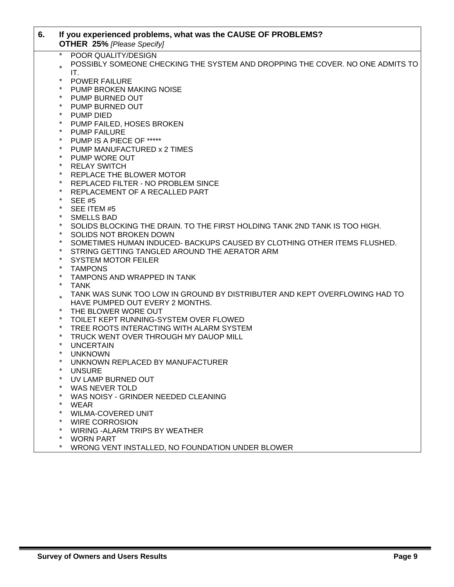| 6. |         | If you experienced problems, what was the CAUSE OF PROBLEMS?<br><b>OTHER 25% [Please Specify]</b> |
|----|---------|---------------------------------------------------------------------------------------------------|
|    | $\star$ | POOR QUALITY/DESIGN                                                                               |
|    |         | POSSIBLY SOMEONE CHECKING THE SYSTEM AND DROPPING THE COVER. NO ONE ADMITS TO<br>IT.              |
|    | $\star$ | <b>POWER FAILURE</b>                                                                              |
|    | $\star$ | PUMP BROKEN MAKING NOISE                                                                          |
|    | $\star$ | PUMP BURNED OUT                                                                                   |
|    | $\star$ | PUMP BURNED OUT                                                                                   |
|    | $\star$ | <b>PUMP DIED</b>                                                                                  |
|    | $\ast$  | PUMP FAILED, HOSES BROKEN                                                                         |
|    | $\star$ | <b>PUMP FAILURE</b>                                                                               |
|    | $\ast$  | PUMP IS A PIECE OF *****                                                                          |
|    | $\star$ | PUMP MANUFACTURED x 2 TIMES                                                                       |
|    | $\star$ | PUMP WORE OUT                                                                                     |
|    | $\star$ | <b>RELAY SWITCH</b>                                                                               |
|    | $\ast$  | REPLACE THE BLOWER MOTOR                                                                          |
|    | $\ast$  | REPLACED FILTER - NO PROBLEM SINCE                                                                |
|    | $\ast$  | REPLACEMENT OF A RECALLED PART                                                                    |
|    | $\star$ | <b>SEE #5</b>                                                                                     |
|    | $\star$ | SEE ITEM #5                                                                                       |
|    | $\star$ | <b>SMELLS BAD</b>                                                                                 |
|    | $\star$ | SOLIDS BLOCKING THE DRAIN. TO THE FIRST HOLDING TANK 2ND TANK IS TOO HIGH.                        |
|    | $\star$ | SOLIDS NOT BROKEN DOWN                                                                            |
|    | $\ast$  | SOMETIMES HUMAN INDUCED- BACKUPS CAUSED BY CLOTHING OTHER ITEMS FLUSHED.                          |
|    | $\ast$  | STRING GETTING TANGLED AROUND THE AERATOR ARM                                                     |
|    | $\ast$  | <b>SYSTEM MOTOR FEILER</b>                                                                        |
|    | $\ast$  | <b>TAMPONS</b>                                                                                    |
|    | $\ast$  | TAMPONS AND WRAPPED IN TANK                                                                       |
|    | $\star$ | <b>TANK</b>                                                                                       |
|    |         | TANK WAS SUNK TOO LOW IN GROUND BY DISTRIBUTER AND KEPT OVERFLOWING HAD TO                        |
|    |         | HAVE PUMPED OUT EVERY 2 MONTHS.                                                                   |
|    | $\star$ | THE BLOWER WORE OUT                                                                               |
|    | $\ast$  | TOILET KEPT RUNNING-SYSTEM OVER FLOWED                                                            |
|    | $\ast$  | TREE ROOTS INTERACTING WITH ALARM SYSTEM                                                          |
|    | $\ast$  | TRUCK WENT OVER THROUGH MY DAUOP MILL                                                             |
|    | $\ast$  | <b>UNCERTAIN</b>                                                                                  |
|    | $\star$ | <b>UNKNOWN</b>                                                                                    |
|    |         | UNKNOWN REPLACED BY MANUFACTURER                                                                  |
|    |         | <b>UNSURE</b>                                                                                     |
|    |         | UV LAMP BURNED OUT                                                                                |
|    |         | WAS NEVER TOLD                                                                                    |
|    |         | WAS NOISY - GRINDER NEEDED CLEANING                                                               |
|    | *       | <b>WEAR</b>                                                                                       |
|    | *       | <b>WILMA-COVERED UNIT</b>                                                                         |
|    | *       | <b>WIRE CORROSION</b>                                                                             |
|    | *<br>*  | WIRING - ALARM TRIPS BY WEATHER                                                                   |
|    |         | <b>WORN PART</b>                                                                                  |
|    | $\star$ | WRONG VENT INSTALLED, NO FOUNDATION UNDER BLOWER                                                  |

Г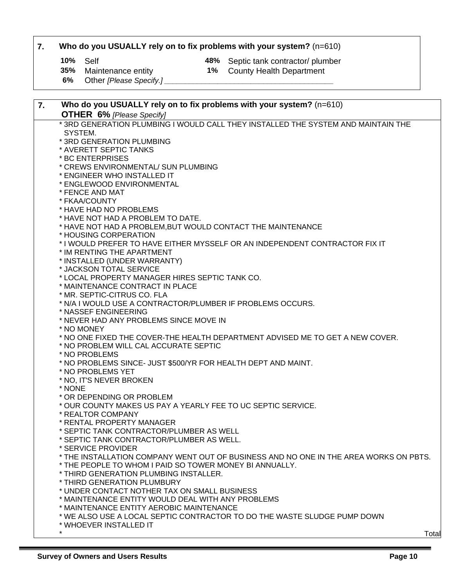### **7. Who do you USUALLY rely on to fix problems with your system?** (n=610)

**10%** Self **10%** Self **10%** Septic tank contractor/ plumber **16%** Septic tank contractor/ plumber

- 
- **25 County Health Department**
- **6%** Other *[Please Specify.] \_\_\_\_\_\_\_\_\_\_\_\_\_\_\_\_\_\_\_\_\_\_\_\_\_\_\_\_\_\_\_\_\_\_\_\_\_\_\_\_\_*

| 7. | Who do you USUALLY rely on to fix problems with your system? (n=610)                                                   |
|----|------------------------------------------------------------------------------------------------------------------------|
|    | <b>OTHER 6% [Please Specify]</b>                                                                                       |
|    | * 3RD GENERATION PLUMBING I WOULD CALL THEY INSTALLED THE SYSTEM AND MAINTAIN THE                                      |
|    | SYSTEM.                                                                                                                |
|    | * 3RD GENERATION PLUMBING                                                                                              |
|    | * AVERETT SEPTIC TANKS                                                                                                 |
|    | * BC ENTERPRISES                                                                                                       |
|    | * CREWS ENVIRONMENTAL/ SUN PLUMBING                                                                                    |
|    | * ENGINEER WHO INSTALLED IT                                                                                            |
|    | * ENGLEWOOD ENVIRONMENTAL                                                                                              |
|    | * FENCE AND MAT                                                                                                        |
|    | * FKAA/COUNTY                                                                                                          |
|    | * HAVE HAD NO PROBLEMS                                                                                                 |
|    | * HAVE NOT HAD A PROBLEM TO DATE.                                                                                      |
|    | * HAVE NOT HAD A PROBLEM, BUT WOULD CONTACT THE MAINTENANCE                                                            |
|    | * HOUSING CORPERATION                                                                                                  |
|    | * I WOULD PREFER TO HAVE EITHER MYSSELF OR AN INDEPENDENT CONTRACTOR FIX IT                                            |
|    | * IM RENTING THE APARTMENT                                                                                             |
|    | * INSTALLED (UNDER WARRANTY)                                                                                           |
|    | * JACKSON TOTAL SERVICE                                                                                                |
|    | * LOCAL PROPERTY MANAGER HIRES SEPTIC TANK CO.                                                                         |
|    | * MAINTENANCE CONTRACT IN PLACE<br>* MR. SEPTIC-CITRUS CO. FLA                                                         |
|    | * N/A I WOULD USE A CONTRACTOR/PLUMBER IF PROBLEMS OCCURS.                                                             |
|    |                                                                                                                        |
|    | * NASSEF ENGINEERING<br>* NEVER HAD ANY PROBLEMS SINCE MOVE IN                                                         |
|    |                                                                                                                        |
|    | * NO MONEY                                                                                                             |
|    | * NO ONE FIXED THE COVER-THE HEALTH DEPARTMENT ADVISED ME TO GET A NEW COVER.<br>* NO PROBLEM WILL CAL ACCURATE SEPTIC |
|    | * NO PROBLEMS                                                                                                          |
|    | * NO PROBLEMS SINCE- JUST \$500/YR FOR HEALTH DEPT AND MAINT.                                                          |
|    | * NO PROBLEMS YET                                                                                                      |
|    | * NO, IT'S NEVER BROKEN                                                                                                |
|    | * NONE                                                                                                                 |
|    | * OR DEPENDING OR PROBLEM                                                                                              |
|    | * OUR COUNTY MAKES US PAY A YEARLY FEE TO UC SEPTIC SERVICE.                                                           |
|    | * REALTOR COMPANY                                                                                                      |
|    | * RENTAL PROPERTY MANAGER                                                                                              |
|    | * SEPTIC TANK CONTRACTOR/PLUMBER AS WELL                                                                               |
|    | * SEPTIC TANK CONTRACTOR/PLUMBER AS WELL.                                                                              |
|    | * SERVICE PROVIDER                                                                                                     |
|    | * THE INSTALLATION COMPANY WENT OUT OF BUSINESS AND NO ONE IN THE AREA WORKS ON PBTS.                                  |
|    | * THE PEOPLE TO WHOM I PAID SO TOWER MONEY BI ANNUALLY.                                                                |
|    | * THIRD GENERATION PLUMBING INSTALLER.                                                                                 |
|    | * THIRD GENERATION PLUMBURY                                                                                            |
|    | * UNDER CONTACT NOTHER TAX ON SMALL BUSINESS                                                                           |
|    | * MAINTENANCE ENTITY WOULD DEAL WITH ANY PROBLEMS                                                                      |
|    | * MAINTENANCE ENTITY AEROBIC MAINTENANCE                                                                               |
|    | * WE ALSO USE A LOCAL SEPTIC CONTRACTOR TO DO THE WASTE SLUDGE PUMP DOWN                                               |
|    | * WHOEVER INSTALLED IT                                                                                                 |
|    | $\star$                                                                                                                |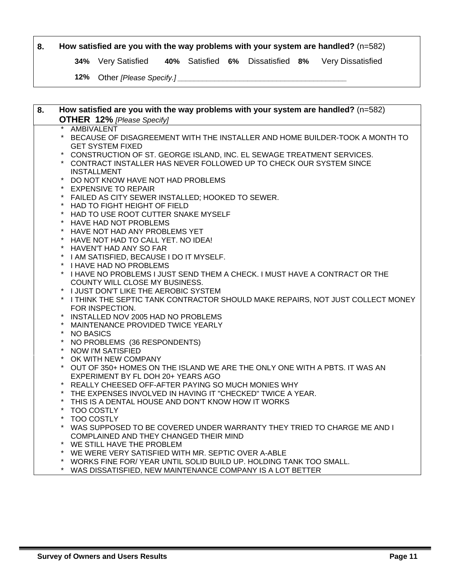#### **8. How satisfied are you with the way problems with your system are handled?** (n=582)

**34%** Very Satisfied **40%** Satisfied **6%** Dissatisfied **8%** Very Dissatisfied

**12%** Other *[Please Specify.] \_\_\_\_\_\_\_\_\_\_\_\_\_\_\_\_\_\_\_\_\_\_\_\_\_\_\_\_\_\_\_\_\_\_\_\_\_\_\_\_\_*

| 8. | How satisfied are you with the way problems with your system are handled? $(n=582)$               |
|----|---------------------------------------------------------------------------------------------------|
|    | <b>OTHER 12%</b> [Please Specify]                                                                 |
|    | <b>AMBIVALENT</b>                                                                                 |
|    | $\star$<br>BECAUSE OF DISAGREEMENT WITH THE INSTALLER AND HOME BUILDER-TOOK A MONTH TO            |
|    | <b>GET SYSTEM FIXED</b>                                                                           |
|    | CONSTRUCTION OF ST. GEORGE ISLAND, INC. EL SEWAGE TREATMENT SERVICES.                             |
|    | $\star$<br>CONTRACT INSTALLER HAS NEVER FOLLOWED UP TO CHECK OUR SYSTEM SINCE                     |
|    | <b>INSTALLMENT</b>                                                                                |
|    | $\star$<br>DO NOT KNOW HAVE NOT HAD PROBLEMS                                                      |
|    | <b>EXPENSIVE TO REPAIR</b>                                                                        |
|    | $\star$<br>FAILED AS CITY SEWER INSTALLED; HOOKED TO SEWER.                                       |
|    | $\star$<br>HAD TO FIGHT HEIGHT OF FIELD                                                           |
|    | $\star$<br>HAD TO USE ROOT CUTTER SNAKE MYSELF                                                    |
|    | $\ast$<br>HAVE HAD NOT PROBLEMS                                                                   |
|    | $\star$<br>HAVE NOT HAD ANY PROBLEMS YET                                                          |
|    | $\star$<br>HAVE NOT HAD TO CALL YET. NO IDEA!                                                     |
|    | $\star$<br>HAVEN'T HAD ANY SO FAR                                                                 |
|    | $\ast$<br>I AM SATISFIED, BECAUSE I DO IT MYSELF.<br>$\star$                                      |
|    | <b>I HAVE HAD NO PROBLEMS</b><br>$\star$                                                          |
|    | I HAVE NO PROBLEMS I JUST SEND THEM A CHECK. I MUST HAVE A CONTRACT OR THE                        |
|    | COUNTY WILL CLOSE MY BUSINESS.                                                                    |
|    | I JUST DON'T LIKE THE AEROBIC SYSTEM<br>$\star$                                                   |
|    | I THINK THE SEPTIC TANK CONTRACTOR SHOULD MAKE REPAIRS, NOT JUST COLLECT MONEY<br>FOR INSPECTION. |
|    | $\star$<br>INSTALLED NOV 2005 HAD NO PROBLEMS                                                     |
|    | MAINTENANCE PROVIDED TWICE YEARLY                                                                 |
|    | $\star$<br><b>NO BASICS</b>                                                                       |
|    | $^{\star}$<br>NO PROBLEMS (36 RESPONDENTS)                                                        |
|    | $\ast$<br><b>NOW I'M SATISFIED</b>                                                                |
|    | $\ast$<br>OK WITH NEW COMPANY                                                                     |
|    | $\star$<br>OUT OF 350+ HOMES ON THE ISLAND WE ARE THE ONLY ONE WITH A PBTS. IT WAS AN             |
|    | EXPERIMENT BY FL DOH 20+ YEARS AGO                                                                |
|    | REALLY CHEESED OFF-AFTER PAYING SO MUCH MONIES WHY                                                |
|    | THE EXPENSES INVOLVED IN HAVING IT "CHECKED" TWICE A YEAR.                                        |
|    | $^{\star}$<br>THIS IS A DENTAL HOUSE AND DON'T KNOW HOW IT WORKS                                  |
|    | $\star$<br><b>TOO COSTLY</b>                                                                      |
|    | <b>TOO COSTLY</b>                                                                                 |
|    | $\star$<br>WAS SUPPOSED TO BE COVERED UNDER WARRANTY THEY TRIED TO CHARGE ME AND I                |
|    | COMPLAINED AND THEY CHANGED THEIR MIND                                                            |
|    | WE STILL HAVE THE PROBLEM                                                                         |
|    | WE WERE VERY SATISFIED WITH MR. SEPTIC OVER A-ABLE                                                |
|    | WORKS FINE FOR/YEAR UNTIL SOLID BUILD UP. HOLDING TANK TOO SMALL.                                 |
|    | $*$ WAO DIOOATIOFIED MEWIMALIETEMANOE OOMDANIVIO A LOT DETTER                                     |

WAS DISSATISFIED, NEW MAINTENANCE COMPANY IS A LOT BETTER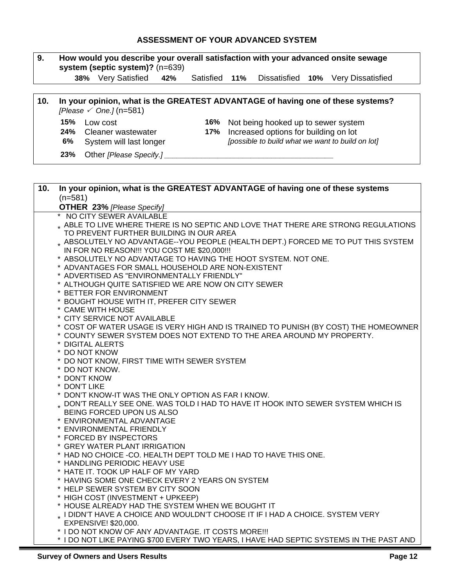### **ASSESSMENT OF YOUR ADVANCED SYSTEM**

| 9.  | How would you describe your overall satisfaction with your advanced onsite sewage<br>system (septic system)? (n=639)                    |  |  |  |
|-----|-----------------------------------------------------------------------------------------------------------------------------------------|--|--|--|
|     | 38% Very Satisfied<br>Satisfied 11%<br>Dissatisfied 10% Very Dissatisfied<br>42%                                                        |  |  |  |
|     |                                                                                                                                         |  |  |  |
| 10. | In your opinion, what is the GREATEST ADVANTAGE of having one of these systems?<br>[Please $\checkmark$ One.] (n=581)                   |  |  |  |
|     | 15%<br>16%<br>Low cost<br>Not being hooked up to sewer system                                                                           |  |  |  |
|     | Increased options for building on lot<br>24%<br>Cleaner wastewater<br>17%                                                               |  |  |  |
|     | [possible to build what we want to build on lot]<br>6%<br>System will last longer                                                       |  |  |  |
|     | 23%<br>Other [Please Specify.]                                                                                                          |  |  |  |
|     |                                                                                                                                         |  |  |  |
| 10. | In your opinion, what is the GREATEST ADVANTAGE of having one of these systems<br>$(n=581)$                                             |  |  |  |
|     | <b>OTHER 23% [Please Specify]</b>                                                                                                       |  |  |  |
|     | * NO CITY SEWER AVAILABLE<br>. ABLE TO LIVE WHERE THERE IS NO SEPTIC AND LOVE THAT THERE ARE STRONG REGULATIONS                         |  |  |  |
|     | TO PREVENT FURTHER BUILDING IN OUR AREA<br>. ABSOLUTELY NO ADVANTAGE--YOU PEOPLE (HEALTH DEPT.) FORCED ME TO PUT THIS SYSTEM            |  |  |  |
|     | IN FOR NO REASON !!! YOU COST ME \$20,000 !!!<br>* ABSOLUTELY NO ADVANTAGE TO HAVING THE HOOT SYSTEM. NOT ONE.                          |  |  |  |
|     | * ADVANTAGES FOR SMALL HOUSEHOLD ARE NON-EXISTENT                                                                                       |  |  |  |
|     | * ADVERTISED AS "ENVIRONMENTALLY FRIENDLY"                                                                                              |  |  |  |
|     | * ALTHOUGH QUITE SATISFIED WE ARE NOW ON CITY SEWER                                                                                     |  |  |  |
|     | * BETTER FOR ENVIRONMENT                                                                                                                |  |  |  |
|     | * BOUGHT HOUSE WITH IT, PREFER CITY SEWER<br>* CAME WITH HOUSE                                                                          |  |  |  |
|     | * CITY SERVICE NOT AVAILABLE                                                                                                            |  |  |  |
|     | * COST OF WATER USAGE IS VERY HIGH AND IS TRAINED TO PUNISH (BY COST) THE HOMEOWNER                                                     |  |  |  |
|     | * COUNTY SEWER SYSTEM DOES NOT EXTEND TO THE AREA AROUND MY PROPERTY.                                                                   |  |  |  |
|     | * DIGITAL ALERTS<br>* DO NOT KNOW                                                                                                       |  |  |  |
|     | * DO NOT KNOW, FIRST TIME WITH SEWER SYSTEM                                                                                             |  |  |  |
|     | * DO NOT KNOW.                                                                                                                          |  |  |  |
|     | * DON'T KNOW                                                                                                                            |  |  |  |
|     | * DON'T LIKE                                                                                                                            |  |  |  |
|     | * DON'T KNOW-IT WAS THE ONLY OPTION AS FAR I KNOW.<br>. DON'T REALLY SEE ONE. WAS TOLD I HAD TO HAVE IT HOOK INTO SEWER SYSTEM WHICH IS |  |  |  |
|     | BEING FORCED UPON US ALSO                                                                                                               |  |  |  |
|     | * ENVIRONMENTAL ADVANTAGE                                                                                                               |  |  |  |
|     | * ENVIRONMENTAL FRIENDLY                                                                                                                |  |  |  |
|     | * FORCED BY INSPECTORS                                                                                                                  |  |  |  |
|     | * GREY WATER PLANT IRRIGATION                                                                                                           |  |  |  |
|     | * HAD NO CHOICE - CO. HEALTH DEPT TOLD ME I HAD TO HAVE THIS ONE.<br>* HANDLING PERIODIC HEAVY USE                                      |  |  |  |
|     | * HATE IT. TOOK UP HALF OF MY YARD                                                                                                      |  |  |  |
|     | * HAVING SOME ONE CHECK EVERY 2 YEARS ON SYSTEM                                                                                         |  |  |  |
|     | * HELP SEWER SYSTEM BY CITY SOON                                                                                                        |  |  |  |
|     | * HIGH COST (INVESTMENT + UPKEEP)                                                                                                       |  |  |  |
|     | * HOUSE ALREADY HAD THE SYSTEM WHEN WE BOUGHT IT                                                                                        |  |  |  |
|     | . I DIDN'T HAVE A CHOICE AND WOULDN'T CHOOSE IT IF I HAD A CHOICE. SYSTEM VERY<br>EXPENSIVE! \$20,000.                                  |  |  |  |
|     | * I DO NOT KNOW OF ANY ADVANTAGE. IT COSTS MORE !!!                                                                                     |  |  |  |
|     | * I DO NOT LIKE PAYING \$700 EVERY TWO YEARS, I HAVE HAD SEPTIC SYSTEMS IN THE PAST AND                                                 |  |  |  |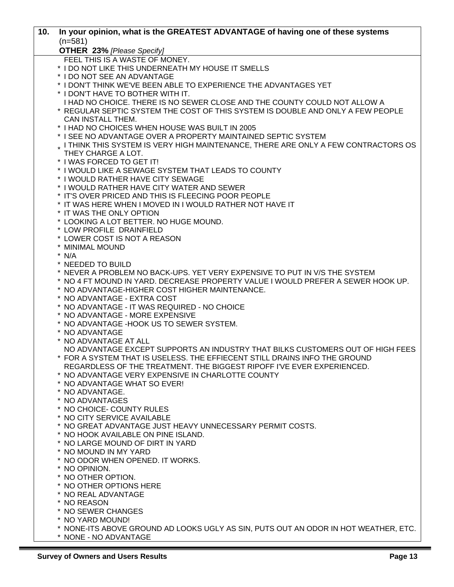| 10. | In your opinion, what is the GREATEST ADVANTAGE of having one of these systems      |
|-----|-------------------------------------------------------------------------------------|
|     | $(n=581)$                                                                           |
|     | <b>OTHER 23% [Please Specify]</b>                                                   |
|     | FEEL THIS IS A WASTE OF MONEY.                                                      |
|     | * I DO NOT LIKE THIS UNDERNEATH MY HOUSE IT SMELLS                                  |
|     | * I DO NOT SEE AN ADVANTAGE                                                         |
|     | * I DON'T THINK WE'VE BEEN ABLE TO EXPERIENCE THE ADVANTAGES YET                    |
|     | * I DON'T HAVE TO BOTHER WITH IT.                                                   |
|     | I HAD NO CHOICE. THERE IS NO SEWER CLOSE AND THE COUNTY COULD NOT ALLOW A           |
|     | * REGULAR SEPTIC SYSTEM THE COST OF THIS SYSTEM IS DOUBLE AND ONLY A FEW PEOPLE     |
|     | <b>CAN INSTALL THEM.</b>                                                            |
|     | * I HAD NO CHOICES WHEN HOUSE WAS BUILT IN 2005                                     |
|     | * I SEE NO ADVANTAGE OVER A PROPERTY MAINTAINED SEPTIC SYSTEM                       |
|     | . I THINK THIS SYSTEM IS VERY HIGH MAINTENANCE, THERE ARE ONLY A FEW CONTRACTORS OS |
|     | THEY CHARGE A LOT.                                                                  |
|     | * I WAS FORCED TO GET IT!                                                           |
|     | * I WOULD LIKE A SEWAGE SYSTEM THAT LEADS TO COUNTY                                 |
|     | * I WOULD RATHER HAVE CITY SEWAGE                                                   |
|     | * I WOULD RATHER HAVE CITY WATER AND SEWER                                          |
|     | * IT'S OVER PRICED AND THIS IS FLEECING POOR PEOPLE                                 |
|     | * IT WAS HERE WHEN I MOVED IN I WOULD RATHER NOT HAVE IT                            |
|     | * IT WAS THE ONLY OPTION                                                            |
|     | * LOOKING A LOT BETTER. NO HUGE MOUND.                                              |
|     | * LOW PROFILE DRAINFIELD                                                            |
|     | * LOWER COST IS NOT A REASON                                                        |
|     | * MINIMAL MOUND                                                                     |
|     | $*$ N/A                                                                             |
|     | * NEEDED TO BUILD                                                                   |
|     | * NEVER A PROBLEM NO BACK-UPS. YET VERY EXPENSIVE TO PUT IN V/S THE SYSTEM          |
|     | * NO 4 FT MOUND IN YARD. DECREASE PROPERTY VALUE I WOULD PREFER A SEWER HOOK UP.    |
|     | * NO ADVANTAGE-HIGHER COST HIGHER MAINTENANCE.                                      |
|     | * NO ADVANTAGE - EXTRA COST                                                         |
|     | * NO ADVANTAGE - IT WAS REQUIRED - NO CHOICE                                        |
|     | * NO ADVANTAGE - MORE EXPENSIVE                                                     |
|     | * NO ADVANTAGE - HOOK US TO SEWER SYSTEM.                                           |
|     | * NO ADVANTAGE                                                                      |
|     | * NO ADVANTAGE AT ALL                                                               |
|     | NO ADVANTAGE EXCEPT SUPPORTS AN INDUSTRY THAT BILKS CUSTOMERS OUT OF HIGH FEES      |
|     | * FOR A SYSTEM THAT IS USELESS. THE EFFIECENT STILL DRAINS INFO THE GROUND          |
|     | REGARDLESS OF THE TREATMENT. THE BIGGEST RIPOFF I'VE EVER EXPERIENCED.              |
|     | * NO ADVANTAGE VERY EXPENSIVE IN CHARLOTTE COUNTY                                   |
|     | * NO ADVANTAGE WHAT SO EVER!                                                        |
|     | * NO ADVANTAGE.                                                                     |
|     | * NO ADVANTAGES                                                                     |
|     | * NO CHOICE- COUNTY RULES                                                           |
|     | * NO CITY SERVICE AVAILABLE                                                         |
|     | * NO GREAT ADVANTAGE JUST HEAVY UNNECESSARY PERMIT COSTS.                           |
|     | * NO HOOK AVAILABLE ON PINE ISLAND.                                                 |
|     | * NO LARGE MOUND OF DIRT IN YARD                                                    |
|     | * NO MOUND IN MY YARD                                                               |
|     | * NO ODOR WHEN OPENED. IT WORKS.                                                    |
|     | * NO OPINION.                                                                       |
|     | * NO OTHER OPTION.                                                                  |
|     | * NO OTHER OPTIONS HERE                                                             |
|     |                                                                                     |
|     | * NO REAL ADVANTAGE                                                                 |
|     | * NO REASON                                                                         |
|     | * NO SEWER CHANGES                                                                  |
|     | * NO YARD MOUND!                                                                    |
|     | * NONE-ITS ABOVE GROUND AD LOOKS UGLY AS SIN, PUTS OUT AN ODOR IN HOT WEATHER, ETC. |
|     | * NONE - NO ADVANTAGE                                                               |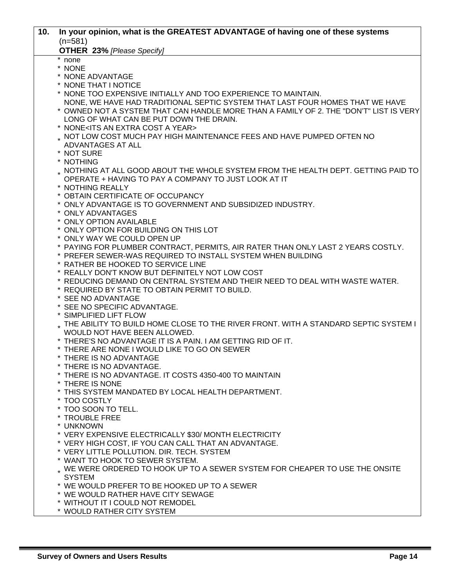| 10. | In your opinion, what is the GREATEST ADVANTAGE of having one of these systems                                                 |
|-----|--------------------------------------------------------------------------------------------------------------------------------|
|     | $(n=581)$                                                                                                                      |
|     | <b>OTHER 23% [Please Specify]</b>                                                                                              |
|     | none                                                                                                                           |
|     | * NONE                                                                                                                         |
|     | * NONE ADVANTAGE                                                                                                               |
|     | * NONE THAT I NOTICE<br>* NONE TOO EXPENSIVE INITIALLY AND TOO EXPERIENCE TO MAINTAIN.                                         |
|     | NONE, WE HAVE HAD TRADITIONAL SEPTIC SYSTEM THAT LAST FOUR HOMES THAT WE HAVE                                                  |
|     | * OWNED NOT A SYSTEM THAT CAN HANDLE MORE THAN A FAMILY OF 2. THE "DON'T" LIST IS VERY                                         |
|     | LONG OF WHAT CAN BE PUT DOWN THE DRAIN.                                                                                        |
|     | * NONE <its a="" an="" cost="" extra="" year=""></its>                                                                         |
|     | . NOT LOW COST MUCH PAY HIGH MAINTENANCE FEES AND HAVE PUMPED OFTEN NO                                                         |
|     | ADVANTAGES AT ALL                                                                                                              |
|     | * NOT SURE                                                                                                                     |
|     | * NOTHING                                                                                                                      |
|     | . NOTHING AT ALL GOOD ABOUT THE WHOLE SYSTEM FROM THE HEALTH DEPT. GETTING PAID TO                                             |
|     | OPERATE + HAVING TO PAY A COMPANY TO JUST LOOK AT IT                                                                           |
|     | * NOTHING REALLY<br>* OBTAIN CERTIFICATE OF OCCUPANCY                                                                          |
|     | * ONLY ADVANTAGE IS TO GOVERNMENT AND SUBSIDIZED INDUSTRY.                                                                     |
|     | * ONLY ADVANTAGES                                                                                                              |
|     | * ONLY OPTION AVAILABLE                                                                                                        |
|     | * ONLY OPTION FOR BUILDING ON THIS LOT                                                                                         |
|     | * ONLY WAY WE COULD OPEN UP                                                                                                    |
|     | * PAYING FOR PLUMBER CONTRACT, PERMITS, AIR RATER THAN ONLY LAST 2 YEARS COSTLY.                                               |
|     | * PREFER SEWER-WAS REQUIRED TO INSTALL SYSTEM WHEN BUILDING                                                                    |
|     | * RATHER BE HOOKED TO SERVICE LINE                                                                                             |
|     | * REALLY DON'T KNOW BUT DEFINITELY NOT LOW COST                                                                                |
|     | * REDUCING DEMAND ON CENTRAL SYSTEM AND THEIR NEED TO DEAL WITH WASTE WATER.<br>* REQUIRED BY STATE TO OBTAIN PERMIT TO BUILD. |
|     | * SEE NO ADVANTAGE                                                                                                             |
|     | * SEE NO SPECIFIC ADVANTAGE.                                                                                                   |
|     | * SIMPLIFIED LIFT FLOW                                                                                                         |
|     | . THE ABILITY TO BUILD HOME CLOSE TO THE RIVER FRONT. WITH A STANDARD SEPTIC SYSTEM I                                          |
|     | WOULD NOT HAVE BEEN ALLOWED.                                                                                                   |
|     | * THERE'S NO ADVANTAGE IT IS A PAIN. I AM GETTING RID OF IT.                                                                   |
|     | * THERE ARE NONE I WOULD LIKE TO GO ON SEWER                                                                                   |
|     | * THERE IS NO ADVANTAGE                                                                                                        |
|     | * THERE IS NO ADVANTAGE.                                                                                                       |
|     | * THERE IS NO ADVANTAGE. IT COSTS 4350-400 TO MAINTAIN<br>* THERE IS NONE                                                      |
|     | * THIS SYSTEM MANDATED BY LOCAL HEALTH DEPARTMENT.                                                                             |
|     | * TOO COSTLY                                                                                                                   |
|     | * TOO SOON TO TELL.                                                                                                            |
|     | * TROUBLE FREE                                                                                                                 |
|     | * UNKNOWN                                                                                                                      |
|     | * VERY EXPENSIVE ELECTRICALLY \$30/ MONTH ELECTRICITY                                                                          |
|     | * VERY HIGH COST, IF YOU CAN CALL THAT AN ADVANTAGE.                                                                           |
|     | * VERY LITTLE POLLUTION. DIR. TECH. SYSTEM                                                                                     |
|     | * WANT TO HOOK TO SEWER SYSTEM.                                                                                                |
|     | . WE WERE ORDERED TO HOOK UP TO A SEWER SYSTEM FOR CHEAPER TO USE THE ONSITE                                                   |
|     | <b>SYSTEM</b><br>* WE WOULD PREFER TO BE HOOKED UP TO A SEWER                                                                  |
|     | * WE WOULD RATHER HAVE CITY SEWAGE                                                                                             |
|     | * WITHOUT IT I COULD NOT REMODEL                                                                                               |
|     | * WOULD RATHER CITY SYSTEM                                                                                                     |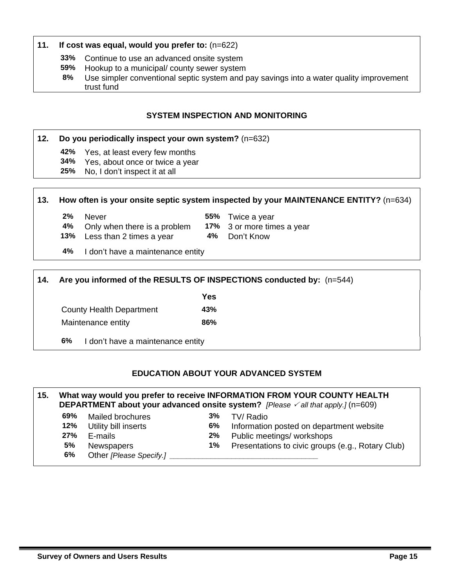#### **11. If cost was equal, would you prefer to:** (n=622)

- **33%** Continue to use an advanced onsite system
- **59%** Hookup to a municipal/ county sewer system
- **8%** Use simpler conventional septic system and pay savings into a water quality improvement trust fund

#### **SYSTEM INSPECTION AND MONITORING**

#### **12. Do you periodically inspect your own system?** (n=632)

- **42%** Yes, at least every few months
- **34%** Yes, about once or twice a year
- **25%** No, I don't inspect it at all

#### **13. How often is your onsite septic system inspected by your MAINTENANCE ENTITY?** (n=634)

- 
- **2%** Never **55%** Twice a year **4%** Only when there is a problem **17%** 3 or more times a year
	-
- **13%** Less than 2 times a year **4%** Don't Know
- **4%** I don't have a maintenance entity

**14. Are you informed of the RESULTS OF INSPECTIONS conducted by:** (n=544) *Yes*  County Health Department **43%**  Maintenance entity **86% 6%** I don't have a maintenance entity

#### **EDUCATION ABOUT YOUR ADVANCED SYSTEM**

#### **15. What way would you prefer to receive INFORMATION FROM YOUR COUNTY HEALTH DEPARTMENT about your advanced onsite system?** *[Please*  $\checkmark$  *all that apply.]* (n=609) **69%** Mailed brochures **3%** TV/ Radio

- 
- **12%** Utility bill inserts **6%** Information posted on department website
	-
- 
- **6%** Other *[Please Specify.]*
- **27%** E-mails **2%** Public meetings/ workshops
- **5%** Newspapers **1%** Presentations to civic groups (e.g., Rotary Club)

**Survey of Owners and Users Results Page 15**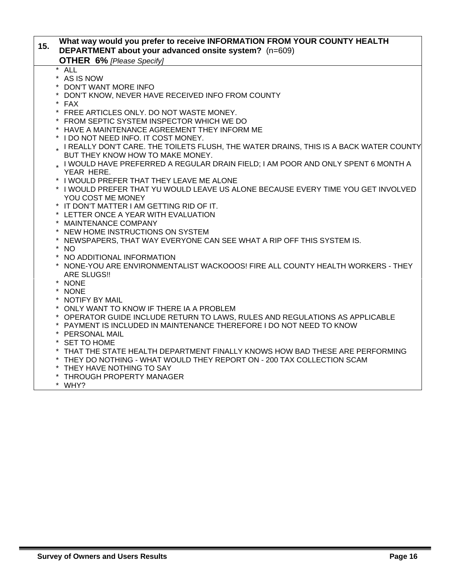| 15. | What way would you prefer to receive INFORMATION FROM YOUR COUNTY HEALTH<br>DEPARTMENT about your advanced onsite system? (n=609) |
|-----|-----------------------------------------------------------------------------------------------------------------------------------|
|     | <b>OTHER 6% [Please Specify]</b>                                                                                                  |
|     | $\star$<br><b>ALL</b>                                                                                                             |
|     | * AS IS NOW                                                                                                                       |
|     | * DON'T WANT MORE INFO                                                                                                            |
|     | * DON'T KNOW, NEVER HAVE RECEIVED INFO FROM COUNTY                                                                                |
|     | * FAX                                                                                                                             |
|     | * FREE ARTICLES ONLY. DO NOT WASTE MONEY.                                                                                         |
|     | * FROM SEPTIC SYSTEM INSPECTOR WHICH WE DO                                                                                        |
|     | * HAVE A MAINTENANCE AGREEMENT THEY INFORM ME                                                                                     |
|     | * I DO NOT NEED INFO. IT COST MONEY.                                                                                              |
|     | * I REALLY DON'T CARE. THE TOILETS FLUSH, THE WATER DRAINS, THIS IS A BACK WATER COUNTY                                           |
|     | BUT THEY KNOW HOW TO MAKE MONEY.                                                                                                  |
|     | . I WOULD HAVE PREFERRED A REGULAR DRAIN FIELD; I AM POOR AND ONLY SPENT 6 MONTH A                                                |
|     | YEAR HERE.                                                                                                                        |
|     | * I WOULD PREFER THAT THEY LEAVE ME ALONE                                                                                         |
|     | * I WOULD PREFER THAT YU WOULD LEAVE US ALONE BECAUSE EVERY TIME YOU GET INVOLVED                                                 |
|     | YOU COST ME MONEY<br>* IT DON'T MATTER I AM GETTING RID OF IT.                                                                    |
|     | * LETTER ONCE A YEAR WITH EVALUATION                                                                                              |
|     | * MAINTENANCE COMPANY                                                                                                             |
|     | * NEW HOME INSTRUCTIONS ON SYSTEM                                                                                                 |
|     | NEWSPAPERS, THAT WAY EVERYONE CAN SEE WHAT A RIP OFF THIS SYSTEM IS.                                                              |
|     | * NO                                                                                                                              |
|     | $\star$<br>NO ADDITIONAL INFORMATION                                                                                              |
|     | * NONE-YOU ARE ENVIRONMENTALIST WACKOOOS! FIRE ALL COUNTY HEALTH WORKERS - THEY                                                   |
|     | <b>ARE SLUGS!!</b>                                                                                                                |
|     | * NONE                                                                                                                            |
|     | * NONE                                                                                                                            |
|     | * NOTIFY BY MAIL                                                                                                                  |
|     | * ONLY WANT TO KNOW IF THERE IA A PROBLEM                                                                                         |
|     | * OPERATOR GUIDE INCLUDE RETURN TO LAWS, RULES AND REGULATIONS AS APPLICABLE                                                      |
|     | * PAYMENT IS INCLUDED IN MAINTENANCE THEREFORE I DO NOT NEED TO KNOW                                                              |
|     | * PERSONAL MAIL                                                                                                                   |
|     | * SET TO HOME                                                                                                                     |
|     | * THAT THE STATE HEALTH DEPARTMENT FINALLY KNOWS HOW BAD THESE ARE PERFORMING                                                     |
|     | * THEY DO NOTHING - WHAT WOULD THEY REPORT ON - 200 TAX COLLECTION SCAM                                                           |
|     | * THEY HAVE NOTHING TO SAY                                                                                                        |
|     | * THROUGH PROPERTY MANAGER                                                                                                        |
|     | * WHY?                                                                                                                            |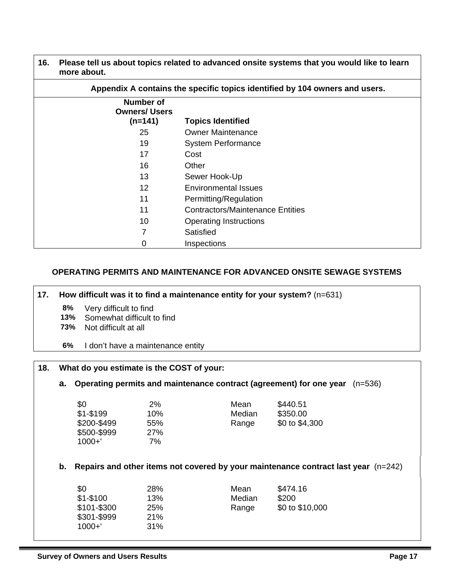**16. Please tell us about topics related to advanced onsite systems that you would like to learn more about.** 

| Appendix A contains the specific topics identified by 104 owners and users. |                                         |  |  |  |
|-----------------------------------------------------------------------------|-----------------------------------------|--|--|--|
| <b>Number of</b><br><b>Owners/ Users</b><br>$(n=141)$                       | <b>Topics Identified</b>                |  |  |  |
| 25                                                                          | <b>Owner Maintenance</b>                |  |  |  |
| 19                                                                          | <b>System Performance</b>               |  |  |  |
| 17                                                                          | Cost                                    |  |  |  |
| 16                                                                          | Other                                   |  |  |  |
| 13                                                                          | Sewer Hook-Up                           |  |  |  |
| 12                                                                          | <b>Environmental Issues</b>             |  |  |  |
| 11                                                                          | Permitting/Regulation                   |  |  |  |
| 11                                                                          | <b>Contractors/Maintenance Entities</b> |  |  |  |
| 10                                                                          | <b>Operating Instructions</b>           |  |  |  |
| 7                                                                           | Satisfied                               |  |  |  |
| 0                                                                           | Inspections                             |  |  |  |

#### **OPERATING PERMITS AND MAINTENANCE FOR ADVANCED ONSITE SEWAGE SYSTEMS**

**17. How difficult was it to find a maintenance entity for your system?** (n=631)

- **8%** Very difficult to find
- 13% Somewhat difficult to find<br>73% Not difficult at all
- **73%** Not difficult at all
- **6%** I don't have a maintenance entity

| 18. |    | What do you estimate is the COST of your:                                        |                                      |                                                                                    |                                        |  |
|-----|----|----------------------------------------------------------------------------------|--------------------------------------|------------------------------------------------------------------------------------|----------------------------------------|--|
|     | а. | Operating permits and maintenance contract (agreement) for one year<br>$(n=536)$ |                                      |                                                                                    |                                        |  |
|     |    | \$0<br>$$1 - $199$<br>\$200-\$499<br>\$500-\$999<br>$1000 + '$                   | 2%<br>10%<br>55%<br><b>27%</b><br>7% | Mean<br>Median<br>Range                                                            | \$440.51<br>\$350.00<br>\$0 to \$4,300 |  |
|     | b. |                                                                                  |                                      | Repairs and other items not covered by your maintenance contract last year (n=242) |                                        |  |
|     |    | \$0<br>\$1-\$100<br>\$101-\$300<br>\$301-\$999<br>$1000 + '$                     | 28%<br>13%<br>25%<br>21%<br>31%      | Mean<br>Median<br>Range                                                            | \$474.16<br>\$200<br>\$0 to \$10,000   |  |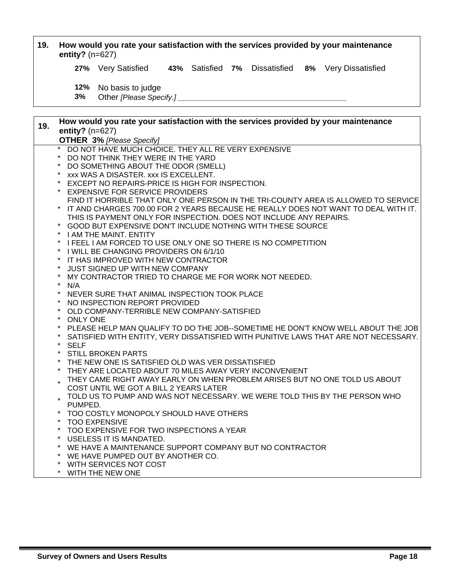| 19. | How would you rate your satisfaction with the services provided by your maintenance<br>entity? $(n=627)$ |                                                                                     |  |  |  |  |  |                                                                                     |
|-----|----------------------------------------------------------------------------------------------------------|-------------------------------------------------------------------------------------|--|--|--|--|--|-------------------------------------------------------------------------------------|
|     |                                                                                                          | 27% Very Satisfied 43% Satisfied 7% Dissatisfied 8% Very Dissatisfied               |  |  |  |  |  |                                                                                     |
|     | 12%<br>3%                                                                                                | No basis to judge<br>Other [Please Specify.]                                        |  |  |  |  |  |                                                                                     |
| 19. |                                                                                                          | How would you rate your satisfaction with the services provided by your maintenance |  |  |  |  |  |                                                                                     |
|     | entity? $(n=627)$                                                                                        |                                                                                     |  |  |  |  |  |                                                                                     |
|     |                                                                                                          | <b>OTHER 3% [Please Specify]</b>                                                    |  |  |  |  |  |                                                                                     |
|     |                                                                                                          | DO NOT HAVE MUCH CHOICE. THEY ALL RE VERY EXPENSIVE                                 |  |  |  |  |  |                                                                                     |
|     |                                                                                                          | DO NOT THINK THEY WERE IN THE YARD                                                  |  |  |  |  |  |                                                                                     |
|     |                                                                                                          | DO SOMETHING ABOUT THE ODOR (SMELL)<br>xxx WAS A DISASTER. xxx IS EXCELLENT.        |  |  |  |  |  |                                                                                     |
|     |                                                                                                          | EXCEPT NO REPAIRS-PRICE IS HIGH FOR INSPECTION.                                     |  |  |  |  |  |                                                                                     |
|     | $\star$                                                                                                  | <b>EXPENSIVE FOR SERVICE PROVIDERS</b>                                              |  |  |  |  |  |                                                                                     |
|     |                                                                                                          |                                                                                     |  |  |  |  |  | FIND IT HORRIBLE THAT ONLY ONE PERSON IN THE TRI-COUNTY AREA IS ALLOWED TO SERVICE  |
|     | $\star$                                                                                                  |                                                                                     |  |  |  |  |  | IT AND CHARGES 700.00 FOR 2 YEARS BECAUSE HE REALLY DOES NOT WANT TO DEAL WITH IT.  |
|     |                                                                                                          | THIS IS PAYMENT ONLY FOR INSPECTION. DOES NOT INCLUDE ANY REPAIRS.                  |  |  |  |  |  |                                                                                     |
|     |                                                                                                          | GOOD BUT EXPENSIVE DON'T INCLUDE NOTHING WITH THESE SOURCE                          |  |  |  |  |  |                                                                                     |
|     |                                                                                                          | * I AM THE MAINT, ENTITY                                                            |  |  |  |  |  |                                                                                     |
|     |                                                                                                          | * I FEEL I AM FORCED TO USE ONLY ONE SO THERE IS NO COMPETITION                     |  |  |  |  |  |                                                                                     |
|     | I WILL BE CHANGING PROVIDERS ON 6/1/10<br>$\star$<br>$\star$<br>IT HAS IMPROVED WITH NEW CONTRACTOR      |                                                                                     |  |  |  |  |  |                                                                                     |
|     |                                                                                                          | JUST SIGNED UP WITH NEW COMPANY                                                     |  |  |  |  |  |                                                                                     |
|     |                                                                                                          | MY CONTRACTOR TRIED TO CHARGE ME FOR WORK NOT NEEDED.                               |  |  |  |  |  |                                                                                     |
|     | $\star$<br>N/A                                                                                           |                                                                                     |  |  |  |  |  |                                                                                     |
|     |                                                                                                          | NEVER SURE THAT ANIMAL INSPECTION TOOK PLACE                                        |  |  |  |  |  |                                                                                     |
|     | $\star$                                                                                                  | NO INSPECTION REPORT PROVIDED                                                       |  |  |  |  |  |                                                                                     |
|     | $\star$                                                                                                  | OLD COMPANY-TERRIBLE NEW COMPANY-SATISFIED                                          |  |  |  |  |  |                                                                                     |
|     | <b>ONLY ONE</b>                                                                                          |                                                                                     |  |  |  |  |  |                                                                                     |
|     | $\star$                                                                                                  |                                                                                     |  |  |  |  |  | PLEASE HELP MAN QUALIFY TO DO THE JOB--SOMETIME HE DON'T KNOW WELL ABOUT THE JOB    |
|     | <b>SELF</b><br>$\star$                                                                                   |                                                                                     |  |  |  |  |  | SATISFIED WITH ENTITY, VERY DISSATISFIED WITH PUNITIVE LAWS THAT ARE NOT NECESSARY. |
|     |                                                                                                          | <b>STILL BROKEN PARTS</b>                                                           |  |  |  |  |  |                                                                                     |
|     |                                                                                                          | THE NEW ONE IS SATISFIED OLD WAS VER DISSATISFIED                                   |  |  |  |  |  |                                                                                     |
|     |                                                                                                          | THEY ARE LOCATED ABOUT 70 MILES AWAY VERY INCONVENIENT                              |  |  |  |  |  |                                                                                     |
|     |                                                                                                          | THEY CAME RIGHT AWAY EARLY ON WHEN PROBLEM ARISES BUT NO ONE TOLD US ABOUT          |  |  |  |  |  |                                                                                     |
|     |                                                                                                          | COST UNTIL WE GOT A BILL 2 YEARS LATER                                              |  |  |  |  |  |                                                                                     |
|     |                                                                                                          | TOLD US TO PUMP AND WAS NOT NECESSARY. WE WERE TOLD THIS BY THE PERSON WHO          |  |  |  |  |  |                                                                                     |
|     | PUMPED.                                                                                                  |                                                                                     |  |  |  |  |  |                                                                                     |
|     |                                                                                                          | TOO COSTLY MONOPOLY SHOULD HAVE OTHERS                                              |  |  |  |  |  |                                                                                     |
|     |                                                                                                          | <b>TOO EXPENSIVE</b><br>TOO EXPENSIVE FOR TWO INSPECTIONS A YEAR                    |  |  |  |  |  |                                                                                     |
|     |                                                                                                          | * USELESS IT IS MANDATED.                                                           |  |  |  |  |  |                                                                                     |
|     |                                                                                                          | * WE HAVE A MAINTENANCE SUPPORT COMPANY BUT NO CONTRACTOR                           |  |  |  |  |  |                                                                                     |
|     | $\star$                                                                                                  | WE HAVE PUMPED OUT BY ANOTHER CO.                                                   |  |  |  |  |  |                                                                                     |
|     | $\star$                                                                                                  | WITH SERVICES NOT COST                                                              |  |  |  |  |  |                                                                                     |
|     |                                                                                                          | * WITH THE NEW ONE                                                                  |  |  |  |  |  |                                                                                     |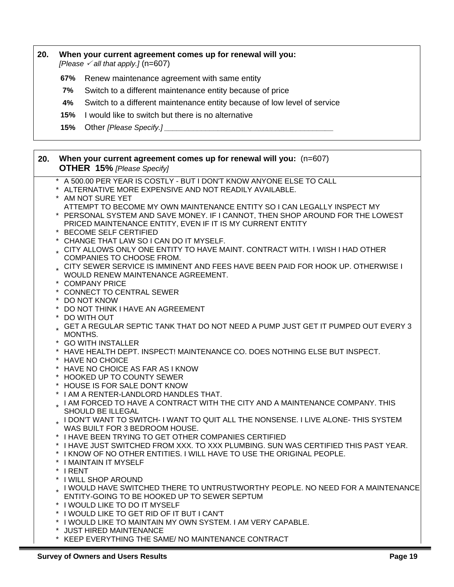#### **20. When your current agreement comes up for renewal will you:**

*[Please*  $\checkmark$  *all that apply.]* (n=607)

- **67%** Renew maintenance agreement with same entity
- **7%** Switch to a different maintenance entity because of price
- **4%** Switch to a different maintenance entity because of low level of service
- **15%** I would like to switch but there is no alternative
- **15%** Other *[Please Specify.] \_\_\_\_\_\_\_\_\_\_\_\_\_\_\_\_\_\_\_\_\_\_\_\_\_\_\_\_\_\_\_\_\_\_\_\_\_\_\_\_\_*

| 20. | When your current agreement comes up for renewal will you: (n=607)<br><b>OTHER 15% [Please Specify]</b>                                                                                                                                                                            |
|-----|------------------------------------------------------------------------------------------------------------------------------------------------------------------------------------------------------------------------------------------------------------------------------------|
|     | * A 500.00 PER YEAR IS COSTLY - BUT I DON'T KNOW ANYONE ELSE TO CALL<br>ALTERNATIVE MORE EXPENSIVE AND NOT READILY AVAILABLE.<br>* AM NOT SURE YET                                                                                                                                 |
|     | ATTEMPT TO BECOME MY OWN MAINTENANCE ENTITY SO I CAN LEGALLY INSPECT MY<br>* PERSONAL SYSTEM AND SAVE MONEY. IF I CANNOT, THEN SHOP AROUND FOR THE LOWEST<br>PRICED MAINTENANCE ENTITY, EVEN IF IT IS MY CURRENT ENTITY<br>* BECOME SELF CERTIFIED                                 |
|     | CHANGE THAT LAW SO I CAN DO IT MYSELF.<br>CITY ALLOWS ONLY ONE ENTITY TO HAVE MAINT. CONTRACT WITH. I WISH I HAD OTHER<br>COMPANIES TO CHOOSE FROM.                                                                                                                                |
|     | CITY SEWER SERVICE IS IMMINENT AND FEES HAVE BEEN PAID FOR HOOK UP. OTHERWISE I<br>WOULD RENEW MAINTENANCE AGREEMENT.<br>* COMPANY PRICE                                                                                                                                           |
|     | * CONNECT TO CENTRAL SEWER<br>* DO NOT KNOW                                                                                                                                                                                                                                        |
|     | * DO NOT THINK I HAVE AN AGREEMENT<br>DO WITH OUT<br>. GET A REGULAR SEPTIC TANK THAT DO NOT NEED A PUMP JUST GET IT PUMPED OUT EVERY 3                                                                                                                                            |
|     | MONTHS.<br>* GO WITH INSTALLER<br>* HAVE HEALTH DEPT. INSPECT! MAINTENANCE CO. DOES NOTHING ELSE BUT INSPECT.                                                                                                                                                                      |
|     | * HAVE NO CHOICE<br>* HAVE NO CHOICE AS FAR AS I KNOW<br>* HOOKED UP TO COUNTY SEWER                                                                                                                                                                                               |
|     | * HOUSE IS FOR SALE DON'T KNOW<br>* I AM A RENTER-LANDLORD HANDLES THAT.<br>. I AM FORCED TO HAVE A CONTRACT WITH THE CITY AND A MAINTENANCE COMPANY. THIS                                                                                                                         |
|     | SHOULD BE ILLEGAL<br>I DON'T WANT TO SWITCH-I WANT TO QUIT ALL THE NONSENSE. I LIVE ALONE-THIS SYSTEM                                                                                                                                                                              |
|     | WAS BUILT FOR 3 BEDROOM HOUSE.<br>* I HAVE BEEN TRYING TO GET OTHER COMPANIES CERTIFIED<br>* I HAVE JUST SWITCHED FROM XXX. TO XXX PLUMBING. SUN WAS CERTIFIED THIS PAST YEAR.<br>* I KNOW OF NO OTHER ENTITIES. I WILL HAVE TO USE THE ORIGINAL PEOPLE.<br>* I MAINTAIN IT MYSELF |
|     | * IRENT<br>* I WILL SHOP AROUND<br>. I WOULD HAVE SWITCHED THERE TO UNTRUSTWORTHY PEOPLE. NO NEED FOR A MAINTENANCE<br>ENTITY-GOING TO BE HOOKED UP TO SEWER SEPTUM<br>* I WOULD LIKE TO DO IT MYSELF                                                                              |
|     | * I WOULD LIKE TO GET RID OF IT BUT I CAN'T<br>* I WOULD LIKE TO MAINTAIN MY OWN SYSTEM. I AM VERY CAPABLE.<br>* JUST HIRED MAINTENANCE                                                                                                                                            |
|     | * KEEP EVERYTHING THE SAME/NO MAINTENANCE CONTRACT                                                                                                                                                                                                                                 |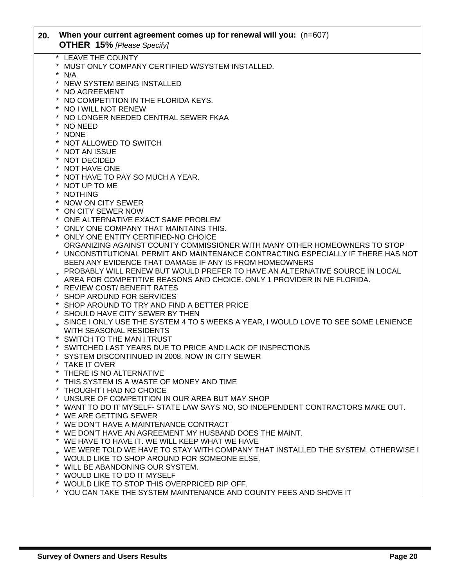| 20. | When your current agreement comes up for renewal will you: (n=607)<br><b>OTHER 15% [Please Specify]</b>                                    |
|-----|--------------------------------------------------------------------------------------------------------------------------------------------|
|     | * LEAVE THE COUNTY<br>*<br>MUST ONLY COMPANY CERTIFIED W/SYSTEM INSTALLED.<br>$^\star$<br>N/A                                              |
|     | $\star$<br>NEW SYSTEM BEING INSTALLED<br>$\star$<br>NO AGREEMENT                                                                           |
|     | * NO COMPETITION IN THE FLORIDA KEYS.                                                                                                      |
|     | * NO I WILL NOT RENEW<br>NO LONGER NEEDED CENTRAL SEWER FKAA                                                                               |
|     | NO NEED<br>* NONE                                                                                                                          |
|     | * NOT ALLOWED TO SWITCH<br>* NOT AN ISSUE                                                                                                  |
|     | * NOT DECIDED<br>* NOT HAVE ONE                                                                                                            |
|     | * NOT HAVE TO PAY SO MUCH A YEAR.                                                                                                          |
|     | * NOT UP TO ME<br>* NOTHING                                                                                                                |
|     | * NOW ON CITY SEWER<br>* ON CITY SEWER NOW                                                                                                 |
|     | * ONE ALTERNATIVE EXACT SAME PROBLEM<br>ONLY ONE COMPANY THAT MAINTAINS THIS.                                                              |
|     | * ONLY ONE ENTITY CERTIFIED-NO CHOICE<br>ORGANIZING AGAINST COUNTY COMMISSIONER WITH MANY OTHER HOMEOWNERS TO STOP                         |
|     | UNCONSTITUTIONAL PERMIT AND MAINTENANCE CONTRACTING ESPECIALLY IF THERE HAS NOT<br>BEEN ANY EVIDENCE THAT DAMAGE IF ANY IS FROM HOMEOWNERS |
|     | PROBABLY WILL RENEW BUT WOULD PREFER TO HAVE AN ALTERNATIVE SOURCE IN LOCAL                                                                |
|     | AREA FOR COMPETITIVE REASONS AND CHOICE. ONLY 1 PROVIDER IN NE FLORIDA.<br>* REVIEW COST/BENEFIT RATES                                     |
|     | SHOP AROUND FOR SERVICES<br>SHOP AROUND TO TRY AND FIND A BETTER PRICE                                                                     |
|     | * SHOULD HAVE CITY SEWER BY THEN<br>SINCE I ONLY USE THE SYSTEM 4 TO 5 WEEKS A YEAR, I WOULD LOVE TO SEE SOME LENIENCE                     |
|     | WITH SEASONAL RESIDENTS<br>* SWITCH TO THE MAN I TRUST                                                                                     |
|     | * SWITCHED LAST YEARS DUE TO PRICE AND LACK OF INSPECTIONS<br>* SYSTEM DISCONTINUED IN 2008. NOW IN CITY SEWER                             |
|     | * TAKE IT OVER<br>THERE IS NO ALTERNATIVE                                                                                                  |
|     | THIS SYSTEM IS A WASTE OF MONEY AND TIME                                                                                                   |
|     | * THOUGHT I HAD NO CHOICE<br>$\star$<br>UNSURE OF COMPETITION IN OUR AREA BUT MAY SHOP                                                     |
|     | * WANT TO DO IT MYSELF- STATE LAW SAYS NO, SO INDEPENDENT CONTRACTORS MAKE OUT.<br>* WE ARE GETTING SEWER                                  |
|     | * WE DON'T HAVE A MAINTENANCE CONTRACT<br>WE DON'T HAVE AN AGREEMENT MY HUSBAND DOES THE MAINT.                                            |
|     | * WE HAVE TO HAVE IT. WE WILL KEEP WHAT WE HAVE<br>WE WERE TOLD WE HAVE TO STAY WITH COMPANY THAT INSTALLED THE SYSTEM, OTHERWISE I        |
|     | WOULD LIKE TO SHOP AROUND FOR SOMEONE ELSE.<br>* WILL BE ABANDONING OUR SYSTEM.                                                            |
|     | * WOULD LIKE TO DO IT MYSELF<br>* WOULD LIKE TO STOP THIS OVERPRICED RIP OFF.                                                              |
|     | * YOU CAN TAKE THE SYSTEM MAINTENANCE AND COUNTY FEES AND SHOVE IT                                                                         |
|     |                                                                                                                                            |

Г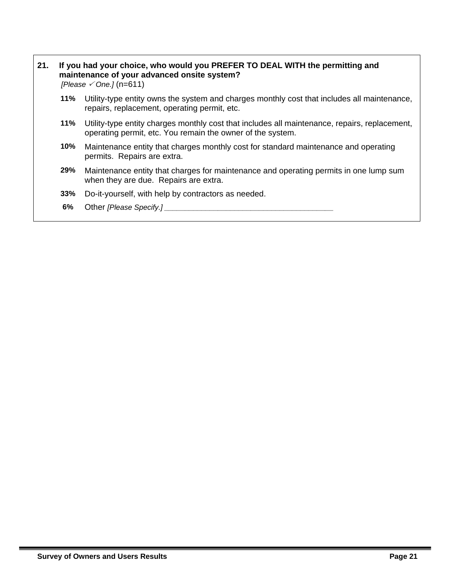#### **21. If you had your choice, who would you PREFER TO DEAL WITH the permitting and maintenance of your advanced onsite system?**

 *[Please* 3 *One.]* (n=611)

- **11%** Utility-type entity owns the system and charges monthly cost that includes all maintenance, repairs, replacement, operating permit, etc.
- **11%** Utility-type entity charges monthly cost that includes all maintenance, repairs, replacement, operating permit, etc. You remain the owner of the system.
- **10%** Maintenance entity that charges monthly cost for standard maintenance and operating permits. Repairs are extra.
- **29%** Maintenance entity that charges for maintenance and operating permits in one lump sum when they are due. Repairs are extra.
- **33%** Do-it-yourself, with help by contractors as needed.
- **6%** Other *[Please Specify.] \_\_\_\_\_\_\_\_\_\_\_\_\_\_\_\_\_\_\_\_\_\_\_\_\_\_\_\_\_\_\_\_\_\_\_\_\_\_\_\_\_*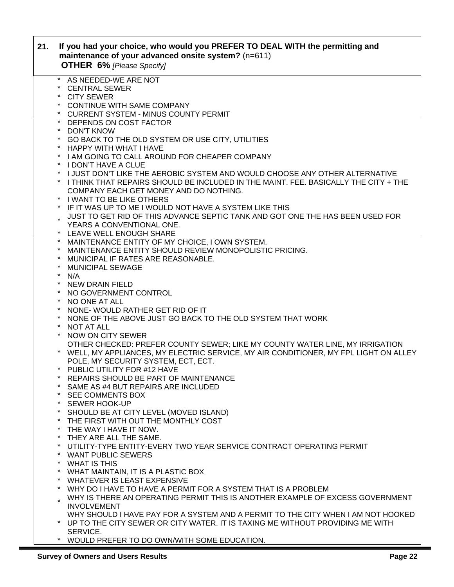| 21. | If you had your choice, who would you PREFER TO DEAL WITH the permitting and<br>maintenance of your advanced onsite system? (n=611)<br><b>OTHER 6% [Please Specify]</b> |
|-----|-------------------------------------------------------------------------------------------------------------------------------------------------------------------------|
|     | * AS NEEDED-WE ARE NOT                                                                                                                                                  |
|     | * CENTRAL SEWER                                                                                                                                                         |
|     | * CITY SEWER                                                                                                                                                            |
|     | * CONTINUE WITH SAME COMPANY                                                                                                                                            |
|     | * CURRENT SYSTEM - MINUS COUNTY PERMIT                                                                                                                                  |
|     | DEPENDS ON COST FACTOR<br><b>DON'T KNOW</b>                                                                                                                             |
|     | * GO BACK TO THE OLD SYSTEM OR USE CITY, UTILITIES                                                                                                                      |
|     | * HAPPY WITH WHAT I HAVE                                                                                                                                                |
|     | * I AM GOING TO CALL AROUND FOR CHEAPER COMPANY                                                                                                                         |
|     | * I DON'T HAVE A CLUE                                                                                                                                                   |
|     | I JUST DON'T LIKE THE AEROBIC SYSTEM AND WOULD CHOOSE ANY OTHER ALTERNATIVE                                                                                             |
|     | * I THINK THAT REPAIRS SHOULD BE INCLUDED IN THE MAINT. FEE. BASICALLY THE CITY + THE                                                                                   |
|     | COMPANY EACH GET MONEY AND DO NOTHING.                                                                                                                                  |
|     | * I WANT TO BE LIKE OTHERS                                                                                                                                              |
|     | IF IT WAS UP TO ME I WOULD NOT HAVE A SYSTEM LIKE THIS                                                                                                                  |
|     | UST TO GET RID OF THIS ADVANCE SEPTIC TANK AND GOT ONE THE HAS BEEN USED FOR                                                                                            |
|     | YEARS A CONVENTIONAL ONE.                                                                                                                                               |
|     | LEAVE WELL ENOUGH SHARE                                                                                                                                                 |
|     | MAINTENANCE ENTITY OF MY CHOICE, I OWN SYSTEM.                                                                                                                          |
|     | MAINTENANCE ENTITY SHOULD REVIEW MONOPOLISTIC PRICING.<br>* MUNICIPAL IF RATES ARE REASONABLE.                                                                          |
|     | $\ast$<br><b>MUNICIPAL SEWAGE</b>                                                                                                                                       |
|     | $\star$<br>N/A                                                                                                                                                          |
|     | * NEW DRAIN FIELD                                                                                                                                                       |
|     | * NO GOVERNMENT CONTROL                                                                                                                                                 |
|     | * NO ONE AT ALL                                                                                                                                                         |
|     | * NONE-WOULD RATHER GET RID OF IT                                                                                                                                       |
|     | NONE OF THE ABOVE JUST GO BACK TO THE OLD SYSTEM THAT WORK                                                                                                              |
|     | $\star$<br><b>NOT AT ALL</b>                                                                                                                                            |
|     | * NOW ON CITY SEWER                                                                                                                                                     |
|     | OTHER CHECKED: PREFER COUNTY SEWER; LIKE MY COUNTY WATER LINE, MY IRRIGATION                                                                                            |
|     | * WELL, MY APPLIANCES, MY ELECTRIC SERVICE, MY AIR CONDITIONER, MY FPL LIGHT ON ALLEY                                                                                   |
|     | POLE, MY SECURITY SYSTEM, ECT, ECT.                                                                                                                                     |
|     | * PUBLIC UTILITY FOR #12 HAVE                                                                                                                                           |
|     | REPAIRS SHOULD BE PART OF MAINTENANCE<br>SAME AS #4 BUT REPAIRS ARE INCLUDED                                                                                            |
|     | SEE COMMENTS BOX                                                                                                                                                        |
|     | $\star$<br><b>SEWER HOOK-UP</b>                                                                                                                                         |
|     | $\ast$<br>SHOULD BE AT CITY LEVEL (MOVED ISLAND)                                                                                                                        |
|     | THE FIRST WITH OUT THE MONTHLY COST<br>$\star$                                                                                                                          |
|     | THE WAY I HAVE IT NOW.<br>$\star$                                                                                                                                       |
|     | THEY ARE ALL THE SAME.                                                                                                                                                  |
|     | UTILITY-TYPE ENTITY-EVERY TWO YEAR SERVICE CONTRACT OPERATING PERMIT<br>$\star$                                                                                         |
|     | $\star$<br>WANT PUBLIC SEWERS                                                                                                                                           |
|     | <b>WHAT IS THIS</b><br>$\ast$                                                                                                                                           |
|     | $\ast$<br>WHAT MAINTAIN, IT IS A PLASTIC BOX                                                                                                                            |
|     | <b>WHATEVER IS LEAST EXPENSIVE</b><br>$\ast$                                                                                                                            |
|     | WHY DO I HAVE TO HAVE A PERMIT FOR A SYSTEM THAT IS A PROBLEM                                                                                                           |
|     | WHY IS THERE AN OPERATING PERMIT THIS IS ANOTHER EXAMPLE OF EXCESS GOVERNMENT                                                                                           |
|     | <b>INVOLVEMENT</b><br>WHY SHOULD I HAVE PAY FOR A SYSTEM AND A PERMIT TO THE CITY WHEN I AM NOT HOOKED                                                                  |
|     | UP TO THE CITY SEWER OR CITY WATER. IT IS TAXING ME WITHOUT PROVIDING ME WITH                                                                                           |
|     | SERVICE.                                                                                                                                                                |
|     | * WOULD PREFER TO DO OWN/WITH SOME EDUCATION.                                                                                                                           |
|     |                                                                                                                                                                         |

Г

٦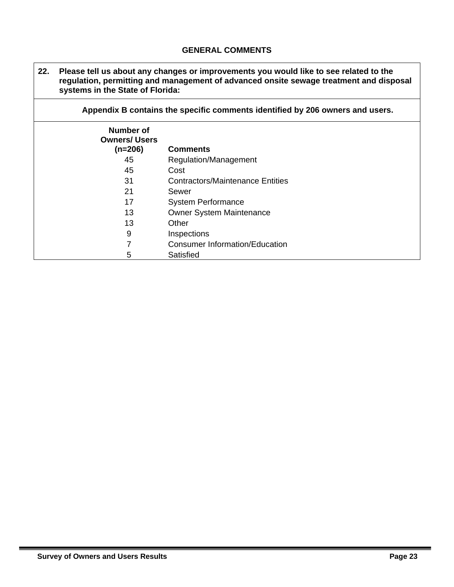#### **GENERAL COMMENTS**

| 22. | Please tell us about any changes or improvements you would like to see related to the<br>regulation, permitting and management of advanced onsite sewage treatment and disposal<br>systems in the State of Florida: |                                         |  |  |
|-----|---------------------------------------------------------------------------------------------------------------------------------------------------------------------------------------------------------------------|-----------------------------------------|--|--|
|     | Appendix B contains the specific comments identified by 206 owners and users.                                                                                                                                       |                                         |  |  |
|     | Number of<br><b>Owners/ Users</b><br>$(n=206)$                                                                                                                                                                      | <b>Comments</b>                         |  |  |
|     | 45                                                                                                                                                                                                                  | Regulation/Management                   |  |  |
|     | 45                                                                                                                                                                                                                  | Cost                                    |  |  |
|     | 31                                                                                                                                                                                                                  | <b>Contractors/Maintenance Entities</b> |  |  |
|     | 21                                                                                                                                                                                                                  | Sewer                                   |  |  |
|     | 17                                                                                                                                                                                                                  | <b>System Performance</b>               |  |  |
|     | 13                                                                                                                                                                                                                  | <b>Owner System Maintenance</b>         |  |  |
|     | 13                                                                                                                                                                                                                  | Other                                   |  |  |
|     | 9                                                                                                                                                                                                                   | Inspections                             |  |  |
|     | 7                                                                                                                                                                                                                   | <b>Consumer Information/Education</b>   |  |  |
|     | 5                                                                                                                                                                                                                   | Satisfied                               |  |  |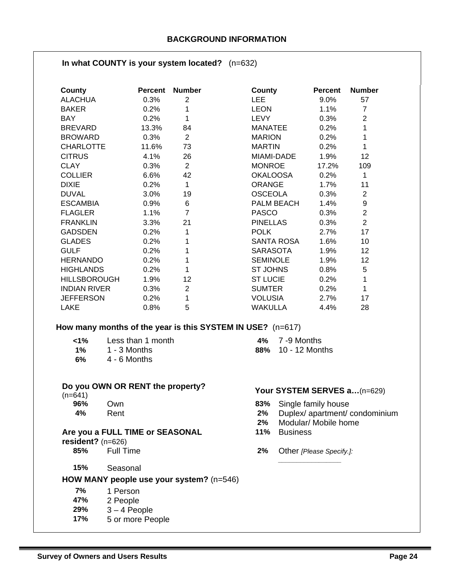#### **In what COUNTY is your system located?** (n=632)

| County              | <b>Percent</b> | <b>Number</b>  | County            | <b>Percent</b> | <b>Number</b>     |
|---------------------|----------------|----------------|-------------------|----------------|-------------------|
| <b>ALACHUA</b>      | 0.3%           | 2              | LEE               | 9.0%           | 57                |
| <b>BAKER</b>        | 0.2%           | 1              | <b>LEON</b>       | 1.1%           | $\overline{7}$    |
| <b>BAY</b>          | 0.2%           | 1              | <b>LEVY</b>       | 0.3%           | $\overline{2}$    |
| <b>BREVARD</b>      | 13.3%          | 84             | <b>MANATEE</b>    | 0.2%           | 1                 |
| <b>BROWARD</b>      | 0.3%           | $\overline{2}$ | <b>MARION</b>     | 0.2%           | 1                 |
| <b>CHARLOTTE</b>    | 11.6%          | 73             | <b>MARTIN</b>     | 0.2%           | 1                 |
| <b>CITRUS</b>       | 4.1%           | 26             | MIAMI-DADE        | 1.9%           | $12 \overline{ }$ |
| <b>CLAY</b>         | 0.3%           | 2              | <b>MONROE</b>     | 17.2%          | 109               |
| <b>COLLIER</b>      | 6.6%           | 42             | <b>OKALOOSA</b>   | 0.2%           | 1                 |
| <b>DIXIE</b>        | 0.2%           | 1              | <b>ORANGE</b>     | 1.7%           | 11                |
| <b>DUVAL</b>        | 3.0%           | 19             | <b>OSCEOLA</b>    | 0.3%           | 2                 |
| <b>ESCAMBIA</b>     | 0.9%           | 6              | <b>PALM BEACH</b> | 1.4%           | 9                 |
| <b>FLAGLER</b>      | 1.1%           | $\overline{7}$ | <b>PASCO</b>      | 0.3%           | $\overline{2}$    |
| <b>FRANKLIN</b>     | 3.3%           | 21             | <b>PINELLAS</b>   | 0.3%           | $\overline{2}$    |
| <b>GADSDEN</b>      | 0.2%           | 1              | <b>POLK</b>       | 2.7%           | 17                |
| <b>GLADES</b>       | 0.2%           |                | SANTA ROSA        | 1.6%           | 10                |
| <b>GULF</b>         | 0.2%           | 1              | <b>SARASOTA</b>   | 1.9%           | $12 \overline{ }$ |
| <b>HERNANDO</b>     | 0.2%           | 1              | <b>SEMINOLE</b>   | 1.9%           | 12                |
| <b>HIGHLANDS</b>    | 0.2%           | 1              | <b>ST JOHNS</b>   | 0.8%           | 5                 |
| <b>HILLSBOROUGH</b> | 1.9%           | 12             | <b>ST LUCIE</b>   | 0.2%           | 1                 |
| <b>INDIAN RIVER</b> | 0.3%           | $\overline{2}$ | <b>SUMTER</b>     | 0.2%           | 1                 |
| <b>JEFFERSON</b>    | 0.2%           | 1              | <b>VOLUSIA</b>    | 2.7%           | 17                |
| <b>LAKE</b>         | 0.8%           | 5              | WAKULLA           | 4.4%           | 28                |

#### **How many months of the year is this SYSTEM IN USE?** (n=617)

| $1\%$ | Less than 1 month |
|-------|-------------------|
| $1\%$ | 1 - 3 Months      |
| 6%    | 4 - 6 Months      |

#### **Do you OWN OR RENT the property?**

## **Are you a FULL TIME or SEASONAL resident?** (n=626)<br>85% Full Time

- 
- **15%** Seasonal

#### **HOW MANY people use your system?** (n=546)

- **7%** 1 Person **47%** 2 People
- **29%** 3 4 People
- **17%** 5 or more People

**<1%** Less than 1 month **4%** 7 -9 Months **1%** 1 - 3 Months **88%** 10 - 12 Months

# **DO you OWN ON NENT the property:**<br>  $(n=641)$ <br> **196%** Own **B3%** Single family house

- **93%** Single family house
- **4%** Rent **2%** Duplex/ apartment/ condominium
	- **2%** Modular/ Mobile home
	- **11%** Business
	- **2%** Other *[Please Specify.]:*

*\_\_\_\_\_\_\_\_\_\_\_\_\_\_\_\_\_*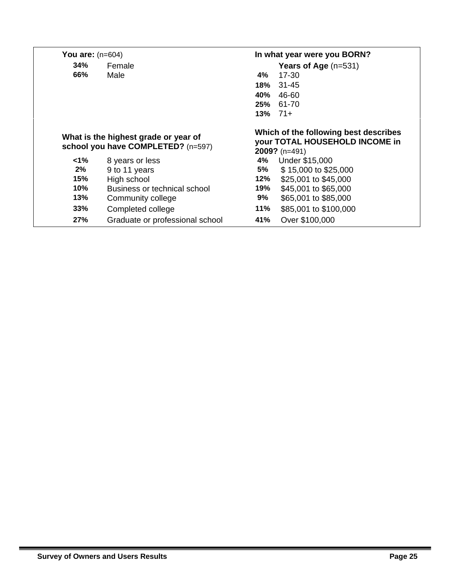| You are: $(n=604)$ |                                                                            |     | In what year were you BORN?                                                                |  |  |
|--------------------|----------------------------------------------------------------------------|-----|--------------------------------------------------------------------------------------------|--|--|
| 34%<br>Female      |                                                                            |     | <b>Years of Age</b> $(n=531)$                                                              |  |  |
| 66%                | Male                                                                       | 4%  | 17-30                                                                                      |  |  |
|                    |                                                                            | 18% | $31 - 45$                                                                                  |  |  |
|                    |                                                                            | 40% | 46-60                                                                                      |  |  |
|                    |                                                                            | 25% | 61-70                                                                                      |  |  |
|                    |                                                                            | 13% | 71+                                                                                        |  |  |
|                    | What is the highest grade or year of<br>school you have COMPLETED? (n=597) |     | Which of the following best describes<br>your TOTAL HOUSEHOLD INCOME in<br>$2009?$ (n=491) |  |  |
| $<1\%$             | 8 years or less                                                            | 4%  | Under \$15,000                                                                             |  |  |
| $2\%$              | 9 to 11 years                                                              | 5%  | \$15,000 to \$25,000                                                                       |  |  |
| 15%                | High school                                                                | 12% | \$25,001 to \$45,000                                                                       |  |  |
| 10%                | Business or technical school                                               | 19% | \$45,001 to \$65,000                                                                       |  |  |
| 13%                | Community college                                                          | 9%  | \$65,001 to \$85,000                                                                       |  |  |
| 33%                | Completed college                                                          | 11% | \$85,001 to \$100,000                                                                      |  |  |
| 27%                | Graduate or professional school                                            | 41% | Over \$100,000                                                                             |  |  |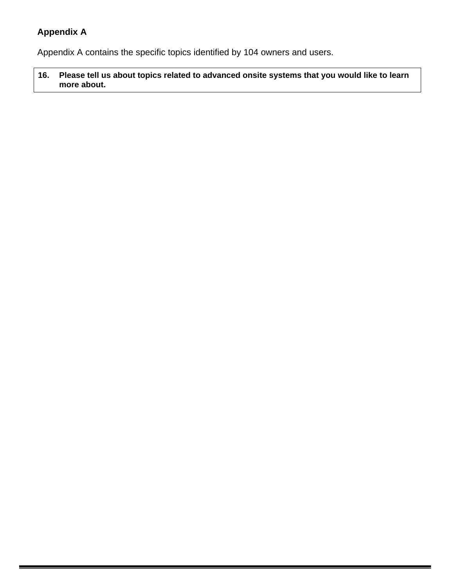## **Appendix A**

Appendix A contains the specific topics identified by 104 owners and users.

**16. Please tell us about topics related to advanced onsite systems that you would like to learn more about.**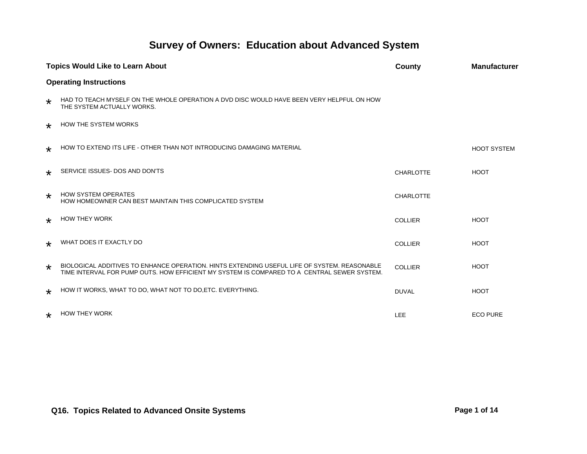# **Survey of Owners: Education about Advanced System**

|         | <b>Topics Would Like to Learn About</b>                                                                                                                                                     | <b>County</b>    | <b>Manufacturer</b> |
|---------|---------------------------------------------------------------------------------------------------------------------------------------------------------------------------------------------|------------------|---------------------|
|         | <b>Operating Instructions</b>                                                                                                                                                               |                  |                     |
| $\star$ | HAD TO TEACH MYSELF ON THE WHOLE OPERATION A DVD DISC WOULD HAVE BEEN VERY HELPFUL ON HOW<br>THE SYSTEM ACTUALLY WORKS.                                                                     |                  |                     |
| $\star$ | <b>HOW THE SYSTEM WORKS</b>                                                                                                                                                                 |                  |                     |
| $\star$ | HOW TO EXTEND ITS LIFE - OTHER THAN NOT INTRODUCING DAMAGING MATERIAL                                                                                                                       |                  | <b>HOOT SYSTEM</b>  |
| $\star$ | SERVICE ISSUES- DOS AND DON'TS                                                                                                                                                              | <b>CHARLOTTE</b> | <b>HOOT</b>         |
| $\star$ | <b>HOW SYSTEM OPERATES</b><br>HOW HOMEOWNER CAN BEST MAINTAIN THIS COMPLICATED SYSTEM                                                                                                       | <b>CHARLOTTE</b> |                     |
| $\star$ | <b>HOW THEY WORK</b>                                                                                                                                                                        | <b>COLLIER</b>   | <b>HOOT</b>         |
| $\star$ | WHAT DOES IT EXACTLY DO                                                                                                                                                                     | <b>COLLIER</b>   | <b>HOOT</b>         |
| $\star$ | BIOLOGICAL ADDITIVES TO ENHANCE OPERATION. HINTS EXTENDING USEFUL LIFE OF SYSTEM. REASONABLE<br>TIME INTERVAL FOR PUMP OUTS. HOW EFFICIENT MY SYSTEM IS COMPARED TO A CENTRAL SEWER SYSTEM. | <b>COLLIER</b>   | <b>HOOT</b>         |
| $\star$ | HOW IT WORKS, WHAT TO DO, WHAT NOT TO DO, ETC. EVERYTHING.                                                                                                                                  | <b>DUVAL</b>     | <b>HOOT</b>         |
| $\star$ | <b>HOW THEY WORK</b>                                                                                                                                                                        | LEE              | <b>ECO PURE</b>     |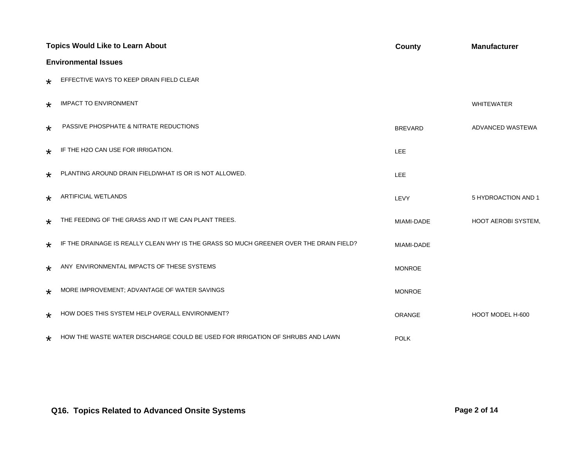|         | <b>Topics Would Like to Learn About</b>                                                | <b>County</b>  | <b>Manufacturer</b>        |  |  |
|---------|----------------------------------------------------------------------------------------|----------------|----------------------------|--|--|
|         | <b>Environmental Issues</b>                                                            |                |                            |  |  |
| ∗       | EFFECTIVE WAYS TO KEEP DRAIN FIELD CLEAR                                               |                |                            |  |  |
| $\star$ | <b>IMPACT TO ENVIRONMENT</b>                                                           |                | <b>WHITEWATER</b>          |  |  |
| $\star$ | PASSIVE PHOSPHATE & NITRATE REDUCTIONS                                                 | <b>BREVARD</b> | ADVANCED WASTEWA           |  |  |
| ∗       | IF THE H2O CAN USE FOR IRRIGATION.                                                     | LEE            |                            |  |  |
| $\star$ | PLANTING AROUND DRAIN FIELD/WHAT IS OR IS NOT ALLOWED.                                 | LEE            |                            |  |  |
| $\star$ | <b>ARTIFICIAL WETLANDS</b>                                                             | LEVY           | 5 HYDROACTION AND 1        |  |  |
| $\star$ | THE FEEDING OF THE GRASS AND IT WE CAN PLANT TREES.                                    | MIAMI-DADE     | <b>HOOT AEROBI SYSTEM.</b> |  |  |
| $\star$ | IF THE DRAINAGE IS REALLY CLEAN WHY IS THE GRASS SO MUCH GREENER OVER THE DRAIN FIELD? | MIAMI-DADE     |                            |  |  |
| $\star$ | ANY ENVIRONMENTAL IMPACTS OF THESE SYSTEMS                                             | <b>MONROE</b>  |                            |  |  |
| $\star$ | MORE IMPROVEMENT; ADVANTAGE OF WATER SAVINGS                                           | <b>MONROE</b>  |                            |  |  |
| $\star$ | HOW DOES THIS SYSTEM HELP OVERALL ENVIRONMENT?                                         | ORANGE         | HOOT MODEL H-600           |  |  |
| $\star$ | HOW THE WASTE WATER DISCHARGE COULD BE USED FOR IRRIGATION OF SHRUBS AND LAWN          | <b>POLK</b>    |                            |  |  |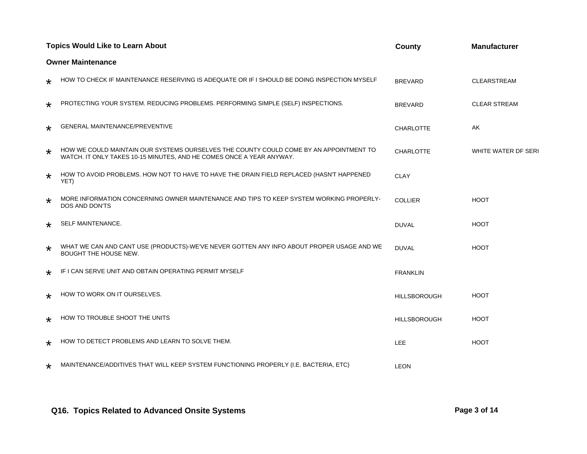|         | <b>Topics Would Like to Learn About</b>                                                                                                                        | County              | <b>Manufacturer</b> |  |  |  |
|---------|----------------------------------------------------------------------------------------------------------------------------------------------------------------|---------------------|---------------------|--|--|--|
|         | <b>Owner Maintenance</b>                                                                                                                                       |                     |                     |  |  |  |
| $\star$ | HOW TO CHECK IF MAINTENANCE RESERVING IS ADEQUATE OR IF I SHOULD BE DOING INSPECTION MYSELF                                                                    | <b>BREVARD</b>      | <b>CLEARSTREAM</b>  |  |  |  |
| $\star$ | PROTECTING YOUR SYSTEM. REDUCING PROBLEMS. PERFORMING SIMPLE (SELF) INSPECTIONS.                                                                               | <b>BREVARD</b>      | <b>CLEAR STREAM</b> |  |  |  |
| $\star$ | GENERAL MAINTENANCE/PREVENTIVE                                                                                                                                 | <b>CHARLOTTE</b>    | AK                  |  |  |  |
| $\star$ | HOW WE COULD MAINTAIN OUR SYSTEMS OURSELVES THE COUNTY COULD COME BY AN APPOINTMENT TO<br>WATCH. IT ONLY TAKES 10-15 MINUTES, AND HE COMES ONCE A YEAR ANYWAY. | CHARLOTTE           | WHITE WATER DF SERI |  |  |  |
| $\star$ | HOW TO AVOID PROBLEMS. HOW NOT TO HAVE TO HAVE THE DRAIN FIELD REPLACED (HASN'T HAPPENED<br>YET)                                                               | <b>CLAY</b>         |                     |  |  |  |
| $\star$ | MORE INFORMATION CONCERNING OWNER MAINTENANCE AND TIPS TO KEEP SYSTEM WORKING PROPERLY-<br>DOS AND DON'TS                                                      | <b>COLLIER</b>      | <b>HOOT</b>         |  |  |  |
| $\star$ | SELF MAINTENANCE.                                                                                                                                              | <b>DUVAL</b>        | <b>HOOT</b>         |  |  |  |
| $\star$ | WHAT WE CAN AND CANT USE (PRODUCTS)-WE'VE NEVER GOTTEN ANY INFO ABOUT PROPER USAGE AND WE<br><b>BOUGHT THE HOUSE NEW.</b>                                      | <b>DUVAL</b>        | <b>HOOT</b>         |  |  |  |
| $\star$ | IF I CAN SERVE UNIT AND OBTAIN OPERATING PERMIT MYSELF                                                                                                         | <b>FRANKLIN</b>     |                     |  |  |  |
| $\star$ | HOW TO WORK ON IT OURSELVES.                                                                                                                                   | <b>HILLSBOROUGH</b> | <b>HOOT</b>         |  |  |  |
| $\star$ | HOW TO TROUBLE SHOOT THE UNITS                                                                                                                                 | <b>HILLSBOROUGH</b> | <b>HOOT</b>         |  |  |  |
| $\star$ | HOW TO DETECT PROBLEMS AND LEARN TO SOLVE THEM.                                                                                                                | LEE                 | <b>HOOT</b>         |  |  |  |
| $\star$ | MAINTENANCE/ADDITIVES THAT WILL KEEP SYSTEM FUNCTIONING PROPERLY (I.E. BACTERIA, ETC)                                                                          | <b>LEON</b>         |                     |  |  |  |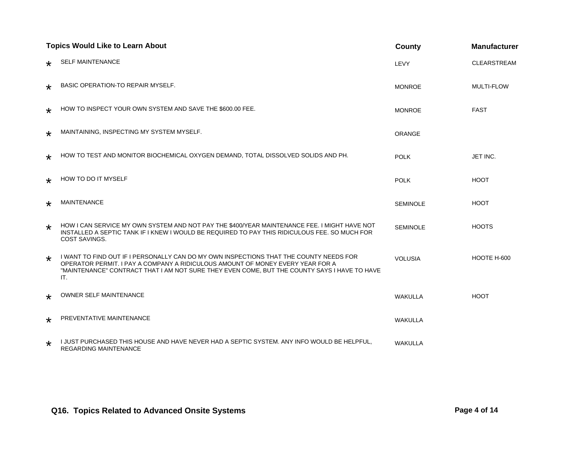|         | <b>Topics Would Like to Learn About</b>                                                                                                                                                                                                                                         | County          | <b>Manufacturer</b> |
|---------|---------------------------------------------------------------------------------------------------------------------------------------------------------------------------------------------------------------------------------------------------------------------------------|-----------------|---------------------|
| $\star$ | <b>SELF MAINTENANCE</b>                                                                                                                                                                                                                                                         | LEVY            | <b>CLEARSTREAM</b>  |
| $\star$ | BASIC OPERATION-TO REPAIR MYSELF.                                                                                                                                                                                                                                               | <b>MONROE</b>   | <b>MULTI-FLOW</b>   |
| $\star$ | HOW TO INSPECT YOUR OWN SYSTEM AND SAVE THE \$600.00 FEE.                                                                                                                                                                                                                       | <b>MONROE</b>   | <b>FAST</b>         |
| $\star$ | MAINTAINING, INSPECTING MY SYSTEM MYSELF.                                                                                                                                                                                                                                       | ORANGE          |                     |
| $\star$ | HOW TO TEST AND MONITOR BIOCHEMICAL OXYGEN DEMAND, TOTAL DISSOLVED SOLIDS AND PH.                                                                                                                                                                                               | <b>POLK</b>     | JET INC.            |
| $\star$ | HOW TO DO IT MYSELF                                                                                                                                                                                                                                                             | <b>POLK</b>     | <b>HOOT</b>         |
| $\star$ | <b>MAINTENANCE</b>                                                                                                                                                                                                                                                              | <b>SEMINOLE</b> | <b>HOOT</b>         |
| $\star$ | HOW I CAN SERVICE MY OWN SYSTEM AND NOT PAY THE \$400/YEAR MAINTENANCE FEE. I MIGHT HAVE NOT<br>INSTALLED A SEPTIC TANK IF I KNEW I WOULD BE REQUIRED TO PAY THIS RIDICULOUS FEE. SO MUCH FOR<br>COST SAVINGS.                                                                  | <b>SEMINOLE</b> | <b>HOOTS</b>        |
| $\star$ | I WANT TO FIND OUT IF I PERSONALLY CAN DO MY OWN INSPECTIONS THAT THE COUNTY NEEDS FOR<br>OPERATOR PERMIT. I PAY A COMPANY A RIDICULOUS AMOUNT OF MONEY EVERY YEAR FOR A<br>"MAINTENANCE" CONTRACT THAT I AM NOT SURE THEY EVEN COME, BUT THE COUNTY SAYS I HAVE TO HAVE<br>IT. | <b>VOLUSIA</b>  | HOOTE H-600         |
| $\star$ | <b>OWNER SELF MAINTENANCE</b>                                                                                                                                                                                                                                                   | <b>WAKULLA</b>  | <b>HOOT</b>         |
| $\star$ | PREVENTATIVE MAINTENANCE                                                                                                                                                                                                                                                        | <b>WAKULLA</b>  |                     |
| $\star$ | I JUST PURCHASED THIS HOUSE AND HAVE NEVER HAD A SEPTIC SYSTEM. ANY INFO WOULD BE HELPFUL.<br>REGARDING MAINTENANCE                                                                                                                                                             | <b>WAKULLA</b>  |                     |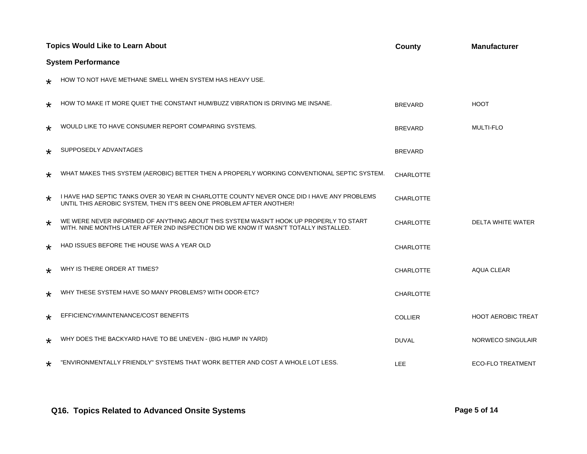|         | <b>Topics Would Like to Learn About</b>                                                                                                                                        | County           | <b>Manufacturer</b>       |  |  |
|---------|--------------------------------------------------------------------------------------------------------------------------------------------------------------------------------|------------------|---------------------------|--|--|
|         | <b>System Performance</b>                                                                                                                                                      |                  |                           |  |  |
| $\star$ | HOW TO NOT HAVE METHANE SMELL WHEN SYSTEM HAS HEAVY USE.                                                                                                                       |                  |                           |  |  |
| $\star$ | HOW TO MAKE IT MORE QUIET THE CONSTANT HUM/BUZZ VIBRATION IS DRIVING ME INSANE.                                                                                                | <b>BREVARD</b>   | <b>HOOT</b>               |  |  |
| $\star$ | WOULD LIKE TO HAVE CONSUMER REPORT COMPARING SYSTEMS.                                                                                                                          | <b>BREVARD</b>   | <b>MULTI-FLO</b>          |  |  |
| $\star$ | SUPPOSEDLY ADVANTAGES                                                                                                                                                          | <b>BREVARD</b>   |                           |  |  |
| $\star$ | WHAT MAKES THIS SYSTEM (AEROBIC) BETTER THEN A PROPERLY WORKING CONVENTIONAL SEPTIC SYSTEM.                                                                                    | <b>CHARLOTTE</b> |                           |  |  |
| $\star$ | I HAVE HAD SEPTIC TANKS OVER 30 YEAR IN CHARLOTTE COUNTY NEVER ONCE DID I HAVE ANY PROBLEMS<br>UNTIL THIS AEROBIC SYSTEM, THEN IT'S BEEN ONE PROBLEM AFTER ANOTHER!            | <b>CHARLOTTE</b> |                           |  |  |
| $\star$ | WE WERE NEVER INFORMED OF ANYTHING ABOUT THIS SYSTEM WASN'T HOOK UP PROPERLY TO START<br>WITH. NINE MONTHS LATER AFTER 2ND INSPECTION DID WE KNOW IT WASN'T TOTALLY INSTALLED. | <b>CHARLOTTE</b> | DELTA WHITE WATER         |  |  |
| $\star$ | HAD ISSUES BEFORE THE HOUSE WAS A YEAR OLD                                                                                                                                     | <b>CHARLOTTE</b> |                           |  |  |
| ∗       | WHY IS THERE ORDER AT TIMES?                                                                                                                                                   | <b>CHARLOTTE</b> | AQUA CLEAR                |  |  |
| $\star$ | WHY THESE SYSTEM HAVE SO MANY PROBLEMS? WITH ODOR-ETC?                                                                                                                         | <b>CHARLOTTE</b> |                           |  |  |
| $\star$ | EFFICIENCY/MAINTENANCE/COST BENEFITS                                                                                                                                           | <b>COLLIER</b>   | <b>HOOT AEROBIC TREAT</b> |  |  |
| $\star$ | WHY DOES THE BACKYARD HAVE TO BE UNEVEN - (BIG HUMP IN YARD)                                                                                                                   | <b>DUVAL</b>     | <b>NORWECO SINGULAIR</b>  |  |  |
| $\star$ | "ENVIRONMENTALLY FRIENDLY" SYSTEMS THAT WORK BETTER AND COST A WHOLE LOT LESS.                                                                                                 | <b>LEE</b>       | <b>ECO-FLO TREATMENT</b>  |  |  |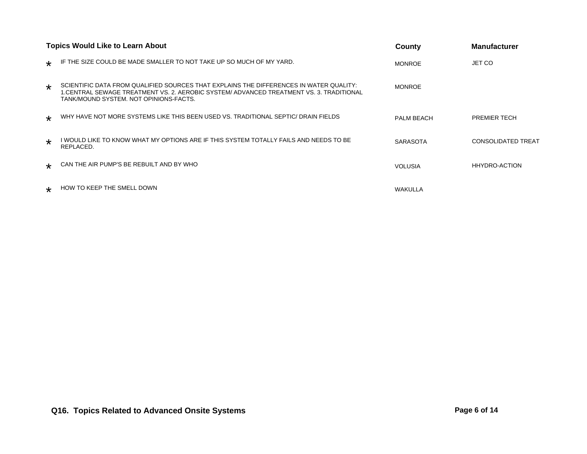|         | <b>Topics Would Like to Learn About</b>                                                                                                                                                                                     | County            | <b>Manufacturer</b>       |
|---------|-----------------------------------------------------------------------------------------------------------------------------------------------------------------------------------------------------------------------------|-------------------|---------------------------|
| $\star$ | IF THE SIZE COULD BE MADE SMALLER TO NOT TAKE UP SO MUCH OF MY YARD.                                                                                                                                                        | <b>MONROE</b>     | JET CO                    |
| $\star$ | SCIENTIFIC DATA FROM QUALIFIED SOURCES THAT EXPLAINS THE DIFFERENCES IN WATER QUALITY:<br>1. CENTRAL SEWAGE TREATMENT VS. 2. AEROBIC SYSTEM/ADVANCED TREATMENT VS. 3. TRADITIONAL<br>TANK/MOUND SYSTEM. NOT OPINIONS-FACTS. | <b>MONROE</b>     |                           |
| $\star$ | WHY HAVE NOT MORE SYSTEMS LIKE THIS BEEN USED VS. TRADITIONAL SEPTIC/ DRAIN FIELDS                                                                                                                                          | <b>PALM BEACH</b> | <b>PREMIER TECH</b>       |
| $\star$ | I WOULD LIKE TO KNOW WHAT MY OPTIONS ARE IF THIS SYSTEM TOTALLY FAILS AND NEEDS TO BE<br>REPLACED.                                                                                                                          | <b>SARASOTA</b>   | <b>CONSOLIDATED TREAT</b> |
| $\star$ | CAN THE AIR PUMP'S BE REBUILT AND BY WHO                                                                                                                                                                                    | <b>VOLUSIA</b>    | <b>HHYDRO-ACTION</b>      |
| $\star$ | HOW TO KEEP THE SMELL DOWN                                                                                                                                                                                                  | WAKULLA           |                           |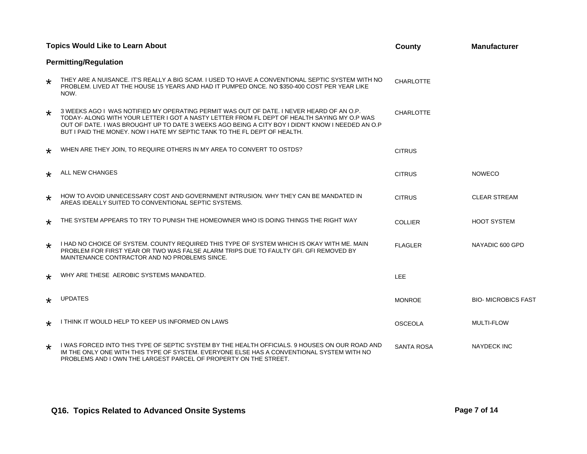|         | <b>Topics Would Like to Learn About</b>                                                                                                                                                                                                                                                                                                                                  | County            | <b>Manufacturer</b>       |
|---------|--------------------------------------------------------------------------------------------------------------------------------------------------------------------------------------------------------------------------------------------------------------------------------------------------------------------------------------------------------------------------|-------------------|---------------------------|
|         | <b>Permitting/Regulation</b>                                                                                                                                                                                                                                                                                                                                             |                   |                           |
| $\star$ | THEY ARE A NUISANCE. IT'S REALLY A BIG SCAM. I USED TO HAVE A CONVENTIONAL SEPTIC SYSTEM WITH NO<br>PROBLEM. LIVED AT THE HOUSE 15 YEARS AND HAD IT PUMPED ONCE. NO \$350-400 COST PER YEAR LIKE<br>NOW.                                                                                                                                                                 | <b>CHARLOTTE</b>  |                           |
| $\star$ | 3 WEEKS AGO I WAS NOTIFIED MY OPERATING PERMIT WAS OUT OF DATE. I NEVER HEARD OF AN O.P.<br>TODAY- ALONG WITH YOUR LETTER I GOT A NASTY LETTER FROM FL DEPT OF HEALTH SAYING MY O.P WAS<br>OUT OF DATE. I WAS BROUGHT UP TO DATE 3 WEEKS AGO BEING A CITY BOY I DIDN'T KNOW I NEEDED AN O.P<br>BUT I PAID THE MONEY. NOW I HATE MY SEPTIC TANK TO THE FL DEPT OF HEALTH. | <b>CHARLOTTE</b>  |                           |
| $\star$ | WHEN ARE THEY JOIN, TO REQUIRE OTHERS IN MY AREA TO CONVERT TO OSTDS?                                                                                                                                                                                                                                                                                                    | <b>CITRUS</b>     |                           |
| $\star$ | ALL NEW CHANGES                                                                                                                                                                                                                                                                                                                                                          | <b>CITRUS</b>     | <b>NOWECO</b>             |
| $\star$ | HOW TO AVOID UNNECESSARY COST AND GOVERNMENT INTRUSION. WHY THEY CAN BE MANDATED IN<br>AREAS IDEALLY SUITED TO CONVENTIONAL SEPTIC SYSTEMS.                                                                                                                                                                                                                              | <b>CITRUS</b>     | <b>CLEAR STREAM</b>       |
| ∗       | THE SYSTEM APPEARS TO TRY TO PUNISH THE HOMEOWNER WHO IS DOING THINGS THE RIGHT WAY                                                                                                                                                                                                                                                                                      | <b>COLLIER</b>    | <b>HOOT SYSTEM</b>        |
| $\star$ | I HAD NO CHOICE OF SYSTEM. COUNTY REQUIRED THIS TYPE OF SYSTEM WHICH IS OKAY WITH ME. MAIN<br>PROBLEM FOR FIRST YEAR OR TWO WAS FALSE ALARM TRIPS DUE TO FAULTY GFI. GFI REMOVED BY<br>MAINTENANCE CONTRACTOR AND NO PROBLEMS SINCE.                                                                                                                                     | <b>FLAGLER</b>    | NAYADIC 600 GPD           |
| $\star$ | WHY ARE THESE AEROBIC SYSTEMS MANDATED.                                                                                                                                                                                                                                                                                                                                  | <b>LEE</b>        |                           |
| $\star$ | <b>UPDATES</b>                                                                                                                                                                                                                                                                                                                                                           | <b>MONROE</b>     | <b>BIO-MICROBICS FAST</b> |
| $\star$ | I THINK IT WOULD HELP TO KEEP US INFORMED ON LAWS                                                                                                                                                                                                                                                                                                                        | <b>OSCEOLA</b>    | MULTI-FLOW                |
| ∗       | I WAS FORCED INTO THIS TYPE OF SEPTIC SYSTEM BY THE HEALTH OFFICIALS. 9 HOUSES ON OUR ROAD AND<br>IM THE ONLY ONE WITH THIS TYPE OF SYSTEM. EVERYONE ELSE HAS A CONVENTIONAL SYSTEM WITH NO<br>PROBLEMS AND I OWN THE LARGEST PARCEL OF PROPERTY ON THE STREET.                                                                                                          | <b>SANTA ROSA</b> | <b>NAYDECK INC</b>        |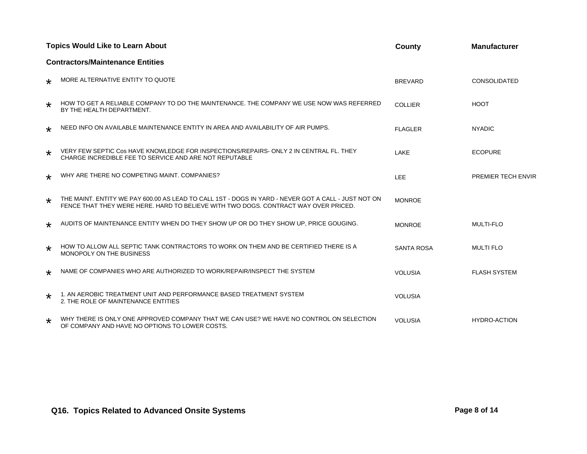|         | <b>Topics Would Like to Learn About</b>                                                                                                                                                    | County            | <b>Manufacturer</b>       |
|---------|--------------------------------------------------------------------------------------------------------------------------------------------------------------------------------------------|-------------------|---------------------------|
|         | <b>Contractors/Maintenance Entities</b>                                                                                                                                                    |                   |                           |
| ∗       | MORE ALTERNATIVE ENTITY TO QUOTE                                                                                                                                                           | <b>BREVARD</b>    | <b>CONSOLIDATED</b>       |
| $\star$ | HOW TO GET A RELIABLE COMPANY TO DO THE MAINTENANCE. THE COMPANY WE USE NOW WAS REFERRED<br>BY THE HEALTH DEPARTMENT.                                                                      | <b>COLLIER</b>    | <b>HOOT</b>               |
| $\star$ | NEED INFO ON AVAILABLE MAINTENANCE ENTITY IN AREA AND AVAILABILITY OF AIR PUMPS.                                                                                                           | <b>FLAGLER</b>    | <b>NYADIC</b>             |
| $\star$ | VERY FEW SEPTIC Cos HAVE KNOWLEDGE FOR INSPECTIONS/REPAIRS- ONLY 2 IN CENTRAL FL. THEY<br>CHARGE INCREDIBLE FEE TO SERVICE AND ARE NOT REPUTABLE                                           | LAKE              | <b>ECOPURE</b>            |
| $\star$ | WHY ARE THERE NO COMPETING MAINT. COMPANIES?                                                                                                                                               | LEE               | <b>PREMIER TECH ENVIR</b> |
| $\star$ | THE MAINT. ENTITY WE PAY 600.00 AS LEAD TO CALL 1ST - DOGS IN YARD - NEVER GOT A CALL - JUST NOT ON<br>FENCE THAT THEY WERE HERE. HARD TO BELIEVE WITH TWO DOGS, CONTRACT WAY OVER PRICED. | <b>MONROE</b>     |                           |
| $\star$ | AUDITS OF MAINTENANCE ENTITY WHEN DO THEY SHOW UP OR DO THEY SHOW UP, PRICE GOUGING.                                                                                                       | <b>MONROE</b>     | <b>MULTI-FLO</b>          |
| $\star$ | HOW TO ALLOW ALL SEPTIC TANK CONTRACTORS TO WORK ON THEM AND BE CERTIFIED THERE IS A<br>MONOPOLY ON THE BUSINESS                                                                           | <b>SANTA ROSA</b> | <b>MULTI FLO</b>          |
| $\star$ | NAME OF COMPANIES WHO ARE AUTHORIZED TO WORK/REPAIR/INSPECT THE SYSTEM                                                                                                                     | <b>VOLUSIA</b>    | <b>FLASH SYSTEM</b>       |
| $\star$ | 1. AN AEROBIC TREATMENT UNIT AND PERFORMANCE BASED TREATMENT SYSTEM<br>2. THE ROLE OF MAINTENANCE ENTITIES                                                                                 | <b>VOLUSIA</b>    |                           |
| ∗       | WHY THERE IS ONLY ONE APPROVED COMPANY THAT WE CAN USE? WE HAVE NO CONTROL ON SELECTION<br>OF COMPANY AND HAVE NO OPTIONS TO LOWER COSTS.                                                  | <b>VOLUSIA</b>    | <b>HYDRO-ACTION</b>       |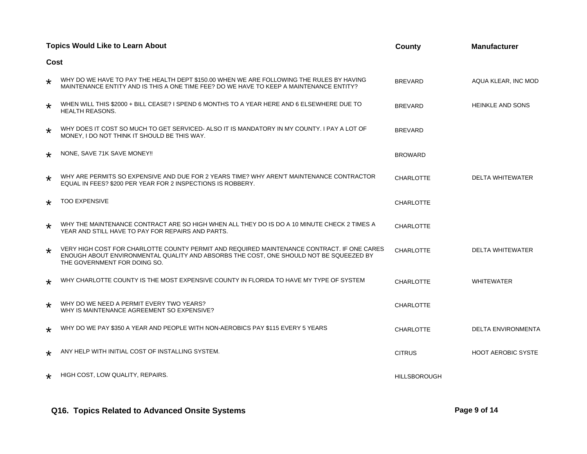|         | <b>Topics Would Like to Learn About</b>                                                                                                                                                                              | <b>County</b>       | <b>Manufacturer</b>       |  |  |  |
|---------|----------------------------------------------------------------------------------------------------------------------------------------------------------------------------------------------------------------------|---------------------|---------------------------|--|--|--|
|         | Cost                                                                                                                                                                                                                 |                     |                           |  |  |  |
| $\star$ | WHY DO WE HAVE TO PAY THE HEALTH DEPT \$150.00 WHEN WE ARE FOLLOWING THE RULES BY HAVING<br>MAINTENANCE ENTITY AND IS THIS A ONE TIME FEE? DO WE HAVE TO KEEP A MAINTENANCE ENTITY?                                  | <b>BREVARD</b>      | AQUA KLEAR, INC MOD       |  |  |  |
| $\star$ | WHEN WILL THIS \$2000 + BILL CEASE? I SPEND 6 MONTHS TO A YEAR HERE AND 6 ELSEWHERE DUE TO<br><b>HEALTH REASONS.</b>                                                                                                 | <b>BREVARD</b>      | <b>HEINKLE AND SONS</b>   |  |  |  |
| $\star$ | WHY DOES IT COST SO MUCH TO GET SERVICED- ALSO IT IS MANDATORY IN MY COUNTY. I PAY A LOT OF<br>MONEY, I DO NOT THINK IT SHOULD BE THIS WAY.                                                                          | <b>BREVARD</b>      |                           |  |  |  |
| $\star$ | NONE, SAVE 71K SAVE MONEY!!                                                                                                                                                                                          | <b>BROWARD</b>      |                           |  |  |  |
| $\star$ | WHY ARE PERMITS SO EXPENSIVE AND DUE FOR 2 YEARS TIME? WHY AREN'T MAINTENANCE CONTRACTOR<br>EQUAL IN FEES? \$200 PER YEAR FOR 2 INSPECTIONS IS ROBBERY.                                                              | <b>CHARLOTTE</b>    | <b>DELTA WHITEWATER</b>   |  |  |  |
| $\star$ | <b>TOO EXPENSIVE</b>                                                                                                                                                                                                 | <b>CHARLOTTE</b>    |                           |  |  |  |
| $\star$ | WHY THE MAINTENANCE CONTRACT ARE SO HIGH WHEN ALL THEY DO IS DO A 10 MINUTE CHECK 2 TIMES A<br>YEAR AND STILL HAVE TO PAY FOR REPAIRS AND PARTS.                                                                     | <b>CHARLOTTE</b>    |                           |  |  |  |
| $\star$ | VERY HIGH COST FOR CHARLOTTE COUNTY PERMIT AND REQUIRED MAINTENANCE CONTRACT. IF ONE CARES<br>ENOUGH ABOUT ENVIRONMENTAL QUALITY AND ABSORBS THE COST, ONE SHOULD NOT BE SQUEEZED BY<br>THE GOVERNMENT FOR DOING SO. | <b>CHARLOTTE</b>    | <b>DELTA WHITEWATER</b>   |  |  |  |
| $\star$ | WHY CHARLOTTE COUNTY IS THE MOST EXPENSIVE COUNTY IN FLORIDA TO HAVE MY TYPE OF SYSTEM                                                                                                                               | <b>CHARLOTTE</b>    | <b>WHITEWATER</b>         |  |  |  |
| $\star$ | WHY DO WE NEED A PERMIT EVERY TWO YEARS?<br>WHY IS MAINTENANCE AGREEMENT SO EXPENSIVE?                                                                                                                               | <b>CHARLOTTE</b>    |                           |  |  |  |
| $\star$ | WHY DO WE PAY \$350 A YEAR AND PEOPLE WITH NON-AEROBICS PAY \$115 EVERY 5 YEARS                                                                                                                                      | <b>CHARLOTTE</b>    | <b>DELTA ENVIRONMENTA</b> |  |  |  |
| $\star$ | ANY HELP WITH INITIAL COST OF INSTALLING SYSTEM.                                                                                                                                                                     | <b>CITRUS</b>       | <b>HOOT AEROBIC SYSTE</b> |  |  |  |
| $\star$ | HIGH COST, LOW QUALITY, REPAIRS.                                                                                                                                                                                     | <b>HILLSBOROUGH</b> |                           |  |  |  |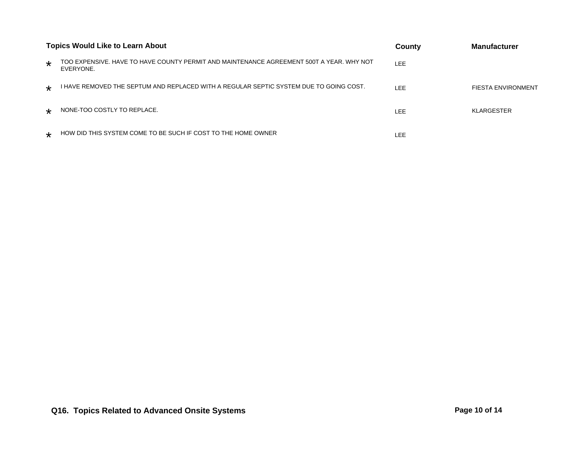| <b>Topics Would Like to Learn About</b> |                                                                                                       | County     | <b>Manufacturer</b> |
|-----------------------------------------|-------------------------------------------------------------------------------------------------------|------------|---------------------|
| $\star$                                 | TOO EXPENSIVE. HAVE TO HAVE COUNTY PERMIT AND MAINTENANCE AGREEMENT 500T A YEAR. WHY NOT<br>EVERYONE. | <b>LEE</b> |                     |
| $\star$                                 | THAVE REMOVED THE SEPTUM AND REPLACED WITH A REGULAR SEPTIC SYSTEM DUE TO GOING COST.                 | LEE        | FIESTA ENVIRONMENT  |
| $\star$                                 | NONE-TOO COSTLY TO REPLACE.                                                                           | LEE.       | <b>KLARGESTER</b>   |
| $\star$                                 | HOW DID THIS SYSTEM COME TO BE SUCH IF COST TO THE HOME OWNER                                         | LEE        |                     |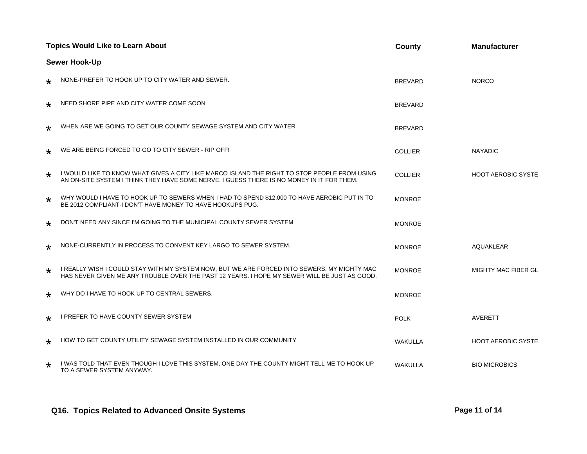| <b>Topics Would Like to Learn About</b> |                                                                                                                                                                                             | County         | <b>Manufacturer</b>        |
|-----------------------------------------|---------------------------------------------------------------------------------------------------------------------------------------------------------------------------------------------|----------------|----------------------------|
|                                         | <b>Sewer Hook-Up</b>                                                                                                                                                                        |                |                            |
| ∗                                       | NONE-PREFER TO HOOK UP TO CITY WATER AND SEWER.                                                                                                                                             | <b>BREVARD</b> | <b>NORCO</b>               |
| ∗                                       | NEED SHORE PIPE AND CITY WATER COME SOON                                                                                                                                                    | <b>BREVARD</b> |                            |
| $\star$                                 | WHEN ARE WE GOING TO GET OUR COUNTY SEWAGE SYSTEM AND CITY WATER                                                                                                                            | <b>BREVARD</b> |                            |
| $\star$                                 | WE ARE BEING FORCED TO GO TO CITY SEWER - RIP OFF!                                                                                                                                          | <b>COLLIER</b> | <b>NAYADIC</b>             |
| $\star$                                 | I WOULD LIKE TO KNOW WHAT GIVES A CITY LIKE MARCO ISLAND THE RIGHT TO STOP PEOPLE FROM USING<br>AN ON-SITE SYSTEM I THINK THEY HAVE SOME NERVE. I GUESS THERE IS NO MONEY IN IT FOR THEM.   | <b>COLLIER</b> | <b>HOOT AEROBIC SYSTE</b>  |
| *                                       | WHY WOULD I HAVE TO HOOK UP TO SEWERS WHEN I HAD TO SPEND \$12,000 TO HAVE AEROBIC PUT IN TO<br>BE 2012 COMPLIANT-I DON'T HAVE MONEY TO HAVE HOOKUPS PUG.                                   | <b>MONROE</b>  |                            |
| $\star$                                 | DON'T NEED ANY SINCE I'M GOING TO THE MUNICIPAL COUNTY SEWER SYSTEM                                                                                                                         | <b>MONROE</b>  |                            |
| $\star$                                 | NONE-CURRENTLY IN PROCESS TO CONVENT KEY LARGO TO SEWER SYSTEM.                                                                                                                             | <b>MONROE</b>  | <b>AQUAKLEAR</b>           |
| $\star$                                 | I REALLY WISH I COULD STAY WITH MY SYSTEM NOW, BUT WE ARE FORCED INTO SEWERS. MY MIGHTY MAC<br>HAS NEVER GIVEN ME ANY TROUBLE OVER THE PAST 12 YEARS. I HOPE MY SEWER WILL BE JUST AS GOOD. | <b>MONROE</b>  | <b>MIGHTY MAC FIBER GL</b> |
| $\star$                                 | WHY DO I HAVE TO HOOK UP TO CENTRAL SEWERS.                                                                                                                                                 | <b>MONROE</b>  |                            |
| ∗                                       | <b>I PREFER TO HAVE COUNTY SEWER SYSTEM</b>                                                                                                                                                 | <b>POLK</b>    | AVERETT                    |
| $\star$                                 | HOW TO GET COUNTY UTILITY SEWAGE SYSTEM INSTALLED IN OUR COMMUNITY                                                                                                                          | <b>WAKULLA</b> | <b>HOOT AEROBIC SYSTE</b>  |
| $\star$                                 | I WAS TOLD THAT EVEN THOUGH I LOVE THIS SYSTEM, ONE DAY THE COUNTY MIGHT TELL ME TO HOOK UP<br>TO A SEWER SYSTEM ANYWAY.                                                                    | <b>WAKULLA</b> | <b>BIO MICROBICS</b>       |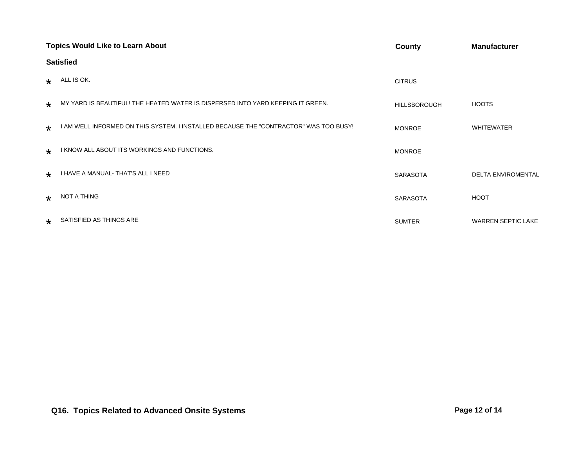|         | <b>Topics Would Like to Learn About</b>                                               | County              | <b>Manufacturer</b>       |  |
|---------|---------------------------------------------------------------------------------------|---------------------|---------------------------|--|
|         | <b>Satisfied</b>                                                                      |                     |                           |  |
| $\star$ | ALL IS OK.                                                                            | <b>CITRUS</b>       |                           |  |
| $\star$ | MY YARD IS BEAUTIFUL! THE HEATED WATER IS DISPERSED INTO YARD KEEPING IT GREEN.       | <b>HILLSBOROUGH</b> | <b>HOOTS</b>              |  |
| $\star$ | I AM WELL INFORMED ON THIS SYSTEM. I INSTALLED BECAUSE THE "CONTRACTOR" WAS TOO BUSY! | <b>MONROE</b>       | <b>WHITEWATER</b>         |  |
| $\star$ | I KNOW ALL ABOUT ITS WORKINGS AND FUNCTIONS.                                          | <b>MONROE</b>       |                           |  |
| $\star$ | I HAVE A MANUAL-THAT'S ALL I NEED                                                     | <b>SARASOTA</b>     | <b>DELTA ENVIROMENTAL</b> |  |
| $\star$ | NOT A THING                                                                           | <b>SARASOTA</b>     | <b>HOOT</b>               |  |
| $\star$ | SATISFIED AS THINGS ARE                                                               | <b>SUMTER</b>       | <b>WARREN SEPTIC LAKE</b> |  |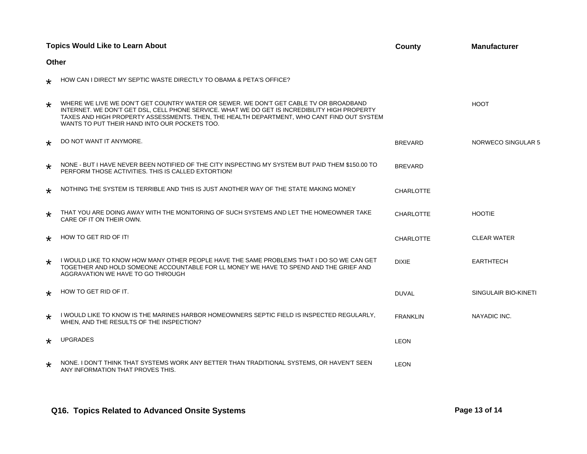|         | <b>Topics Would Like to Learn About</b>                                                                                                                                                                                                                                                                                               | <b>County</b>    | <b>Manufacturer</b>  |
|---------|---------------------------------------------------------------------------------------------------------------------------------------------------------------------------------------------------------------------------------------------------------------------------------------------------------------------------------------|------------------|----------------------|
| Other   |                                                                                                                                                                                                                                                                                                                                       |                  |                      |
| $\star$ | HOW CAN I DIRECT MY SEPTIC WASTE DIRECTLY TO OBAMA & PETA'S OFFICE?                                                                                                                                                                                                                                                                   |                  |                      |
| $\star$ | WHERE WE LIVE WE DON'T GET COUNTRY WATER OR SEWER. WE DON'T GET CABLE TV OR BROADBAND<br>INTERNET. WE DON'T GET DSL, CELL PHONE SERVICE. WHAT WE DO GET IS INCREDIBILITY HIGH PROPERTY<br>TAXES AND HIGH PROPERTY ASSESSMENTS. THEN, THE HEALTH DEPARTMENT, WHO CANT FIND OUT SYSTEM<br>WANTS TO PUT THEIR HAND INTO OUR POCKETS TOO. |                  | <b>HOOT</b>          |
| $\star$ | DO NOT WANT IT ANYMORE.                                                                                                                                                                                                                                                                                                               | <b>BREVARD</b>   | NORWECO SINGULAR 5   |
| $\star$ | NONE - BUT I HAVE NEVER BEEN NOTIFIED OF THE CITY INSPECTING MY SYSTEM BUT PAID THEM \$150.00 TO<br>PERFORM THOSE ACTIVITIES. THIS IS CALLED EXTORTION!                                                                                                                                                                               | <b>BREVARD</b>   |                      |
| $\star$ | NOTHING THE SYSTEM IS TERRIBLE AND THIS IS JUST ANOTHER WAY OF THE STATE MAKING MONEY                                                                                                                                                                                                                                                 | <b>CHARLOTTE</b> |                      |
| $\star$ | THAT YOU ARE DOING AWAY WITH THE MONITORING OF SUCH SYSTEMS AND LET THE HOMEOWNER TAKE<br>CARE OF IT ON THEIR OWN.                                                                                                                                                                                                                    | <b>CHARLOTTE</b> | <b>HOOTIE</b>        |
| $\star$ | HOW TO GET RID OF IT!                                                                                                                                                                                                                                                                                                                 | <b>CHARLOTTE</b> | <b>CLEAR WATER</b>   |
| $\star$ | I WOULD LIKE TO KNOW HOW MANY OTHER PEOPLE HAVE THE SAME PROBLEMS THAT I DO SO WE CAN GET<br>TOGETHER AND HOLD SOMEONE ACCOUNTABLE FOR LL MONEY WE HAVE TO SPEND AND THE GRIEF AND<br>AGGRAVATION WE HAVE TO GO THROUGH                                                                                                               | <b>DIXIE</b>     | <b>EARTHTECH</b>     |
| $\star$ | HOW TO GET RID OF IT.                                                                                                                                                                                                                                                                                                                 | <b>DUVAL</b>     | SINGULAIR BIO-KINETI |
| $\star$ | I WOULD LIKE TO KNOW IS THE MARINES HARBOR HOMEOWNERS SEPTIC FIELD IS INSPECTED REGULARLY.<br>WHEN, AND THE RESULTS OF THE INSPECTION?                                                                                                                                                                                                | <b>FRANKLIN</b>  | NAYADIC INC.         |
| $\star$ | <b>UPGRADES</b>                                                                                                                                                                                                                                                                                                                       | <b>LEON</b>      |                      |
| $\star$ | NONE. I DON'T THINK THAT SYSTEMS WORK ANY BETTER THAN TRADITIONAL SYSTEMS, OR HAVEN'T SEEN<br>ANY INFORMATION THAT PROVES THIS.                                                                                                                                                                                                       | <b>LEON</b>      |                      |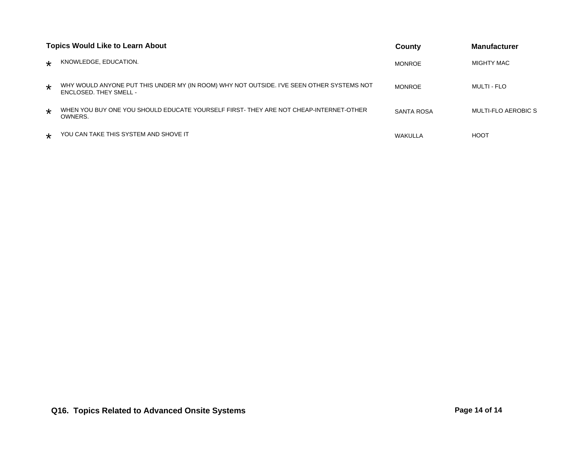| <b>Topics Would Like to Learn About</b> |                                                                                                                            | County        | <b>Manufacturer</b>        |
|-----------------------------------------|----------------------------------------------------------------------------------------------------------------------------|---------------|----------------------------|
| $\star$                                 | KNOWLEDGE, EDUCATION.                                                                                                      | <b>MONROE</b> | MIGHTY MAC                 |
| $\star$                                 | WHY WOULD ANYONE PUT THIS UNDER MY (IN ROOM) WHY NOT OUTSIDE. I'VE SEEN OTHER SYSTEMS NOT<br><b>ENCLOSED. THEY SMELL -</b> | <b>MONROE</b> | <b>MULTI - FLO</b>         |
| $\star$                                 | WHEN YOU BUY ONE YOU SHOULD EDUCATE YOURSELF FIRST-THEY ARE NOT CHEAP-INTERNET-OTHER<br>OWNERS.                            | SANTA ROSA    | <b>MULTI-FLO AEROBIC S</b> |
| $\star$                                 | YOU CAN TAKE THIS SYSTEM AND SHOVE IT                                                                                      | WAKULLA       | <b>HOOT</b>                |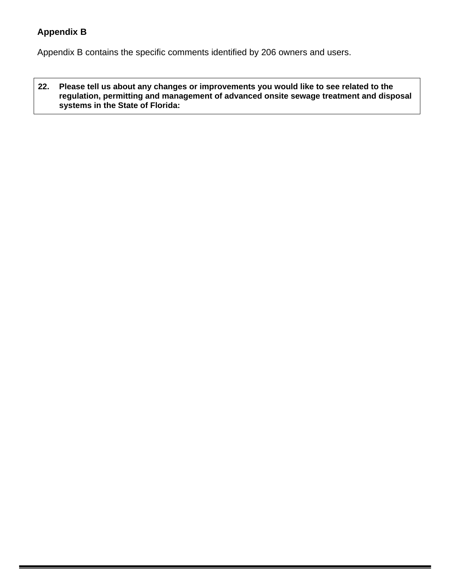## **Appendix B**

Appendix B contains the specific comments identified by 206 owners and users.

**22. Please tell us about any changes or improvements you would like to see related to the regulation, permitting and management of advanced onsite sewage treatment and disposal systems in the State of Florida:**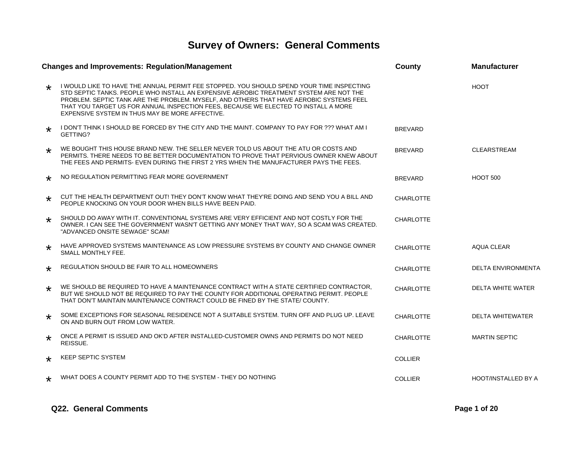# **Survey of Owners: General Comments**

| <b>Changes and Improvements: Regulation/Management</b> |                                                                                                                                                                                                                                                                                                                                                                                                                          | <b>County</b>    | <b>Manufacturer</b>        |
|--------------------------------------------------------|--------------------------------------------------------------------------------------------------------------------------------------------------------------------------------------------------------------------------------------------------------------------------------------------------------------------------------------------------------------------------------------------------------------------------|------------------|----------------------------|
| $\star$                                                | I WOULD LIKE TO HAVE THE ANNUAL PERMIT FEE STOPPED. YOU SHOULD SPEND YOUR TIME INSPECTING<br>STD SEPTIC TANKS. PEOPLE WHO INSTALL AN EXPENSIVE AEROBIC TREATMENT SYSTEM ARE NOT THE<br>PROBLEM. SEPTIC TANK ARE THE PROBLEM. MYSELF, AND OTHERS THAT HAVE AEROBIC SYSTEMS FEEL<br>THAT YOU TARGET US FOR ANNUAL INSPECTION FEES, BECAUSE WE ELECTED TO INSTALL A MORE<br>EXPENSIVE SYSTEM IN THUS MAY BE MORE AFFECTIVE. |                  | <b>HOOT</b>                |
| $\star$                                                | I DON'T THINK I SHOULD BE FORCED BY THE CITY AND THE MAINT. COMPANY TO PAY FOR ??? WHAT AM I<br>GETTING?                                                                                                                                                                                                                                                                                                                 | <b>BREVARD</b>   |                            |
| $\star$                                                | WE BOUGHT THIS HOUSE BRAND NEW. THE SELLER NEVER TOLD US ABOUT THE ATU OR COSTS AND<br>PERMITS. THERE NEEDS TO BE BETTER DOCUMENTATION TO PROVE THAT PERVIOUS OWNER KNEW ABOUT<br>THE FEES AND PERMITS- EVEN DURING THE FIRST 2 YRS WHEN THE MANUFACTURER PAYS THE FEES.                                                                                                                                                 | <b>BREVARD</b>   | <b>CLEARSTREAM</b>         |
| $\star$                                                | NO REGULATION PERMITTING FEAR MORE GOVERNMENT                                                                                                                                                                                                                                                                                                                                                                            | <b>BREVARD</b>   | <b>HOOT 500</b>            |
| $\star$                                                | CUT THE HEALTH DEPARTMENT OUT! THEY DON'T KNOW WHAT THEY'RE DOING AND SEND YOU A BILL AND<br>PEOPLE KNOCKING ON YOUR DOOR WHEN BILLS HAVE BEEN PAID.                                                                                                                                                                                                                                                                     | <b>CHARLOTTE</b> |                            |
| $\star$                                                | SHOULD DO AWAY WITH IT. CONVENTIONAL SYSTEMS ARE VERY EFFICIENT AND NOT COSTLY FOR THE<br>OWNER. I CAN SEE THE GOVERNMENT WASN'T GETTING ANY MONEY THAT WAY, SO A SCAM WAS CREATED.<br>"ADVANCED ONSITE SEWAGE" SCAM!                                                                                                                                                                                                    | <b>CHARLOTTE</b> |                            |
| $\star$                                                | HAVE APPROVED SYSTEMS MAINTENANCE AS LOW PRESSURE SYSTEMS BY COUNTY AND CHANGE OWNER<br>SMALL MONTHLY FEE.                                                                                                                                                                                                                                                                                                               | <b>CHARLOTTE</b> | <b>AQUA CLEAR</b>          |
| $\star$                                                | REGULATION SHOULD BE FAIR TO ALL HOMEOWNERS                                                                                                                                                                                                                                                                                                                                                                              | <b>CHARLOTTE</b> | <b>DELTA ENVIRONMENTA</b>  |
| $\star$                                                | WE SHOULD BE REQUIRED TO HAVE A MAINTENANCE CONTRACT WITH A STATE CERTIFIED CONTRACTOR,<br>BUT WE SHOULD NOT BE REQUIRED TO PAY THE COUNTY FOR ADDITIONAL OPERATING PERMIT. PEOPLE<br>THAT DON'T MAINTAIN MAINTENANCE CONTRACT COULD BE FINED BY THE STATE/ COUNTY.                                                                                                                                                      | <b>CHARLOTTE</b> | <b>DELTA WHITE WATER</b>   |
| $\star$                                                | SOME EXCEPTIONS FOR SEASONAL RESIDENCE NOT A SUITABLE SYSTEM. TURN OFF AND PLUG UP. LEAVE<br>ON AND BURN OUT FROM LOW WATER.                                                                                                                                                                                                                                                                                             | <b>CHARLOTTE</b> | <b>DELTA WHITEWATER</b>    |
| $\star$                                                | ONCE A PERMIT IS ISSUED AND OK'D AFTER INSTALLED-CUSTOMER OWNS AND PERMITS DO NOT NEED<br>REISSUE.                                                                                                                                                                                                                                                                                                                       | <b>CHARLOTTE</b> | <b>MARTIN SEPTIC</b>       |
| $\star$                                                | <b>KEEP SEPTIC SYSTEM</b>                                                                                                                                                                                                                                                                                                                                                                                                | <b>COLLIER</b>   |                            |
| $\star$                                                | WHAT DOES A COUNTY PERMIT ADD TO THE SYSTEM - THEY DO NOTHING                                                                                                                                                                                                                                                                                                                                                            | <b>COLLIER</b>   | <b>HOOT/INSTALLED BY A</b> |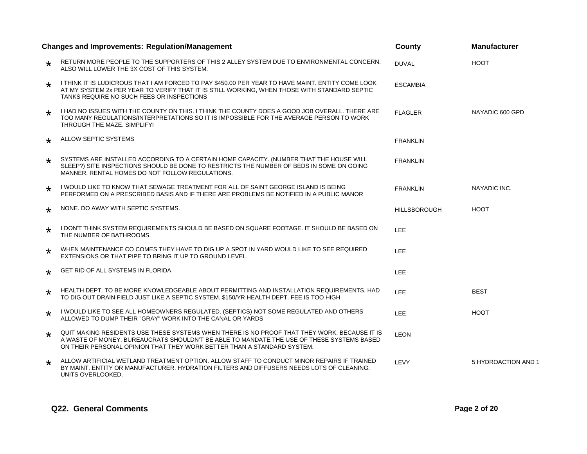| <b>Changes and Improvements: Regulation/Management</b> |                                                                                                                                                                                                                                                                      | <b>County</b>       | <b>Manufacturer</b> |
|--------------------------------------------------------|----------------------------------------------------------------------------------------------------------------------------------------------------------------------------------------------------------------------------------------------------------------------|---------------------|---------------------|
| $\star$                                                | RETURN MORE PEOPLE TO THE SUPPORTERS OF THIS 2 ALLEY SYSTEM DUE TO ENVIRONMENTAL CONCERN.<br>ALSO WILL LOWER THE 3X COST OF THIS SYSTEM.                                                                                                                             | <b>DUVAL</b>        | <b>HOOT</b>         |
| $\star$                                                | I THINK IT IS LUDICROUS THAT I AM FORCED TO PAY \$450.00 PER YEAR TO HAVE MAINT. ENTITY COME LOOK<br>AT MY SYSTEM 2x PER YEAR TO VERIFY THAT IT IS STILL WORKING, WHEN THOSE WITH STANDARD SEPTIC<br>TANKS REQUIRE NO SUCH FEES OR INSPECTIONS                       | <b>ESCAMBIA</b>     |                     |
| $\star$                                                | I HAD NO ISSUES WITH THE COUNTY ON THIS. I THINK THE COUNTY DOES A GOOD JOB OVERALL. THERE ARE<br>TOO MANY REGULATIONS/INTERPRETATIONS SO IT IS IMPOSSIBLE FOR THE AVERAGE PERSON TO WORK<br>THROUGH THE MAZE, SIMPLIFY!                                             | <b>FLAGLER</b>      | NAYADIC 600 GPD     |
| $\star$                                                | ALLOW SEPTIC SYSTEMS                                                                                                                                                                                                                                                 | <b>FRANKLIN</b>     |                     |
| $\star$                                                | SYSTEMS ARE INSTALLED ACCORDING TO A CERTAIN HOME CAPACITY. (NUMBER THAT THE HOUSE WILL<br>SLEEP?) SITE INSPECTIONS SHOULD BE DONE TO RESTRICTS THE NUMBER OF BEDS IN SOME ON GOING<br>MANNER. RENTAL HOMES DO NOT FOLLOW REGULATIONS.                               | <b>FRANKLIN</b>     |                     |
| $\star$                                                | I WOULD LIKE TO KNOW THAT SEWAGE TREATMENT FOR ALL OF SAINT GEORGE ISLAND IS BEING<br>PERFORMED ON A PRESCRIBED BASIS AND IF THERE ARE PROBLEMS BE NOTIFIED IN A PUBLIC MANOR                                                                                        | <b>FRANKLIN</b>     | NAYADIC INC.        |
| $\star$                                                | NONE, DO AWAY WITH SEPTIC SYSTEMS.                                                                                                                                                                                                                                   | <b>HILLSBOROUGH</b> | <b>HOOT</b>         |
| $\star$                                                | I DON'T THINK SYSTEM REQUIREMENTS SHOULD BE BASED ON SQUARE FOOTAGE. IT SHOULD BE BASED ON<br>THE NUMBER OF BATHROOMS.                                                                                                                                               | <b>LEE</b>          |                     |
| $\star$                                                | WHEN MAINTENANCE CO COMES THEY HAVE TO DIG UP A SPOT IN YARD WOULD LIKE TO SEE REQUIRED<br>EXTENSIONS OR THAT PIPE TO BRING IT UP TO GROUND LEVEL.                                                                                                                   | LEE.                |                     |
| $\star$                                                | GET RID OF ALL SYSTEMS IN FLORIDA                                                                                                                                                                                                                                    | LEE.                |                     |
| $\star$                                                | HEALTH DEPT. TO BE MORE KNOWLEDGEABLE ABOUT PERMITTING AND INSTALLATION REQUIREMENTS. HAD<br>TO DIG OUT DRAIN FIELD JUST LIKE A SEPTIC SYSTEM, \$150/YR HEALTH DEPT. FEE IS TOO HIGH                                                                                 | LEE.                | <b>BEST</b>         |
| $\star$                                                | I WOULD LIKE TO SEE ALL HOMEOWNERS REGULATED. (SEPTICS) NOT SOME REGULATED AND OTHERS<br>ALLOWED TO DUMP THEIR "GRAY" WORK INTO THE CANAL OR YARDS                                                                                                                   | LEE.                | <b>HOOT</b>         |
| $\star$                                                | QUIT MAKING RESIDENTS USE THESE SYSTEMS WHEN THERE IS NO PROOF THAT THEY WORK, BECAUSE IT IS<br>A WASTE OF MONEY. BUREAUCRATS SHOULDN'T BE ABLE TO MANDATE THE USE OF THESE SYSTEMS BASED<br>ON THEIR PERSONAL OPINION THAT THEY WORK BETTER THAN A STANDARD SYSTEM. | <b>LEON</b>         |                     |
| $\star$                                                | ALLOW ARTIFICIAL WETLAND TREATMENT OPTION. ALLOW STAFF TO CONDUCT MINOR REPAIRS IF TRAINED<br>BY MAINT. ENTITY OR MANUFACTURER. HYDRATION FILTERS AND DIFFUSERS NEEDS LOTS OF CLEANING.<br>UNITS OVERLOOKED.                                                         | LEVY                | 5 HYDROACTION AND 1 |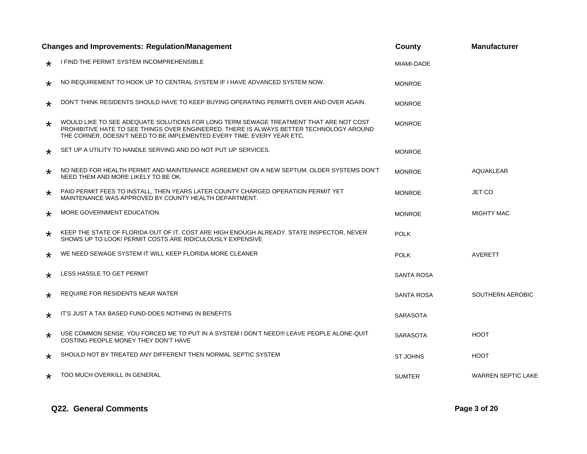|         | <b>Changes and Improvements: Regulation/Management</b>                                                                                                                                                                                                      | County            | <b>Manufacturer</b>       |
|---------|-------------------------------------------------------------------------------------------------------------------------------------------------------------------------------------------------------------------------------------------------------------|-------------------|---------------------------|
| ∗       | I FIND THE PERMIT SYSTEM INCOMPREHENSIBLE                                                                                                                                                                                                                   | MIAMI-DADE        |                           |
| $\star$ | NO REQUIREMENT TO HOOK UP TO CENTRAL SYSTEM IF I HAVE ADVANCED SYSTEM NOW.                                                                                                                                                                                  | <b>MONROE</b>     |                           |
| $\star$ | DON'T THINK RESIDENTS SHOULD HAVE TO KEEP BUYING OPERATING PERMITS OVER AND OVER AGAIN.                                                                                                                                                                     | <b>MONROE</b>     |                           |
| $\star$ | WOULD LIKE TO SEE ADEQUATE SOLUTIONS FOR LONG TERM SEWAGE TREATMENT THAT ARE NOT COST<br>PROHIBITIVE HATE TO SEE THINGS OVER ENGINEERED. THERE IS ALWAYS BETTER TECHNOLOGY AROUND<br>THE CORNER, DOESN'T NEED TO BE IMPLEMENTED EVERY TIME, EVERY YEAR ETC. | <b>MONROE</b>     |                           |
| ∗       | SET UP A UTILITY TO HANDLE SERVING AND DO NOT PUT UP SERVICES.                                                                                                                                                                                              | <b>MONROE</b>     |                           |
| $\star$ | NO NEED FOR HEALTH PERMIT AND MAINTENANCE AGREEMENT ON A NEW SEPTUM. OLDER SYSTEMS DON'T<br>NEED THEM AND MORE LIKELY TO BE OK.                                                                                                                             | <b>MONROE</b>     | <b>AQUAKLEAR</b>          |
| $\star$ | PAID PERMIT FEES TO INSTALL, THEN YEARS LATER COUNTY CHARGED OPERATION PERMIT YET<br>MAINTENANCE WAS APPROVED BY COUNTY HEALTH DEPARTMENT.                                                                                                                  | <b>MONROE</b>     | <b>JET CO</b>             |
| $\star$ | MORE GOVERNMENT EDUCATION.                                                                                                                                                                                                                                  | <b>MONROE</b>     | <b>MIGHTY MAC</b>         |
| $\star$ | KEEP THE STATE OF FLORIDA OUT OF IT. COST ARE HIGH ENOUGH ALREADY. STATE INSPECTOR, NEVER<br>SHOWS UP TO LOOK! PERMIT COSTS ARE RIDICULOUSLY EXPENSIVE                                                                                                      | <b>POLK</b>       |                           |
| $\star$ | WE NEED SEWAGE SYSTEM IT WILL KEEP FLORIDA MORE CLEANER                                                                                                                                                                                                     | <b>POLK</b>       | <b>AVERETT</b>            |
| $\star$ | LESS HASSLE TO GET PERMIT                                                                                                                                                                                                                                   | <b>SANTA ROSA</b> |                           |
| $\star$ | REQUIRE FOR RESIDENTS NEAR WATER                                                                                                                                                                                                                            | SANTA ROSA        | SOUTHERN AEROBIC          |
| ∗       | IT'S JUST A TAX BASED FUND-DOES NOTHING IN BENEFITS                                                                                                                                                                                                         | <b>SARASOTA</b>   |                           |
| $\star$ | USE COMMON SENSE. YOU FORCED ME TO PUT IN A SYSTEM I DON'T NEED!!! LEAVE PEOPLE ALONE-QUIT<br>COSTING PEOPLE MONEY THEY DON'T HAVE                                                                                                                          | <b>SARASOTA</b>   | <b>HOOT</b>               |
| $\star$ | SHOULD NOT BY TREATED ANY DIFFERENT THEN NORMAL SEPTIC SYSTEM                                                                                                                                                                                               | <b>ST JOHNS</b>   | <b>HOOT</b>               |
| $\star$ | TOO MUCH OVERKILL IN GENERAL                                                                                                                                                                                                                                | <b>SUMTER</b>     | <b>WARREN SEPTIC LAKE</b> |

#### **Q22. General Comments Page 3 of 20**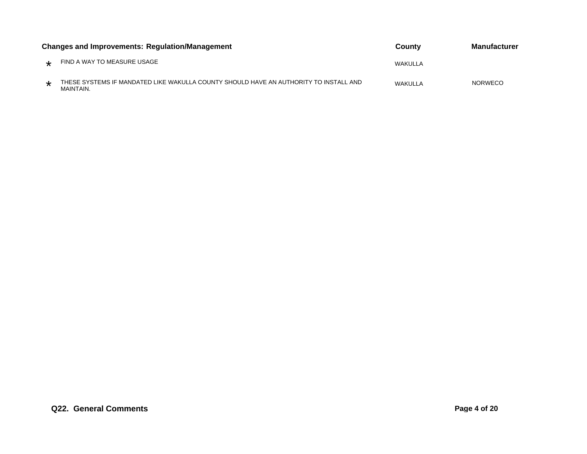| <b>Changes and Improvements: Regulation/Management</b> |                                                                                                    | County  | Manufacturer   |
|--------------------------------------------------------|----------------------------------------------------------------------------------------------------|---------|----------------|
| $\star$                                                | FIND A WAY TO MEASURE USAGE                                                                        | WAKULLA |                |
|                                                        | THESE SYSTEMS IF MANDATED LIKE WAKULLA COUNTY SHOULD HAVE AN AUTHORITY TO INSTALL AND<br>MAINTAIN. | WAKULLA | <b>NORWECO</b> |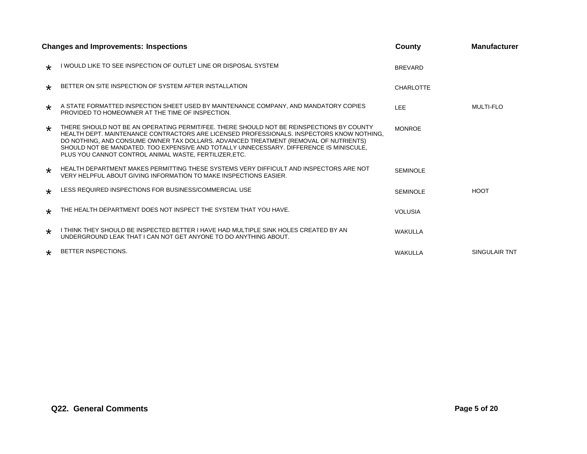|         | <b>Changes and Improvements: Inspections</b>                                                                                                                                                                                                                                                                                                                                                                                       | County          | <b>Manufacturer</b> |
|---------|------------------------------------------------------------------------------------------------------------------------------------------------------------------------------------------------------------------------------------------------------------------------------------------------------------------------------------------------------------------------------------------------------------------------------------|-----------------|---------------------|
| $\star$ | I WOULD LIKE TO SEE INSPECTION OF OUTLET LINE OR DISPOSAL SYSTEM                                                                                                                                                                                                                                                                                                                                                                   | <b>BREVARD</b>  |                     |
| $\star$ | BETTER ON SITE INSPECTION OF SYSTEM AFTER INSTALLATION                                                                                                                                                                                                                                                                                                                                                                             | CHARLOTTE       |                     |
| $\star$ | A STATE FORMATTED INSPECTION SHEET USED BY MAINTENANCE COMPANY, AND MANDATORY COPIES<br>PROVIDED TO HOMEOWNER AT THE TIME OF INSPECTION.                                                                                                                                                                                                                                                                                           | <b>LEE</b>      | <b>MULTI-FLO</b>    |
| $\star$ | THERE SHOULD NOT BE AN OPERATING PERMIT/FEE. THERE SHOULD NOT BE REINSPECTIONS BY COUNTY<br>HEALTH DEPT. MAINTENANCE CONTRACTORS ARE LICENSED PROFESSIONALS. INSPECTORS KNOW NOTHING,<br>DO NOTHING, AND CONSUME OWNER TAX DOLLARS. ADVANCED TREATMENT (REMOVAL OF NUTRIENTS)<br>SHOULD NOT BE MANDATED. TOO EXPENSIVE AND TOTALLY UNNECESSARY. DIFFERENCE IS MINISCULE.<br>PLUS YOU CANNOT CONTROL ANIMAL WASTE, FERTILIZER, ETC. | <b>MONROE</b>   |                     |
| $\star$ | HEALTH DEPARTMENT MAKES PERMITTING THESE SYSTEMS VERY DIFFICULT AND INSPECTORS ARE NOT<br>VERY HELPFUL ABOUT GIVING INFORMATION TO MAKE INSPECTIONS EASIER.                                                                                                                                                                                                                                                                        | <b>SEMINOLE</b> |                     |
| $\star$ | LESS REQUIRED INSPECTIONS FOR BUSINESS/COMMERCIAL USE                                                                                                                                                                                                                                                                                                                                                                              | <b>SEMINOLE</b> | <b>HOOT</b>         |
| ∗       | THE HEALTH DEPARTMENT DOES NOT INSPECT THE SYSTEM THAT YOU HAVE.                                                                                                                                                                                                                                                                                                                                                                   | <b>VOLUSIA</b>  |                     |
| $\star$ | I THINK THEY SHOULD BE INSPECTED BETTER I HAVE HAD MULTIPLE SINK HOLES CREATED BY AN<br>UNDERGROUND LEAK THAT I CAN NOT GET ANYONE TO DO ANYTHING ABOUT.                                                                                                                                                                                                                                                                           | <b>WAKULLA</b>  |                     |
| $\star$ | <b>BETTER INSPECTIONS.</b>                                                                                                                                                                                                                                                                                                                                                                                                         | <b>WAKULLA</b>  | SINGULAIR TNT       |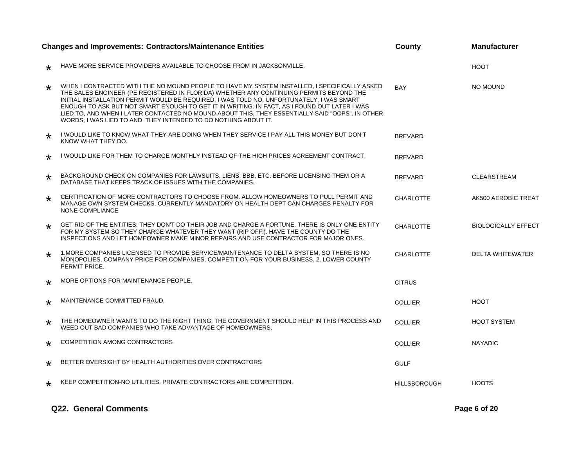|         | <b>Changes and Improvements: Contractors/Maintenance Entities</b>                                                                                                                                                                                                                                                                                                                                                                                                                                                                                        | County              | <b>Manufacturer</b>        |
|---------|----------------------------------------------------------------------------------------------------------------------------------------------------------------------------------------------------------------------------------------------------------------------------------------------------------------------------------------------------------------------------------------------------------------------------------------------------------------------------------------------------------------------------------------------------------|---------------------|----------------------------|
| $\star$ | HAVE MORE SERVICE PROVIDERS AVAILABLE TO CHOOSE FROM IN JACKSONVILLE.                                                                                                                                                                                                                                                                                                                                                                                                                                                                                    |                     | <b>HOOT</b>                |
| $\star$ | WHEN I CONTRACTED WITH THE NO MOUND PEOPLE TO HAVE MY SYSTEM INSTALLED, I SPECIFICALLY ASKED<br>THE SALES ENGINEER (PE REGISTERED IN FLORIDA) WHETHER ANY CONTINUING PERMITS BEYOND THE<br>INITIAL INSTALLATION PERMIT WOULD BE REQUIRED, I WAS TOLD NO. UNFORTUNATELY, I WAS SMART<br>ENOUGH TO ASK BUT NOT SMART ENOUGH TO GET IT IN WRITING. IN FACT, AS I FOUND OUT LATER I WAS<br>LIED TO, AND WHEN I LATER CONTACTED NO MOUND ABOUT THIS, THEY ESSENTIALLY SAID "OOPS". IN OTHER<br>WORDS, I WAS LIED TO AND THEY INTENDED TO DO NOTHING ABOUT IT. | <b>BAY</b>          | NO MOUND                   |
| $\star$ | I WOULD LIKE TO KNOW WHAT THEY ARE DOING WHEN THEY SERVICE I PAY ALL THIS MONEY BUT DON'T<br>KNOW WHAT THEY DO.                                                                                                                                                                                                                                                                                                                                                                                                                                          | <b>BREVARD</b>      |                            |
| $\star$ | I WOULD LIKE FOR THEM TO CHARGE MONTHLY INSTEAD OF THE HIGH PRICES AGREEMENT CONTRACT.                                                                                                                                                                                                                                                                                                                                                                                                                                                                   | <b>BREVARD</b>      |                            |
| $\star$ | BACKGROUND CHECK ON COMPANIES FOR LAWSUITS, LIENS, BBB, ETC. BEFORE LICENSING THEM OR A<br>DATABASE THAT KEEPS TRACK OF ISSUES WITH THE COMPANIES.                                                                                                                                                                                                                                                                                                                                                                                                       | <b>BREVARD</b>      | <b>CLEARSTREAM</b>         |
| $\star$ | CERTIFICATION OF MORE CONTRACTORS TO CHOOSE FROM. ALLOW HOMEOWNERS TO PULL PERMIT AND<br>MANAGE OWN SYSTEM CHECKS, CURRENTLY MANDATORY ON HEALTH DEPT CAN CHARGES PENALTY FOR<br>NONE COMPLIANCE                                                                                                                                                                                                                                                                                                                                                         | <b>CHARLOTTE</b>    | AK500 AEROBIC TREAT        |
| $\star$ | GET RID OF THE ENTITIES, THEY DON'T DO THEIR JOB AND CHARGE A FORTUNE. THERE IS ONLY ONE ENTITY<br>FOR MY SYSTEM SO THEY CHARGE WHATEVER THEY WANT (RIP OFF!). HAVE THE COUNTY DO THE<br>INSPECTIONS AND LET HOMEOWNER MAKE MINOR REPAIRS AND USE CONTRACTOR FOR MAJOR ONES.                                                                                                                                                                                                                                                                             | <b>CHARLOTTE</b>    | <b>BIOLOGICALLY EFFECT</b> |
| $\star$ | 1. MORE COMPANIES LICENSED TO PROVIDE SERVICE/MAINTENANCE TO DELTA SYSTEM, SO THERE IS NO<br>MONOPOLIES, COMPANY PRICE FOR COMPANIES, COMPETITION FOR YOUR BUSINESS. 2. LOWER COUNTY<br>PERMIT PRICE.                                                                                                                                                                                                                                                                                                                                                    | <b>CHARLOTTE</b>    | <b>DELTA WHITEWATER</b>    |
| $\star$ | MORE OPTIONS FOR MAINTENANCE PEOPLE.                                                                                                                                                                                                                                                                                                                                                                                                                                                                                                                     | <b>CITRUS</b>       |                            |
| $\star$ | MAINTENANCE COMMITTED FRAUD.                                                                                                                                                                                                                                                                                                                                                                                                                                                                                                                             | <b>COLLIER</b>      | <b>HOOT</b>                |
| $\star$ | THE HOMEOWNER WANTS TO DO THE RIGHT THING, THE GOVERNMENT SHOULD HELP IN THIS PROCESS AND<br>WEED OUT BAD COMPANIES WHO TAKE ADVANTAGE OF HOMEOWNERS.                                                                                                                                                                                                                                                                                                                                                                                                    | <b>COLLIER</b>      | <b>HOOT SYSTEM</b>         |
| $\star$ | COMPETITION AMONG CONTRACTORS                                                                                                                                                                                                                                                                                                                                                                                                                                                                                                                            | <b>COLLIER</b>      | <b>NAYADIC</b>             |
| $\star$ | BETTER OVERSIGHT BY HEALTH AUTHORITIES OVER CONTRACTORS                                                                                                                                                                                                                                                                                                                                                                                                                                                                                                  | <b>GULF</b>         |                            |
| $\star$ | KEEP COMPETITION-NO UTILITIES. PRIVATE CONTRACTORS ARE COMPETITION.                                                                                                                                                                                                                                                                                                                                                                                                                                                                                      | <b>HILLSBOROUGH</b> | <b>HOOTS</b>               |

#### **Q22. General Comments Page 6 of 20**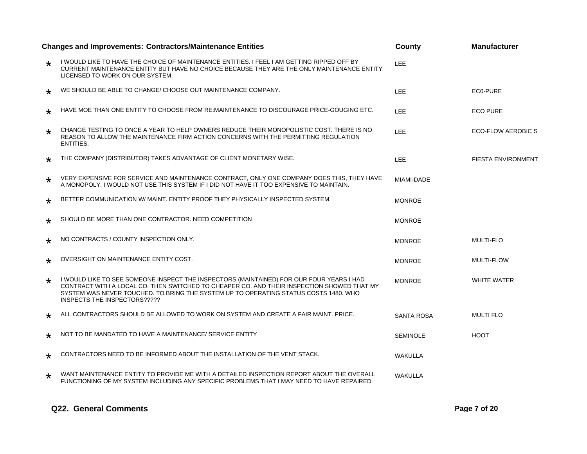|         | <b>Changes and Improvements: Contractors/Maintenance Entities</b>                                                                                                                                                                                                                                              | County            | <b>Manufacturer</b>       |
|---------|----------------------------------------------------------------------------------------------------------------------------------------------------------------------------------------------------------------------------------------------------------------------------------------------------------------|-------------------|---------------------------|
| $\star$ | I WOULD LIKE TO HAVE THE CHOICE OF MAINTENANCE ENTITIES. I FEEL I AM GETTING RIPPED OFF BY<br>CURRENT MAINTENANCE ENTITY BUT HAVE NO CHOICE BECAUSE THEY ARE THE ONLY MAINTENANCE ENTITY<br>LICENSED TO WORK ON OUR SYSTEM.                                                                                    | <b>LEE</b>        |                           |
| $\star$ | WE SHOULD BE ABLE TO CHANGE/ CHOOSE OUT MAINTENANCE COMPANY.                                                                                                                                                                                                                                                   | <b>LEE</b>        | EC0-PURE                  |
| $\star$ | HAVE MOE THAN ONE ENTITY TO CHOOSE FROM RE:MAINTENANCE TO DISCOURAGE PRICE-GOUGING ETC.                                                                                                                                                                                                                        | LEE.              | <b>ECO PURE</b>           |
| $\star$ | CHANGE TESTING TO ONCE A YEAR TO HELP OWNERS REDUCE THEIR MONOPOLISTIC COST. THERE IS NO<br>REASON TO ALLOW THE MAINTENANCE FIRM ACTION CONCERNS WITH THE PERMITTING REGULATION<br>ENTITIES.                                                                                                                   | LEE.              | <b>ECO-FLOW AEROBIC S</b> |
| $\star$ | THE COMPANY (DISTRIBUTOR) TAKES ADVANTAGE OF CLIENT MONETARY WISE.                                                                                                                                                                                                                                             | LEE.              | <b>FIESTA ENVIRONMENT</b> |
| $\star$ | VERY EXPENSIVE FOR SERVICE AND MAINTENANCE CONTRACT, ONLY ONE COMPANY DOES THIS, THEY HAVE<br>A MONOPOLY. I WOULD NOT USE THIS SYSTEM IF I DID NOT HAVE IT TOO EXPENSIVE TO MAINTAIN.                                                                                                                          | MIAMI-DADE        |                           |
| $\star$ | BETTER COMMUNICATION W/ MAINT, ENTITY PROOF THEY PHYSICALLY INSPECTED SYSTEM.                                                                                                                                                                                                                                  | <b>MONROE</b>     |                           |
| $\star$ | SHOULD BE MORE THAN ONE CONTRACTOR. NEED COMPETITION                                                                                                                                                                                                                                                           | <b>MONROE</b>     |                           |
| $\star$ | NO CONTRACTS / COUNTY INSPECTION ONLY.                                                                                                                                                                                                                                                                         | <b>MONROE</b>     | <b>MULTI-FLO</b>          |
| $\star$ | OVERSIGHT ON MAINTENANCE ENTITY COST.                                                                                                                                                                                                                                                                          | <b>MONROE</b>     | <b>MULTI-FLOW</b>         |
| $\star$ | I WOULD LIKE TO SEE SOMEONE INSPECT THE INSPECTORS (MAINTAINED) FOR OUR FOUR YEARS I HAD<br>CONTRACT WITH A LOCAL CO. THEN SWITCHED TO CHEAPER CO. AND THEIR INSPECTION SHOWED THAT MY<br>SYSTEM WAS NEVER TOUCHED. TO BRING THE SYSTEM UP TO OPERATING STATUS COSTS 1480, WHO<br>INSPECTS THE INSPECTORS????? | <b>MONROE</b>     | <b>WHITE WATER</b>        |
| $\star$ | ALL CONTRACTORS SHOULD BE ALLOWED TO WORK ON SYSTEM AND CREATE A FAIR MAINT. PRICE.                                                                                                                                                                                                                            | <b>SANTA ROSA</b> | <b>MULTI FLO</b>          |
| $\star$ | NOT TO BE MANDATED TO HAVE A MAINTENANCE/ SERVICE ENTITY                                                                                                                                                                                                                                                       | <b>SEMINOLE</b>   | <b>HOOT</b>               |
| $\star$ | CONTRACTORS NEED TO BE INFORMED ABOUT THE INSTALLATION OF THE VENT STACK.                                                                                                                                                                                                                                      | <b>WAKULLA</b>    |                           |
| $\star$ | WANT MAINTENANCE ENTITY TO PROVIDE ME WITH A DETAILED INSPECTION REPORT ABOUT THE OVERALL<br>FUNCTIONING OF MY SYSTEM INCLUDING ANY SPECIFIC PROBLEMS THAT I MAY NEED TO HAVE REPAIRED                                                                                                                         | WAKULLA           |                           |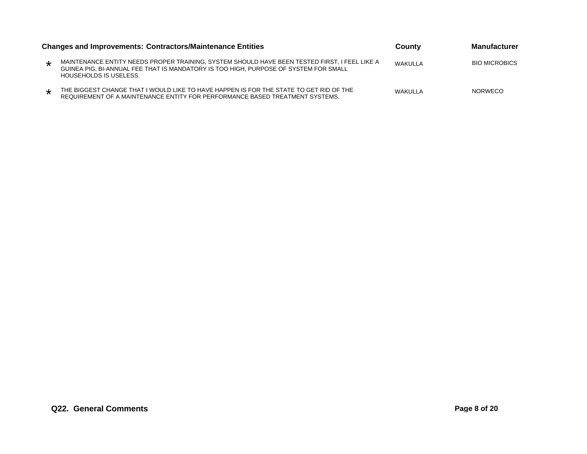|         | Changes and Improvements: Contractors/Maintenance Entities                                                                                                                                                      | County  | <b>Manufacturer</b>  |  |
|---------|-----------------------------------------------------------------------------------------------------------------------------------------------------------------------------------------------------------------|---------|----------------------|--|
| $\star$ | MAINTENANCE ENTITY NEEDS PROPER TRAINING, SYSTEM SHOULD HAVE BEEN TESTED FIRST, I FEEL LIKE A<br>GUINEA PIG, BI-ANNUAL FEE THAT IS MANDATORY IS TOO HIGH, PURPOSE OF SYSTEM FOR SMALL<br>HOUSEHOLDS IS USELESS. | WAKULLA | <b>BIO MICROBICS</b> |  |
| $\star$ | THE BIGGEST CHANGE THAT I WOULD LIKE TO HAVE HAPPEN IS FOR THE STATE TO GET RID OF THE<br>REQUIREMENT OF A MAINTENANCE ENTITY FOR PERFORMANCE BASED TREATMENT SYSTEMS.                                          | WAKULLA | <b>NORWECO</b>       |  |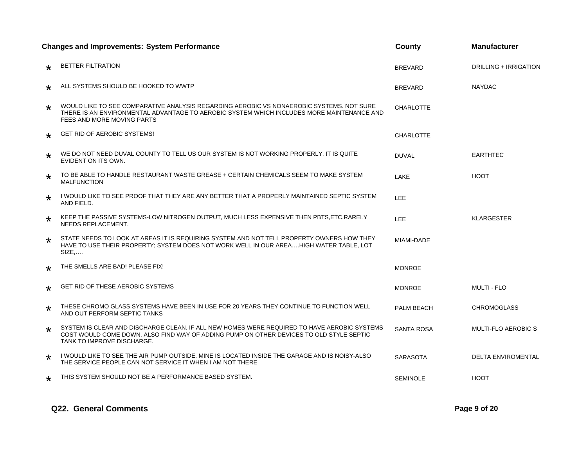|         | <b>Changes and Improvements: System Performance</b>                                                                                                                                                                  | County            | <b>Manufacturer</b>          |
|---------|----------------------------------------------------------------------------------------------------------------------------------------------------------------------------------------------------------------------|-------------------|------------------------------|
| $\star$ | <b>BETTER FILTRATION</b>                                                                                                                                                                                             | <b>BREVARD</b>    | <b>DRILLING + IRRIGATION</b> |
| $\star$ | ALL SYSTEMS SHOULD BE HOOKED TO WWTP                                                                                                                                                                                 | <b>BREVARD</b>    | <b>NAYDAC</b>                |
| $\star$ | WOULD LIKE TO SEE COMPARATIVE ANALYSIS REGARDING AEROBIC VS NONAEROBIC SYSTEMS. NOT SURE<br>THERE IS AN ENVIRONMENTAL ADVANTAGE TO AEROBIC SYSTEM WHICH INCLUDES MORE MAINTENANCE AND<br>FEES AND MORE MOVING PARTS  | <b>CHARLOTTE</b>  |                              |
| $\star$ | <b>GET RID OF AEROBIC SYSTEMS!</b>                                                                                                                                                                                   | <b>CHARLOTTE</b>  |                              |
| $\star$ | WE DO NOT NEED DUVAL COUNTY TO TELL US OUR SYSTEM IS NOT WORKING PROPERLY. IT IS QUITE<br>EVIDENT ON ITS OWN.                                                                                                        | <b>DUVAL</b>      | <b>EARTHTEC</b>              |
| $\star$ | TO BE ABLE TO HANDLE RESTAURANT WASTE GREASE + CERTAIN CHEMICALS SEEM TO MAKE SYSTEM<br><b>MALFUNCTION</b>                                                                                                           | LAKE              | <b>HOOT</b>                  |
| $\star$ | I WOULD LIKE TO SEE PROOF THAT THEY ARE ANY BETTER THAT A PROPERLY MAINTAINED SEPTIC SYSTEM<br>AND FIELD.                                                                                                            | LEE               |                              |
| $\star$ | KEEP THE PASSIVE SYSTEMS-LOW NITROGEN OUTPUT, MUCH LESS EXPENSIVE THEN PBTS, ETC, RARELY<br>NEEDS REPLACEMENT.                                                                                                       | <b>LEE</b>        | <b>KLARGESTER</b>            |
| $\star$ | STATE NEEDS TO LOOK AT AREAS IT IS REQUIRING SYSTEM AND NOT TELL PROPERTY OWNERS HOW THEY<br>HAVE TO USE THEIR PROPERTY: SYSTEM DOES NOT WORK WELL IN OUR AREAHIGH WATER TABLE. LOT<br>$SIZE$                        | MIAMI-DADE        |                              |
| $\star$ | THE SMELLS ARE BAD! PLEASE FIX!                                                                                                                                                                                      | <b>MONROE</b>     |                              |
| $\star$ | GET RID OF THESE AEROBIC SYSTEMS                                                                                                                                                                                     | <b>MONROE</b>     | <b>MULTI - FLO</b>           |
| $\star$ | THESE CHROMO GLASS SYSTEMS HAVE BEEN IN USE FOR 20 YEARS THEY CONTINUE TO FUNCTION WELL<br>AND OUT PERFORM SEPTIC TANKS                                                                                              | <b>PALM BEACH</b> | <b>CHROMOGLASS</b>           |
| $\star$ | SYSTEM IS CLEAR AND DISCHARGE CLEAN. IF ALL NEW HOMES WERE REQUIRED TO HAVE AEROBIC SYSTEMS<br>COST WOULD COME DOWN. ALSO FIND WAY OF ADDING PUMP ON OTHER DEVICES TO OLD STYLE SEPTIC<br>TANK TO IMPROVE DISCHARGE. | <b>SANTA ROSA</b> | <b>MULTI-FLO AEROBIC S</b>   |
| $\star$ | I WOULD LIKE TO SEE THE AIR PUMP OUTSIDE. MINE IS LOCATED INSIDE THE GARAGE AND IS NOISY-ALSO<br>THE SERVICE PEOPLE CAN NOT SERVICE IT WHEN I AM NOT THERE                                                           | <b>SARASOTA</b>   | <b>DELTA ENVIROMENTAL</b>    |
| $\star$ | THIS SYSTEM SHOULD NOT BE A PERFORMANCE BASED SYSTEM.                                                                                                                                                                | <b>SEMINOLE</b>   | <b>HOOT</b>                  |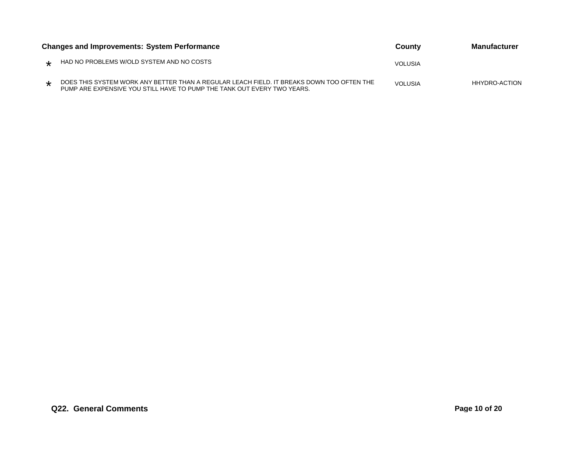| <b>Changes and Improvements: System Performance</b> |                                                                                                                                                                      | County         | <b>Manufacturer</b>  |
|-----------------------------------------------------|----------------------------------------------------------------------------------------------------------------------------------------------------------------------|----------------|----------------------|
| $\star$                                             | HAD NO PROBLEMS W/OLD SYSTEM AND NO COSTS                                                                                                                            | <b>VOLUSIA</b> |                      |
| $\star$                                             | DOES THIS SYSTEM WORK ANY BETTER THAN A REGULAR LEACH FIELD. IT BREAKS DOWN TOO OFTEN THE<br>PUMP ARE EXPENSIVE YOU STILL HAVE TO PUMP THE TANK OUT EVERY TWO YEARS. | <b>VOLUSIA</b> | <b>HHYDRO-ACTION</b> |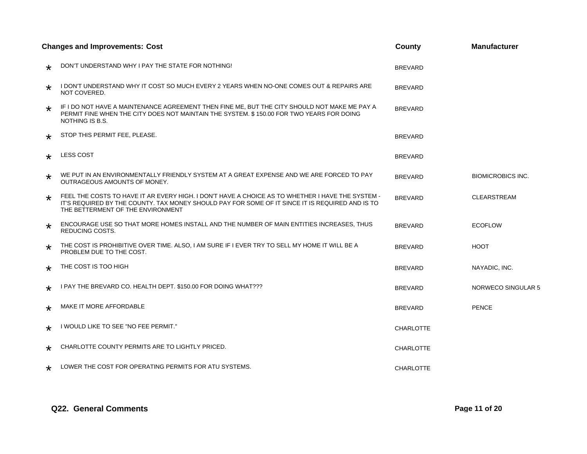|         | <b>Changes and Improvements: Cost</b>                                                                                                                                                                                                    | County           | <b>Manufacturer</b>      |
|---------|------------------------------------------------------------------------------------------------------------------------------------------------------------------------------------------------------------------------------------------|------------------|--------------------------|
| $\star$ | DON'T UNDERSTAND WHY I PAY THE STATE FOR NOTHING!                                                                                                                                                                                        | <b>BREVARD</b>   |                          |
| $\star$ | I DON'T UNDERSTAND WHY IT COST SO MUCH EVERY 2 YEARS WHEN NO-ONE COMES OUT & REPAIRS ARE<br>NOT COVERED.                                                                                                                                 | <b>BREVARD</b>   |                          |
| $\star$ | IF I DO NOT HAVE A MAINTENANCE AGREEMENT THEN FINE ME, BUT THE CITY SHOULD NOT MAKE ME PAY A<br>PERMIT FINE WHEN THE CITY DOES NOT MAINTAIN THE SYSTEM. \$150.00 FOR TWO YEARS FOR DOING<br>NOTHING IS B.S.                              | <b>BREVARD</b>   |                          |
| $\star$ | STOP THIS PERMIT FEE, PLEASE.                                                                                                                                                                                                            | <b>BREVARD</b>   |                          |
| $\star$ | <b>LESS COST</b>                                                                                                                                                                                                                         | <b>BREVARD</b>   |                          |
| $\star$ | WE PUT IN AN ENVIRONMENTALLY FRIENDLY SYSTEM AT A GREAT EXPENSE AND WE ARE FORCED TO PAY<br><b>OUTRAGEOUS AMOUNTS OF MONEY.</b>                                                                                                          | <b>BREVARD</b>   | <b>BIOMICROBICS INC.</b> |
| $\star$ | FEEL THE COSTS TO HAVE IT AR EVERY HIGH. I DON'T HAVE A CHOICE AS TO WHETHER I HAVE THE SYSTEM -<br>IT'S REQUIRED BY THE COUNTY. TAX MONEY SHOULD PAY FOR SOME OF IT SINCE IT IS REQUIRED AND IS TO<br>THE BETTERMENT OF THE ENVIRONMENT | <b>BREVARD</b>   | <b>CLEARSTREAM</b>       |
| $\star$ | ENCOURAGE USE SO THAT MORE HOMES INSTALL AND THE NUMBER OF MAIN ENTITIES INCREASES, THUS<br>REDUCING COSTS.                                                                                                                              | <b>BREVARD</b>   | <b>ECOFLOW</b>           |
| $\star$ | THE COST IS PROHIBITIVE OVER TIME. ALSO, I AM SURE IF I EVER TRY TO SELL MY HOME IT WILL BE A<br>PROBLEM DUE TO THE COST.                                                                                                                | <b>BREVARD</b>   | <b>HOOT</b>              |
| $\star$ | THE COST IS TOO HIGH                                                                                                                                                                                                                     | <b>BREVARD</b>   | NAYADIC, INC.            |
| *       | I PAY THE BREVARD CO. HEALTH DEPT. \$150.00 FOR DOING WHAT???                                                                                                                                                                            | <b>BREVARD</b>   | NORWECO SINGULAR 5       |
| $\star$ | MAKE IT MORE AFFORDABLE                                                                                                                                                                                                                  | <b>BREVARD</b>   | <b>PENCE</b>             |
| $\star$ | I WOULD LIKE TO SEE "NO FEE PERMIT."                                                                                                                                                                                                     | <b>CHARLOTTE</b> |                          |
| $\star$ | CHARLOTTE COUNTY PERMITS ARE TO LIGHTLY PRICED.                                                                                                                                                                                          | <b>CHARLOTTE</b> |                          |
| $\star$ | LOWER THE COST FOR OPERATING PERMITS FOR ATU SYSTEMS.                                                                                                                                                                                    | <b>CHARLOTTE</b> |                          |

#### **Q22. General Comments Page 11 of 20**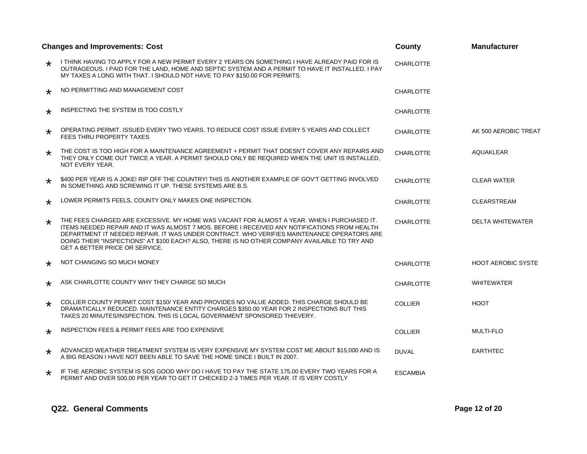|         | <b>Changes and Improvements: Cost</b><br>County                                                                                                                                                                                                                                                                                                                                                                                    |                  | <b>Manufacturer</b>       |
|---------|------------------------------------------------------------------------------------------------------------------------------------------------------------------------------------------------------------------------------------------------------------------------------------------------------------------------------------------------------------------------------------------------------------------------------------|------------------|---------------------------|
| $\star$ | I THINK HAVING TO APPLY FOR A NEW PERMIT EVERY 2 YEARS ON SOMETHING I HAVE ALREADY PAID FOR IS<br>OUTRAGEOUS. I PAID FOR THE LAND, HOME AND SEPTIC SYSTEM AND A PERMIT TO HAVE IT INSTALLED. I PAY<br>MY TAXES A LONG WITH THAT. I SHOULD NOT HAVE TO PAY \$150.00 FOR PERMITS.                                                                                                                                                    | <b>CHARLOTTE</b> |                           |
| $\star$ | NO PERMITTING AND MANAGEMENT COST                                                                                                                                                                                                                                                                                                                                                                                                  | <b>CHARLOTTE</b> |                           |
| $\star$ | INSPECTING THE SYSTEM IS TOO COSTLY                                                                                                                                                                                                                                                                                                                                                                                                | <b>CHARLOTTE</b> |                           |
| $\star$ | OPERATING PERMIT. ISSUED EVERY TWO YEARS. TO REDUCE COST ISSUE EVERY 5 YEARS AND COLLECT<br><b>FEES THRU PROPERTY TAXES</b>                                                                                                                                                                                                                                                                                                        | <b>CHARLOTTE</b> | AK 500 AEROBIC TREAT      |
| $\star$ | THE COST IS TOO HIGH FOR A MAINTENANCE AGREEMENT + PERMIT THAT DOESN'T COVER ANY REPAIRS AND<br>THEY ONLY COME OUT TWICE A YEAR. A PERMIT SHOULD ONLY BE REQUIRED WHEN THE UNIT IS INSTALLED.<br>NOT EVERY YEAR.                                                                                                                                                                                                                   | <b>CHARLOTTE</b> | <b>AQUAKLEAR</b>          |
| $\star$ | \$400 PER YEAR IS A JOKE! RIP OFF THE COUNTRY! THIS IS ANOTHER EXAMPLE OF GOV'T GETTING INVOLVED<br>IN SOMETHING AND SCREWING IT UP. THESE SYSTEMS ARE B.S.                                                                                                                                                                                                                                                                        | <b>CHARLOTTE</b> | <b>CLEAR WATER</b>        |
| $\star$ | LOWER PERMITS FEELS, COUNTY ONLY MAKES ONE INSPECTION.                                                                                                                                                                                                                                                                                                                                                                             | <b>CHARLOTTE</b> | <b>CLEARSTREAM</b>        |
| $\star$ | THE FEES CHARGED ARE EXCESSIVE. MY HOME WAS VACANT FOR ALMOST A YEAR. WHEN I PURCHASED IT.<br>ITEMS NEEDED REPAIR AND IT WAS ALMOST 7 MOS. BEFORE I RECEIVED ANY NOTIFICATIONS FROM HEALTH<br>DEPARTMENT IT NEEDED REPAIR. IT WAS UNDER CONTRACT, WHO VERIFIES MAINTENANCE OPERATORS ARE<br>DOING THEIR "INSPECTIONS" AT \$100 EACH? ALSO, THERE IS NO OTHER COMPANY AVAILABLE TO TRY AND<br><b>GET A BETTER PRICE OR SERVICE.</b> | <b>CHARLOTTE</b> | <b>DELTA WHITEWATER</b>   |
| $\star$ | NOT CHANGING SO MUCH MONEY                                                                                                                                                                                                                                                                                                                                                                                                         | <b>CHARLOTTE</b> | <b>HOOT AEROBIC SYSTE</b> |
| $\star$ | ASK CHARLOTTE COUNTY WHY THEY CHARGE SO MUCH                                                                                                                                                                                                                                                                                                                                                                                       | <b>CHARLOTTE</b> | <b>WHITEWATER</b>         |
| ∗       | COLLIER COUNTY PERMIT COST \$150/YEAR AND PROVIDES NO VALUE ADDED. THIS CHARGE SHOULD BE<br>DRAMATICALLY REDUCED. MAINTENANCE ENTITY CHARGES \$350.00 YEAR FOR 2 INSPECTIONS BUT THIS<br>TAKES 20 MINUTES/INSPECTION. THIS IS LOCAL GOVERNMENT SPONSORED THIEVERY.                                                                                                                                                                 | <b>COLLIER</b>   | <b>HOOT</b>               |
| $\star$ | INSPECTION FEES & PERMIT FEES ARE TOO EXPENSIVE                                                                                                                                                                                                                                                                                                                                                                                    | <b>COLLIER</b>   | <b>MULTI-FLO</b>          |
| $\star$ | ADVANCED WEATHER TREATMENT SYSTEM IS VERY EXPENSIVE MY SYSTEM COST ME ABOUT \$15,000 AND IS<br>A BIG REASON I HAVE NOT BEEN ABLE TO SAVE THE HOME SINCE I BUILT IN 2007.                                                                                                                                                                                                                                                           | <b>DUVAL</b>     | <b>EARTHTEC</b>           |
| $\star$ | IF THE AEROBIC SYSTEM IS SOS GOOD WHY DO I HAVE TO PAY THE STATE 175.00 EVERY TWO YEARS FOR A<br>PERMIT AND OVER 500.00 PER YEAR TO GET IT CHECKED 2-3 TIMES PER YEAR. IT IS VERY COSTLY                                                                                                                                                                                                                                           | <b>ESCAMBIA</b>  |                           |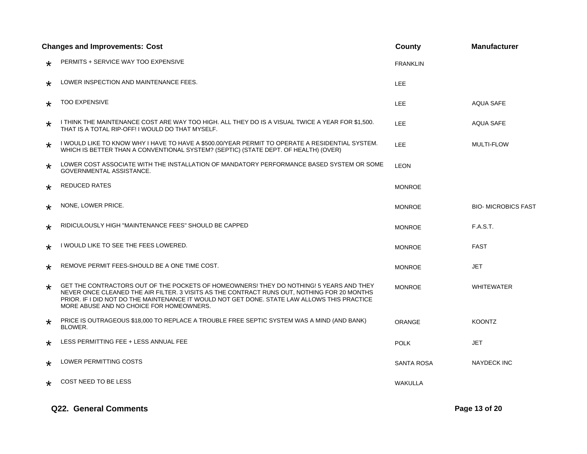| <b>Changes and Improvements: Cost</b> |                                                                                                                                                                                                                                                                                                                                    | County          | <b>Manufacturer</b>       |
|---------------------------------------|------------------------------------------------------------------------------------------------------------------------------------------------------------------------------------------------------------------------------------------------------------------------------------------------------------------------------------|-----------------|---------------------------|
| $\star$                               | PERMITS + SERVICE WAY TOO EXPENSIVE                                                                                                                                                                                                                                                                                                | <b>FRANKLIN</b> |                           |
| $\star$                               | LOWER INSPECTION AND MAINTENANCE FEES.                                                                                                                                                                                                                                                                                             | LEE.            |                           |
| $\star$                               | <b>TOO EXPENSIVE</b>                                                                                                                                                                                                                                                                                                               | LEE.            | <b>AQUA SAFE</b>          |
| $\star$                               | I THINK THE MAINTENANCE COST ARE WAY TOO HIGH. ALL THEY DO IS A VISUAL TWICE A YEAR FOR \$1,500.<br>THAT IS A TOTAL RIP-OFF! I WOULD DO THAT MYSELF.                                                                                                                                                                               | LEE.            | <b>AQUA SAFE</b>          |
| $\star$                               | I WOULD LIKE TO KNOW WHY I HAVE TO HAVE A \$500.00/YEAR PERMIT TO OPERATE A RESIDENTIAL SYSTEM.<br>WHICH IS BETTER THAN A CONVENTIONAL SYSTEM? (SEPTIC) (STATE DEPT. OF HEALTH) (OVER)                                                                                                                                             | LEE.            | <b>MULTI-FLOW</b>         |
| $\star$                               | LOWER COST ASSOCIATE WITH THE INSTALLATION OF MANDATORY PERFORMANCE BASED SYSTEM OR SOME<br>GOVERNMENTAL ASSISTANCE.                                                                                                                                                                                                               | <b>LEON</b>     |                           |
| $\star$                               | <b>REDUCED RATES</b>                                                                                                                                                                                                                                                                                                               | <b>MONROE</b>   |                           |
| $\star$                               | NONE, LOWER PRICE.                                                                                                                                                                                                                                                                                                                 | <b>MONROE</b>   | <b>BIO-MICROBICS FAST</b> |
| $\star$                               | RIDICULOUSLY HIGH "MAINTENANCE FEES" SHOULD BE CAPPED                                                                                                                                                                                                                                                                              | <b>MONROE</b>   | <b>F.A.S.T.</b>           |
| $\star$                               | I WOULD LIKE TO SEE THE FEES LOWERED.                                                                                                                                                                                                                                                                                              | <b>MONROE</b>   | <b>FAST</b>               |
| $\star$                               | REMOVE PERMIT FEES-SHOULD BE A ONE TIME COST.                                                                                                                                                                                                                                                                                      | <b>MONROE</b>   | JET                       |
| $\star$                               | GET THE CONTRACTORS OUT OF THE POCKETS OF HOMEOWNERS! THEY DO NOTHING! 5 YEARS AND THEY<br>NEVER ONCE CLEANED THE AIR FILTER. 3 VISITS AS THE CONTRACT RUNS OUT, NOTHING FOR 20 MONTHS<br>PRIOR. IF I DID NOT DO THE MAINTENANCE IT WOULD NOT GET DONE. STATE LAW ALLOWS THIS PRACTICE<br>MORE ABUSE AND NO CHOICE FOR HOMEOWNERS. | <b>MONROE</b>   | <b>WHITEWATER</b>         |
| $\star$                               | PRICE IS OUTRAGEOUS \$18,000 TO REPLACE A TROUBLE FREE SEPTIC SYSTEM WAS A MIND (AND BANK)<br>BLOWER.                                                                                                                                                                                                                              | ORANGE          | <b>KOONTZ</b>             |
| $\star$                               | LESS PERMITTING FEE + LESS ANNUAL FEE                                                                                                                                                                                                                                                                                              | <b>POLK</b>     | JET                       |
| $\star$                               | <b>LOWER PERMITTING COSTS</b>                                                                                                                                                                                                                                                                                                      | SANTA ROSA      | <b>NAYDECK INC</b>        |
| $\star$                               | COST NEED TO BE LESS                                                                                                                                                                                                                                                                                                               | <b>WAKULLA</b>  |                           |

#### **Q22. General Comments Page 13 of 20**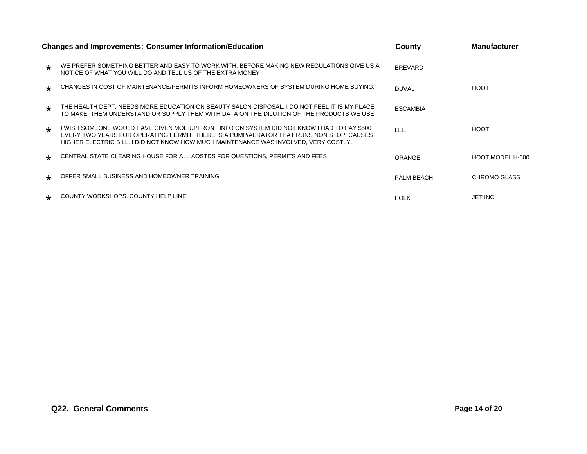|                      | <b>Changes and Improvements: Consumer Information/Education</b>                                                                                                                                                                                                                | County            | <b>Manufacturer</b> |
|----------------------|--------------------------------------------------------------------------------------------------------------------------------------------------------------------------------------------------------------------------------------------------------------------------------|-------------------|---------------------|
| $\star$              | WE PREFER SOMETHING BETTER AND EASY TO WORK WITH. BEFORE MAKING NEW REGULATIONS GIVE US A<br>NOTICE OF WHAT YOU WILL DO AND TELL US OF THE EXTRA MONEY                                                                                                                         | <b>BREVARD</b>    |                     |
| $\star$              | CHANGES IN COST OF MAINTENANCE/PERMITS INFORM HOMEOWNERS OF SYSTEM DURING HOME BUYING.                                                                                                                                                                                         | DUVAL             | <b>HOOT</b>         |
| $\ddot{\phantom{1}}$ | THE HEALTH DEPT. NEEDS MORE EDUCATION ON BEAUTY SALON DISPOSAL. I DO NOT FEEL IT IS MY PLACE<br>TO MAKE THEM UNDERSTAND OR SUPPLY THEM WITH DATA ON THE DILUTION OF THE PRODUCTS WE USE.                                                                                       | <b>ESCAMBIA</b>   |                     |
| $\star$              | I WISH SOMEONE WOULD HAVE GIVEN MOE UPFRONT INFO ON SYSTEM DID NOT KNOW I HAD TO PAY \$500<br>EVERY TWO YEARS FOR OPERATING PERMIT. THERE IS A PUMP/AERATOR THAT RUNS NON STOP, CAUSES<br>HIGHER ELECTRIC BILL. I DID NOT KNOW HOW MUCH MAINTENANCE WAS INVOLVED. VERY COSTLY. | <b>LEE</b>        | <b>HOOT</b>         |
| $\star$              | CENTRAL STATE CLEARING HOUSE FOR ALL AOSTDS FOR QUESTIONS, PERMITS AND FEES                                                                                                                                                                                                    | ORANGE            | HOOT MODEL H-600    |
| $\star$              | OFFER SMALL BUSINESS AND HOMEOWNER TRAINING                                                                                                                                                                                                                                    | <b>PALM BEACH</b> | <b>CHROMO GLASS</b> |
|                      | COUNTY WORKSHOPS, COUNTY HELP LINE                                                                                                                                                                                                                                             | <b>POLK</b>       | JET INC.            |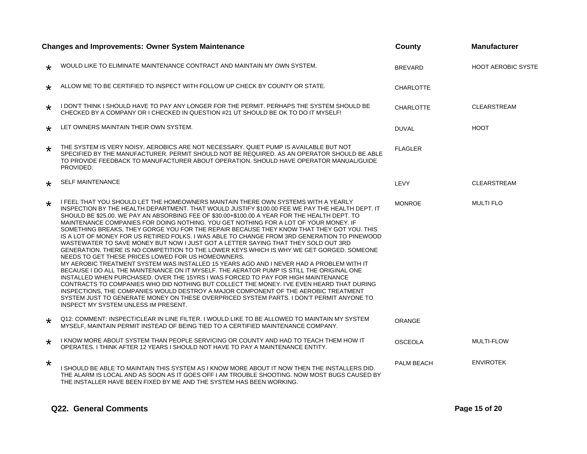|         | <b>Changes and Improvements: Owner System Maintenance</b>                                                                                                                                                                                                                                                                                                                                                                                                                                                                                                                                                                                                                                                                                                                                                                                                                                                                                                                                                                                                                                                                                                                                                                                                                                                                                                                                                                  | County           | <b>Manufacturer</b>       |
|---------|----------------------------------------------------------------------------------------------------------------------------------------------------------------------------------------------------------------------------------------------------------------------------------------------------------------------------------------------------------------------------------------------------------------------------------------------------------------------------------------------------------------------------------------------------------------------------------------------------------------------------------------------------------------------------------------------------------------------------------------------------------------------------------------------------------------------------------------------------------------------------------------------------------------------------------------------------------------------------------------------------------------------------------------------------------------------------------------------------------------------------------------------------------------------------------------------------------------------------------------------------------------------------------------------------------------------------------------------------------------------------------------------------------------------------|------------------|---------------------------|
| $\star$ | WOULD LIKE TO ELIMINATE MAINTENANCE CONTRACT AND MAINTAIN MY OWN SYSTEM.                                                                                                                                                                                                                                                                                                                                                                                                                                                                                                                                                                                                                                                                                                                                                                                                                                                                                                                                                                                                                                                                                                                                                                                                                                                                                                                                                   | <b>BREVARD</b>   | <b>HOOT AEROBIC SYSTE</b> |
| $\star$ | ALLOW ME TO BE CERTIFIED TO INSPECT WITH FOLLOW UP CHECK BY COUNTY OR STATE.                                                                                                                                                                                                                                                                                                                                                                                                                                                                                                                                                                                                                                                                                                                                                                                                                                                                                                                                                                                                                                                                                                                                                                                                                                                                                                                                               | <b>CHARLOTTE</b> |                           |
| $\star$ | I DON'T THINK I SHOULD HAVE TO PAY ANY LONGER FOR THE PERMIT. PERHAPS THE SYSTEM SHOULD BE<br>CHECKED BY A COMPANY OR I CHECKED IN QUESTION #21 UT SHOULD BE OK TO DO IT MYSELF!                                                                                                                                                                                                                                                                                                                                                                                                                                                                                                                                                                                                                                                                                                                                                                                                                                                                                                                                                                                                                                                                                                                                                                                                                                           | <b>CHARLOTTE</b> | <b>CLEARSTREAM</b>        |
| $\star$ | LET OWNERS MAINTAIN THEIR OWN SYSTEM.                                                                                                                                                                                                                                                                                                                                                                                                                                                                                                                                                                                                                                                                                                                                                                                                                                                                                                                                                                                                                                                                                                                                                                                                                                                                                                                                                                                      | <b>DUVAL</b>     | <b>HOOT</b>               |
| $\star$ | THE SYSTEM IS VERY NOISY. AEROBICS ARE NOT NECESSARY. QUIET PUMP IS AVAILABLE BUT NOT<br>SPECIFIED BY THE MANUFACTURER. PERMIT SHOULD NOT BE REQUIRED. AS AN OPERATOR SHOULD BE ABLE<br>TO PROVIDE FEEDBACK TO MANUFACTURER ABOUT OPERATION. SHOULD HAVE OPERATOR MANUAL/GUIDE<br>PROVIDED.                                                                                                                                                                                                                                                                                                                                                                                                                                                                                                                                                                                                                                                                                                                                                                                                                                                                                                                                                                                                                                                                                                                                | <b>FLAGLER</b>   |                           |
| $\star$ | <b>SELF MAINTENANCE</b>                                                                                                                                                                                                                                                                                                                                                                                                                                                                                                                                                                                                                                                                                                                                                                                                                                                                                                                                                                                                                                                                                                                                                                                                                                                                                                                                                                                                    | LEVY             | <b>CLEARSTREAM</b>        |
| $\star$ | I FEEL THAT YOU SHOULD LET THE HOMEOWNERS MAINTAIN THERE OWN SYSTEMS WITH A YEARLY<br>INSPECTION BY THE HEALTH DEPARTMENT. THAT WOULD JUSTIFY \$100.00 FEE WE PAY THE HEALTH DEPT. IT<br>SHOULD BE \$25.00. WE PAY AN ABSORBING FEE OF \$30.00+\$100.00 A YEAR FOR THE HEALTH DEPT. TO<br>MAINTENANCE COMPANIES FOR DOING NOTHING. YOU GET NOTHING FOR A LOT OF YOUR MONEY. IF<br>SOMETHING BREAKS, THEY GORGE YOU FOR THE REPAIR BECAUSE THEY KNOW THAT THEY GOT YOU. THIS<br>IS A LOT OF MONEY FOR US RETIRED FOLKS. I WAS ABLE TO CHANGE FROM 3RD GENERATION TO PINEWOOD<br>WASTEWATER TO SAVE MONEY BUT NOW I JUST GOT A LETTER SAYING THAT THEY SOLD OUT 3RD<br>GENERATION. THERE IS NO COMPETITION TO THE LOWER KEYS WHICH IS WHY WE GET GORGED. SOMEONE<br>NEEDS TO GET THESE PRICES LOWED FOR US HOMEOWNERS.<br>MY AEROBIC TREATMENT SYSTEM WAS INSTALLED 15 YEARS AGO AND I NEVER HAD A PROBLEM WITH IT<br>BECAUSE I DO ALL THE MAINTENANCE ON IT MYSELF. THE AERATOR PUMP IS STILL THE ORIGINAL ONE<br>INSTALLED WHEN PURCHASED, OVER THE 15YRS I WAS FORCED TO PAY FOR HIGH MAINTENANCE<br>CONTRACTS TO COMPANIES WHO DID NOTHING BUT COLLECT THE MONEY. I'VE EVEN HEARD THAT DURING<br>INSPECTIONS, THE COMPANIES WOULD DESTROY A MAJOR COMPONENT OF THE AEROBIC TREATMENT<br>SYSTEM JUST TO GENERATE MONEY ON THESE OVERPRICED SYSTEM PARTS. I DON'T PERMIT ANYONE TO<br>INSPECT MY SYSTEM UNLESS IM PRESENT. | <b>MONROE</b>    | <b>MULTI FLO</b>          |
| $\star$ | Q12: COMMENT: INSPECT/CLEAR IN LINE FILTER. I WOULD LIKE TO BE ALLOWED TO MAINTAIN MY SYSTEM<br>MYSELF, MAINTAIN PERMIT INSTEAD OF BEING TIED TO A CERTIFIED MAINTENANCE COMPANY.                                                                                                                                                                                                                                                                                                                                                                                                                                                                                                                                                                                                                                                                                                                                                                                                                                                                                                                                                                                                                                                                                                                                                                                                                                          | ORANGE           |                           |
| $\star$ | I KNOW MORE ABOUT SYSTEM THAN PEOPLE SERVICING OR COUNTY AND HAD TO TEACH THEM HOW IT<br>OPERATES. I THINK AFTER 12 YEARS I SHOULD NOT HAVE TO PAY A MAINTENANCE ENTITY.                                                                                                                                                                                                                                                                                                                                                                                                                                                                                                                                                                                                                                                                                                                                                                                                                                                                                                                                                                                                                                                                                                                                                                                                                                                   | <b>OSCEOLA</b>   | <b>MULTI-FLOW</b>         |
| $\star$ | I SHOULD BE ABLE TO MAINTAIN THIS SYSTEM AS I KNOW MORE ABOUT IT NOW THEN THE INSTALLERS DID.<br>THE ALARM IS LOCAL AND AS SOON AS IT GOES OFF I AM TROUBLE SHOOTING. NOW MOST BUGS CAUSED BY<br>THE INSTALLER HAVE BEEN FIXED BY ME AND THE SYSTEM HAS BEEN WORKING.                                                                                                                                                                                                                                                                                                                                                                                                                                                                                                                                                                                                                                                                                                                                                                                                                                                                                                                                                                                                                                                                                                                                                      | PALM BEACH       | <b>ENVIROTEK</b>          |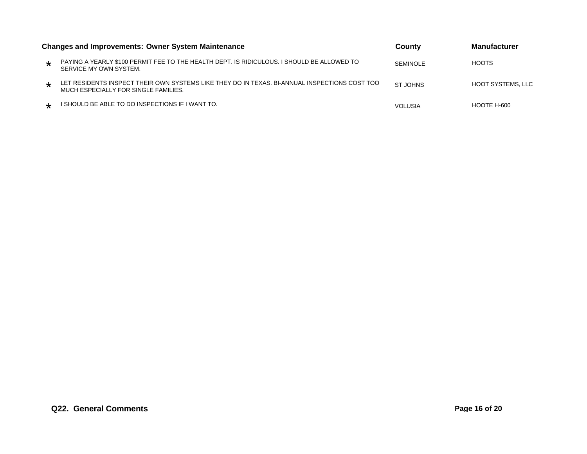|         | <b>Changes and Improvements: Owner System Maintenance</b>                                                                             | County          | <b>Manufacturer</b>      |
|---------|---------------------------------------------------------------------------------------------------------------------------------------|-----------------|--------------------------|
| $\star$ | PAYING A YEARLY \$100 PERMIT FEE TO THE HEALTH DEPT. IS RIDICULOUS. I SHOULD BE ALLOWED TO<br>SERVICE MY OWN SYSTEM.                  | <b>SEMINOLE</b> | HOOTS                    |
| $\star$ | LET RESIDENTS INSPECT THEIR OWN SYSTEMS LIKE THEY DO IN TEXAS. BI-ANNUAL INSPECTIONS COST TOO<br>MUCH ESPECIALLY FOR SINGLE FAMILIES. | ST JOHNS        | <b>HOOT SYSTEMS, LLC</b> |
|         | I SHOULD BE ABLE TO DO INSPECTIONS IF I WANT TO.                                                                                      | <b>VOLUSIA</b>  | HOOTE H-600              |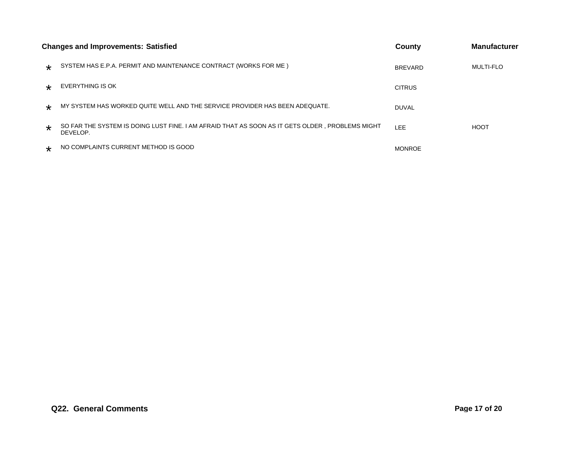|         | <b>Changes and Improvements: Satisfied</b>                                                                   | County         | <b>Manufacturer</b> |
|---------|--------------------------------------------------------------------------------------------------------------|----------------|---------------------|
| $\star$ | SYSTEM HAS E.P.A. PERMIT AND MAINTENANCE CONTRACT (WORKS FOR ME)                                             | <b>BREVARD</b> | <b>MULTI-FLO</b>    |
| $\star$ | EVERYTHING IS OK                                                                                             | <b>CITRUS</b>  |                     |
| $\star$ | MY SYSTEM HAS WORKED QUITE WELL AND THE SERVICE PROVIDER HAS BEEN ADEQUATE.                                  | <b>DUVAL</b>   |                     |
| $\star$ | SO FAR THE SYSTEM IS DOING LUST FINE. I AM AFRAID THAT AS SOON AS IT GETS OLDER , PROBLEMS MIGHT<br>DEVELOP. | LEE            | <b>HOOT</b>         |
| $\star$ | NO COMPLAINTS CURRENT METHOD IS GOOD                                                                         | <b>MONROE</b>  |                     |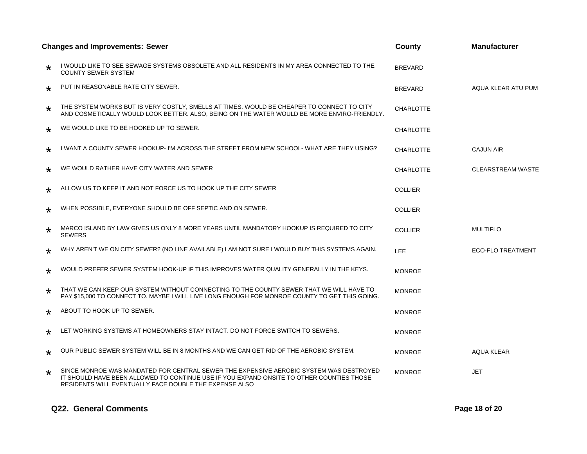|         | <b>Changes and Improvements: Sewer</b>                                                                                                                                                                                                       | County           | <b>Manufacturer</b>      |
|---------|----------------------------------------------------------------------------------------------------------------------------------------------------------------------------------------------------------------------------------------------|------------------|--------------------------|
| $\star$ | I WOULD LIKE TO SEE SEWAGE SYSTEMS OBSOLETE AND ALL RESIDENTS IN MY AREA CONNECTED TO THE<br><b>COUNTY SEWER SYSTEM</b>                                                                                                                      | <b>BREVARD</b>   |                          |
| $\star$ | PUT IN REASONABLE RATE CITY SEWER.                                                                                                                                                                                                           | <b>BREVARD</b>   | AQUA KLEAR ATU PUM       |
| $\star$ | THE SYSTEM WORKS BUT IS VERY COSTLY, SMELLS AT TIMES. WOULD BE CHEAPER TO CONNECT TO CITY<br>AND COSMETICALLY WOULD LOOK BETTER. ALSO, BEING ON THE WATER WOULD BE MORE ENVIRO-FRIENDLY.                                                     | <b>CHARLOTTE</b> |                          |
| $\star$ | WE WOULD LIKE TO BE HOOKED UP TO SEWER.                                                                                                                                                                                                      | <b>CHARLOTTE</b> |                          |
| $\star$ | I WANT A COUNTY SEWER HOOKUP- I'M ACROSS THE STREET FROM NEW SCHOOL- WHAT ARE THEY USING?                                                                                                                                                    | <b>CHARLOTTE</b> | <b>CAJUN AIR</b>         |
| $\star$ | WE WOULD RATHER HAVE CITY WATER AND SEWER                                                                                                                                                                                                    | <b>CHARLOTTE</b> | <b>CLEARSTREAM WASTE</b> |
| $\star$ | ALLOW US TO KEEP IT AND NOT FORCE US TO HOOK UP THE CITY SEWER                                                                                                                                                                               | <b>COLLIER</b>   |                          |
| $\star$ | WHEN POSSIBLE, EVERYONE SHOULD BE OFF SEPTIC AND ON SEWER.                                                                                                                                                                                   | <b>COLLIER</b>   |                          |
| $\star$ | MARCO ISLAND BY LAW GIVES US ONLY 8 MORE YEARS UNTIL MANDATORY HOOKUP IS REQUIRED TO CITY<br><b>SEWERS</b>                                                                                                                                   | <b>COLLIER</b>   | <b>MULTIFLO</b>          |
| $\star$ | WHY AREN'T WE ON CITY SEWER? (NO LINE AVAILABLE) I AM NOT SURE I WOULD BUY THIS SYSTEMS AGAIN.                                                                                                                                               | <b>LEE</b>       | <b>ECO-FLO TREATMENT</b> |
| $\star$ | WOULD PREFER SEWER SYSTEM HOOK-UP IF THIS IMPROVES WATER QUALITY GENERALLY IN THE KEYS.                                                                                                                                                      | <b>MONROE</b>    |                          |
| $\star$ | THAT WE CAN KEEP OUR SYSTEM WITHOUT CONNECTING TO THE COUNTY SEWER THAT WE WILL HAVE TO<br>PAY \$15,000 TO CONNECT TO. MAYBE I WILL LIVE LONG ENOUGH FOR MONROE COUNTY TO GET THIS GOING.                                                    | <b>MONROE</b>    |                          |
| $\star$ | ABOUT TO HOOK UP TO SEWER.                                                                                                                                                                                                                   | <b>MONROE</b>    |                          |
| $\star$ | LET WORKING SYSTEMS AT HOMEOWNERS STAY INTACT. DO NOT FORCE SWITCH TO SEWERS.                                                                                                                                                                | <b>MONROE</b>    |                          |
| $\star$ | OUR PUBLIC SEWER SYSTEM WILL BE IN 8 MONTHS AND WE CAN GET RID OF THE AEROBIC SYSTEM.                                                                                                                                                        | <b>MONROE</b>    | AQUA KLEAR               |
| $\star$ | SINCE MONROE WAS MANDATED FOR CENTRAL SEWER THE EXPENSIVE AEROBIC SYSTEM WAS DESTROYED<br>IT SHOULD HAVE BEEN ALLOWED TO CONTINUE USE IF YOU EXPAND ONSITE TO OTHER COUNTIES THOSE<br>RESIDENTS WILL EVENTUALLY FACE DOUBLE THE EXPENSE ALSO | <b>MONROE</b>    | <b>JET</b>               |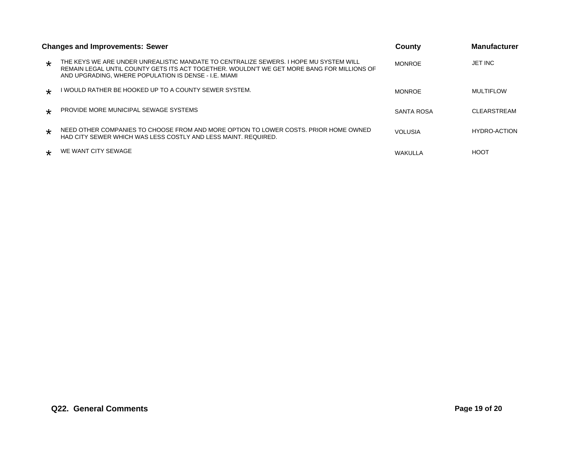|                      | Changes and Improvements: Sewer                                                                                                                                                                                                              | County         | <b>Manufacturer</b> |
|----------------------|----------------------------------------------------------------------------------------------------------------------------------------------------------------------------------------------------------------------------------------------|----------------|---------------------|
| $\star$              | THE KEYS WE ARE UNDER UNREALISTIC MANDATE TO CENTRALIZE SEWERS. I HOPE MU SYSTEM WILL<br>REMAIN LEGAL UNTIL COUNTY GETS ITS ACT TOGETHER. WOULDN'T WE GET MORE BANG FOR MILLIONS OF<br>AND UPGRADING. WHERE POPULATION IS DENSE - I.E. MIAMI | <b>MONROE</b>  | JET INC             |
| $\star$              | I WOULD RATHER BE HOOKED UP TO A COUNTY SEWER SYSTEM.                                                                                                                                                                                        | <b>MONROE</b>  | <b>MULTIFLOW</b>    |
| $\ddot{\phantom{1}}$ | PROVIDE MORE MUNICIPAL SEWAGE SYSTEMS                                                                                                                                                                                                        | SANTA ROSA     | CLEARSTREAM         |
| $\star$              | NEED OTHER COMPANIES TO CHOOSE FROM AND MORE OPTION TO LOWER COSTS. PRIOR HOME OWNED<br>HAD CITY SEWER WHICH WAS LESS COSTLY AND LESS MAINT. REQUIRED.                                                                                       | <b>VOLUSIA</b> | HYDRO-ACTION        |
| $\star$              | WE WANT CITY SEWAGE                                                                                                                                                                                                                          | WAKULLA        | HOOT                |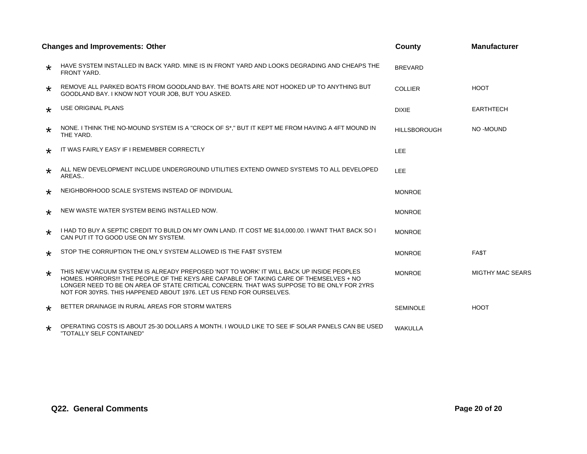|         | <b>Changes and Improvements: Other</b>                                                                                                                                                                                                                                                                                                                | County              | <b>Manufacturer</b>     |
|---------|-------------------------------------------------------------------------------------------------------------------------------------------------------------------------------------------------------------------------------------------------------------------------------------------------------------------------------------------------------|---------------------|-------------------------|
| ∗       | HAVE SYSTEM INSTALLED IN BACK YARD. MINE IS IN FRONT YARD AND LOOKS DEGRADING AND CHEAPS THE<br>FRONT YARD.                                                                                                                                                                                                                                           | <b>BREVARD</b>      |                         |
| $\star$ | REMOVE ALL PARKED BOATS FROM GOODLAND BAY. THE BOATS ARE NOT HOOKED UP TO ANYTHING BUT<br>GOODLAND BAY. I KNOW NOT YOUR JOB, BUT YOU ASKED.                                                                                                                                                                                                           | <b>COLLIER</b>      | <b>HOOT</b>             |
| $\star$ | USE ORIGINAL PLANS                                                                                                                                                                                                                                                                                                                                    | <b>DIXIE</b>        | <b>EARTHTECH</b>        |
| $\star$ | NONE. I THINK THE NO-MOUND SYSTEM IS A "CROCK OF S*," BUT IT KEPT ME FROM HAVING A 4FT MOUND IN<br>THE YARD.                                                                                                                                                                                                                                          | <b>HILLSBOROUGH</b> | NO-MOUND                |
| $\star$ | IT WAS FAIRLY EASY IF I REMEMBER CORRECTLY                                                                                                                                                                                                                                                                                                            | LEE                 |                         |
| $\star$ | ALL NEW DEVELOPMENT INCLUDE UNDERGROUND UTILITIES EXTEND OWNED SYSTEMS TO ALL DEVELOPED<br>AREAS                                                                                                                                                                                                                                                      | LEE                 |                         |
| $\star$ | NEIGHBORHOOD SCALE SYSTEMS INSTEAD OF INDIVIDUAL                                                                                                                                                                                                                                                                                                      | <b>MONROE</b>       |                         |
| $\star$ | NEW WASTE WATER SYSTEM BEING INSTALLED NOW.                                                                                                                                                                                                                                                                                                           | <b>MONROE</b>       |                         |
| $\star$ | I HAD TO BUY A SEPTIC CREDIT TO BUILD ON MY OWN LAND. IT COST ME \$14,000.00. I WANT THAT BACK SO I<br>CAN PUT IT TO GOOD USE ON MY SYSTEM.                                                                                                                                                                                                           | <b>MONROE</b>       |                         |
| $\star$ | STOP THE CORRUPTION THE ONLY SYSTEM ALLOWED IS THE FAST SYSTEM                                                                                                                                                                                                                                                                                        | <b>MONROE</b>       | FA\$T                   |
| $\star$ | THIS NEW VACUUM SYSTEM IS ALREADY PREPOSED 'NOT TO WORK' IT WILL BACK UP INSIDE PEOPLES<br>HOMES. HORRORS!!! THE PEOPLE OF THE KEYS ARE CAPABLE OF TAKING CARE OF THEMSELVES + NO<br>LONGER NEED TO BE ON AREA OF STATE CRITICAL CONCERN. THAT WAS SUPPOSE TO BE ONLY FOR 2YRS<br>NOT FOR 30YRS. THIS HAPPENED ABOUT 1976. LET US FEND FOR OURSELVES. | <b>MONROE</b>       | <b>MIGTHY MAC SEARS</b> |
| $\star$ | BETTER DRAINAGE IN RURAL AREAS FOR STORM WATERS                                                                                                                                                                                                                                                                                                       | <b>SEMINOLE</b>     | <b>HOOT</b>             |
| $\star$ | OPERATING COSTS IS ABOUT 25-30 DOLLARS A MONTH. I WOULD LIKE TO SEE IF SOLAR PANELS CAN BE USED<br>"TOTALLY SELF CONTAINED"                                                                                                                                                                                                                           | <b>WAKULLA</b>      |                         |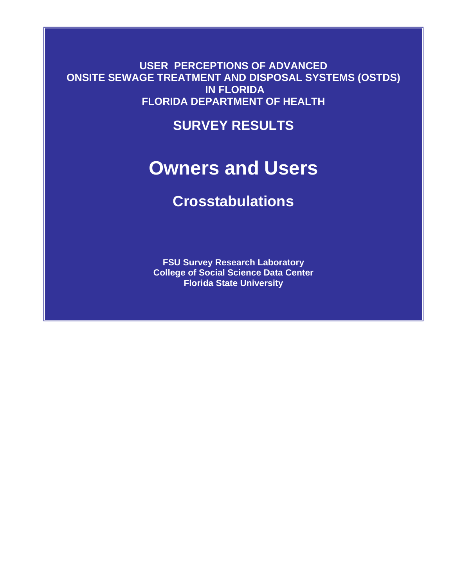**USER PERCEPTIONS OF ADVANCED ONSITE SEWAGE TREATMENT AND DISPOSAL SYSTEMS (OSTDS) IN FLORIDA FLORIDA DEPARTMENT OF HEALTH** 

**SURVEY RESULTS**

# **Owners and Users**

# **Crosstabulations**

**FSU Survey Research Laboratory College of Social Science Data Center Florida State University**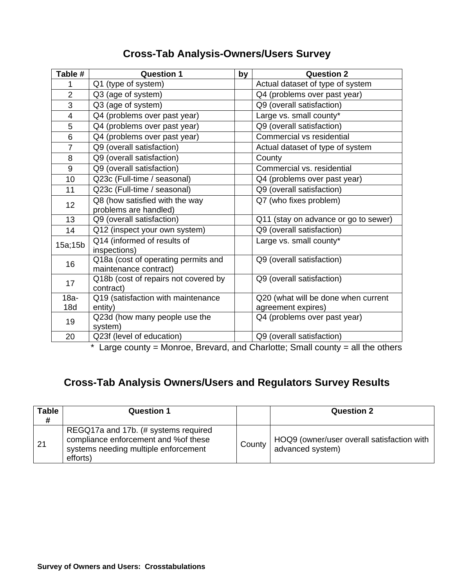### **Cross-Tab Analysis-Owners/Users Survey**

| Table #        | <b>Question 1</b>                    | by | <b>Question 2</b>                    |
|----------------|--------------------------------------|----|--------------------------------------|
| 1              | Q1 (type of system)                  |    | Actual dataset of type of system     |
| $\overline{2}$ | Q3 (age of system)                   |    | Q4 (problems over past year)         |
| $\overline{3}$ | Q3 (age of system)                   |    | Q9 (overall satisfaction)            |
| $\overline{4}$ | Q4 (problems over past year)         |    | Large vs. small county*              |
| 5              | Q4 (problems over past year)         |    | Q9 (overall satisfaction)            |
| 6              | Q4 (problems over past year)         |    | Commercial vs residential            |
| $\overline{7}$ | Q9 (overall satisfaction)            |    | Actual dataset of type of system     |
| 8              | Q9 (overall satisfaction)            |    | County                               |
| 9              | Q9 (overall satisfaction)            |    | Commercial vs. residential           |
| 10             | Q23c (Full-time / seasonal)          |    | Q4 (problems over past year)         |
| 11             | Q23c (Full-time / seasonal)          |    | Q9 (overall satisfaction)            |
| 12             | Q8 (how satisfied with the way       |    | Q7 (who fixes problem)               |
|                | problems are handled)                |    |                                      |
| 13             | Q9 (overall satisfaction)            |    | Q11 (stay on advance or go to sewer) |
| 14             | Q12 (inspect your own system)        |    | Q9 (overall satisfaction)            |
| 15a;15b        | Q14 (informed of results of          |    | Large vs. small county*              |
|                | inspections)                         |    |                                      |
| 16             | Q18a (cost of operating permits and  |    | Q9 (overall satisfaction)            |
|                | maintenance contract)                |    |                                      |
| 17             | Q18b (cost of repairs not covered by |    | Q9 (overall satisfaction)            |
|                | contract)                            |    |                                      |
| $18a -$        | Q19 (satisfaction with maintenance   |    | Q20 (what will be done when current  |
| 18d            | entity)                              |    | agreement expires)                   |
| 19             | Q23d (how many people use the        |    | Q4 (problems over past year)         |
|                | system)                              |    |                                      |
| 20             | Q23f (level of education)            |    | Q9 (overall satisfaction)            |

 $*$  Large county = Monroe, Brevard, and Charlotte; Small county = all the others

## **Cross-Tab Analysis Owners/Users and Regulators Survey Results**

| <b>Table</b><br># | <b>Question 1</b>                                                                                                                 |        | <b>Question 2</b>                                              |
|-------------------|-----------------------------------------------------------------------------------------------------------------------------------|--------|----------------------------------------------------------------|
| 21                | REGQ17a and 17b. (# systems required<br>compliance enforcement and % of these<br>systems needing multiple enforcement<br>efforts) | County | HOQ9 (owner/user overall satisfaction with<br>advanced system) |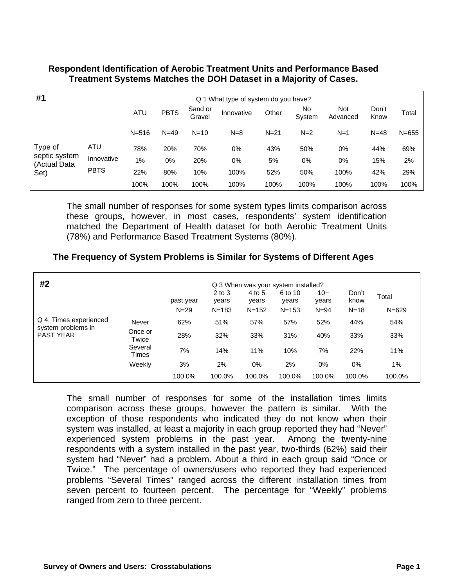#### **Respondent Identification of Aerobic Treatment Units and Performance Based Treatment Systems Matches the DOH Dataset in a Majority of Cases.**

| #1<br>What type of system do you have?<br>Q 1 |             |           |             |                   |            |          |               |                 |               |           |
|-----------------------------------------------|-------------|-----------|-------------|-------------------|------------|----------|---------------|-----------------|---------------|-----------|
|                                               |             | ATU       | <b>PBTS</b> | Sand or<br>Gravel | Innovative | Other    | No.<br>System | Not<br>Advanced | Don't<br>Know | Total     |
|                                               |             | $N = 516$ | $N = 49$    | $N=10$            | $N=8$      | $N = 21$ | $N=2$         | $N=1$           | $N = 48$      | $N = 655$ |
| Type of                                       | ATU         | 78%       | 20%         | 70%               | 0%         | 43%      | 50%           | 0%              | 44%           | 69%       |
| septic system<br>(Actual Data                 | Innovative  | $1\%$     | 0%          | 20%               | 0%         | 5%       | 0%            | $0\%$           | 15%           | 2%        |
| Set)                                          | <b>PBTS</b> | 22%       | 80%         | 10%               | 100%       | 52%      | 50%           | 100%            | 42%           | 29%       |
|                                               |             | 100%      | 100%        | 100%              | 100%       | 100%     | 100%          | 100%            | 100%          | 100%      |

The small number of responses for some system types limits comparison across these groups, however, in most cases, respondents' system identification matched the Department of Health dataset for both Aerobic Treatment Units (78%) and Performance Based Treatment Systems (80%).

#### **The Frequency of System Problems is Similar for Systems of Different Ages**

| #2<br>Q 3 When was your system installed? |                  |           |                     |                 |                  |                |               |           |
|-------------------------------------------|------------------|-----------|---------------------|-----------------|------------------|----------------|---------------|-----------|
|                                           |                  | past year | $2$ to $3$<br>years | 4 to 5<br>years | 6 to 10<br>years | $10+$<br>years | Don't<br>know | Total     |
|                                           |                  | $N=29$    | $N = 183$           | $N = 152$       | $N = 153$        | $N = 94$       | $N = 18$      | $N = 629$ |
| Q 4: Times experienced                    | Never            | 62%       | 51%                 | 57%             | 57%              | 52%            | 44%           | 54%       |
| system problems in<br><b>PAST YEAR</b>    | Once or<br>Twice | 28%       | 32%                 | 33%             | 31%              | 40%            | 33%           | 33%       |
|                                           | Several<br>Times | 7%        | 14%                 | 11%             | 10%              | 7%             | 22%           | 11%       |
|                                           | Weekly           | 3%        | 2%                  | $0\%$           | 2%               | 0%             | $0\%$         | 1%        |
|                                           |                  | 100.0%    | 100.0%              | 100.0%          | 100.0%           | 100.0%         | 100.0%        | 100.0%    |

The small number of responses for some of the installation times limits comparison across these groups, however the pattern is similar. With the exception of those respondents who indicated they do not know when their system was installed, at least a majority in each group reported they had "Never" experienced system problems in the past year. Among the twenty-nine respondents with a system installed in the past year, two-thirds (62%) said their system had "Never" had a problem. About a third in each group said "Once or Twice." The percentage of owners/users who reported they had experienced problems "Several Times" ranged across the different installation times from seven percent to fourteen percent. The percentage for "Weekly" problems ranged from zero to three percent.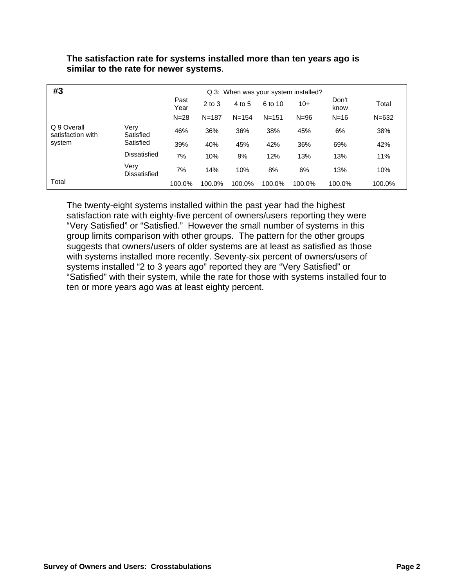| #3                               | Q 3: When was your system installed? |              |            |           |           |          |               |           |
|----------------------------------|--------------------------------------|--------------|------------|-----------|-----------|----------|---------------|-----------|
|                                  |                                      | Past<br>Year | $2$ to $3$ | 4 to 5    | 6 to 10   | $10+$    | Don't<br>know | Total     |
|                                  |                                      | $N = 28$     | $N = 187$  | $N = 154$ | $N = 151$ | $N = 96$ | $N = 16$      | $N = 632$ |
| Q 9 Overall<br>satisfaction with | Verv<br>Satisfied                    | 46%          | 36%        | 36%       | 38%       | 45%      | 6%            | 38%       |
| system                           | Satisfied<br>Dissatisfied            | 39%          | 40%        | 45%       | 42%       | 36%      | 69%           | 42%       |
|                                  |                                      | 7%           | 10%        | 9%        | 12%       | 13%      | 13%           | 11%       |
|                                  | Very<br><b>Dissatisfied</b>          | 7%           | 14%        | 10%       | 8%        | 6%       | 13%           | 10%       |
| Total                            |                                      | 100.0%       | 100.0%     | 100.0%    | 100.0%    | 100.0%   | 100.0%        | 100.0%    |

#### **The satisfaction rate for systems installed more than ten years ago is similar to the rate for newer systems**.

The twenty-eight systems installed within the past year had the highest satisfaction rate with eighty-five percent of owners/users reporting they were "Very Satisfied" or "Satisfied." However the small number of systems in this group limits comparison with other groups. The pattern for the other groups suggests that owners/users of older systems are at least as satisfied as those with systems installed more recently. Seventy-six percent of owners/users of systems installed "2 to 3 years ago" reported they are "Very Satisfied" or "Satisfied" with their system, while the rate for those with systems installed four to ten or more years ago was at least eighty percent.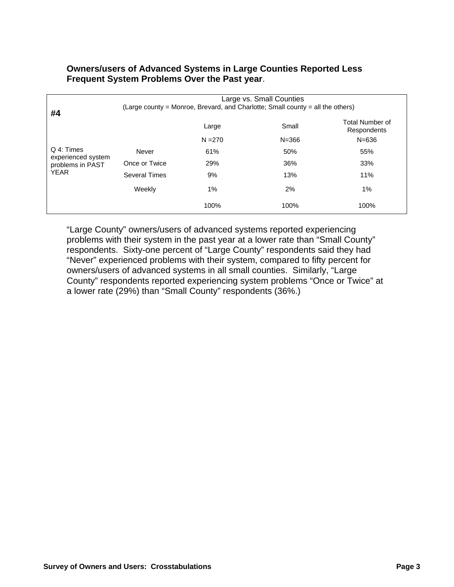#### **Owners/users of Advanced Systems in Large Counties Reported Less Frequent System Problems Over the Past year**.

| #4                               | Large vs. Small Counties<br>(Large county = Monroe, Brevard, and Charlotte; Small county = all the others) |           |           |                                |  |  |  |  |
|----------------------------------|------------------------------------------------------------------------------------------------------------|-----------|-----------|--------------------------------|--|--|--|--|
|                                  |                                                                                                            | Large     | Small     | Total Number of<br>Respondents |  |  |  |  |
|                                  |                                                                                                            | $N = 270$ | $N = 366$ | $N = 636$                      |  |  |  |  |
| Q 4: Times<br>experienced system | Never                                                                                                      | 61%       | 50%       | 55%                            |  |  |  |  |
| problems in PAST                 | Once or Twice                                                                                              | 29%       | 36%       | 33%                            |  |  |  |  |
| <b>YEAR</b>                      | <b>Several Times</b>                                                                                       | 9%        | 13%       | 11%                            |  |  |  |  |
|                                  | Weekly                                                                                                     | 1%        | 2%        | 1%                             |  |  |  |  |
|                                  |                                                                                                            | 100%      | 100%      | 100%                           |  |  |  |  |

"Large County" owners/users of advanced systems reported experiencing problems with their system in the past year at a lower rate than "Small County" respondents. Sixty-one percent of "Large County" respondents said they had "Never" experienced problems with their system, compared to fifty percent for owners/users of advanced systems in all small counties. Similarly, "Large County" respondents reported experiencing system problems "Once or Twice" at a lower rate (29%) than "Small County" respondents (36%.)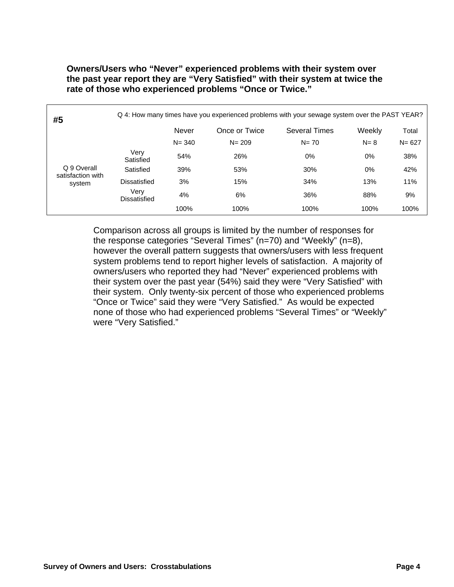**Owners/Users who "Never" experienced problems with their system over the past year report they are "Very Satisfied" with their system at twice the rate of those who experienced problems "Once or Twice."** 

| #5                               | Q 4: How many times have you experienced problems with your sewage system over the PAST YEAR? |                                                       |           |          |         |           |
|----------------------------------|-----------------------------------------------------------------------------------------------|-------------------------------------------------------|-----------|----------|---------|-----------|
|                                  |                                                                                               | <b>Never</b><br>Once or Twice<br><b>Several Times</b> |           |          | Weekly  | Total     |
|                                  |                                                                                               | $N = 340$                                             | $N = 209$ | $N = 70$ | $N = 8$ | $N = 627$ |
|                                  | Very<br>Satisfied                                                                             | 54%                                                   | 26%       | $0\%$    | $0\%$   | 38%       |
| Q 9 Overall<br>satisfaction with | Satisfied                                                                                     | 39%                                                   | 53%       | 30%      | $0\%$   | 42%       |
| system                           | Dissatisfied                                                                                  | 3%                                                    | 15%       | 34%      | 13%     | 11%       |
|                                  | Verv<br>Dissatisfied                                                                          | 4%                                                    | 6%        | 36%      | 88%     | 9%        |
|                                  |                                                                                               | 100%                                                  | 100%      | 100%     | 100%    | 100%      |

Comparison across all groups is limited by the number of responses for the response categories "Several Times" (n=70) and "Weekly" (n=8), however the overall pattern suggests that owners/users with less frequent system problems tend to report higher levels of satisfaction. A majority of owners/users who reported they had "Never" experienced problems with their system over the past year (54%) said they were "Very Satisfied" with their system. Only twenty-six percent of those who experienced problems "Once or Twice" said they were "Very Satisfied." As would be expected none of those who had experienced problems "Several Times" or "Weekly" were "Very Satisfied."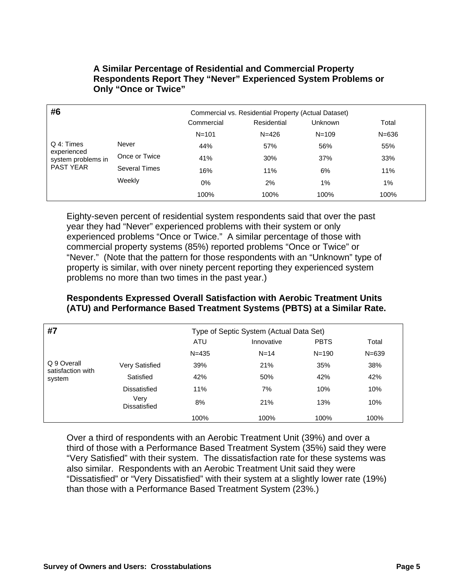| #6                                | Commercial vs. Residential Property (Actual Dataset) |            |             |                |           |  |
|-----------------------------------|------------------------------------------------------|------------|-------------|----------------|-----------|--|
|                                   |                                                      | Commercial | Residential | <b>Unknown</b> | Total     |  |
|                                   |                                                      | $N = 101$  | $N = 426$   | $N = 109$      | $N = 636$ |  |
| Q 4: Times                        | Never                                                | 44%        | 57%         | 56%            | 55%       |  |
| experienced<br>system problems in | Once or Twice                                        | 41%        | 30%         | 37%            | 33%       |  |
| <b>PAST YEAR</b>                  | <b>Several Times</b>                                 | 16%        | 11%         | 6%             | 11%       |  |
|                                   | Weekly                                               | $0\%$      | 2%          | 1%             | 1%        |  |
|                                   |                                                      | 100%       | 100%        | 100%           | 100%      |  |

**A Similar Percentage of Residential and Commercial Property Respondents Report They "Never" Experienced System Problems or Only "Once or Twice"** 

Eighty-seven percent of residential system respondents said that over the past year they had "Never" experienced problems with their system or only experienced problems "Once or Twice." A similar percentage of those with commercial property systems (85%) reported problems "Once or Twice" or "Never." (Note that the pattern for those respondents with an "Unknown" type of property is similar, with over ninety percent reporting they experienced system problems no more than two times in the past year.)

#### **Respondents Expressed Overall Satisfaction with Aerobic Treatment Units (ATU) and Performance Based Treatment Systems (PBTS) at a Similar Rate.**

| #7                               | Type of Septic System (Actual Data Set) |           |            |             |           |
|----------------------------------|-----------------------------------------|-----------|------------|-------------|-----------|
|                                  |                                         | ATU       | Innovative | <b>PBTS</b> | Total     |
|                                  |                                         | $N = 435$ | $N = 14$   | $N = 190$   | $N = 639$ |
| Q 9 Overall<br>satisfaction with | Very Satisfied                          | 39%       | 21%        | 35%         | 38%       |
| system                           | Satisfied                               | 42%       | 50%        | 42%         | 42%       |
|                                  | Dissatisfied                            | 11%       | 7%         | 10%         | 10%       |
|                                  | Verv<br>Dissatisfied                    | 8%        | 21%        | 13%         | 10%       |
|                                  |                                         | 100%      | 100%       | 100%        | 100%      |

Over a third of respondents with an Aerobic Treatment Unit (39%) and over a third of those with a Performance Based Treatment System (35%) said they were "Very Satisfied" with their system. The dissatisfaction rate for these systems was also similar. Respondents with an Aerobic Treatment Unit said they were "Dissatisfied" or "Very Dissatisfied" with their system at a slightly lower rate (19%) than those with a Performance Based Treatment System (23%.)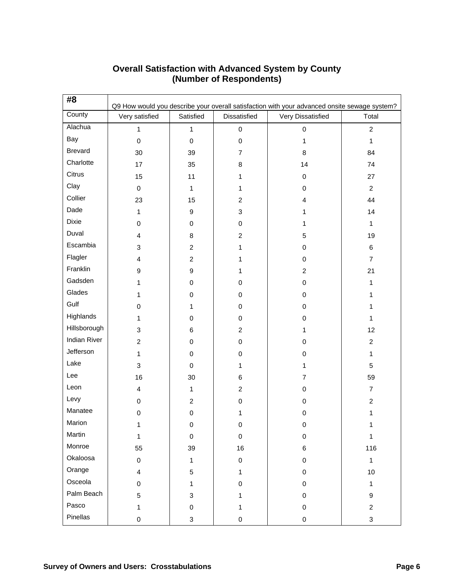| #8                  | Q9 How would you describe your overall satisfaction with your advanced onsite sewage system? |                |                |                   |                |  |  |
|---------------------|----------------------------------------------------------------------------------------------|----------------|----------------|-------------------|----------------|--|--|
| County              | Very satisfied                                                                               | Satisfied      | Dissatisfied   | Very Dissatisfied | Total          |  |  |
| Alachua             | 1                                                                                            | $\mathbf{1}$   | 0              | $\mathbf 0$       | $\overline{2}$ |  |  |
| Bay                 | $\pmb{0}$                                                                                    | $\mathbf 0$    | $\pmb{0}$      | $\mathbf{1}$      | $\mathbf{1}$   |  |  |
| <b>Brevard</b>      | 30                                                                                           | 39             | $\overline{7}$ | 8                 | 84             |  |  |
| Charlotte           | 17                                                                                           | 35             | 8              | 14                | 74             |  |  |
| Citrus              | 15                                                                                           | 11             | 1              | 0                 | 27             |  |  |
| Clay                | $\pmb{0}$                                                                                    | $\mathbf{1}$   | 1              | 0                 | $\overline{c}$ |  |  |
| Collier             | 23                                                                                           | 15             | $\overline{c}$ | 4                 | 44             |  |  |
| Dade                | 1                                                                                            | 9              | 3              | 1                 | 14             |  |  |
| Dixie               | $\pmb{0}$                                                                                    | 0              | 0              | 1                 | $\mathbf{1}$   |  |  |
| Duval               | 4                                                                                            | 8              | $\overline{c}$ | 5                 | 19             |  |  |
| Escambia            | $\ensuremath{\mathsf{3}}$                                                                    | $\overline{c}$ | 1              | 0                 | 6              |  |  |
| Flagler             | $\overline{4}$                                                                               | $\overline{c}$ | 1              | 0                 | $\overline{7}$ |  |  |
| Franklin            | $\boldsymbol{9}$                                                                             | 9              | 1              | $\overline{c}$    | 21             |  |  |
| Gadsden             | 1                                                                                            | 0              | 0              | 0                 | 1              |  |  |
| Glades              | 1                                                                                            | 0              | 0              | 0                 | 1              |  |  |
| Gulf                | $\mathbf 0$                                                                                  | 1              | 0              | 0                 | 1              |  |  |
| Highlands           | 1                                                                                            | 0              | 0              | 0                 | 1              |  |  |
| Hillsborough        | 3                                                                                            | 6              | $\overline{c}$ | 1                 | 12             |  |  |
| <b>Indian River</b> | $\overline{c}$                                                                               | 0              | 0              | 0                 | $\overline{c}$ |  |  |
| Jefferson           | 1                                                                                            | 0              | 0              | 0                 | 1              |  |  |
| Lake                | $\ensuremath{\mathsf{3}}$                                                                    | 0              | 1              | 1                 | 5              |  |  |
| Lee                 | 16                                                                                           | 30             | 6              | $\overline{7}$    | 59             |  |  |
| Leon                | $\overline{\mathbf{4}}$                                                                      | 1              | $\overline{c}$ | 0                 | $\overline{7}$ |  |  |
| Levy                | 0                                                                                            | $\overline{c}$ | 0              | 0                 | $\overline{c}$ |  |  |
| Manatee             | $\pmb{0}$                                                                                    | $\mathbf 0$    | 1              | 0                 | 1              |  |  |
| Marion              | 1                                                                                            | 0              | $\mathbf 0$    | 0                 |                |  |  |
| Martin              | $\mathbf{1}$                                                                                 | $\mathbf 0$    | $\mathbf 0$    | $\mathbf 0$       | $\mathbf{1}$   |  |  |
| Monroe              | 55                                                                                           | 39             | 16             | 6                 | 116            |  |  |
| Okaloosa            | $\pmb{0}$                                                                                    | 1              | $\pmb{0}$      | 0                 | $\mathbf{1}$   |  |  |
| Orange              | $\overline{4}$                                                                               | 5              | $\mathbf{1}$   | $\boldsymbol{0}$  | 10             |  |  |
| Osceola             | 0                                                                                            | 1              | 0              | 0                 | 1              |  |  |
| Palm Beach          | 5                                                                                            | 3              | 1              | 0                 | 9              |  |  |
| Pasco               | 1                                                                                            | 0              | 1              | $\boldsymbol{0}$  | $\overline{c}$ |  |  |
| Pinellas            | $\pmb{0}$                                                                                    | 3              | 0              | $\mathbf 0$       | 3              |  |  |

#### **Overall Satisfaction with Advanced System by County (Number of Respondents)**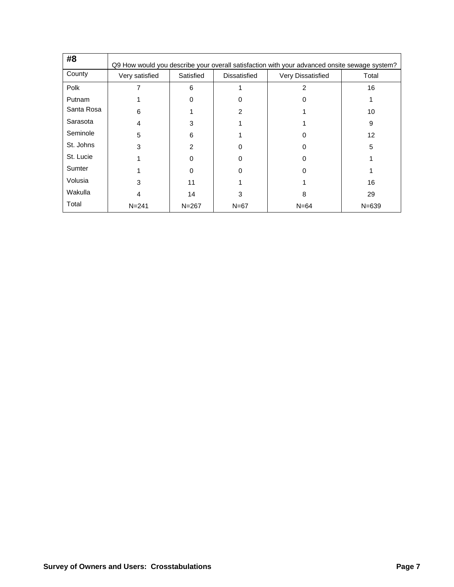| #8            | Q9 How would you describe your overall satisfaction with your advanced onsite sewage system? |           |                     |                   |           |  |  |
|---------------|----------------------------------------------------------------------------------------------|-----------|---------------------|-------------------|-----------|--|--|
| County        | Very satisfied                                                                               | Satisfied | <b>Dissatisfied</b> | Very Dissatisfied | Total     |  |  |
| Polk          |                                                                                              | 6         |                     | 2                 | 16        |  |  |
| <b>Putnam</b> |                                                                                              | 0         | 0                   | 0                 |           |  |  |
| Santa Rosa    | 6                                                                                            |           | 2                   |                   | 10        |  |  |
| Sarasota      | 4                                                                                            | 3         |                     |                   | 9         |  |  |
| Seminole      | 5                                                                                            | 6         |                     | ი                 | 12        |  |  |
| St. Johns     | 3                                                                                            | 2         | 0                   | 0                 | 5         |  |  |
| St. Lucie     |                                                                                              | 0         | 0                   | 0                 |           |  |  |
| Sumter        |                                                                                              | 0         | ი                   | 0                 |           |  |  |
| Volusia       | 3                                                                                            | 11        |                     |                   | 16        |  |  |
| Wakulla       | 4                                                                                            | 14        | 3                   | 8                 | 29        |  |  |
| Total         | $N = 241$                                                                                    | $N = 267$ | $N=67$              | $N = 64$          | $N = 639$ |  |  |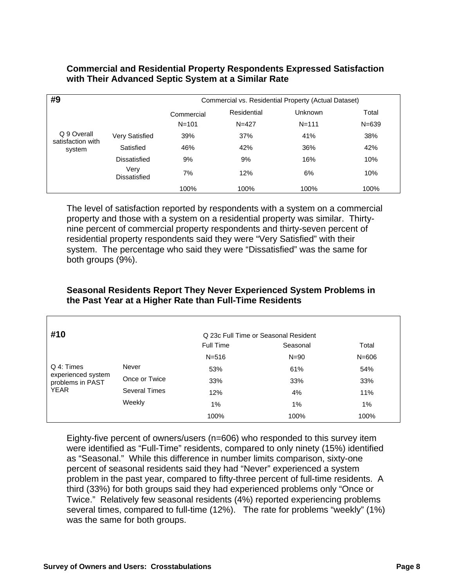#### **Commercial and Residential Property Respondents Expressed Satisfaction with Their Advanced Septic System at a Similar Rate**

| #9                               |                       | Commercial vs. Residential Property (Actual Dataset) |             |                |           |  |
|----------------------------------|-----------------------|------------------------------------------------------|-------------|----------------|-----------|--|
|                                  |                       |                                                      | Residential | <b>Unknown</b> | Total     |  |
|                                  |                       | $N = 101$                                            | $N = 427$   | $N = 111$      | $N = 639$ |  |
| Q 9 Overall<br>satisfaction with | <b>Very Satisfied</b> | 39%                                                  | 37%         | 41%            | 38%       |  |
| system                           | Satisfied             | 46%                                                  | 42%         | 36%            | 42%       |  |
|                                  | Dissatisfied          | 9%                                                   | 9%          | 16%            | 10%       |  |
|                                  | Very<br>Dissatisfied  | 7%                                                   | 12%         | 6%             | 10%       |  |
|                                  |                       | 100%                                                 | 100%        | 100%           | 100%      |  |

The level of satisfaction reported by respondents with a system on a commercial property and those with a system on a residential property was similar. Thirtynine percent of commercial property respondents and thirty-seven percent of residential property respondents said they were "Very Satisfied" with their system. The percentage who said they were "Dissatisfied" was the same for both groups (9%).

| #10                                    |               | Q 23c Full Time or Seasonal Resident |          |           |  |  |
|----------------------------------------|---------------|--------------------------------------|----------|-----------|--|--|
|                                        |               | <b>Full Time</b>                     | Seasonal | Total     |  |  |
|                                        |               | $N = 516$                            | $N = 90$ | $N = 606$ |  |  |
| Q 4: Times                             | Never         | 53%                                  | 61%      | 54%       |  |  |
| experienced system<br>problems in PAST | Once or Twice | 33%                                  | 33%      | 33%       |  |  |
| <b>YEAR</b>                            | Several Times | 12%                                  | 4%       | 11%       |  |  |
|                                        | Weekly        | 1%                                   | 1%       | 1%        |  |  |
|                                        |               | 100%                                 | 100%     | 100%      |  |  |

#### **Seasonal Residents Report They Never Experienced System Problems in the Past Year at a Higher Rate than Full-Time Residents**

Eighty-five percent of owners/users (n=606) who responded to this survey item were identified as "Full-Time" residents, compared to only ninety (15%) identified as "Seasonal." While this difference in number limits comparison, sixty-one percent of seasonal residents said they had "Never" experienced a system problem in the past year, compared to fifty-three percent of full-time residents. A third (33%) for both groups said they had experienced problems only "Once or Twice." Relatively few seasonal residents (4%) reported experiencing problems several times, compared to full-time (12%). The rate for problems "weekly" (1%) was the same for both groups.

Г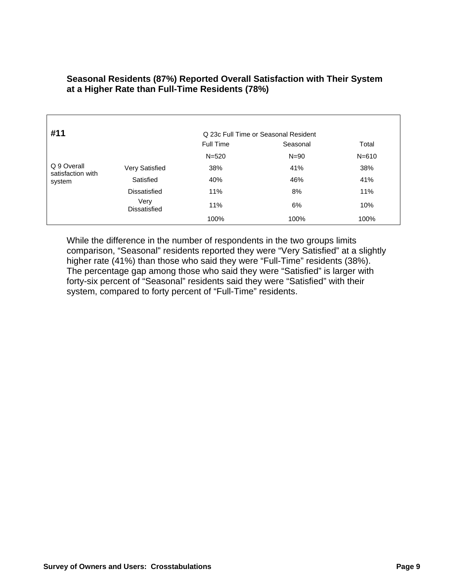| #11                              |                             | Q 23c Full Time or Seasonal Resident |          |           |  |  |
|----------------------------------|-----------------------------|--------------------------------------|----------|-----------|--|--|
|                                  |                             | <b>Full Time</b>                     | Seasonal | Total     |  |  |
|                                  |                             | $N = 520$                            | $N = 90$ | $N = 610$ |  |  |
| Q 9 Overall<br>satisfaction with | Very Satisfied              | 38%                                  | 41%      | 38%       |  |  |
| system                           | Satisfied                   | 40%                                  | 46%      | 41%       |  |  |
|                                  | Dissatisfied                | 11%                                  | 8%       | 11%       |  |  |
|                                  | Very<br><b>Dissatisfied</b> | 11%                                  | 6%       | 10%       |  |  |
|                                  |                             | 100%                                 | 100%     | 100%      |  |  |

#### **Seasonal Residents (87%) Reported Overall Satisfaction with Their System at a Higher Rate than Full-Time Residents (78%)**

While the difference in the number of respondents in the two groups limits comparison, "Seasonal" residents reported they were "Very Satisfied" at a slightly higher rate (41%) than those who said they were "Full-Time" residents (38%). The percentage gap among those who said they were "Satisfied" is larger with forty-six percent of "Seasonal" residents said they were "Satisfied" with their system, compared to forty percent of "Full-Time" residents.

Г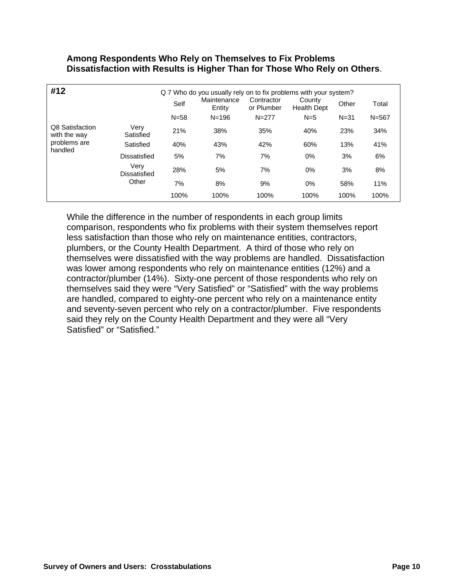#### **Among Respondents Who Rely on Themselves to Fix Problems Dissatisfaction with Results is Higher Than for Those Who Rely on Others**.

| #12                             |                      | Q 7 Who do you usually rely on to fix problems with your system? |                       |                          |                              |          |           |  |
|---------------------------------|----------------------|------------------------------------------------------------------|-----------------------|--------------------------|------------------------------|----------|-----------|--|
|                                 |                      | Self                                                             | Maintenance<br>Entity | Contractor<br>or Plumber | County<br><b>Health Dept</b> | Other    | Total     |  |
|                                 |                      | $N = 58$                                                         | $N = 196$             | $N = 277$                | $N=5$                        | $N = 31$ | $N = 567$ |  |
| Q8 Satisfaction<br>with the way | Very<br>Satisfied    | 21%                                                              | 38%                   | 35%                      | 40%                          | 23%      | 34%       |  |
| problems are<br>handled         | Satisfied            | 40%                                                              | 43%                   | 42%                      | 60%                          | 13%      | 41%       |  |
|                                 | Dissatisfied         | 5%                                                               | 7%                    | 7%                       | $0\%$                        | 3%       | 6%        |  |
|                                 | Very<br>Dissatisfied | 28%                                                              | 5%                    | 7%                       | $0\%$                        | 3%       | 8%        |  |
|                                 | Other                | 7%                                                               | 8%                    | 9%                       | 0%                           | 58%      | 11%       |  |
|                                 |                      | 100%                                                             | 100%                  | 100%                     | 100%                         | 100%     | 100%      |  |

While the difference in the number of respondents in each group limits comparison, respondents who fix problems with their system themselves report less satisfaction than those who rely on maintenance entities, contractors, plumbers, or the County Health Department. A third of those who rely on themselves were dissatisfied with the way problems are handled. Dissatisfaction was lower among respondents who rely on maintenance entities (12%) and a contractor/plumber (14%). Sixty-one percent of those respondents who rely on themselves said they were "Very Satisfied" or "Satisfied" with the way problems are handled, compared to eighty-one percent who rely on a maintenance entity and seventy-seven percent who rely on a contractor/plumber. Five respondents said they rely on the County Health Department and they were all "Very Satisfied" or "Satisfied."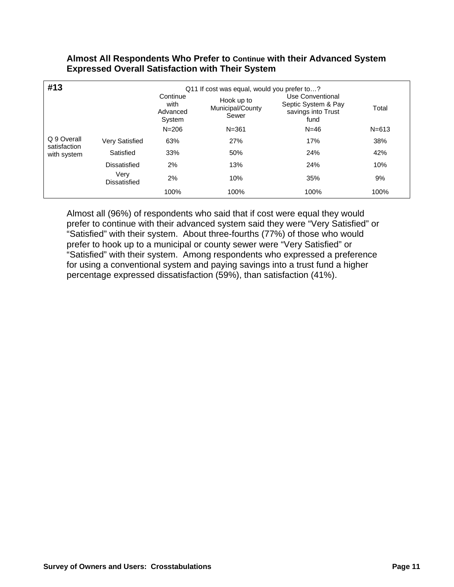#### **Almost All Respondents Who Prefer to Continue with their Advanced System Expressed Overall Satisfaction with Their System**

| #13                         | Q11 If cost was equal, would you prefer to? |                                        |                                         |                                                                       |           |  |
|-----------------------------|---------------------------------------------|----------------------------------------|-----------------------------------------|-----------------------------------------------------------------------|-----------|--|
|                             |                                             | Continue<br>with<br>Advanced<br>System | Hook up to<br>Municipal/County<br>Sewer | Use Conventional<br>Septic System & Pay<br>savings into Trust<br>fund | Total     |  |
|                             |                                             | $N = 206$                              | $N = 361$                               | $N = 46$                                                              | $N = 613$ |  |
| Q 9 Overall<br>satisfaction | <b>Very Satisfied</b>                       | 63%                                    | 27%                                     | 17%                                                                   | 38%       |  |
| with system                 | Satisfied                                   | 33%                                    | 50%                                     | 24%                                                                   | 42%       |  |
|                             | <b>Dissatisfied</b>                         | 2%                                     | 13%                                     | 24%                                                                   | 10%       |  |
|                             | Very<br>Dissatisfied                        | 2%                                     | 10%                                     | 35%                                                                   | 9%        |  |
|                             |                                             | 100%                                   | 100%                                    | 100%                                                                  | 100%      |  |

Almost all (96%) of respondents who said that if cost were equal they would prefer to continue with their advanced system said they were "Very Satisfied" or "Satisfied" with their system. About three-fourths (77%) of those who would prefer to hook up to a municipal or county sewer were "Very Satisfied" or "Satisfied" with their system. Among respondents who expressed a preference for using a conventional system and paying savings into a trust fund a higher percentage expressed dissatisfaction (59%), than satisfaction (41%).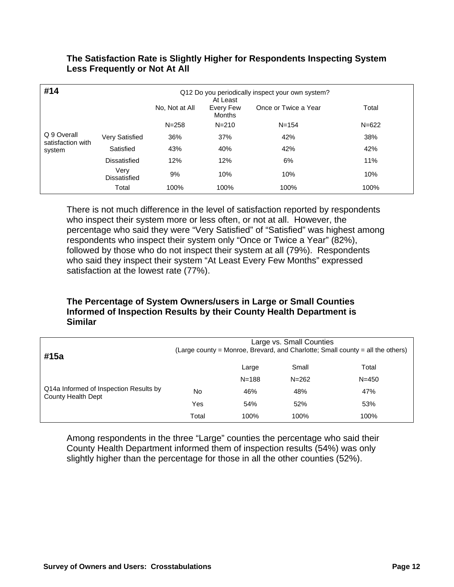| #14<br>Q12 Do you periodically inspect your own system?<br>At Least |                       |                |                            |                      |           |
|---------------------------------------------------------------------|-----------------------|----------------|----------------------------|----------------------|-----------|
|                                                                     |                       | No, Not at All | Every Few<br><b>Months</b> | Once or Twice a Year | Total     |
|                                                                     |                       | $N = 258$      | $N = 210$                  | $N = 154$            | $N = 622$ |
| Q 9 Overall<br>satisfaction with                                    | <b>Very Satisfied</b> | 36%            | 37%                        | 42%                  | 38%       |
| system                                                              | Satisfied             | 43%            | 40%                        | 42%                  | 42%       |
|                                                                     | Dissatisfied          | 12%            | 12%                        | 6%                   | 11%       |
|                                                                     | Very<br>Dissatisfied  | 9%             | 10%                        | 10%                  | 10%       |
|                                                                     | Total                 | 100%           | 100%                       | 100%                 | 100%      |

#### **The Satisfaction Rate is Slightly Higher for Respondents Inspecting System Less Frequently or Not At All**

There is not much difference in the level of satisfaction reported by respondents who inspect their system more or less often, or not at all. However, the percentage who said they were "Very Satisfied" of "Satisfied" was highest among respondents who inspect their system only "Once or Twice a Year" (82%), followed by those who do not inspect their system at all (79%). Respondents who said they inspect their system "At Least Every Few Months" expressed satisfaction at the lowest rate (77%).

#### **The Percentage of System Owners/users in Large or Small Counties Informed of Inspection Results by their County Health Department is Similar**

| #15a                                                         | Large vs. Small Counties<br>(Large county = Monroe, Brevard, and Charlotte; Small county = all the others) |           |           |           |  |
|--------------------------------------------------------------|------------------------------------------------------------------------------------------------------------|-----------|-----------|-----------|--|
|                                                              |                                                                                                            | Large     | Small     | Total     |  |
|                                                              |                                                                                                            | $N = 188$ | $N = 262$ | $N = 450$ |  |
| Q14a Informed of Inspection Results by<br>County Health Dept | No                                                                                                         | 46%       | 48%       | 47%       |  |
|                                                              | Yes                                                                                                        | 54%       | 52%       | 53%       |  |
|                                                              | Total                                                                                                      | 100%      | 100%      | 100%      |  |

Among respondents in the three "Large" counties the percentage who said their County Health Department informed them of inspection results (54%) was only slightly higher than the percentage for those in all the other counties (52%).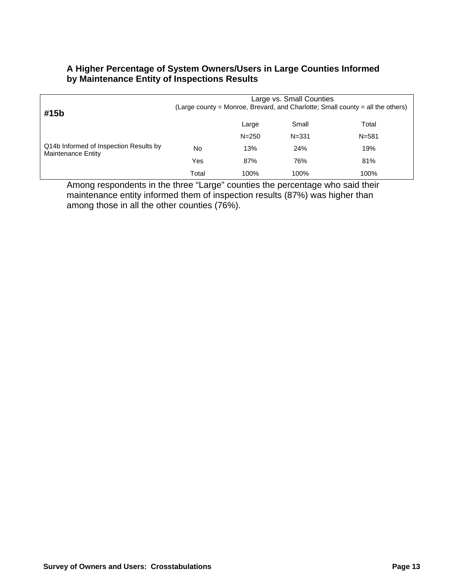#### **A Higher Percentage of System Owners/Users in Large Counties Informed by Maintenance Entity of Inspections Results**

| #15b                                                         | Large vs. Small Counties<br>(Large county = Monroe, Brevard, and Charlotte; Small county = all the others) |           |           |           |  |  |
|--------------------------------------------------------------|------------------------------------------------------------------------------------------------------------|-----------|-----------|-----------|--|--|
|                                                              |                                                                                                            | Large     | Small     | Total     |  |  |
|                                                              |                                                                                                            | $N = 250$ | $N = 331$ | $N = 581$ |  |  |
| Q14b Informed of Inspection Results by<br>Maintenance Entity | No                                                                                                         | 13%       | 24%       | 19%       |  |  |
|                                                              | Yes                                                                                                        | 87%       | 76%       | 81%       |  |  |
|                                                              | Total                                                                                                      | 100%      | 100%      | 100%      |  |  |

Among respondents in the three "Large" counties the percentage who said their maintenance entity informed them of inspection results (87%) was higher than among those in all the other counties (76%).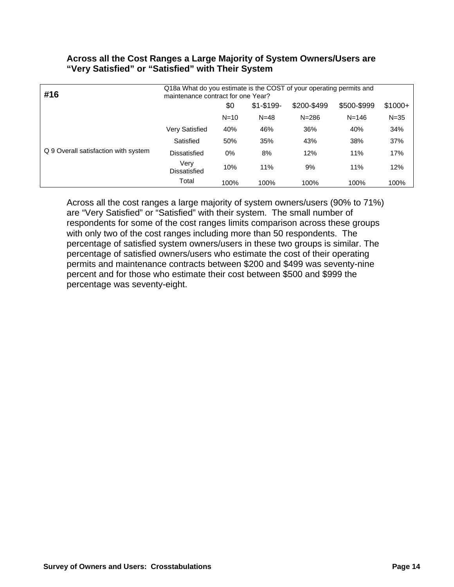| #16                                  | Q18a What do you estimate is the COST of your operating permits and<br>maintenance contract for one Year? |        |               |             |             |          |
|--------------------------------------|-----------------------------------------------------------------------------------------------------------|--------|---------------|-------------|-------------|----------|
|                                      |                                                                                                           | \$0    | $$1 - $199 -$ | \$200-\$499 | \$500-\$999 | $$1000+$ |
|                                      |                                                                                                           | $N=10$ | $N = 48$      | $N = 286$   | $N = 146$   | $N = 35$ |
| Q 9 Overall satisfaction with system | Very Satisfied                                                                                            | 40%    | 46%           | 36%         | 40%         | 34%      |
|                                      | Satisfied                                                                                                 | 50%    | 35%           | 43%         | 38%         | 37%      |
|                                      | Dissatisfied                                                                                              | 0%     | 8%            | 12%         | 11%         | 17%      |
|                                      | Very<br>Dissatisfied                                                                                      | 10%    | 11%           | 9%          | 11%         | 12%      |
|                                      | Total                                                                                                     | 100%   | 100%          | 100%        | 100%        | 100%     |

#### **Across all the Cost Ranges a Large Majority of System Owners/Users are "Very Satisfied" or "Satisfied" with Their System**

Across all the cost ranges a large majority of system owners/users (90% to 71%) are "Very Satisfied" or "Satisfied" with their system. The small number of respondents for some of the cost ranges limits comparison across these groups with only two of the cost ranges including more than 50 respondents. The percentage of satisfied system owners/users in these two groups is similar. The percentage of satisfied owners/users who estimate the cost of their operating permits and maintenance contracts between \$200 and \$499 was seventy-nine percent and for those who estimate their cost between \$500 and \$999 the percentage was seventy-eight.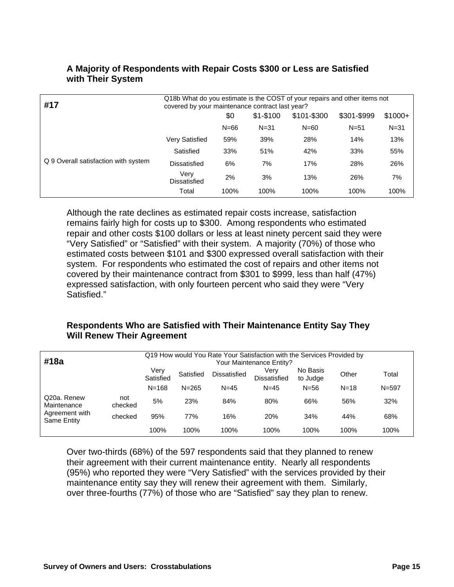| #17                                  | Q18b What do you estimate is the COST of your repairs and other items not<br>covered by your maintenance contract last year? |        |             |             |             |          |
|--------------------------------------|------------------------------------------------------------------------------------------------------------------------------|--------|-------------|-------------|-------------|----------|
|                                      |                                                                                                                              | \$0    | $$1 - $100$ | \$101-\$300 | \$301-\$999 | $$1000+$ |
|                                      |                                                                                                                              | $N=66$ | $N = 31$    | $N = 60$    | $N = 51$    | $N = 31$ |
| Q 9 Overall satisfaction with system | Very Satisfied                                                                                                               | 59%    | 39%         | 28%         | 14%         | 13%      |
|                                      | Satisfied                                                                                                                    | 33%    | 51%         | 42%         | 33%         | 55%      |
|                                      | Dissatisfied                                                                                                                 | 6%     | 7%          | 17%         | 28%         | 26%      |
|                                      | Verv<br>Dissatisfied                                                                                                         | 2%     | 3%          | 13%         | 26%         | 7%       |
|                                      | Total                                                                                                                        | 100%   | 100%        | 100%        | 100%        | 100%     |

#### **A Majority of Respondents with Repair Costs \$300 or Less are Satisfied with Their System**

Although the rate declines as estimated repair costs increase, satisfaction remains fairly high for costs up to \$300. Among respondents who estimated repair and other costs \$100 dollars or less at least ninety percent said they were "Very Satisfied" or "Satisfied" with their system. A majority (70%) of those who estimated costs between \$101 and \$300 expressed overall satisfaction with their system. For respondents who estimated the cost of repairs and other items not covered by their maintenance contract from \$301 to \$999, less than half (47%) expressed satisfaction, with only fourteen percent who said they were "Very Satisfied."

#### **Respondents Who are Satisfied with Their Maintenance Entity Say They Will Renew Their Agreement**

| #18a                                                               |                | Q19 How would You Rate Your Satisfaction with the Services Provided by<br>Your Maintenance Entity? |           |              |                             |                      |          |           |
|--------------------------------------------------------------------|----------------|----------------------------------------------------------------------------------------------------|-----------|--------------|-----------------------------|----------------------|----------|-----------|
|                                                                    |                | Verv<br>Satisfied                                                                                  | Satisfied | Dissatisfied | Verv<br><b>Dissatisfied</b> | No Basis<br>to Judge | Other    | Total     |
|                                                                    |                | $N = 168$                                                                                          | $N = 265$ | $N = 45$     | $N = 45$                    | $N = 56$             | $N = 18$ | $N = 597$ |
| Q20a. Renew<br>Maintenance<br>Agreement with<br><b>Same Entity</b> | not<br>checked | 5%                                                                                                 | 23%       | 84%          | 80%                         | 66%                  | 56%      | 32%       |
|                                                                    | checked        | 95%                                                                                                | 77%       | 16%          | 20%                         | 34%                  | 44%      | 68%       |
|                                                                    |                | 100%                                                                                               | 100%      | 100%         | 100%                        | 100%                 | 100%     | 100%      |

Over two-thirds (68%) of the 597 respondents said that they planned to renew their agreement with their current maintenance entity. Nearly all respondents (95%) who reported they were "Very Satisfied" with the services provided by their maintenance entity say they will renew their agreement with them. Similarly, over three-fourths (77%) of those who are "Satisfied" say they plan to renew.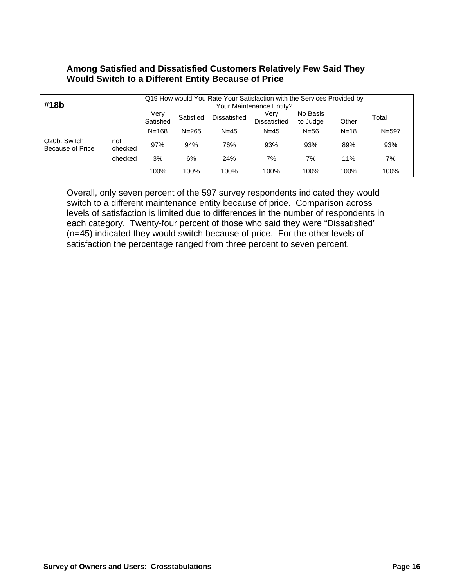### **Among Satisfied and Dissatisfied Customers Relatively Few Said They Would Switch to a Different Entity Because of Price**

| #18b                                    |                | Q19 How would You Rate Your Satisfaction with the Services Provided by<br>Your Maintenance Entity? |           |              |                             |                      |          |           |  |
|-----------------------------------------|----------------|----------------------------------------------------------------------------------------------------|-----------|--------------|-----------------------------|----------------------|----------|-----------|--|
|                                         |                | Verv<br>Satisfied                                                                                  | Satisfied | Dissatisfied | Verv<br><b>Dissatisfied</b> | No Basis<br>to Judge | Other    | Total     |  |
|                                         |                | $N = 168$                                                                                          | $N = 265$ | $N = 45$     | $N = 45$                    | $N = 56$             | $N = 18$ | $N = 597$ |  |
| Q20b. Switch<br><b>Because of Price</b> | not<br>checked | 97%                                                                                                | 94%       | 76%          | 93%                         | 93%                  | 89%      | 93%       |  |
|                                         | checked        | 3%                                                                                                 | 6%        | 24%          | 7%                          | 7%                   | 11%      | 7%        |  |
|                                         |                | 100%                                                                                               | 100%      | 100%         | 100%                        | 100%                 | 100%     | 100%      |  |

Overall, only seven percent of the 597 survey respondents indicated they would switch to a different maintenance entity because of price. Comparison across levels of satisfaction is limited due to differences in the number of respondents in each category. Twenty-four percent of those who said they were "Dissatisfied" (n=45) indicated they would switch because of price. For the other levels of satisfaction the percentage ranged from three percent to seven percent.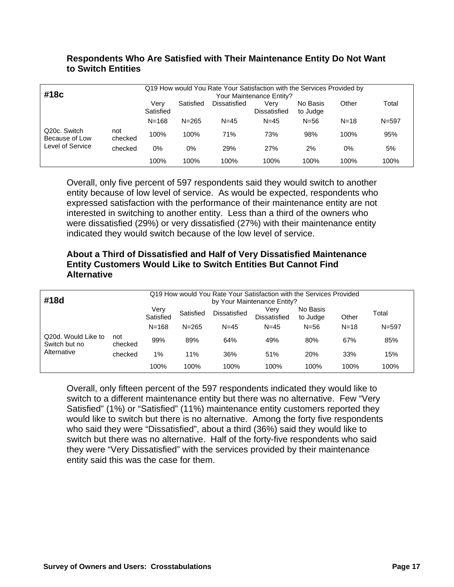#### **Respondents Who Are Satisfied with Their Maintenance Entity Do Not Want to Switch Entities**

| #18c                                                            |                | Q19 How would You Rate Your Satisfaction with the Services Provided by<br>Your Maintenance Entity? |           |              |                      |                      |          |           |  |  |
|-----------------------------------------------------------------|----------------|----------------------------------------------------------------------------------------------------|-----------|--------------|----------------------|----------------------|----------|-----------|--|--|
|                                                                 |                | Verv<br>Satisfied                                                                                  | Satisfied | Dissatisfied | Verv<br>Dissatisfied | No Basis<br>to Judge | Other    | Total     |  |  |
|                                                                 |                | $N = 168$                                                                                          | $N = 265$ | $N = 45$     | $N = 45$             | $N = 56$             | $N = 18$ | $N = 597$ |  |  |
| Q <sub>20</sub> c. Switch<br>Because of Low<br>Level of Service | not<br>checked | 100%                                                                                               | 100%      | 71%          | 73%                  | 98%                  | 100%     | 95%       |  |  |
|                                                                 | checked        | 0%                                                                                                 | 0%        | 29%          | 27%                  | 2%                   | 0%       | 5%        |  |  |
|                                                                 |                | 100%                                                                                               | 100%      | 100%         | 100%                 | 100%                 | 100%     | 100%      |  |  |

Overall, only five percent of 597 respondents said they would switch to another entity because of low level of service. As would be expected, respondents who expressed satisfaction with the performance of their maintenance entity are not interested in switching to another entity. Less than a third of the owners who were dissatisfied (29%) or very dissatisfied (27%) with their maintenance entity indicated they would switch because of the low level of service.

## **About a Third of Dissatisfied and Half of Very Dissatisfied Maintenance Entity Customers Would Like to Switch Entities But Cannot Find Alternative**

| #18d                                                |                   | Q19 How would You Rate Your Satisfaction with the Services Provided<br>by Your Maintenance Entity? |           |                             |                               |          |          |           |
|-----------------------------------------------------|-------------------|----------------------------------------------------------------------------------------------------|-----------|-----------------------------|-------------------------------|----------|----------|-----------|
|                                                     | Very<br>Satisfied | Satisfied<br>Dissatisfied                                                                          |           | Verv<br><b>Dissatisfied</b> | No Basis<br>to Judge<br>Other |          | Total    |           |
|                                                     |                   | $N = 168$                                                                                          | $N = 265$ | $N = 45$                    | $N = 45$                      | $N = 56$ | $N = 18$ | $N = 597$ |
| Q20d. Would Like to<br>Switch but no<br>Alternative | not<br>checked    | 99%                                                                                                | 89%       | 64%                         | 49%                           | 80%      | 67%      | 85%       |
|                                                     | checked           | 1%                                                                                                 | 11%       | 36%                         | 51%                           | 20%      | 33%      | 15%       |
|                                                     |                   | 100%                                                                                               | 100%      | 100%                        | 100%                          | 100%     | 100%     | 100%      |

Overall, only fifteen percent of the 597 respondents indicated they would like to switch to a different maintenance entity but there was no alternative. Few "Very Satisfied" (1%) or "Satisfied" (11%) maintenance entity customers reported they would like to switch but there is no alternative. Among the forty five respondents who said they were "Dissatisfied", about a third (36%) said they would like to switch but there was no alternative. Half of the forty-five respondents who said they were "Very Dissatisfied" with the services provided by their maintenance entity said this was the case for them.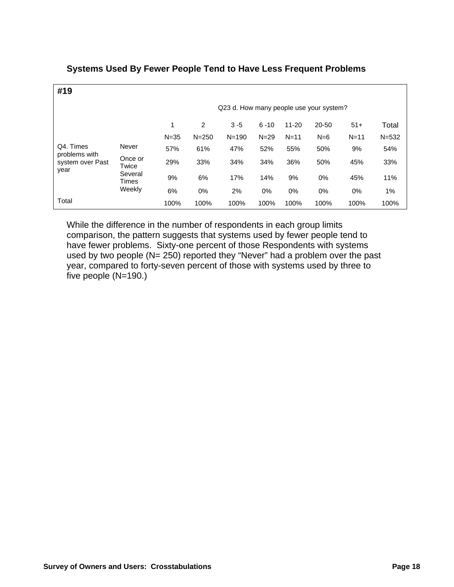| #19                        |                                                         |                                         |           |           |          |           |       |          |           |  |
|----------------------------|---------------------------------------------------------|-----------------------------------------|-----------|-----------|----------|-----------|-------|----------|-----------|--|
|                            |                                                         | Q23 d. How many people use your system? |           |           |          |           |       |          |           |  |
|                            |                                                         | 1                                       | 2         | $3 - 5$   | $6 - 10$ | $11 - 20$ | 20-50 | $51+$    | Total     |  |
|                            |                                                         | $N = 35$                                | $N = 250$ | $N = 190$ | $N = 29$ | $N = 11$  | $N=6$ | $N = 11$ | $N = 532$ |  |
| Q4. Times<br>problems with | Never<br>Once or<br>Twice<br>Several<br>Times<br>Weekly | 57%                                     | 61%       | 47%       | 52%      | 55%       | 50%   | 9%       | 54%       |  |
| system over Past<br>year   |                                                         | 29%                                     | 33%       | 34%       | 34%      | 36%       | 50%   | 45%      | 33%       |  |
|                            |                                                         | 9%                                      | 6%        | 17%       | 14%      | 9%        | 0%    | 45%      | 11%       |  |
|                            |                                                         | 6%                                      | $0\%$     | 2%        | 0%       | 0%        | 0%    | $0\%$    | $1\%$     |  |
| Total                      |                                                         | 100%                                    | 100%      | 100%      | 100%     | 100%      | 100%  | 100%     | 100%      |  |

# **Systems Used By Fewer People Tend to Have Less Frequent Problems**

While the difference in the number of respondents in each group limits comparison, the pattern suggests that systems used by fewer people tend to have fewer problems. Sixty-one percent of those Respondents with systems used by two people (N= 250) reported they "Never" had a problem over the past year, compared to forty-seven percent of those with systems used by three to five people (N=190.)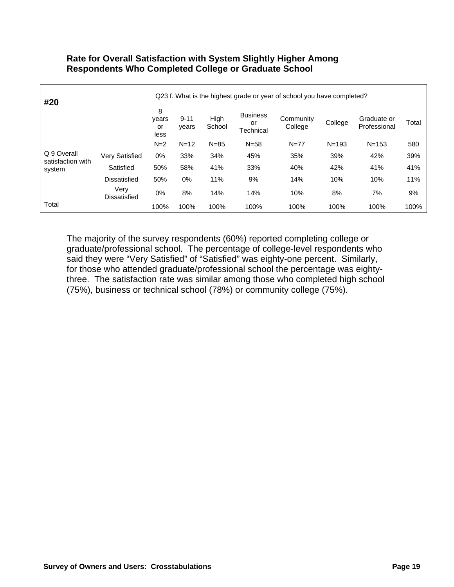#### **Rate for Overall Satisfaction with System Slightly Higher Among Respondents Who Completed College or Graduate School**

| #20                              | Q23 f. What is the highest grade or year of school you have completed? |                          |                   |                |                                    |                      |           |                             |       |
|----------------------------------|------------------------------------------------------------------------|--------------------------|-------------------|----------------|------------------------------------|----------------------|-----------|-----------------------------|-------|
|                                  |                                                                        | 8<br>years<br>or<br>less | $9 - 11$<br>years | High<br>School | <b>Business</b><br>or<br>Technical | Community<br>College | College   | Graduate or<br>Professional | Total |
|                                  |                                                                        | $N=2$                    | $N = 12$          | $N = 85$       | $N = 58$                           | $N = 77$             | $N = 193$ | $N = 153$                   | 580   |
| Q 9 Overall<br>satisfaction with | <b>Very Satisfied</b>                                                  | $0\%$                    | 33%               | 34%            | 45%                                | 35%                  | 39%       | 42%                         | 39%   |
| system                           | Satisfied                                                              | 50%                      | 58%               | 41%            | 33%                                | 40%                  | 42%       | 41%                         | 41%   |
|                                  | <b>Dissatisfied</b>                                                    | 50%                      | $0\%$             | 11%            | 9%                                 | 14%                  | 10%       | 10%                         | 11%   |
|                                  | Very<br>Dissatisfied                                                   | $0\%$                    | 8%                | 14%            | 14%                                | 10%                  | 8%        | 7%                          | 9%    |
| Total                            |                                                                        | 100%                     | 100%              | 100%           | 100%                               | 100%                 | 100%      | 100%                        | 100%  |

The majority of the survey respondents (60%) reported completing college or graduate/professional school. The percentage of college-level respondents who said they were "Very Satisfied" of "Satisfied" was eighty-one percent. Similarly, for those who attended graduate/professional school the percentage was eightythree. The satisfaction rate was similar among those who completed high school (75%), business or technical school (78%) or community college (75%).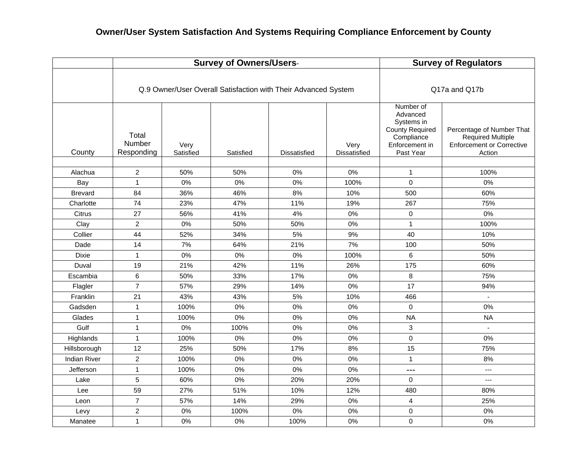|                     |                               |                   | <b>Survey of Owners/Users-</b>                                 | <b>Survey of Regulators</b> |                             |                                                                                                            |                                                                                                     |
|---------------------|-------------------------------|-------------------|----------------------------------------------------------------|-----------------------------|-----------------------------|------------------------------------------------------------------------------------------------------------|-----------------------------------------------------------------------------------------------------|
|                     |                               |                   | Q.9 Owner/User Overall Satisfaction with Their Advanced System | Q17a and Q17b               |                             |                                                                                                            |                                                                                                     |
| County              | Total<br>Number<br>Responding | Very<br>Satisfied | Satisfied                                                      | <b>Dissatisfied</b>         | Very<br><b>Dissatisfied</b> | Number of<br>Advanced<br>Systems in<br><b>County Required</b><br>Compliance<br>Enforcement in<br>Past Year | Percentage of Number That<br><b>Required Multiple</b><br><b>Enforcement or Corrective</b><br>Action |
| Alachua             | $\overline{2}$                | 50%               | 50%                                                            | 0%                          | 0%                          | $\mathbf{1}$                                                                                               | 100%                                                                                                |
| Bay                 | $\mathbf{1}$                  | 0%                | 0%                                                             | 0%                          | 100%                        | $\mathbf 0$                                                                                                | 0%                                                                                                  |
| <b>Brevard</b>      | 84                            | 36%               | 46%                                                            | 8%                          | 10%                         | 500                                                                                                        | 60%                                                                                                 |
| Charlotte           | 74                            | 23%               | 47%                                                            | 11%                         | 19%                         | 267                                                                                                        | 75%                                                                                                 |
| Citrus              | 27                            | 56%               | 41%                                                            | 4%                          | 0%                          | $\Omega$                                                                                                   | 0%                                                                                                  |
| Clay                | $\overline{a}$                | 0%                | 50%                                                            | 50%                         | 0%                          | $\mathbf{1}$                                                                                               | 100%                                                                                                |
| Collier             | 44                            | 52%               | 34%                                                            | 5%                          | 9%                          | 40                                                                                                         | 10%                                                                                                 |
| Dade                | 14                            | 7%                | 64%                                                            | 21%                         | 7%                          | 100                                                                                                        | 50%                                                                                                 |
| Dixie               | $\mathbf{1}$                  | $0\%$             | 0%                                                             | 0%                          | 100%                        | 6                                                                                                          | 50%                                                                                                 |
| Duval               | 19                            | 21%               | 42%                                                            | 11%                         | 26%                         | 175                                                                                                        | 60%                                                                                                 |
| Escambia            | 6                             | 50%               | 33%                                                            | 17%                         | 0%                          | 8                                                                                                          | 75%                                                                                                 |
| Flagler             | $\overline{7}$                | 57%               | 29%                                                            | 14%                         | 0%                          | 17                                                                                                         | 94%                                                                                                 |
| Franklin            | 21                            | 43%               | 43%                                                            | 5%                          | 10%                         | 466                                                                                                        | $\mathbf{r}$                                                                                        |
| Gadsden             | $\mathbf{1}$                  | 100%              | 0%                                                             | 0%                          | 0%                          | $\mathbf 0$                                                                                                | 0%                                                                                                  |
| Glades              | $\mathbf{1}$                  | 100%              | 0%                                                             | 0%                          | 0%                          | <b>NA</b>                                                                                                  | <b>NA</b>                                                                                           |
| Gulf                | 1                             | 0%                | 100%                                                           | 0%                          | 0%                          | 3                                                                                                          |                                                                                                     |
| Highlands           | $\mathbf{1}$                  | 100%              | 0%                                                             | 0%                          | 0%                          | $\mathbf 0$                                                                                                | 0%                                                                                                  |
| Hillsborough        | 12                            | 25%               | 50%                                                            | 17%                         | 8%                          | 15                                                                                                         | 75%                                                                                                 |
| <b>Indian River</b> | $\overline{2}$                | 100%              | 0%                                                             | 0%                          | 0%                          | $\mathbf{1}$                                                                                               | 8%                                                                                                  |
| Jefferson           | $\mathbf{1}$                  | 100%              | 0%                                                             | 0%                          | 0%                          | $\overline{a}$                                                                                             | $\overline{a}$                                                                                      |
| Lake                | $\sqrt{5}$                    | 60%               | 0%                                                             | 20%                         | 20%                         | $\mathbf 0$                                                                                                | $\overline{a}$                                                                                      |
| Lee                 | 59                            | 27%               | 51%                                                            | 10%                         | 12%                         | 480                                                                                                        | 80%                                                                                                 |
| Leon                | $\overline{7}$                | 57%               | 14%                                                            | 29%                         | 0%                          | $\overline{4}$                                                                                             | 25%                                                                                                 |
| Levy                | $\overline{c}$                | 0%                | 100%                                                           | 0%                          | 0%                          | 0                                                                                                          | 0%                                                                                                  |
| Manatee             | $\mathbf{1}$                  | 0%                | 0%                                                             | 100%                        | 0%                          | $\mathbf 0$                                                                                                | 0%                                                                                                  |